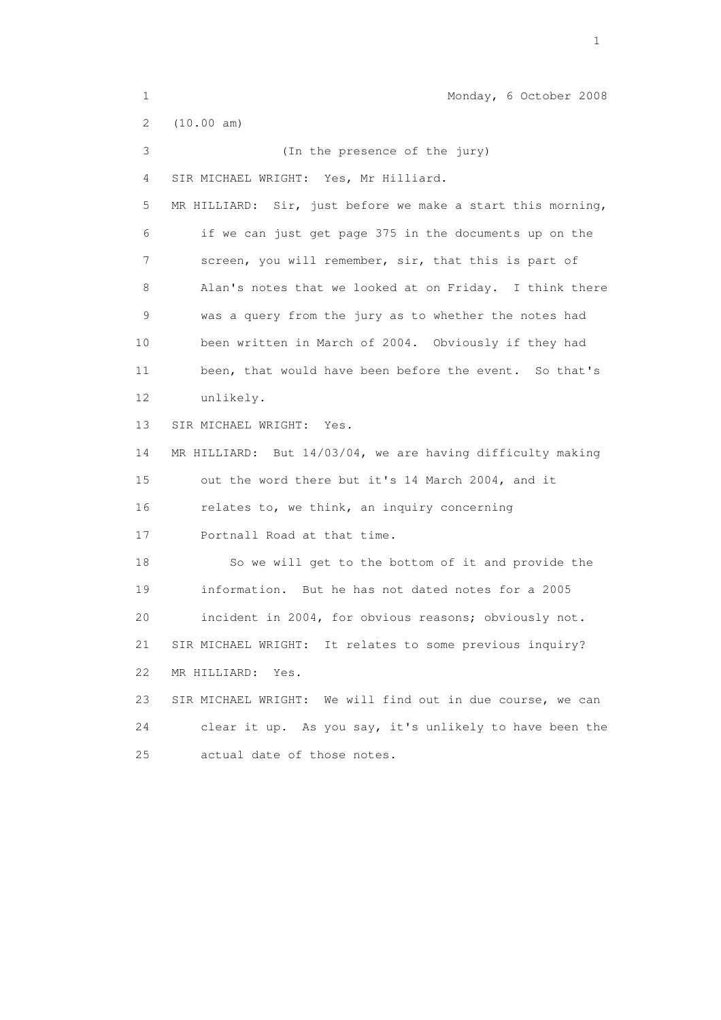1 Monday, 6 October 2008 2 (10.00 am) 3 (In the presence of the jury) 4 SIR MICHAEL WRIGHT: Yes, Mr Hilliard. 5 MR HILLIARD: Sir, just before we make a start this morning, 6 if we can just get page 375 in the documents up on the 7 screen, you will remember, sir, that this is part of 8 Alan's notes that we looked at on Friday. I think there 9 was a query from the jury as to whether the notes had 10 been written in March of 2004. Obviously if they had 11 been, that would have been before the event. So that's 12 unlikely. 13 SIR MICHAEL WRIGHT: Yes. 14 MR HILLIARD: But 14/03/04, we are having difficulty making 15 out the word there but it's 14 March 2004, and it 16 relates to, we think, an inquiry concerning 17 Portnall Road at that time. 18 So we will get to the bottom of it and provide the 19 information. But he has not dated notes for a 2005 20 incident in 2004, for obvious reasons; obviously not. 21 SIR MICHAEL WRIGHT: It relates to some previous inquiry? 22 MR HILLIARD: Yes. 23 SIR MICHAEL WRIGHT: We will find out in due course, we can 24 clear it up. As you say, it's unlikely to have been the 25 actual date of those notes.

the contract of the contract of the contract of the contract of the contract of the contract of the contract of the contract of the contract of the contract of the contract of the contract of the contract of the contract o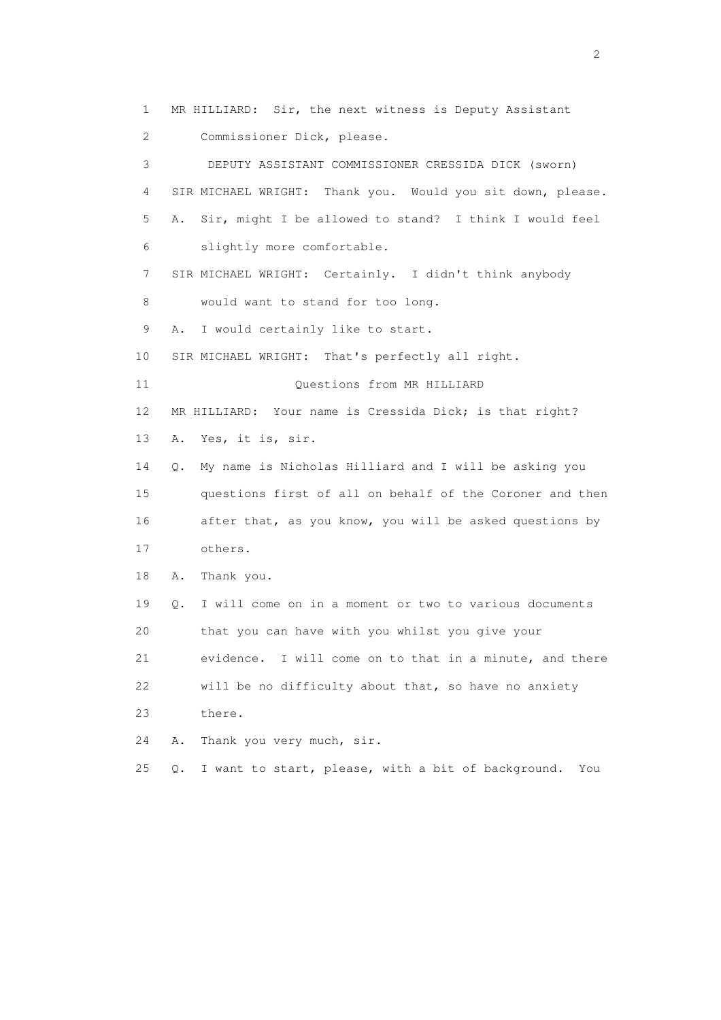1 MR HILLIARD: Sir, the next witness is Deputy Assistant 2 Commissioner Dick, please. 3 DEPUTY ASSISTANT COMMISSIONER CRESSIDA DICK (sworn) 4 SIR MICHAEL WRIGHT: Thank you. Would you sit down, please. 5 A. Sir, might I be allowed to stand? I think I would feel 6 slightly more comfortable. 7 SIR MICHAEL WRIGHT: Certainly. I didn't think anybody 8 would want to stand for too long. 9 A. I would certainly like to start. 10 SIR MICHAEL WRIGHT: That's perfectly all right. 11 Ouestions from MR HILLIARD 12 MR HILLIARD: Your name is Cressida Dick; is that right? 13 A. Yes, it is, sir. 14 Q. My name is Nicholas Hilliard and I will be asking you 15 questions first of all on behalf of the Coroner and then 16 after that, as you know, you will be asked questions by 17 others. 18 A. Thank you. 19 Q. I will come on in a moment or two to various documents 20 that you can have with you whilst you give your 21 evidence. I will come on to that in a minute, and there 22 will be no difficulty about that, so have no anxiety 23 there. 24 A. Thank you very much, sir. 25 Q. I want to start, please, with a bit of background. You

 $\overline{2}$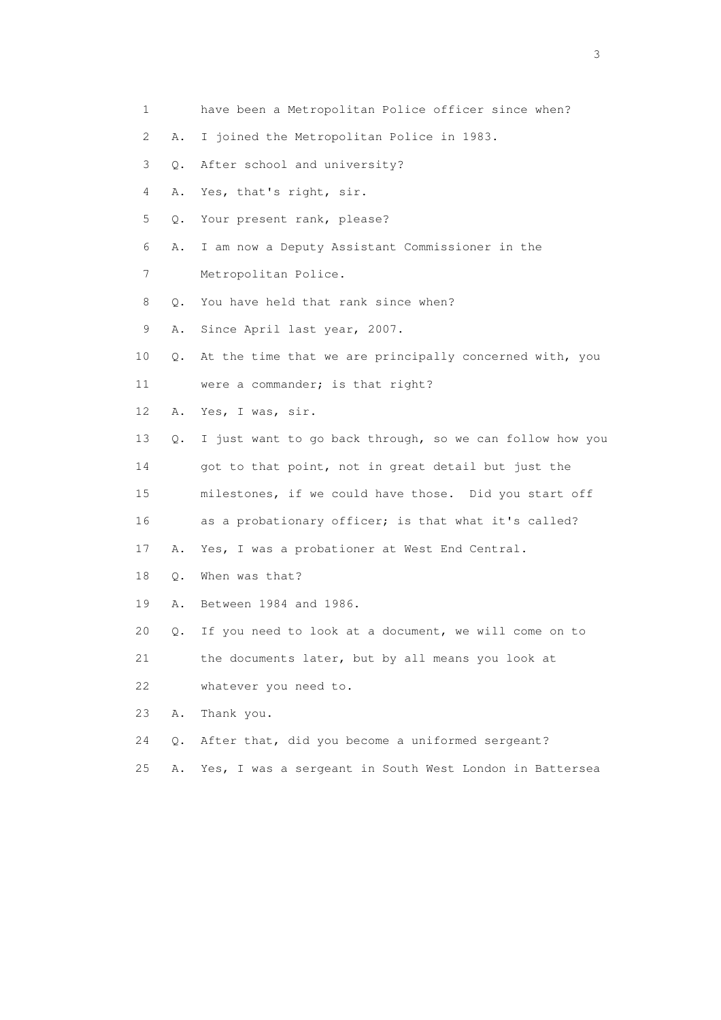1 have been a Metropolitan Police officer since when? 2 A. I joined the Metropolitan Police in 1983. 3 Q. After school and university? 4 A. Yes, that's right, sir. 5 Q. Your present rank, please? 6 A. I am now a Deputy Assistant Commissioner in the 7 Metropolitan Police. 8 0. You have held that rank since when? 9 A. Since April last year, 2007. 10 Q. At the time that we are principally concerned with, you 11 were a commander; is that right? 12 A. Yes, I was, sir. 13 Q. I just want to go back through, so we can follow how you 14 got to that point, not in great detail but just the 15 milestones, if we could have those. Did you start off 16 as a probationary officer; is that what it's called? 17 A. Yes, I was a probationer at West End Central. 18 Q. When was that? 19 A. Between 1984 and 1986. 20 Q. If you need to look at a document, we will come on to 21 the documents later, but by all means you look at 22 whatever you need to. 23 A. Thank you. 24 Q. After that, did you become a uniformed sergeant? 25 A. Yes, I was a sergeant in South West London in Battersea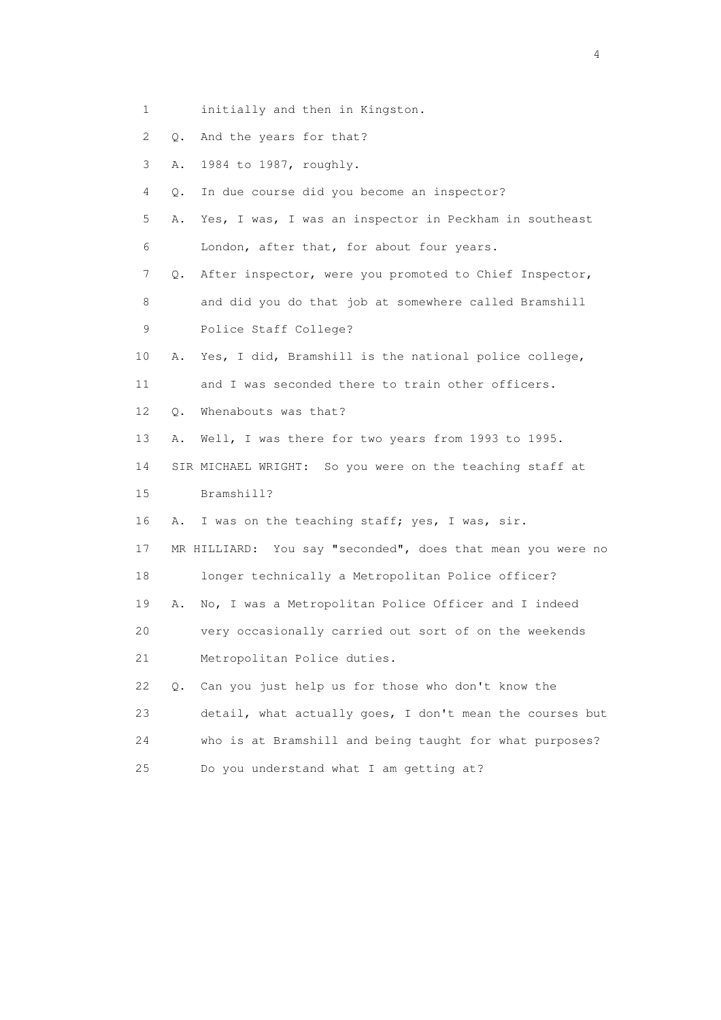- 1 initially and then in Kingston.
- 2 Q. And the years for that?
- 3 A. 1984 to 1987, roughly.
- 4 Q. In due course did you become an inspector?
- 5 A. Yes, I was, I was an inspector in Peckham in southeast 6 London, after that, for about four years.

7 Q. After inspector, were you promoted to Chief Inspector,

- 8 and did you do that job at somewhere called Bramshill
- 9 Police Staff College?
- 10 A. Yes, I did, Bramshill is the national police college,

11 and I was seconded there to train other officers.

- 12 Q. Whenabouts was that?
- 13 A. Well, I was there for two years from 1993 to 1995.
- 14 SIR MICHAEL WRIGHT: So you were on the teaching staff at
- 15 Bramshill?
- 16 A. I was on the teaching staff; yes, I was, sir.

17 MR HILLIARD: You say "seconded", does that mean you were no

18 longer technically a Metropolitan Police officer?

- 19 A. No, I was a Metropolitan Police Officer and I indeed
- 20 very occasionally carried out sort of on the weekends
- 21 Metropolitan Police duties.
- 22 Q. Can you just help us for those who don't know the 23 detail, what actually goes, I don't mean the courses but 24 who is at Bramshill and being taught for what purposes? 25 Do you understand what I am getting at?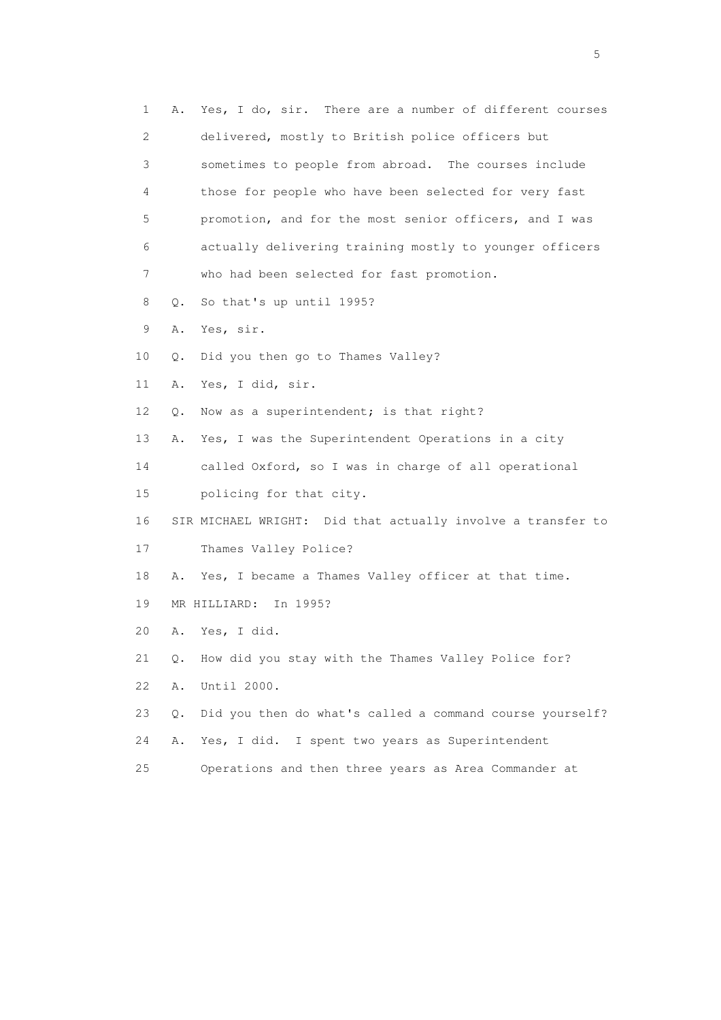| 1  | Α.        | Yes, I do, sir. There are a number of different courses     |
|----|-----------|-------------------------------------------------------------|
| 2  |           | delivered, mostly to British police officers but            |
| 3  |           | sometimes to people from abroad. The courses include        |
| 4  |           | those for people who have been selected for very fast       |
| 5  |           | promotion, and for the most senior officers, and I was      |
| 6  |           | actually delivering training mostly to younger officers     |
| 7  |           | who had been selected for fast promotion.                   |
| 8  | Q.        | So that's up until 1995?                                    |
| 9  | Α.        | Yes, sir.                                                   |
| 10 | Q.        | Did you then go to Thames Valley?                           |
| 11 | Α.        | Yes, I did, sir.                                            |
| 12 | О.        | Now as a superintendent; is that right?                     |
| 13 | Α.        | Yes, I was the Superintendent Operations in a city          |
| 14 |           | called Oxford, so I was in charge of all operational        |
| 15 |           | policing for that city.                                     |
| 16 |           | SIR MICHAEL WRIGHT: Did that actually involve a transfer to |
| 17 |           | Thames Valley Police?                                       |
| 18 | Α.        | Yes, I became a Thames Valley officer at that time.         |
| 19 |           | MR HILLIARD: In 1995?                                       |
| 20 | Α.        | Yes, I did.                                                 |
| 21 | Q.        | How did you stay with the Thames Valley Police for?         |
| 22 | Α.        | Until 2000.                                                 |
| 23 | $\circ$ . | Did you then do what's called a command course yourself?    |
| 24 | Α.        | I spent two years as Superintendent<br>Yes, I did.          |
| 25 |           | Operations and then three years as Area Commander at        |

 $\sim$  5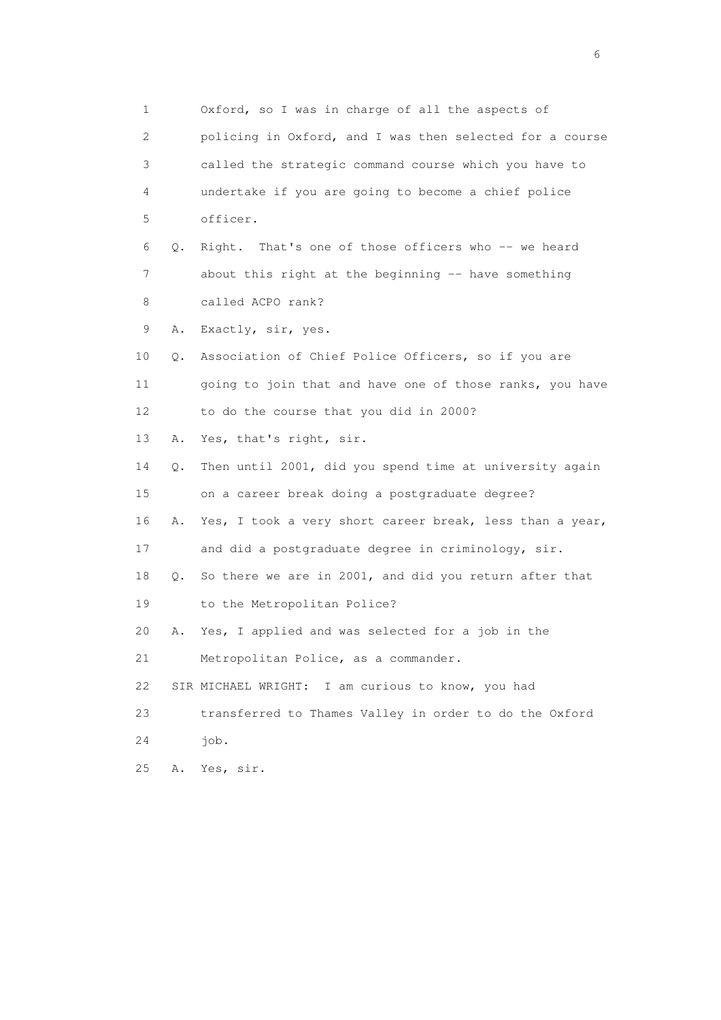1 Oxford, so I was in charge of all the aspects of 2 policing in Oxford, and I was then selected for a course 3 called the strategic command course which you have to 4 undertake if you are going to become a chief police 5 officer. 6 Q. Right. That's one of those officers who -- we heard 7 about this right at the beginning -- have something 8 called ACPO rank? 9 A. Exactly, sir, yes. 10 Q. Association of Chief Police Officers, so if you are 11 going to join that and have one of those ranks, you have 12 to do the course that you did in 2000? 13 A. Yes, that's right, sir. 14 Q. Then until 2001, did you spend time at university again 15 on a career break doing a postgraduate degree? 16 A. Yes, I took a very short career break, less than a year, 17 and did a postgraduate degree in criminology, sir. 18 Q. So there we are in 2001, and did you return after that 19 to the Metropolitan Police? 20 A. Yes, I applied and was selected for a job in the 21 Metropolitan Police, as a commander. 22 SIR MICHAEL WRIGHT: I am curious to know, you had 23 transferred to Thames Valley in order to do the Oxford 24 job. 25 A. Yes, sir.

 $\sim$  6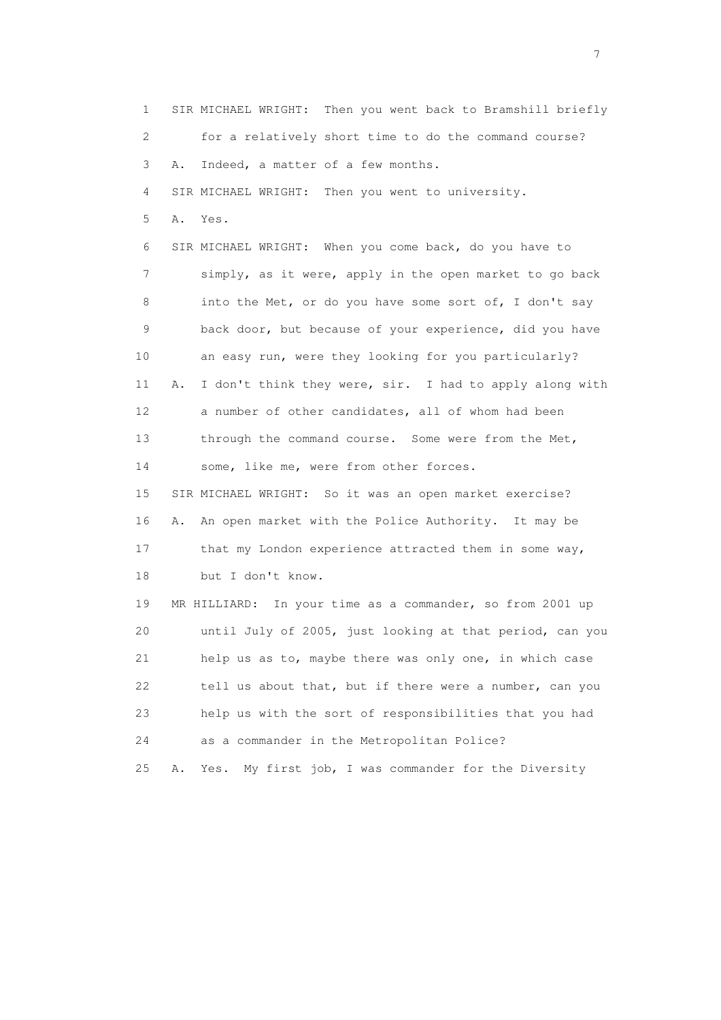1 SIR MICHAEL WRIGHT: Then you went back to Bramshill briefly 2 for a relatively short time to do the command course? 3 A. Indeed, a matter of a few months. 4 SIR MICHAEL WRIGHT: Then you went to university. 5 A. Yes. 6 SIR MICHAEL WRIGHT: When you come back, do you have to 7 simply, as it were, apply in the open market to go back 8 into the Met, or do you have some sort of, I don't say 9 back door, but because of your experience, did you have 10 an easy run, were they looking for you particularly? 11 A. I don't think they were, sir. I had to apply along with 12 a number of other candidates, all of whom had been 13 through the command course. Some were from the Met, 14 some, like me, were from other forces. 15 SIR MICHAEL WRIGHT: So it was an open market exercise? 16 A. An open market with the Police Authority. It may be 17 that my London experience attracted them in some way, 18 but I don't know. 19 MR HILLIARD: In your time as a commander, so from 2001 up 20 until July of 2005, just looking at that period, can you 21 help us as to, maybe there was only one, in which case 22 tell us about that, but if there were a number, can you 23 help us with the sort of responsibilities that you had 24 as a commander in the Metropolitan Police? 25 A. Yes. My first job, I was commander for the Diversity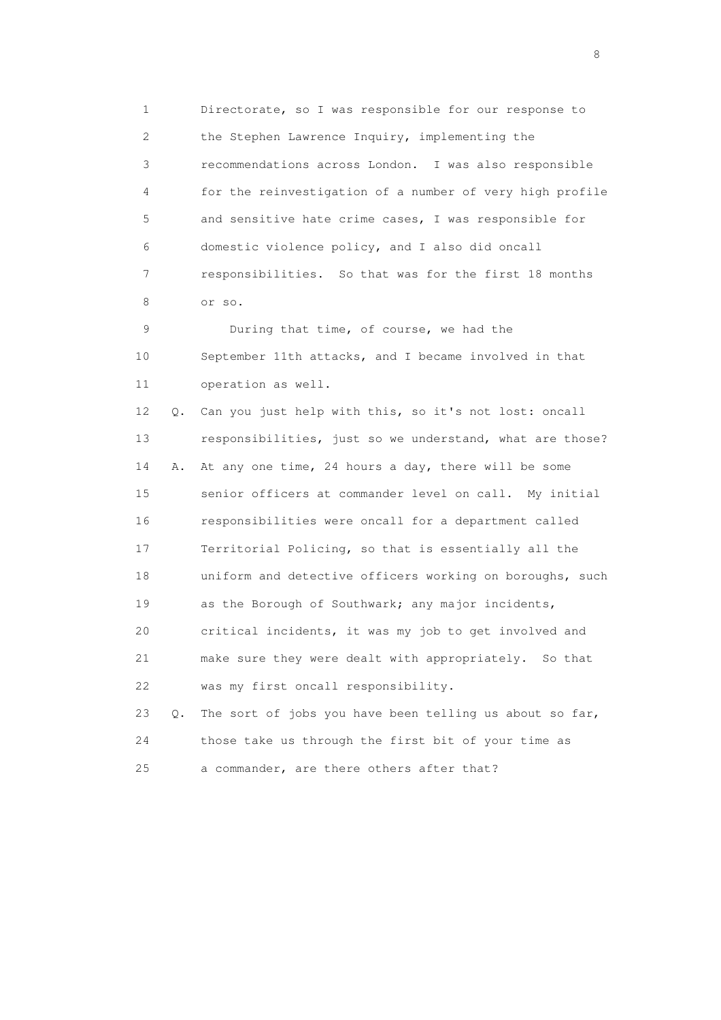1 Directorate, so I was responsible for our response to 2 the Stephen Lawrence Inquiry, implementing the 3 recommendations across London. I was also responsible 4 for the reinvestigation of a number of very high profile 5 and sensitive hate crime cases, I was responsible for 6 domestic violence policy, and I also did oncall 7 responsibilities. So that was for the first 18 months 8 or so.

 9 During that time, of course, we had the 10 September 11th attacks, and I became involved in that 11 operation as well.

 12 Q. Can you just help with this, so it's not lost: oncall 13 responsibilities, just so we understand, what are those? 14 A. At any one time, 24 hours a day, there will be some 15 senior officers at commander level on call. My initial 16 responsibilities were oncall for a department called 17 Territorial Policing, so that is essentially all the 18 uniform and detective officers working on boroughs, such 19 as the Borough of Southwark; any major incidents, 20 critical incidents, it was my job to get involved and 21 make sure they were dealt with appropriately. So that 22 was my first oncall responsibility.

 23 Q. The sort of jobs you have been telling us about so far, 24 those take us through the first bit of your time as 25 a commander, are there others after that?

en de la construction de la construction de la construction de la construction de la construction de la constr<br>En 1980, en 1980, en 1980, en 1980, en 1980, en 1980, en 1980, en 1980, en 1980, en 1980, en 1980, en 1980, en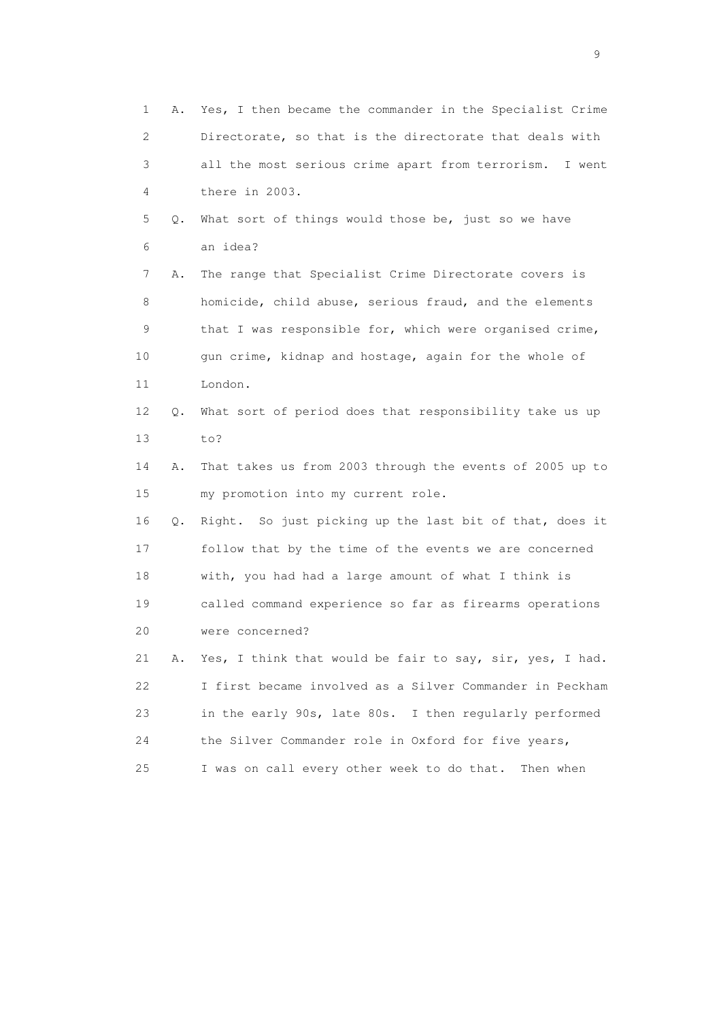1 A. Yes, I then became the commander in the Specialist Crime 2 Directorate, so that is the directorate that deals with 3 all the most serious crime apart from terrorism. I went 4 there in 2003. 5 Q. What sort of things would those be, just so we have 6 an idea? 7 A. The range that Specialist Crime Directorate covers is 8 homicide, child abuse, serious fraud, and the elements 9 that I was responsible for, which were organised crime, 10 gun crime, kidnap and hostage, again for the whole of 11 London. 12 Q. What sort of period does that responsibility take us up 13 to? 14 A. That takes us from 2003 through the events of 2005 up to 15 my promotion into my current role. 16 Q. Right. So just picking up the last bit of that, does it 17 follow that by the time of the events we are concerned 18 with, you had had a large amount of what I think is 19 called command experience so far as firearms operations 20 were concerned? 21 A. Yes, I think that would be fair to say, sir, yes, I had. 22 I first became involved as a Silver Commander in Peckham 23 in the early 90s, late 80s. I then regularly performed 24 the Silver Commander role in Oxford for five years, 25 I was on call every other week to do that. Then when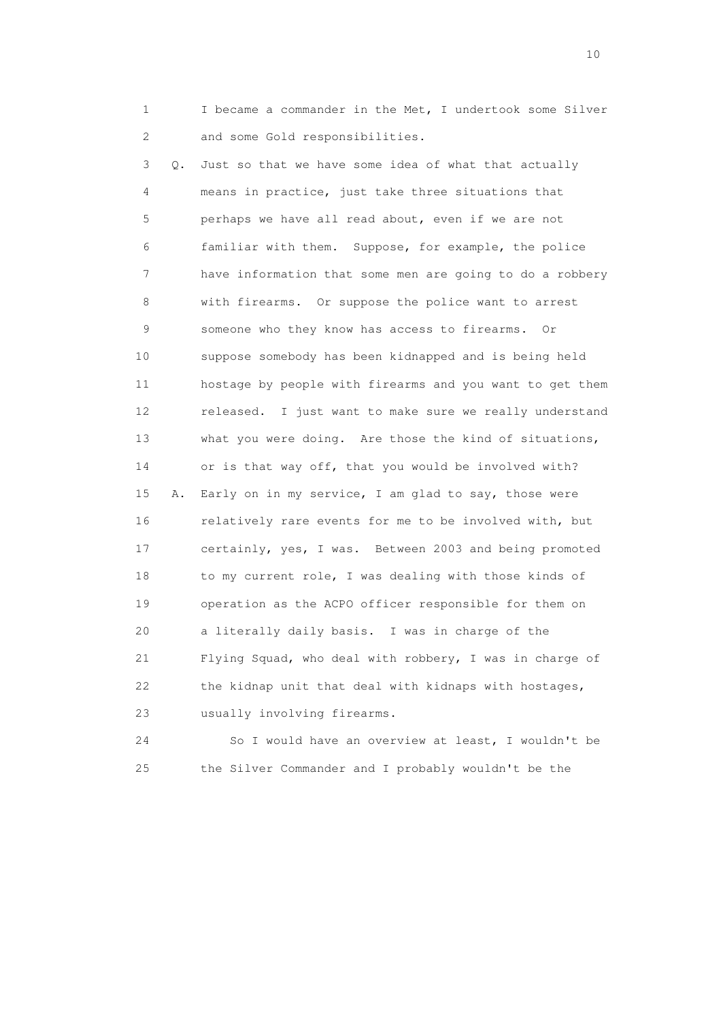1 I became a commander in the Met, I undertook some Silver 2 and some Gold responsibilities.

 3 Q. Just so that we have some idea of what that actually 4 means in practice, just take three situations that 5 perhaps we have all read about, even if we are not 6 familiar with them. Suppose, for example, the police 7 have information that some men are going to do a robbery 8 with firearms. Or suppose the police want to arrest 9 someone who they know has access to firearms. Or 10 suppose somebody has been kidnapped and is being held 11 hostage by people with firearms and you want to get them 12 released. I just want to make sure we really understand 13 what you were doing. Are those the kind of situations, 14 or is that way off, that you would be involved with? 15 A. Early on in my service, I am glad to say, those were 16 relatively rare events for me to be involved with, but 17 certainly, yes, I was. Between 2003 and being promoted 18 to my current role, I was dealing with those kinds of 19 operation as the ACPO officer responsible for them on 20 a literally daily basis. I was in charge of the 21 Flying Squad, who deal with robbery, I was in charge of 22 the kidnap unit that deal with kidnaps with hostages, 23 usually involving firearms.

 24 So I would have an overview at least, I wouldn't be 25 the Silver Commander and I probably wouldn't be the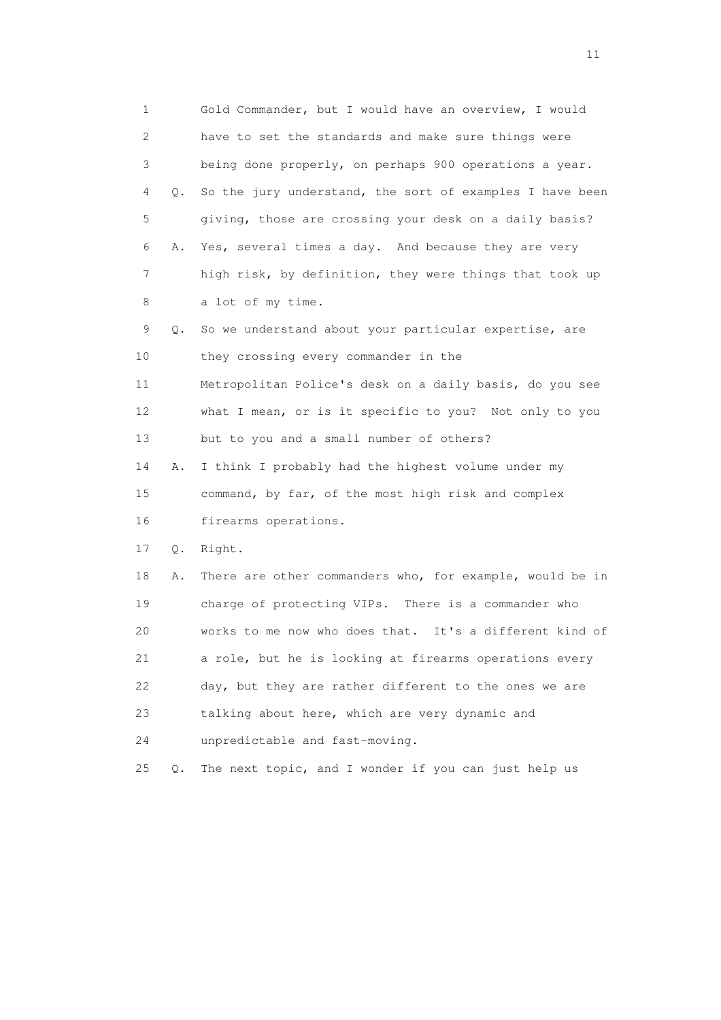1 Gold Commander, but I would have an overview, I would 2 have to set the standards and make sure things were 3 being done properly, on perhaps 900 operations a year. 4 Q. So the jury understand, the sort of examples I have been 5 giving, those are crossing your desk on a daily basis? 6 A. Yes, several times a day. And because they are very 7 high risk, by definition, they were things that took up 8 a lot of my time. 9 Q. So we understand about your particular expertise, are 10 they crossing every commander in the 11 Metropolitan Police's desk on a daily basis, do you see 12 what I mean, or is it specific to you? Not only to you 13 but to you and a small number of others? 14 A. I think I probably had the highest volume under my 15 command, by far, of the most high risk and complex 16 firearms operations. 17 Q. Right. 18 A. There are other commanders who, for example, would be in 19 charge of protecting VIPs. There is a commander who 20 works to me now who does that. It's a different kind of 21 a role, but he is looking at firearms operations every 22 day, but they are rather different to the ones we are 23 talking about here, which are very dynamic and 24 unpredictable and fast-moving. 25 Q. The next topic, and I wonder if you can just help us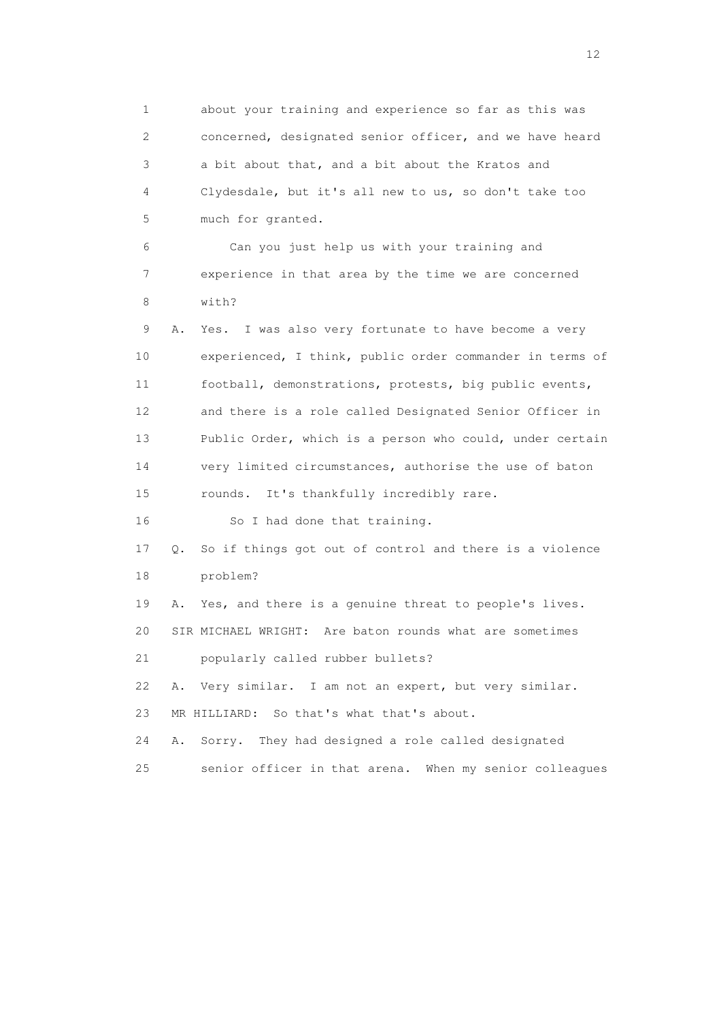1 about your training and experience so far as this was 2 concerned, designated senior officer, and we have heard 3 a bit about that, and a bit about the Kratos and 4 Clydesdale, but it's all new to us, so don't take too 5 much for granted. 6 Can you just help us with your training and 7 experience in that area by the time we are concerned 8 with? 9 A. Yes. I was also very fortunate to have become a very 10 experienced, I think, public order commander in terms of 11 football, demonstrations, protests, big public events, 12 and there is a role called Designated Senior Officer in 13 Public Order, which is a person who could, under certain 14 very limited circumstances, authorise the use of baton 15 rounds. It's thankfully incredibly rare. 16 So I had done that training. 17 Q. So if things got out of control and there is a violence 18 problem? 19 A. Yes, and there is a genuine threat to people's lives. 20 SIR MICHAEL WRIGHT: Are baton rounds what are sometimes 21 popularly called rubber bullets? 22 A. Very similar. I am not an expert, but very similar. 23 MR HILLIARD: So that's what that's about. 24 A. Sorry. They had designed a role called designated 25 senior officer in that arena. When my senior colleagues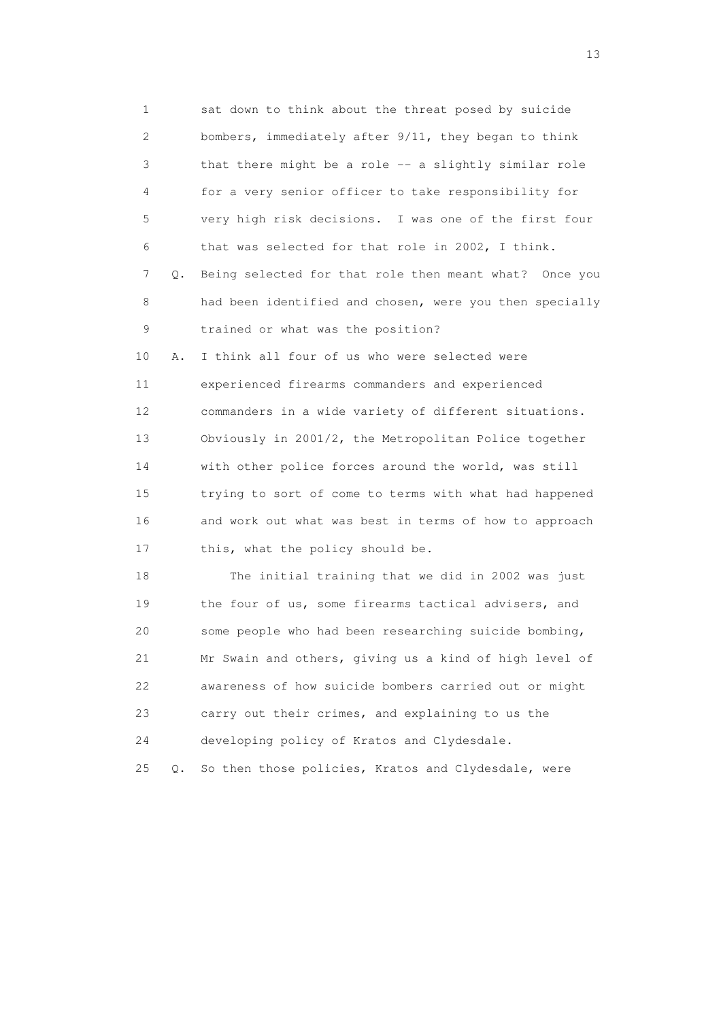1 sat down to think about the threat posed by suicide 2 bombers, immediately after 9/11, they began to think 3 that there might be a role -- a slightly similar role 4 for a very senior officer to take responsibility for 5 very high risk decisions. I was one of the first four 6 that was selected for that role in 2002, I think. 7 Q. Being selected for that role then meant what? Once you 8 had been identified and chosen, were you then specially 9 trained or what was the position? 10 A. I think all four of us who were selected were 11 experienced firearms commanders and experienced 12 commanders in a wide variety of different situations. 13 Obviously in 2001/2, the Metropolitan Police together 14 with other police forces around the world, was still 15 trying to sort of come to terms with what had happened 16 and work out what was best in terms of how to approach 17 this, what the policy should be. 18 The initial training that we did in 2002 was just

19 the four of us, some firearms tactical advisers, and 20 some people who had been researching suicide bombing, 21 Mr Swain and others, giving us a kind of high level of 22 awareness of how suicide bombers carried out or might 23 carry out their crimes, and explaining to us the 24 developing policy of Kratos and Clydesdale.

25 Q. So then those policies, Kratos and Clydesdale, were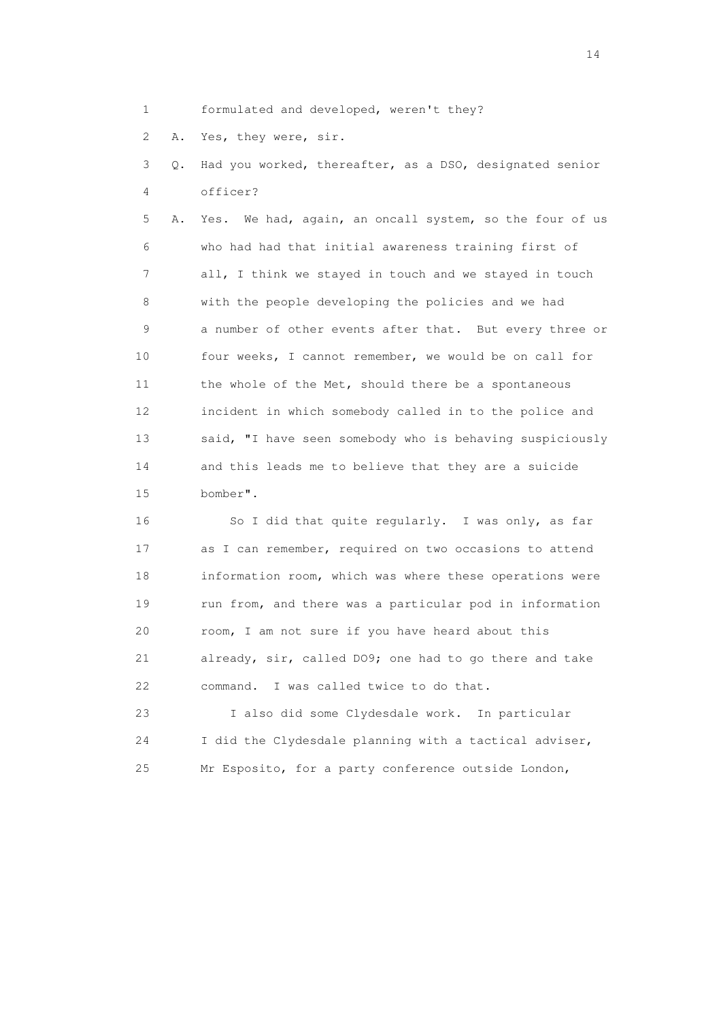1 formulated and developed, weren't they?

2 A. Yes, they were, sir.

 3 Q. Had you worked, thereafter, as a DSO, designated senior 4 officer?

 5 A. Yes. We had, again, an oncall system, so the four of us 6 who had had that initial awareness training first of 7 all, I think we stayed in touch and we stayed in touch 8 with the people developing the policies and we had 9 a number of other events after that. But every three or 10 four weeks, I cannot remember, we would be on call for 11 the whole of the Met, should there be a spontaneous 12 incident in which somebody called in to the police and 13 said, "I have seen somebody who is behaving suspiciously 14 and this leads me to believe that they are a suicide 15 bomber".

 16 So I did that quite regularly. I was only, as far 17 as I can remember, required on two occasions to attend 18 information room, which was where these operations were 19 run from, and there was a particular pod in information 20 room, I am not sure if you have heard about this 21 already, sir, called DO9; one had to go there and take 22 command. I was called twice to do that.

 23 I also did some Clydesdale work. In particular 24 I did the Clydesdale planning with a tactical adviser, 25 Mr Esposito, for a party conference outside London,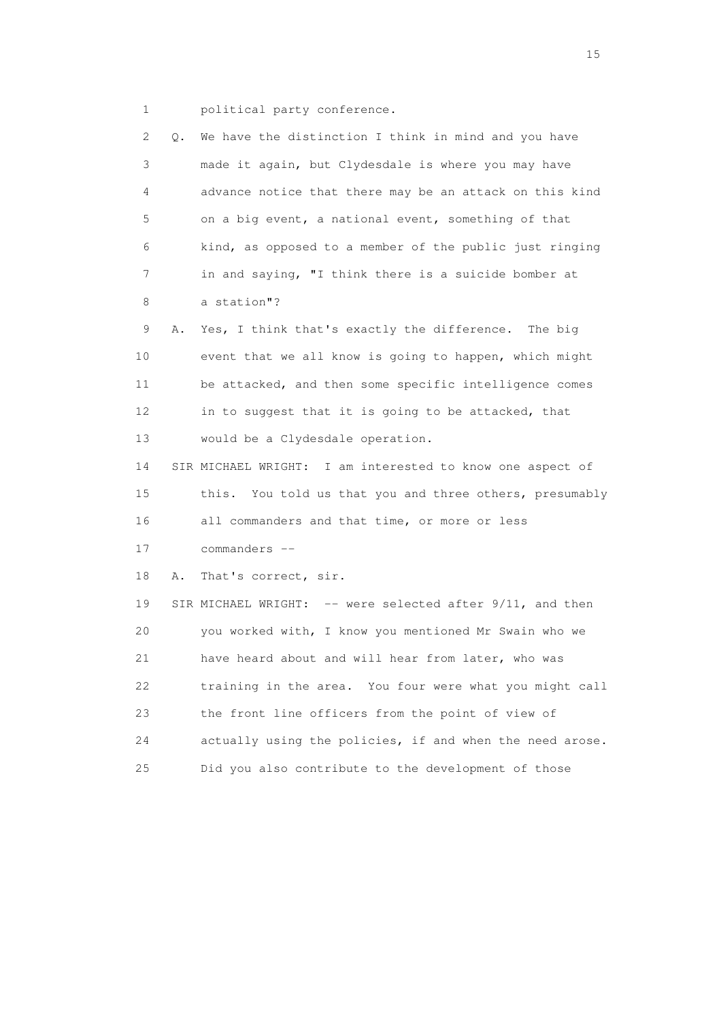1 political party conference.

| 2. | Q. | We have the distinction I think in mind and you have      |
|----|----|-----------------------------------------------------------|
| 3  |    | made it again, but Clydesdale is where you may have       |
| 4  |    | advance notice that there may be an attack on this kind   |
| 5  |    | on a big event, a national event, something of that       |
| 6  |    | kind, as opposed to a member of the public just ringing   |
| 7  |    | in and saying, "I think there is a suicide bomber at      |
| 8  |    | a station"?                                               |
| 9  | Α. | Yes, I think that's exactly the difference. The big       |
| 10 |    | event that we all know is going to happen, which might    |
| 11 |    | be attacked, and then some specific intelligence comes    |
| 12 |    | in to suggest that it is going to be attacked, that       |
| 13 |    | would be a Clydesdale operation.                          |
| 14 |    | SIR MICHAEL WRIGHT: I am interested to know one aspect of |
| 15 |    | this. You told us that you and three others, presumably   |
| 16 |    | all commanders and that time, or more or less             |
| 17 |    | commanders --                                             |
| 18 | Α. | That's correct, sir.                                      |
| 19 |    | SIR MICHAEL WRIGHT: -- were selected after 9/11, and then |
| 20 |    | you worked with, I know you mentioned Mr Swain who we     |
| 21 |    | have heard about and will hear from later, who was        |
| 22 |    | training in the area. You four were what you might call   |
| 23 |    | the front line officers from the point of view of         |
| 24 |    | actually using the policies, if and when the need arose.  |
| 25 |    | Did you also contribute to the development of those       |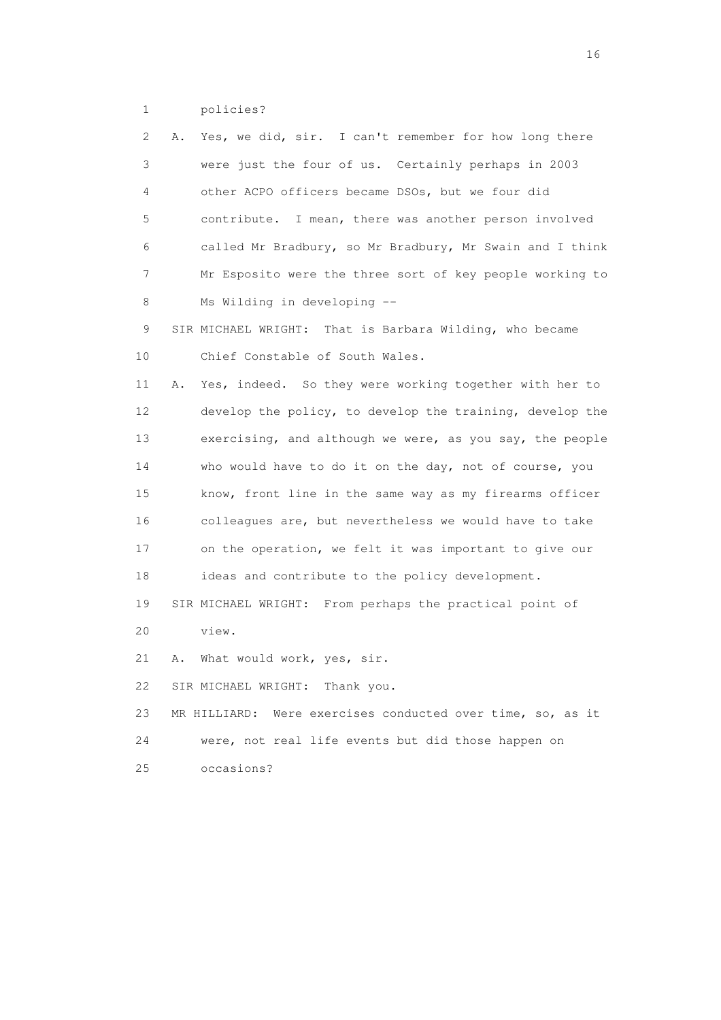1 policies?

| 2  | Yes, we did, sir. I can't remember for how long there<br>Α.   |
|----|---------------------------------------------------------------|
| 3  | were just the four of us. Certainly perhaps in 2003           |
| 4  | other ACPO officers became DSOs, but we four did              |
| 5  | contribute. I mean, there was another person involved         |
| 6  | called Mr Bradbury, so Mr Bradbury, Mr Swain and I think      |
| 7  | Mr Esposito were the three sort of key people working to      |
| 8  | Ms Wilding in developing --                                   |
| 9  | SIR MICHAEL WRIGHT: That is Barbara Wilding, who became       |
| 10 | Chief Constable of South Wales.                               |
| 11 | Yes, indeed. So they were working together with her to<br>Α.  |
| 12 | develop the policy, to develop the training, develop the      |
| 13 | exercising, and although we were, as you say, the people      |
| 14 | who would have to do it on the day, not of course, you        |
| 15 | know, front line in the same way as my firearms officer       |
| 16 | colleagues are, but nevertheless we would have to take        |
| 17 | on the operation, we felt it was important to give our        |
| 18 | ideas and contribute to the policy development.               |
| 19 | SIR MICHAEL WRIGHT: From perhaps the practical point of       |
| 20 | view.                                                         |
| 21 | What would work, yes, sir.<br>Α.                              |
| 22 | SIR MICHAEL WRIGHT: Thank you.                                |
| 23 | Were exercises conducted over time, so, as it<br>MR HILLIARD: |
| 24 | were, not real life events but did those happen on            |
| 25 | occasions?                                                    |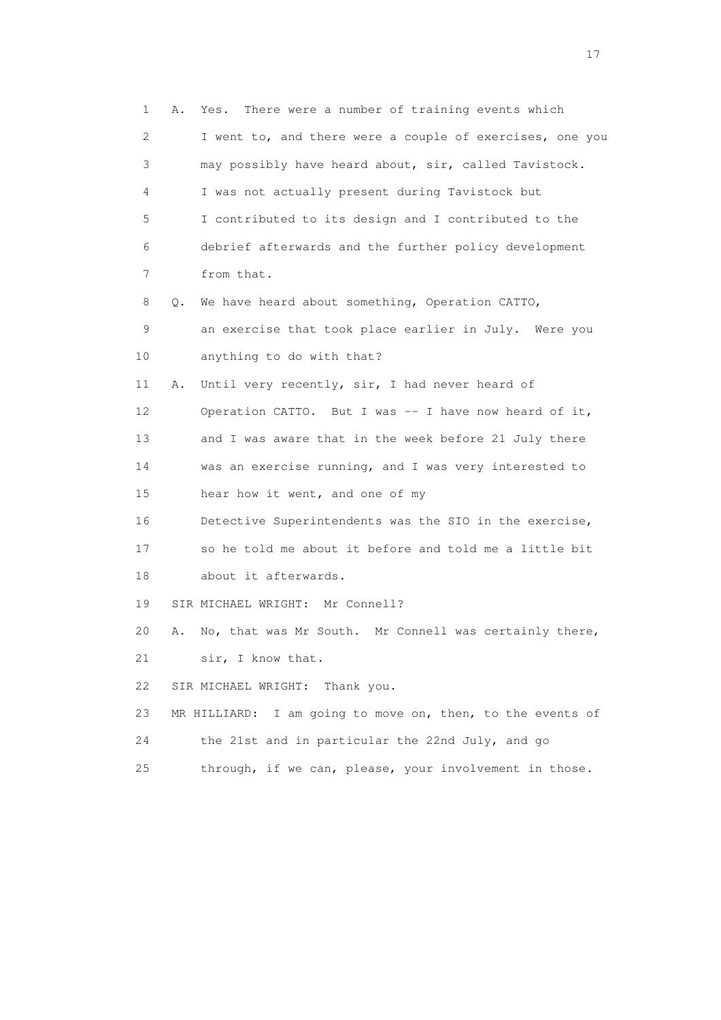1 A. Yes. There were a number of training events which 2 I went to, and there were a couple of exercises, one you 3 may possibly have heard about, sir, called Tavistock. 4 I was not actually present during Tavistock but 5 I contributed to its design and I contributed to the 6 debrief afterwards and the further policy development 7 from that. 8 Q. We have heard about something, Operation CATTO, 9 an exercise that took place earlier in July. Were you 10 anything to do with that? 11 A. Until very recently, sir, I had never heard of 12 Operation CATTO. But I was -- I have now heard of it, 13 and I was aware that in the week before 21 July there 14 was an exercise running, and I was very interested to 15 hear how it went, and one of my 16 Detective Superintendents was the SIO in the exercise, 17 so he told me about it before and told me a little bit 18 about it afterwards. 19 SIR MICHAEL WRIGHT: Mr Connell? 20 A. No, that was Mr South. Mr Connell was certainly there, 21 sir, I know that. 22 SIR MICHAEL WRIGHT: Thank you. 23 MR HILLIARD: I am going to move on, then, to the events of 24 the 21st and in particular the 22nd July, and go 25 through, if we can, please, your involvement in those.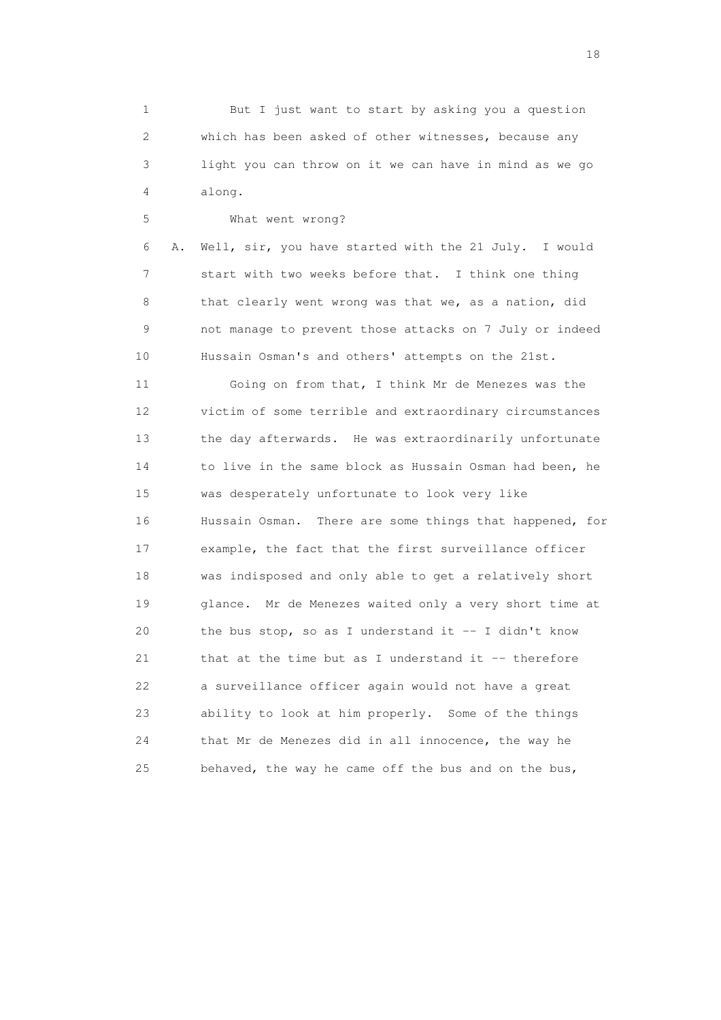1 But I just want to start by asking you a question 2 which has been asked of other witnesses, because any 3 light you can throw on it we can have in mind as we go 4 along.

18

 5 What went wrong? 6 A. Well, sir, you have started with the 21 July. I would 7 start with two weeks before that. I think one thing 8 that clearly went wrong was that we, as a nation, did 9 not manage to prevent those attacks on 7 July or indeed 10 Hussain Osman's and others' attempts on the 21st. 11 Going on from that, I think Mr de Menezes was the 12 victim of some terrible and extraordinary circumstances 13 the day afterwards. He was extraordinarily unfortunate 14 to live in the same block as Hussain Osman had been, he 15 was desperately unfortunate to look very like 16 Hussain Osman. There are some things that happened, for 17 example, the fact that the first surveillance officer 18 was indisposed and only able to get a relatively short 19 glance. Mr de Menezes waited only a very short time at 20 the bus stop, so as I understand it -- I didn't know

21 that at the time but as I understand it -- therefore 22 a surveillance officer again would not have a great 23 ability to look at him properly. Some of the things 24 that Mr de Menezes did in all innocence, the way he

25 behaved, the way he came off the bus and on the bus,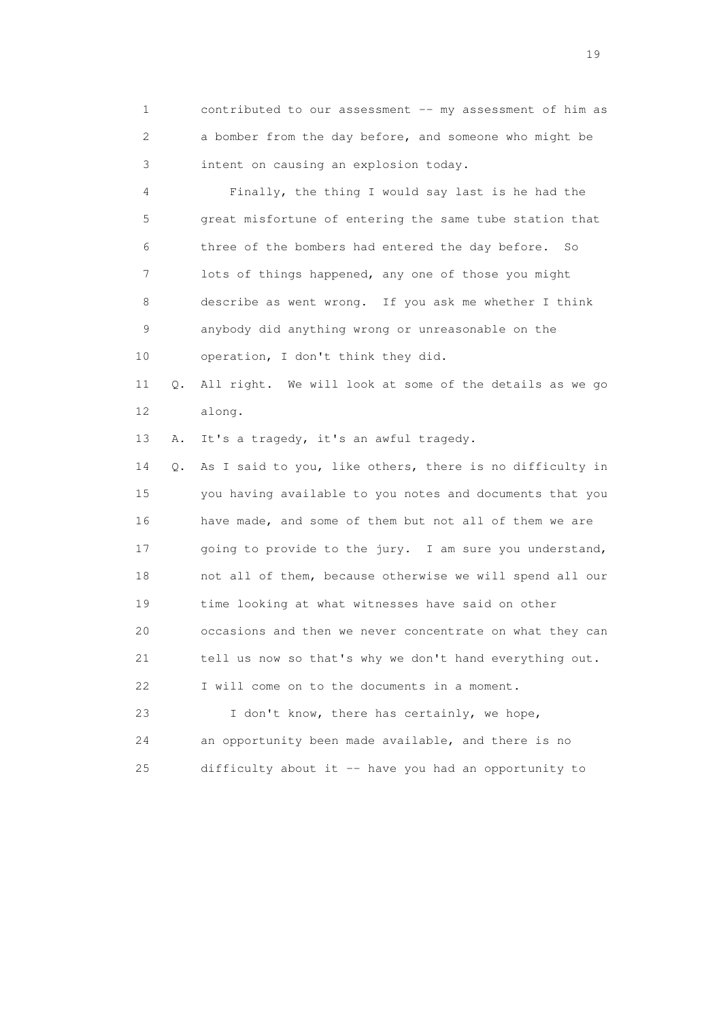1 contributed to our assessment -- my assessment of him as 2 a bomber from the day before, and someone who might be 3 intent on causing an explosion today.

 4 Finally, the thing I would say last is he had the 5 great misfortune of entering the same tube station that 6 three of the bombers had entered the day before. So 7 lots of things happened, any one of those you might 8 describe as went wrong. If you ask me whether I think 9 anybody did anything wrong or unreasonable on the 10 operation, I don't think they did.

 11 Q. All right. We will look at some of the details as we go 12 along.

13 A. It's a tragedy, it's an awful tragedy.

 14 Q. As I said to you, like others, there is no difficulty in 15 you having available to you notes and documents that you 16 have made, and some of them but not all of them we are 17 going to provide to the jury. I am sure you understand, 18 not all of them, because otherwise we will spend all our 19 time looking at what witnesses have said on other 20 occasions and then we never concentrate on what they can 21 tell us now so that's why we don't hand everything out. 22 I will come on to the documents in a moment.

 23 I don't know, there has certainly, we hope, 24 an opportunity been made available, and there is no 25 difficulty about it -- have you had an opportunity to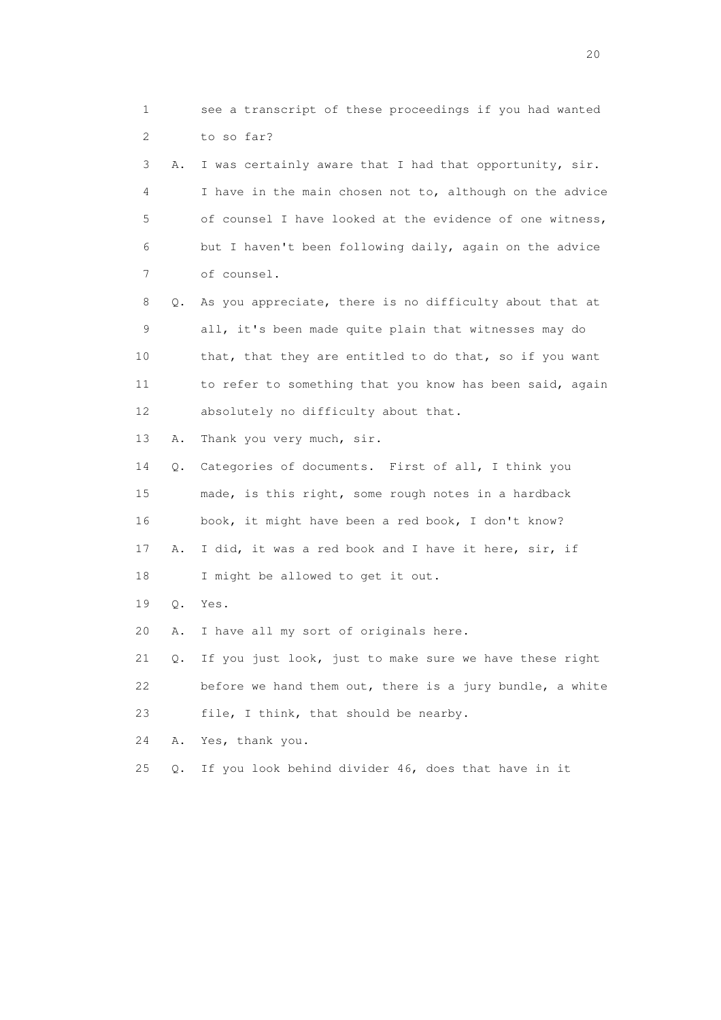1 see a transcript of these proceedings if you had wanted 2 to so far? 3 A. I was certainly aware that I had that opportunity, sir. 4 I have in the main chosen not to, although on the advice 5 of counsel I have looked at the evidence of one witness, 6 but I haven't been following daily, again on the advice 7 of counsel. 8 Q. As you appreciate, there is no difficulty about that at 9 all, it's been made quite plain that witnesses may do 10 that, that they are entitled to do that, so if you want 11 to refer to something that you know has been said, again 12 absolutely no difficulty about that. 13 A. Thank you very much, sir. 14 Q. Categories of documents. First of all, I think you 15 made, is this right, some rough notes in a hardback 16 book, it might have been a red book, I don't know? 17 A. I did, it was a red book and I have it here, sir, if 18 I might be allowed to get it out. 19 Q. Yes. 20 A. I have all my sort of originals here. 21 Q. If you just look, just to make sure we have these right 22 before we hand them out, there is a jury bundle, a white 23 file, I think, that should be nearby. 24 A. Yes, thank you. 25 Q. If you look behind divider 46, does that have in it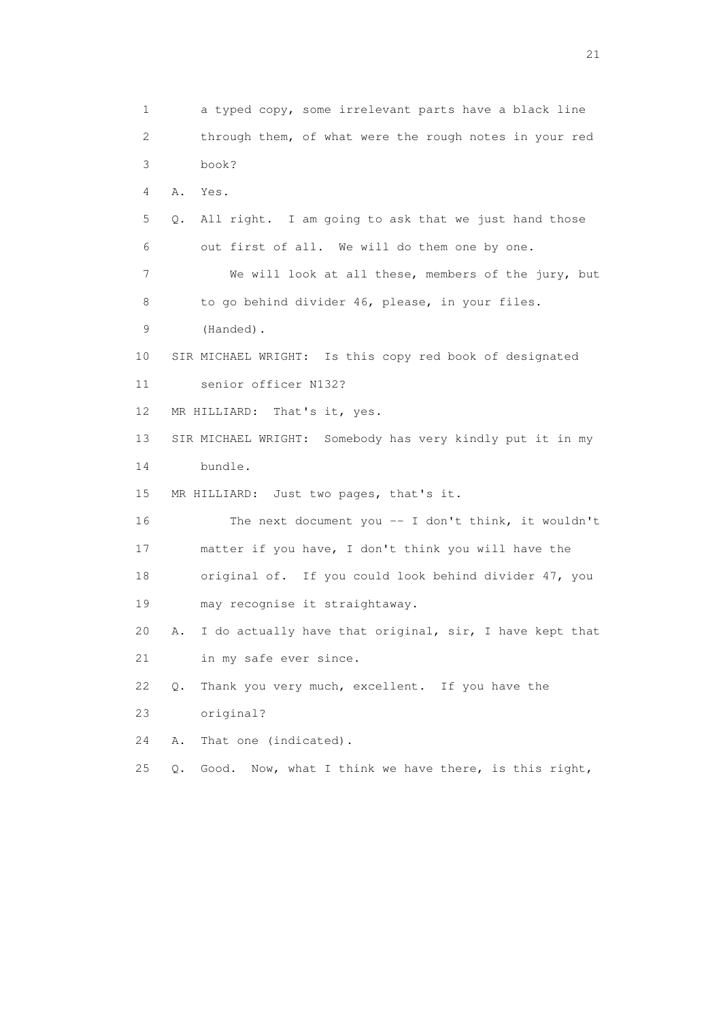1 a typed copy, some irrelevant parts have a black line 2 through them, of what were the rough notes in your red 3 book? 4 A. Yes. 5 Q. All right. I am going to ask that we just hand those 6 out first of all. We will do them one by one. 7 We will look at all these, members of the jury, but 8 to go behind divider 46, please, in your files. 9 (Handed). 10 SIR MICHAEL WRIGHT: Is this copy red book of designated 11 senior officer N132? 12 MR HILLIARD: That's it, yes. 13 SIR MICHAEL WRIGHT: Somebody has very kindly put it in my 14 bundle. 15 MR HILLIARD: Just two pages, that's it. 16 The next document you -- I don't think, it wouldn't 17 matter if you have, I don't think you will have the 18 original of. If you could look behind divider 47, you 19 may recognise it straightaway. 20 A. I do actually have that original, sir, I have kept that 21 in my safe ever since. 22 Q. Thank you very much, excellent. If you have the 23 original? 24 A. That one (indicated). 25 Q. Good. Now, what I think we have there, is this right,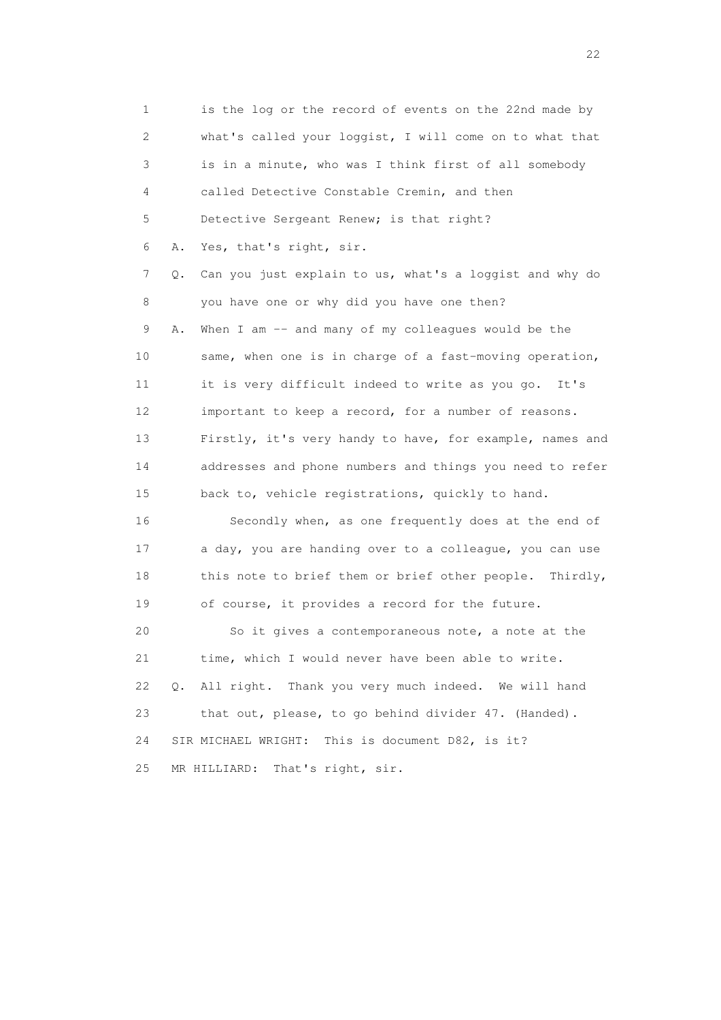1 is the log or the record of events on the 22nd made by 2 what's called your loggist, I will come on to what that 3 is in a minute, who was I think first of all somebody 4 called Detective Constable Cremin, and then 5 Detective Sergeant Renew; is that right? 6 A. Yes, that's right, sir. 7 Q. Can you just explain to us, what's a loggist and why do 8 you have one or why did you have one then? 9 A. When I am -- and many of my colleagues would be the 10 same, when one is in charge of a fast-moving operation, 11 it is very difficult indeed to write as you go. It's 12 important to keep a record, for a number of reasons. 13 Firstly, it's very handy to have, for example, names and 14 addresses and phone numbers and things you need to refer 15 back to, vehicle registrations, quickly to hand. 16 Secondly when, as one frequently does at the end of 17 a day, you are handing over to a colleague, you can use 18 this note to brief them or brief other people. Thirdly, 19 of course, it provides a record for the future. 20 So it gives a contemporaneous note, a note at the 21 time, which I would never have been able to write. 22 Q. All right. Thank you very much indeed. We will hand 23 that out, please, to go behind divider 47. (Handed). 24 SIR MICHAEL WRIGHT: This is document D82, is it? 25 MR HILLIARD: That's right, sir.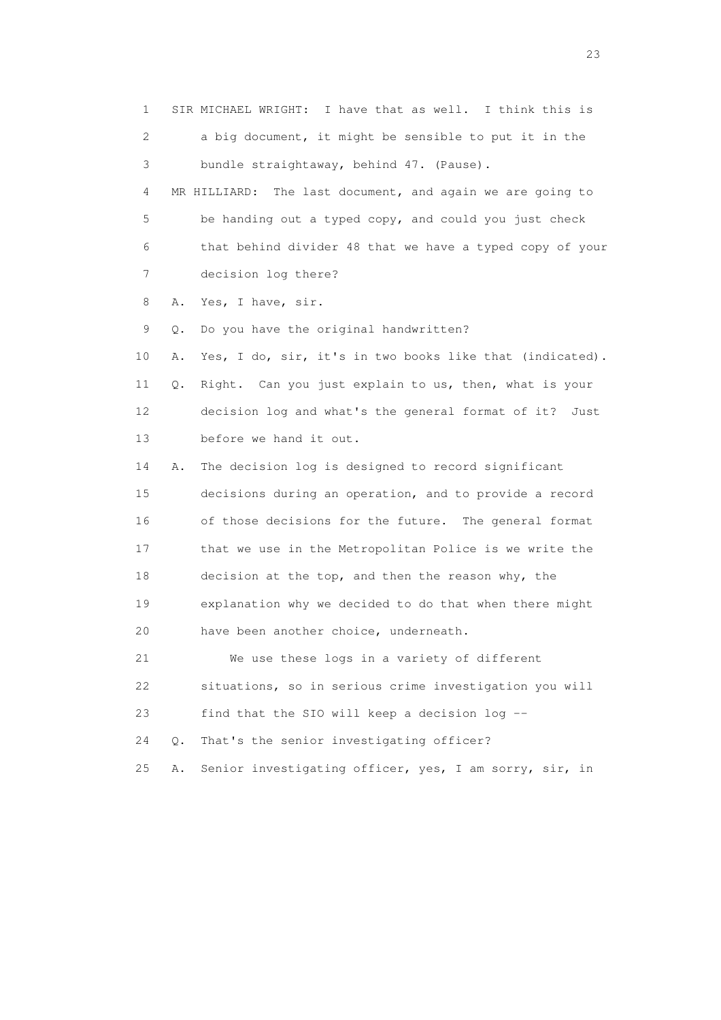1 SIR MICHAEL WRIGHT: I have that as well. I think this is 2 a big document, it might be sensible to put it in the 3 bundle straightaway, behind 47. (Pause). 4 MR HILLIARD: The last document, and again we are going to 5 be handing out a typed copy, and could you just check 6 that behind divider 48 that we have a typed copy of your 7 decision log there? 8 A. Yes, I have, sir. 9 Q. Do you have the original handwritten? 10 A. Yes, I do, sir, it's in two books like that (indicated). 11 Q. Right. Can you just explain to us, then, what is your 12 decision log and what's the general format of it? Just 13 before we hand it out. 14 A. The decision log is designed to record significant 15 decisions during an operation, and to provide a record 16 of those decisions for the future. The general format 17 that we use in the Metropolitan Police is we write the 18 decision at the top, and then the reason why, the 19 explanation why we decided to do that when there might 20 have been another choice, underneath. 21 We use these logs in a variety of different 22 situations, so in serious crime investigation you will 23 find that the SIO will keep a decision log -- 24 Q. That's the senior investigating officer?

25 A. Senior investigating officer, yes, I am sorry, sir, in

23 and 23 and 23 and 23 and 23 and 23 and 23 and 23 and 23 and 23 and 23 and 23 and 23 and 23 and 23 and 23 and 24 and 25 and 25 and 26 and 26 and 26 and 26 and 26 and 26 and 26 and 26 and 26 and 26 and 26 and 26 and 26 an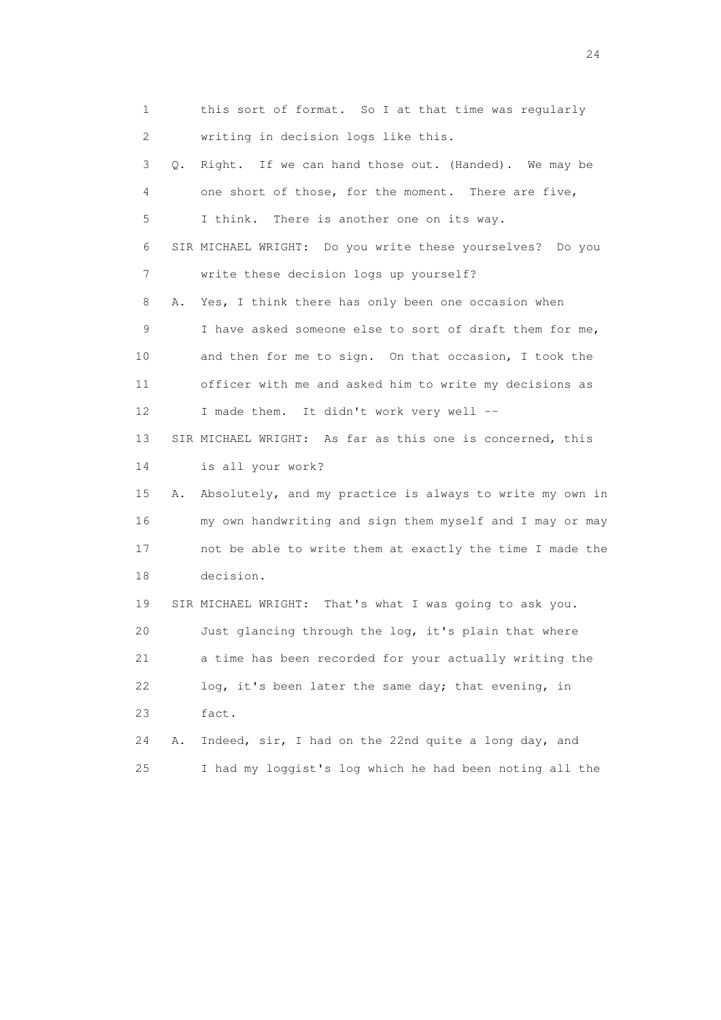1 this sort of format. So I at that time was regularly 2 writing in decision logs like this. 3 Q. Right. If we can hand those out. (Handed). We may be 4 one short of those, for the moment. There are five, 5 I think. There is another one on its way. 6 SIR MICHAEL WRIGHT: Do you write these yourselves? Do you 7 write these decision logs up yourself? 8 A. Yes, I think there has only been one occasion when 9 I have asked someone else to sort of draft them for me, 10 and then for me to sign. On that occasion, I took the 11 officer with me and asked him to write my decisions as 12 I made them. It didn't work very well -- 13 SIR MICHAEL WRIGHT: As far as this one is concerned, this 14 is all your work? 15 A. Absolutely, and my practice is always to write my own in 16 my own handwriting and sign them myself and I may or may 17 not be able to write them at exactly the time I made the 18 decision. 19 SIR MICHAEL WRIGHT: That's what I was going to ask you. 20 Just glancing through the log, it's plain that where 21 a time has been recorded for your actually writing the 22 log, it's been later the same day; that evening, in 23 fact. 24 A. Indeed, sir, I had on the 22nd quite a long day, and 25 I had my loggist's log which he had been noting all the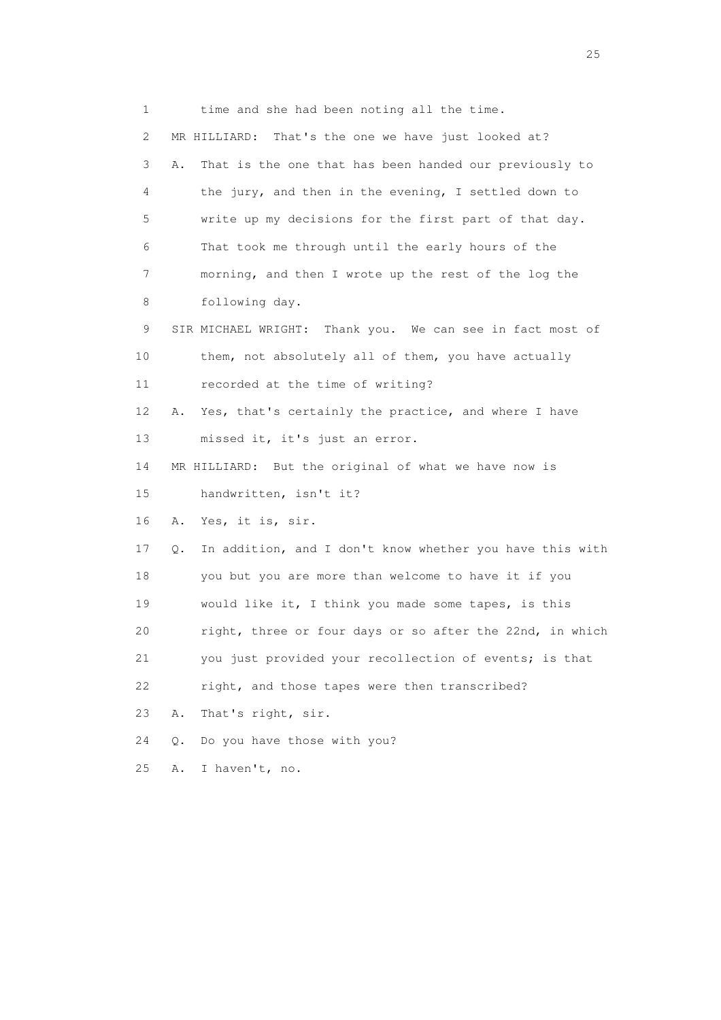1 time and she had been noting all the time. 2 MR HILLIARD: That's the one we have just looked at? 3 A. That is the one that has been handed our previously to 4 the jury, and then in the evening, I settled down to 5 write up my decisions for the first part of that day. 6 That took me through until the early hours of the 7 morning, and then I wrote up the rest of the log the 8 following day. 9 SIR MICHAEL WRIGHT: Thank you. We can see in fact most of 10 them, not absolutely all of them, you have actually 11 recorded at the time of writing? 12 A. Yes, that's certainly the practice, and where I have 13 missed it, it's just an error. 14 MR HILLIARD: But the original of what we have now is 15 handwritten, isn't it? 16 A. Yes, it is, sir. 17 Q. In addition, and I don't know whether you have this with 18 you but you are more than welcome to have it if you 19 would like it, I think you made some tapes, is this 20 right, three or four days or so after the 22nd, in which 21 you just provided your recollection of events; is that 22 right, and those tapes were then transcribed? 23 A. That's right, sir. 24 Q. Do you have those with you? 25 A. I haven't, no.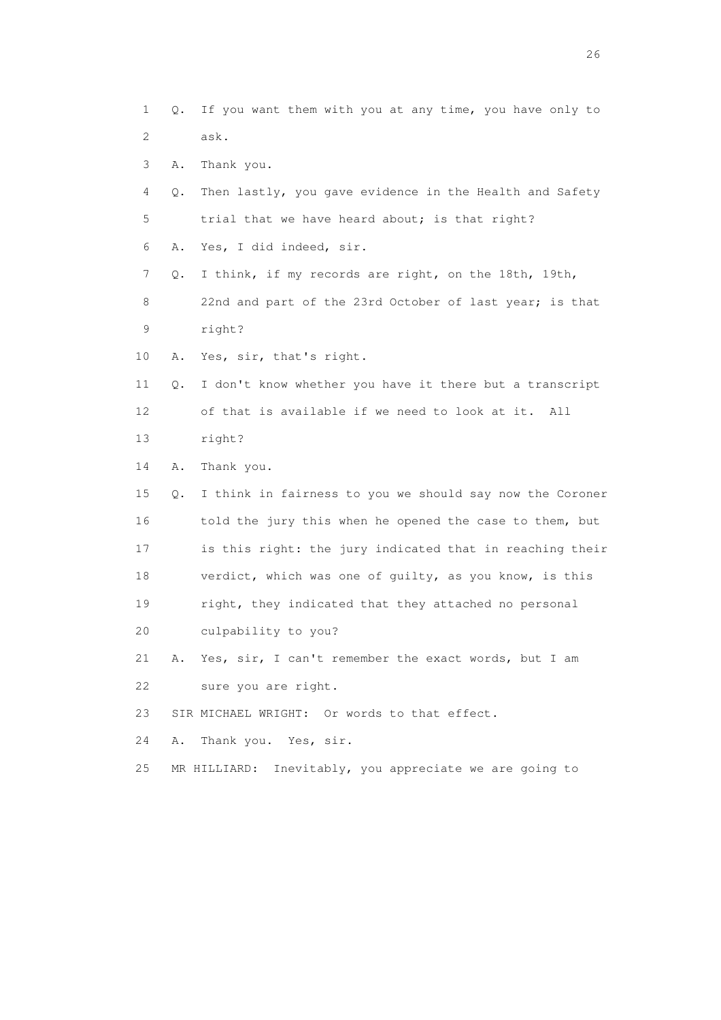- 1 Q. If you want them with you at any time, you have only to 2 ask.
- 3 A. Thank you.
- 4 Q. Then lastly, you gave evidence in the Health and Safety 5 trial that we have heard about; is that right?
- 6 A. Yes, I did indeed, sir.
- 7 Q. I think, if my records are right, on the 18th, 19th, 8 22nd and part of the 23rd October of last year; is that 9 right?
- 10 A. Yes, sir, that's right.
- 11 Q. I don't know whether you have it there but a transcript 12 of that is available if we need to look at it. All 13 right?
- 14 A. Thank you.
- 15 Q. I think in fairness to you we should say now the Coroner 16 told the jury this when he opened the case to them, but 17 is this right: the jury indicated that in reaching their 18 verdict, which was one of guilty, as you know, is this 19 right, they indicated that they attached no personal 20 culpability to you?
- 21 A. Yes, sir, I can't remember the exact words, but I am 22 sure you are right.
- 23 SIR MICHAEL WRIGHT: Or words to that effect.
- 24 A. Thank you. Yes, sir.
- 25 MR HILLIARD: Inevitably, you appreciate we are going to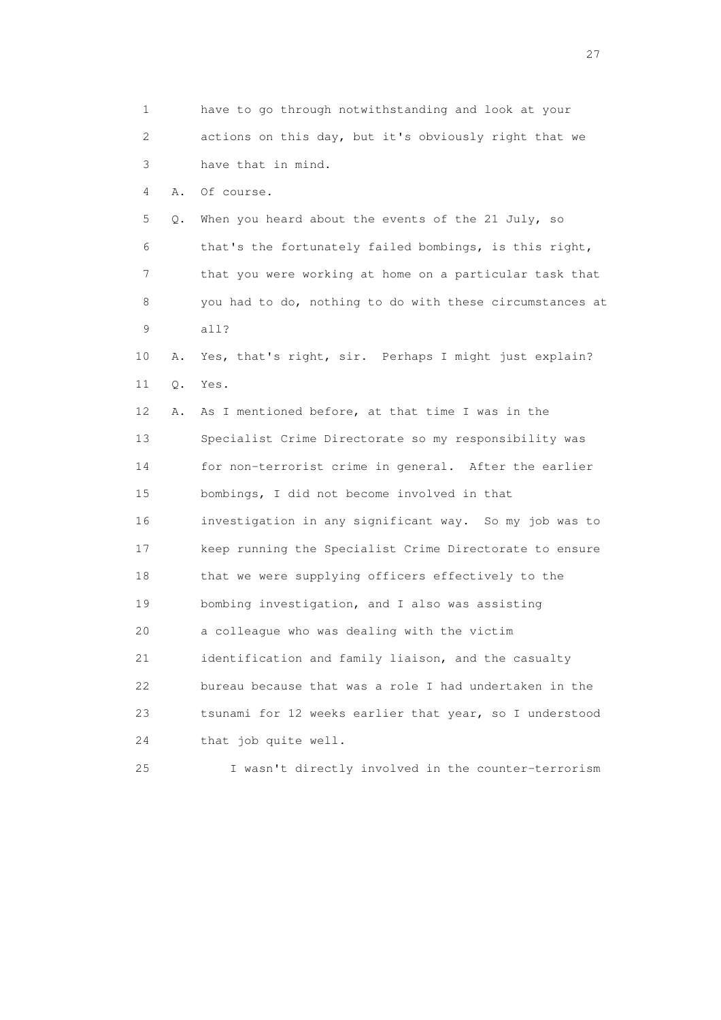1 have to go through notwithstanding and look at your 2 actions on this day, but it's obviously right that we 3 have that in mind. 4 A. Of course. 5 Q. When you heard about the events of the 21 July, so 6 that's the fortunately failed bombings, is this right, 7 that you were working at home on a particular task that 8 you had to do, nothing to do with these circumstances at 9 all? 10 A. Yes, that's right, sir. Perhaps I might just explain? 11 Q. Yes. 12 A. As I mentioned before, at that time I was in the 13 Specialist Crime Directorate so my responsibility was 14 for non-terrorist crime in general. After the earlier 15 bombings, I did not become involved in that 16 investigation in any significant way. So my job was to 17 keep running the Specialist Crime Directorate to ensure 18 that we were supplying officers effectively to the 19 bombing investigation, and I also was assisting 20 a colleague who was dealing with the victim 21 identification and family liaison, and the casualty 22 bureau because that was a role I had undertaken in the 23 tsunami for 12 weeks earlier that year, so I understood 24 that job quite well. 25 I wasn't directly involved in the counter-terrorism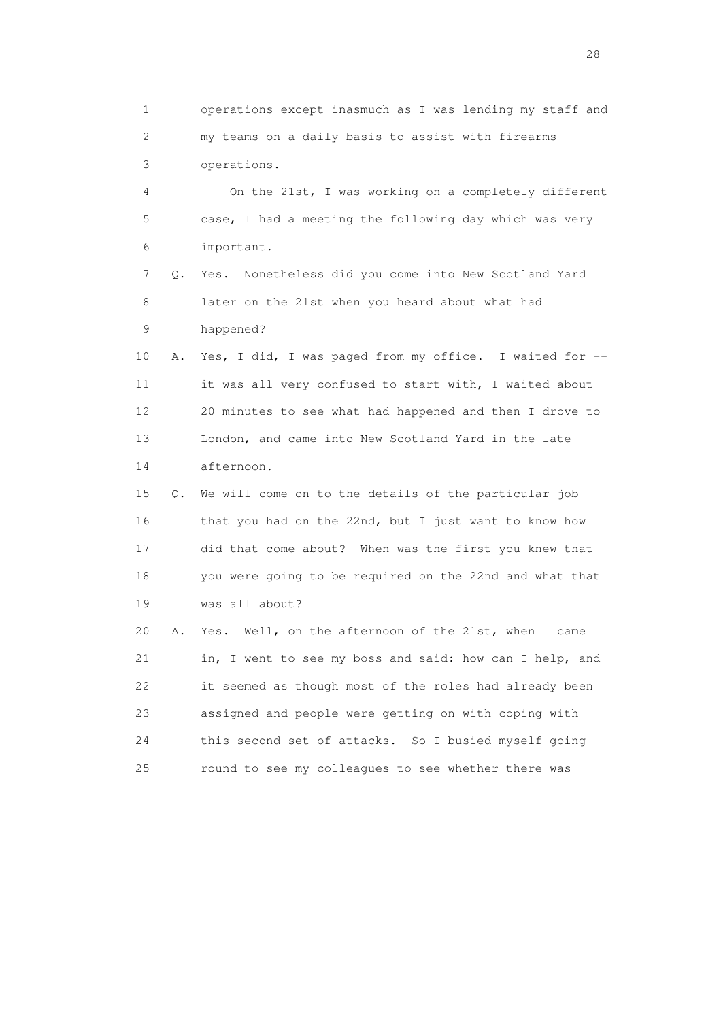1 operations except inasmuch as I was lending my staff and 2 my teams on a daily basis to assist with firearms 3 operations.

 4 On the 21st, I was working on a completely different 5 case, I had a meeting the following day which was very 6 important.

 7 Q. Yes. Nonetheless did you come into New Scotland Yard 8 later on the 21st when you heard about what had 9 happened?

 10 A. Yes, I did, I was paged from my office. I waited for -- 11 it was all very confused to start with, I waited about 12 20 minutes to see what had happened and then I drove to 13 London, and came into New Scotland Yard in the late 14 afternoon.

 15 Q. We will come on to the details of the particular job 16 that you had on the 22nd, but I just want to know how 17 did that come about? When was the first you knew that 18 you were going to be required on the 22nd and what that 19 was all about?

 20 A. Yes. Well, on the afternoon of the 21st, when I came 21 in, I went to see my boss and said: how can I help, and 22 it seemed as though most of the roles had already been 23 assigned and people were getting on with coping with 24 this second set of attacks. So I busied myself going 25 round to see my colleagues to see whether there was

28 and 28 and 28 and 28 and 28 and 28 and 28 and 28 and 28 and 28 and 28 and 28 and 28 and 28 and 28 and 28 and 28 and 28 and 28 and 28 and 28 and 28 and 28 and 28 and 28 and 28 and 28 and 28 and 28 and 28 and 28 and 28 an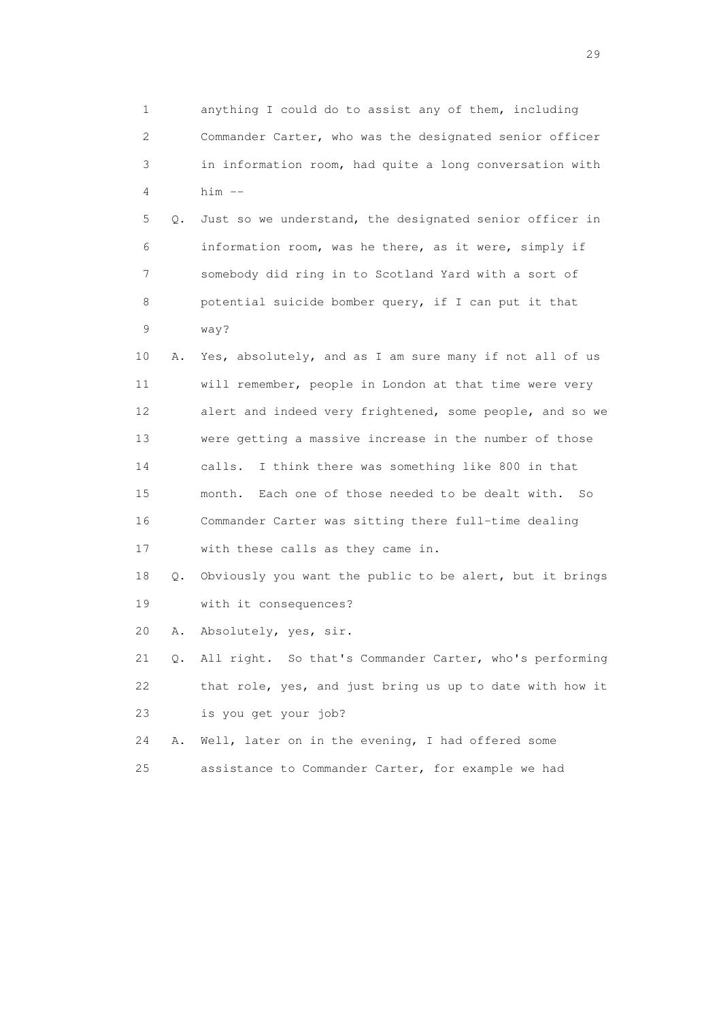1 anything I could do to assist any of them, including 2 Commander Carter, who was the designated senior officer 3 in information room, had quite a long conversation with 4 him --

 5 Q. Just so we understand, the designated senior officer in 6 information room, was he there, as it were, simply if 7 somebody did ring in to Scotland Yard with a sort of 8 potential suicide bomber query, if I can put it that 9 way?

 10 A. Yes, absolutely, and as I am sure many if not all of us 11 will remember, people in London at that time were very 12 alert and indeed very frightened, some people, and so we 13 were getting a massive increase in the number of those 14 calls. I think there was something like 800 in that 15 month. Each one of those needed to be dealt with. So 16 Commander Carter was sitting there full-time dealing 17 with these calls as they came in.

 18 Q. Obviously you want the public to be alert, but it brings 19 with it consequences?

20 A. Absolutely, yes, sir.

 21 Q. All right. So that's Commander Carter, who's performing 22 that role, yes, and just bring us up to date with how it 23 is you get your job?

 24 A. Well, later on in the evening, I had offered some 25 assistance to Commander Carter, for example we had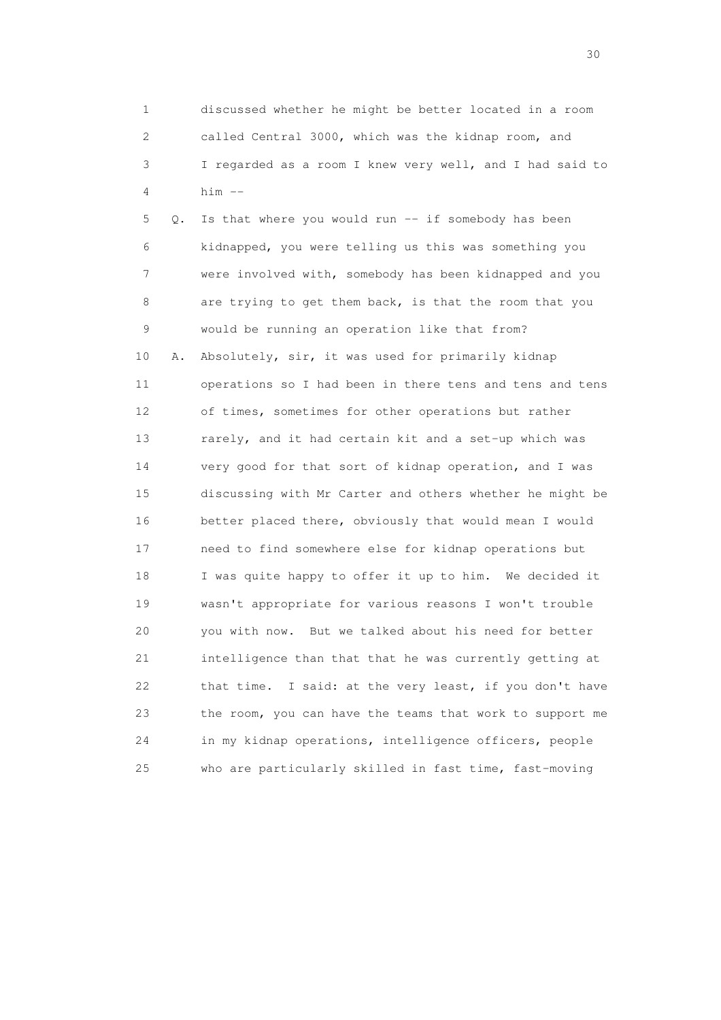1 discussed whether he might be better located in a room 2 called Central 3000, which was the kidnap room, and 3 I regarded as a room I knew very well, and I had said to 4 him --

 5 Q. Is that where you would run -- if somebody has been 6 kidnapped, you were telling us this was something you 7 were involved with, somebody has been kidnapped and you 8 are trying to get them back, is that the room that you 9 would be running an operation like that from? 10 A. Absolutely, sir, it was used for primarily kidnap 11 operations so I had been in there tens and tens and tens 12 of times, sometimes for other operations but rather 13 rarely, and it had certain kit and a set-up which was 14 very good for that sort of kidnap operation, and I was 15 discussing with Mr Carter and others whether he might be 16 better placed there, obviously that would mean I would 17 need to find somewhere else for kidnap operations but 18 I was quite happy to offer it up to him. We decided it 19 wasn't appropriate for various reasons I won't trouble 20 you with now. But we talked about his need for better 21 intelligence than that that he was currently getting at 22 that time. I said: at the very least, if you don't have 23 the room, you can have the teams that work to support me 24 in my kidnap operations, intelligence officers, people 25 who are particularly skilled in fast time, fast-moving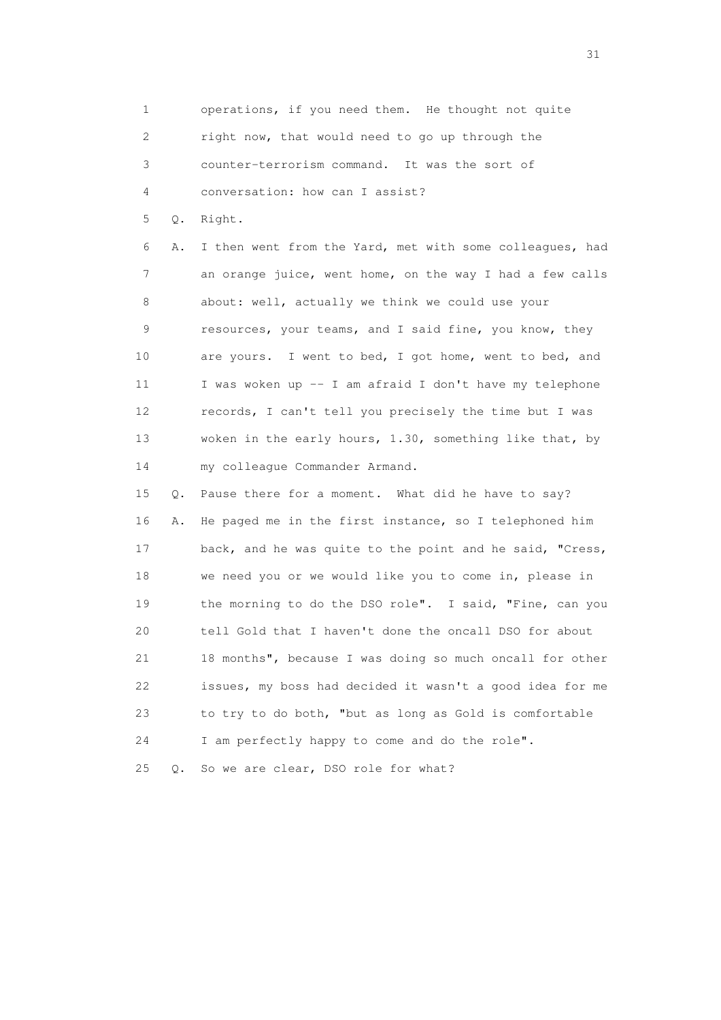1 operations, if you need them. He thought not quite 2 right now, that would need to go up through the 3 counter-terrorism command. It was the sort of 4 conversation: how can I assist?

5 Q. Right.

 6 A. I then went from the Yard, met with some colleagues, had 7 an orange juice, went home, on the way I had a few calls 8 about: well, actually we think we could use your 9 resources, your teams, and I said fine, you know, they 10 are yours. I went to bed, I got home, went to bed, and 11 I was woken up -- I am afraid I don't have my telephone 12 records, I can't tell you precisely the time but I was 13 woken in the early hours, 1.30, something like that, by 14 my colleague Commander Armand.

 15 Q. Pause there for a moment. What did he have to say? 16 A. He paged me in the first instance, so I telephoned him 17 back, and he was quite to the point and he said, "Cress, 18 we need you or we would like you to come in, please in 19 the morning to do the DSO role". I said, "Fine, can you 20 tell Gold that I haven't done the oncall DSO for about 21 18 months", because I was doing so much oncall for other 22 issues, my boss had decided it wasn't a good idea for me 23 to try to do both, "but as long as Gold is comfortable 24 I am perfectly happy to come and do the role". 25 Q. So we are clear, DSO role for what?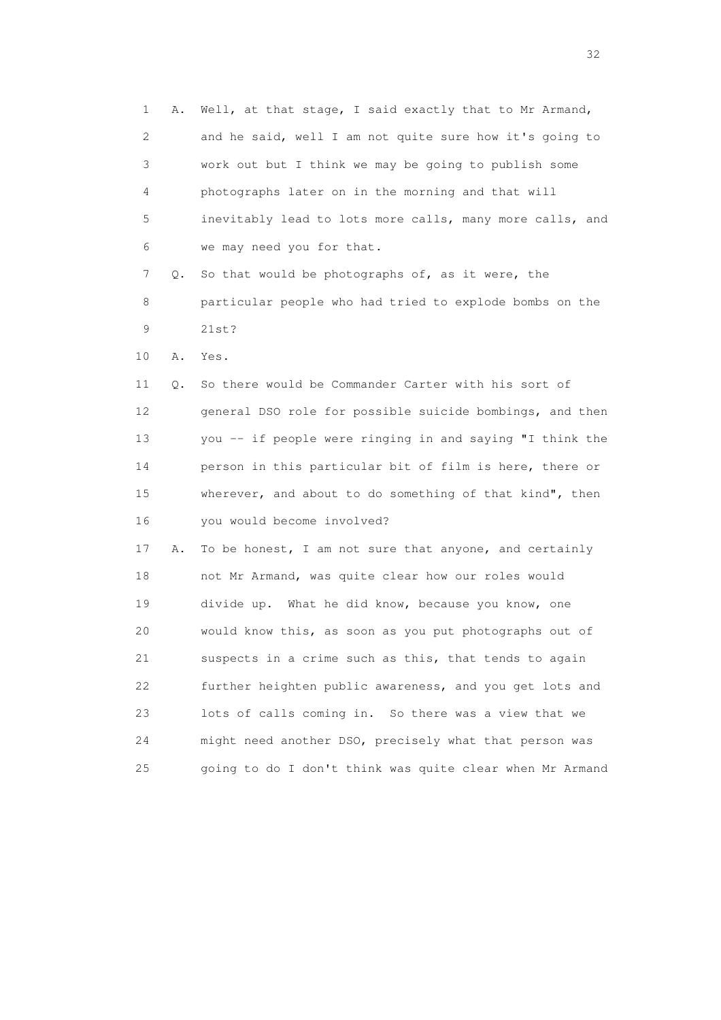| $\mathbf 1$ | Α. | Well, at that stage, I said exactly that to Mr Armand,   |
|-------------|----|----------------------------------------------------------|
| 2           |    | and he said, well I am not quite sure how it's going to  |
| 3           |    | work out but I think we may be going to publish some     |
| 4           |    | photographs later on in the morning and that will        |
| 5           |    | inevitably lead to lots more calls, many more calls, and |
| 6           |    | we may need you for that.                                |
| 7           | Q. | So that would be photographs of, as it were, the         |
| 8           |    | particular people who had tried to explode bombs on the  |
| $\mathsf 9$ |    | 21st?                                                    |
| 10          | Α. | Yes.                                                     |
| 11          | Q. | So there would be Commander Carter with his sort of      |
| 12          |    | general DSO role for possible suicide bombings, and then |
| 13          |    | you -- if people were ringing in and saying "I think the |
| 14          |    | person in this particular bit of film is here, there or  |
| 15          |    | wherever, and about to do something of that kind", then  |
| 16          |    | you would become involved?                               |
| 17          | Α. | To be honest, I am not sure that anyone, and certainly   |
| 18          |    | not Mr Armand, was quite clear how our roles would       |
| 19          |    | divide up. What he did know, because you know, one       |
| 20          |    | would know this, as soon as you put photographs out of   |
| 21          |    | suspects in a crime such as this, that tends to again    |
| 22          |    | further heighten public awareness, and you get lots and  |
| 23          |    | lots of calls coming in. So there was a view that we     |
| 24          |    | might need another DSO, precisely what that person was   |
| 25          |    | going to do I don't think was quite clear when Mr Armand |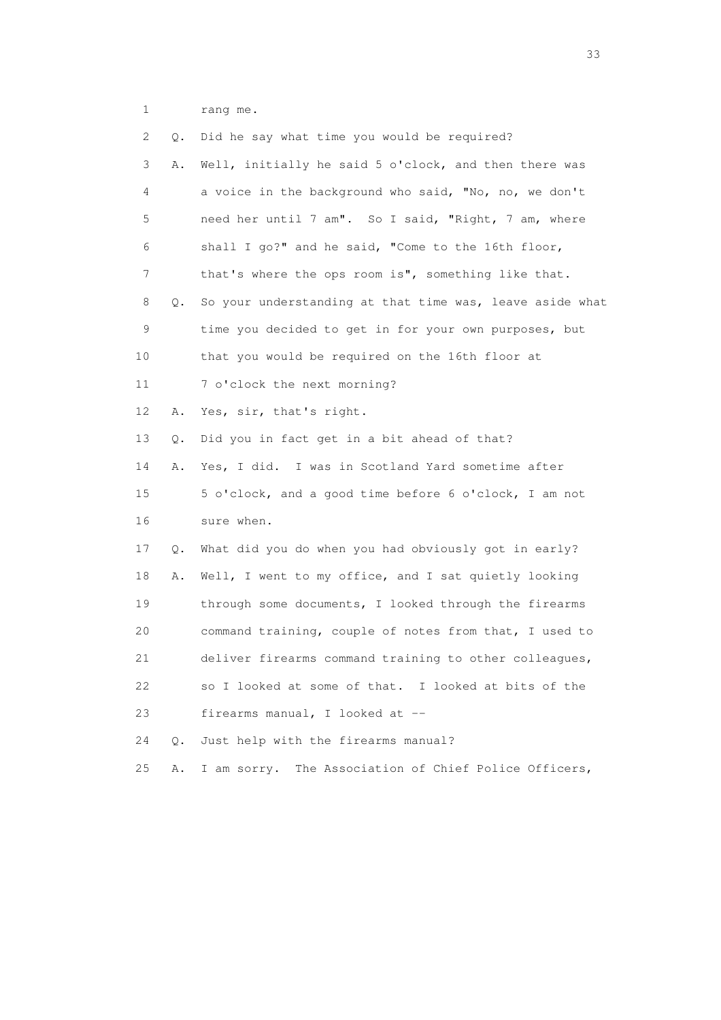1 rang me.

| 2  | Q. | Did he say what time you would be required?              |
|----|----|----------------------------------------------------------|
| 3  | Α. | Well, initially he said 5 o'clock, and then there was    |
| 4  |    | a voice in the background who said, "No, no, we don't    |
| 5  |    | need her until 7 am". So I said, "Right, 7 am, where     |
| 6  |    | shall I go?" and he said, "Come to the 16th floor,       |
| 7  |    | that's where the ops room is", something like that.      |
| 8  | Q. | So your understanding at that time was, leave aside what |
| 9  |    | time you decided to get in for your own purposes, but    |
| 10 |    | that you would be required on the 16th floor at          |
| 11 |    | 7 o'clock the next morning?                              |
| 12 | Α. | Yes, sir, that's right.                                  |
| 13 | Q. | Did you in fact get in a bit ahead of that?              |
| 14 | Α. | Yes, I did. I was in Scotland Yard sometime after        |
| 15 |    | 5 o'clock, and a good time before 6 o'clock, I am not    |
| 16 |    | sure when.                                               |
| 17 | Q. | What did you do when you had obviously got in early?     |
| 18 | Α. | Well, I went to my office, and I sat quietly looking     |
| 19 |    | through some documents, I looked through the firearms    |
| 20 |    | command training, couple of notes from that, I used to   |
| 21 |    | deliver firearms command training to other colleagues,   |
| 22 |    | so I looked at some of that. I looked at bits of the     |
| 23 |    | firearms manual, I looked at --                          |
| 24 | О. | Just help with the firearms manual?                      |
| 25 | Α. | I am sorry.<br>The Association of Chief Police Officers, |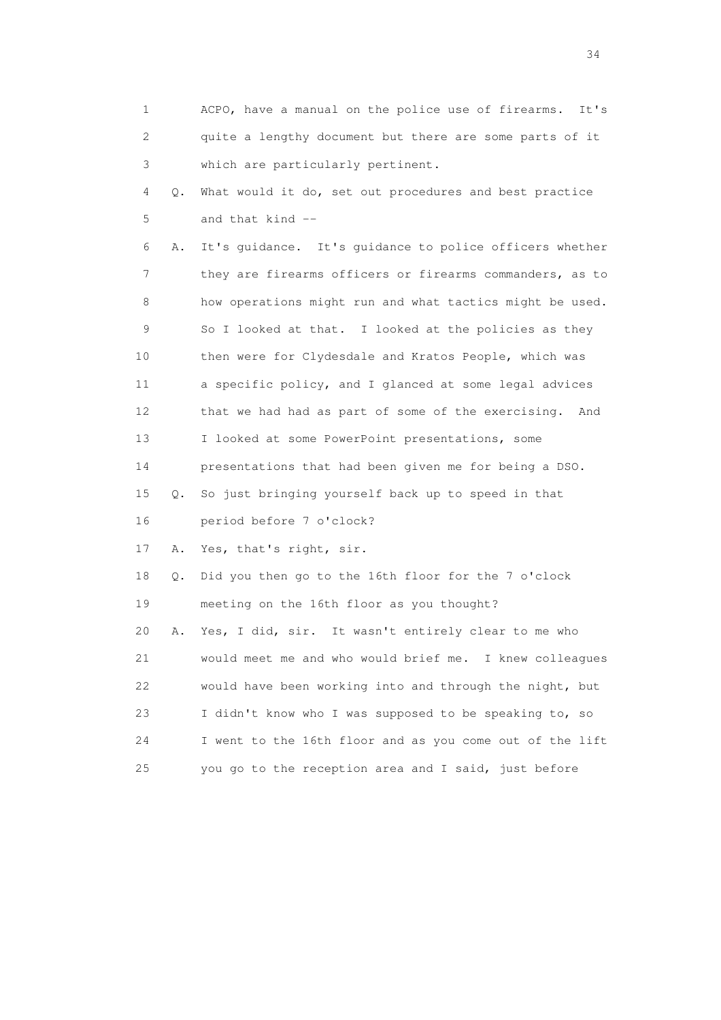|                 | 1       | ACPO, have a manual on the police use of firearms.<br>It's |
|-----------------|---------|------------------------------------------------------------|
|                 | 2       | quite a lengthy document but there are some parts of it    |
|                 | 3       | which are particularly pertinent.                          |
|                 | 4<br>Q. | What would it do, set out procedures and best practice     |
|                 | 5       | and that kind --                                           |
|                 | 6<br>Α. | It's quidance. It's quidance to police officers whether    |
|                 | 7       | they are firearms officers or firearms commanders, as to   |
|                 | 8       | how operations might run and what tactics might be used.   |
|                 | 9       | So I looked at that. I looked at the policies as they      |
| 10              |         | then were for Clydesdale and Kratos People, which was      |
| 11              |         | a specific policy, and I glanced at some legal advices     |
| 12 <sup>°</sup> |         | that we had had as part of some of the exercising.<br>And  |
| 13              |         | I looked at some PowerPoint presentations, some            |
| 14              |         | presentations that had been given me for being a DSO.      |
| 15              | Q.      | So just bringing yourself back up to speed in that         |
| 16              |         | period before 7 o'clock?                                   |
| 17              | Α.      | Yes, that's right, sir.                                    |
| 18              | Q.      | Did you then go to the 16th floor for the 7 o'clock        |
| 19              |         | meeting on the 16th floor as you thought?                  |
| 20              | Α.      | Yes, I did, sir. It wasn't entirely clear to me who        |
| 21              |         | would meet me and who would brief me. I knew colleagues    |
| 22              |         | would have been working into and through the night, but    |
| 23              |         | I didn't know who I was supposed to be speaking to, so     |
| 24              |         | I went to the 16th floor and as you come out of the lift   |
| 25              |         | you go to the reception area and I said, just before       |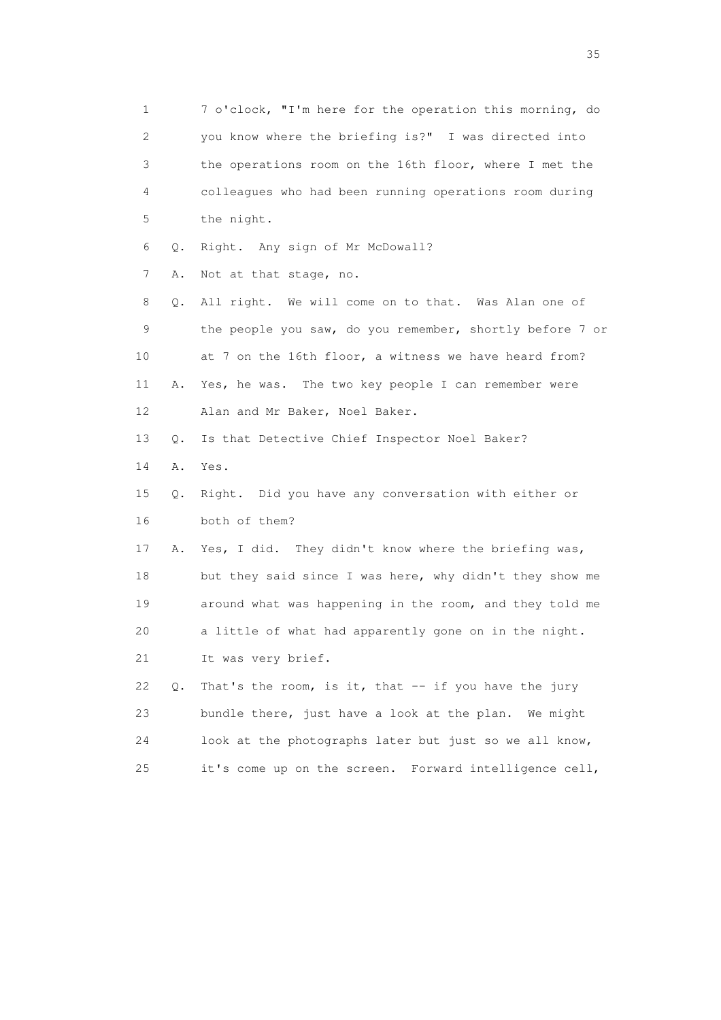1 7 o'clock, "I'm here for the operation this morning, do 2 you know where the briefing is?" I was directed into 3 the operations room on the 16th floor, where I met the 4 colleagues who had been running operations room during 5 the night. 6 Q. Right. Any sign of Mr McDowall? 7 A. Not at that stage, no. 8 Q. All right. We will come on to that. Was Alan one of 9 the people you saw, do you remember, shortly before 7 or 10 at 7 on the 16th floor, a witness we have heard from? 11 A. Yes, he was. The two key people I can remember were 12 Alan and Mr Baker, Noel Baker. 13 Q. Is that Detective Chief Inspector Noel Baker? 14 A. Yes. 15 Q. Right. Did you have any conversation with either or 16 both of them? 17 A. Yes, I did. They didn't know where the briefing was, 18 but they said since I was here, why didn't they show me 19 around what was happening in the room, and they told me 20 a little of what had apparently gone on in the night. 21 It was very brief. 22 Q. That's the room, is it, that -- if you have the jury 23 bundle there, just have a look at the plan. We might 24 look at the photographs later but just so we all know, 25 it's come up on the screen. Forward intelligence cell,

<u>35</u> and the state of the state of the state of the state of the state of the state of the state of the state of the state of the state of the state of the state of the state of the state of the state of the state of the s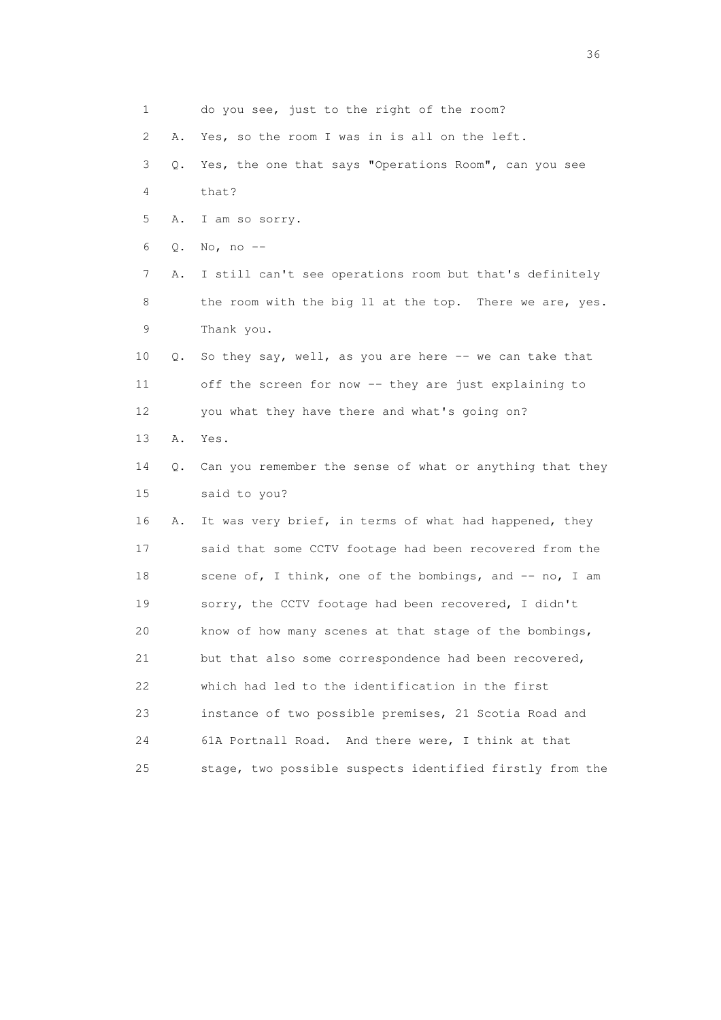1 do you see, just to the right of the room? 2 A. Yes, so the room I was in is all on the left. 3 Q. Yes, the one that says "Operations Room", can you see 4 that? 5 A. I am so sorry. 6 Q. No, no -- 7 A. I still can't see operations room but that's definitely 8 the room with the big 11 at the top. There we are, yes. 9 Thank you. 10 Q. So they say, well, as you are here -- we can take that 11 off the screen for now -- they are just explaining to 12 you what they have there and what's going on? 13 A. Yes. 14 Q. Can you remember the sense of what or anything that they 15 said to you? 16 A. It was very brief, in terms of what had happened, they 17 said that some CCTV footage had been recovered from the 18 scene of, I think, one of the bombings, and -- no, I am 19 sorry, the CCTV footage had been recovered, I didn't 20 know of how many scenes at that stage of the bombings, 21 but that also some correspondence had been recovered, 22 which had led to the identification in the first 23 instance of two possible premises, 21 Scotia Road and 24 61A Portnall Road. And there were, I think at that 25 stage, two possible suspects identified firstly from the

 $36<sup>2</sup>$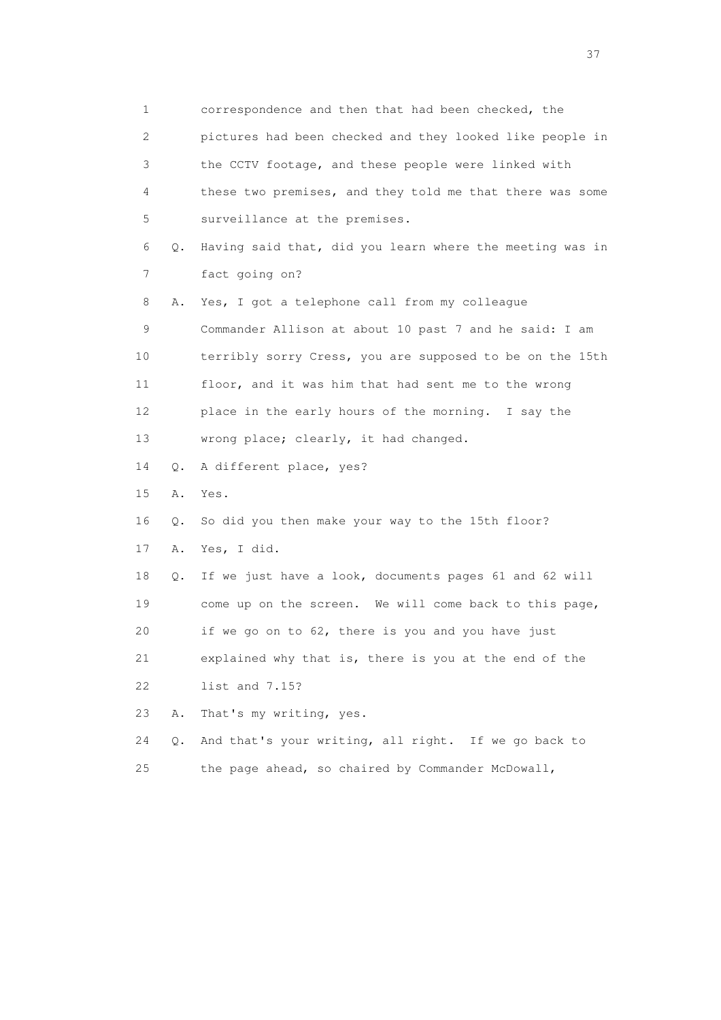1 correspondence and then that had been checked, the 2 pictures had been checked and they looked like people in 3 the CCTV footage, and these people were linked with 4 these two premises, and they told me that there was some 5 surveillance at the premises. 6 Q. Having said that, did you learn where the meeting was in 7 fact going on? 8 A. Yes, I got a telephone call from my colleague 9 Commander Allison at about 10 past 7 and he said: I am 10 terribly sorry Cress, you are supposed to be on the 15th 11 floor, and it was him that had sent me to the wrong 12 place in the early hours of the morning. I say the 13 wrong place; clearly, it had changed. 14 Q. A different place, yes? 15 A. Yes. 16 Q. So did you then make your way to the 15th floor? 17 A. Yes, I did. 18 Q. If we just have a look, documents pages 61 and 62 will 19 come up on the screen. We will come back to this page, 20 if we go on to 62, there is you and you have just 21 explained why that is, there is you at the end of the 22 list and 7.15? 23 A. That's my writing, yes. 24 Q. And that's your writing, all right. If we go back to 25 the page ahead, so chaired by Commander McDowall,

<u>37</u>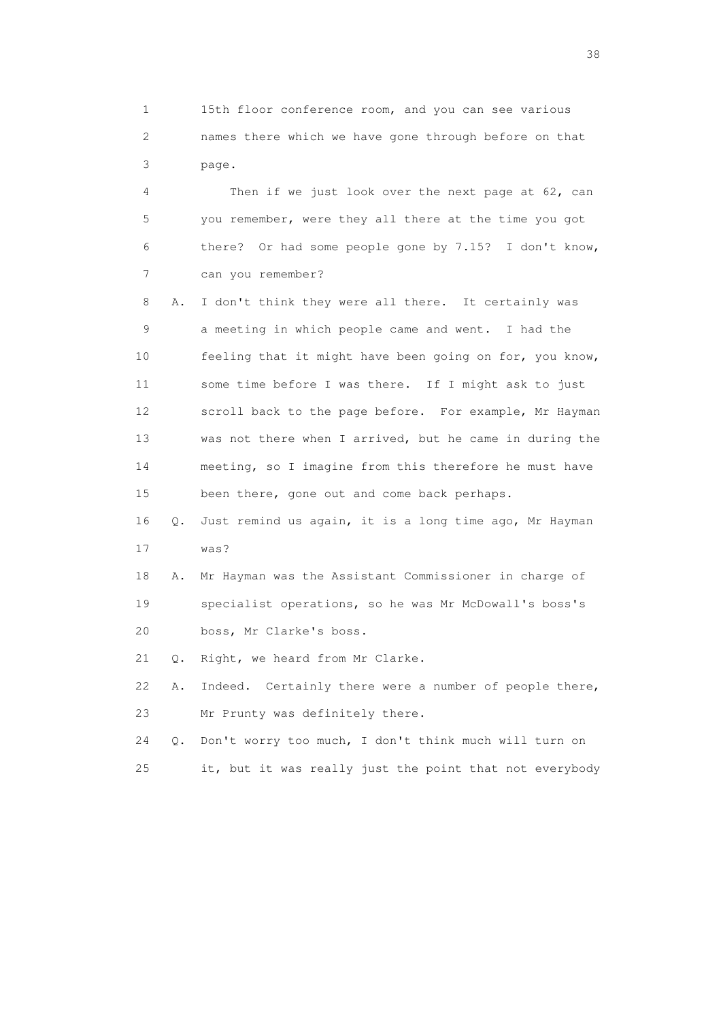1 15th floor conference room, and you can see various 2 names there which we have gone through before on that 3 page.

 4 Then if we just look over the next page at 62, can 5 you remember, were they all there at the time you got 6 there? Or had some people gone by 7.15? I don't know, 7 can you remember?

 8 A. I don't think they were all there. It certainly was 9 a meeting in which people came and went. I had the 10 feeling that it might have been going on for, you know, 11 some time before I was there. If I might ask to just 12 scroll back to the page before. For example, Mr Hayman 13 was not there when I arrived, but he came in during the 14 meeting, so I imagine from this therefore he must have 15 been there, gone out and come back perhaps.

 16 Q. Just remind us again, it is a long time ago, Mr Hayman 17 was?

 18 A. Mr Hayman was the Assistant Commissioner in charge of 19 specialist operations, so he was Mr McDowall's boss's 20 boss, Mr Clarke's boss.

21 Q. Right, we heard from Mr Clarke.

 22 A. Indeed. Certainly there were a number of people there, 23 Mr Prunty was definitely there.

 24 Q. Don't worry too much, I don't think much will turn on 25 it, but it was really just the point that not everybody

and the state of the state of the state of the state of the state of the state of the state of the state of the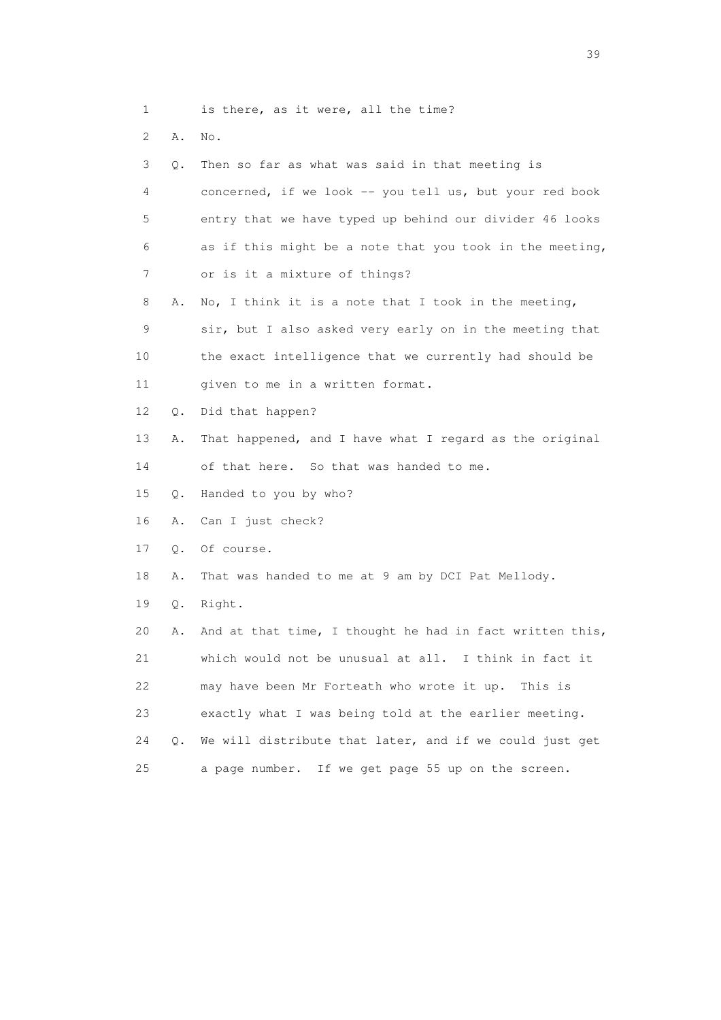| is there, as it were, all the time? |  |
|-------------------------------------|--|
|-------------------------------------|--|

2 A. No.

3 Q. Then so far as what was said in that meeting is

 4 concerned, if we look -- you tell us, but your red book 5 entry that we have typed up behind our divider 46 looks 6 as if this might be a note that you took in the meeting, 7 or is it a mixture of things?

8 A. No, I think it is a note that I took in the meeting,

 9 sir, but I also asked very early on in the meeting that 10 the exact intelligence that we currently had should be 11 given to me in a written format.

12 Q. Did that happen?

13 A. That happened, and I have what I regard as the original

14 of that here. So that was handed to me.

15 Q. Handed to you by who?

16 A. Can I just check?

17 Q. Of course.

18 A. That was handed to me at 9 am by DCI Pat Mellody.

19 Q. Right.

 20 A. And at that time, I thought he had in fact written this, 21 which would not be unusual at all. I think in fact it 22 may have been Mr Forteath who wrote it up. This is 23 exactly what I was being told at the earlier meeting. 24 Q. We will distribute that later, and if we could just get 25 a page number. If we get page 55 up on the screen.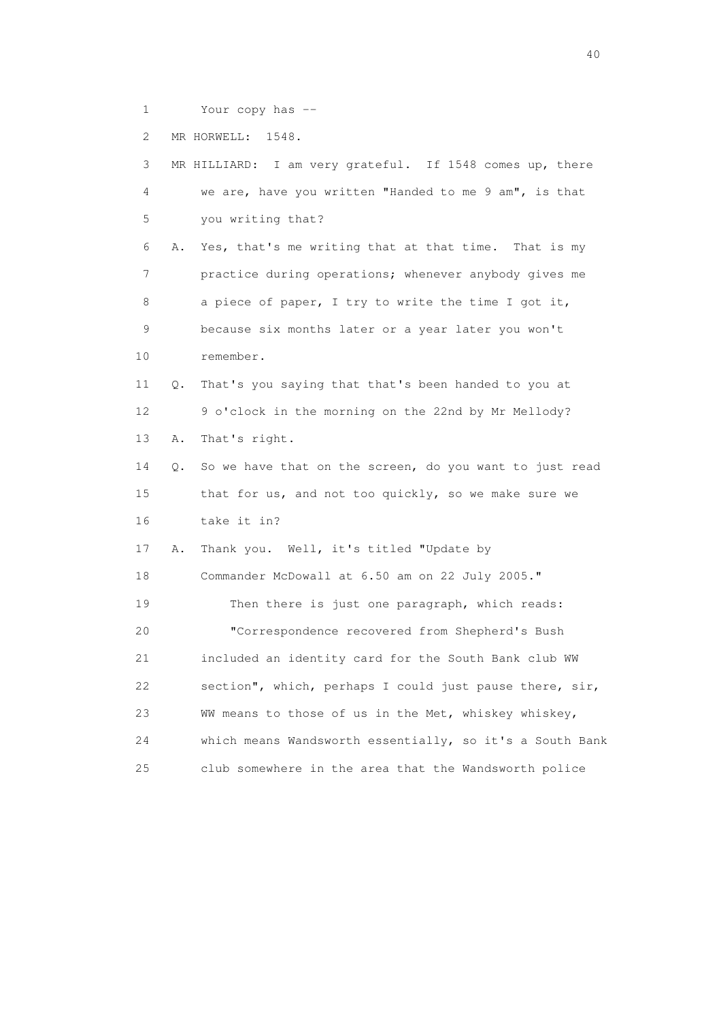1 Your copy has --

2 MR HORWELL: 1548.

 3 MR HILLIARD: I am very grateful. If 1548 comes up, there 4 we are, have you written "Handed to me 9 am", is that 5 you writing that? 6 A. Yes, that's me writing that at that time. That is my 7 practice during operations; whenever anybody gives me 8 a piece of paper, I try to write the time I got it, 9 because six months later or a year later you won't 10 remember. 11 Q. That's you saying that that's been handed to you at 12 9 o'clock in the morning on the 22nd by Mr Mellody? 13 A. That's right. 14 Q. So we have that on the screen, do you want to just read 15 that for us, and not too quickly, so we make sure we 16 take it in? 17 A. Thank you. Well, it's titled "Update by 18 Commander McDowall at 6.50 am on 22 July 2005." 19 Then there is just one paragraph, which reads: 20 "Correspondence recovered from Shepherd's Bush 21 included an identity card for the South Bank club WW 22 section", which, perhaps I could just pause there, sir, 23 WW means to those of us in the Met, whiskey whiskey, 24 which means Wandsworth essentially, so it's a South Bank 25 club somewhere in the area that the Wandsworth police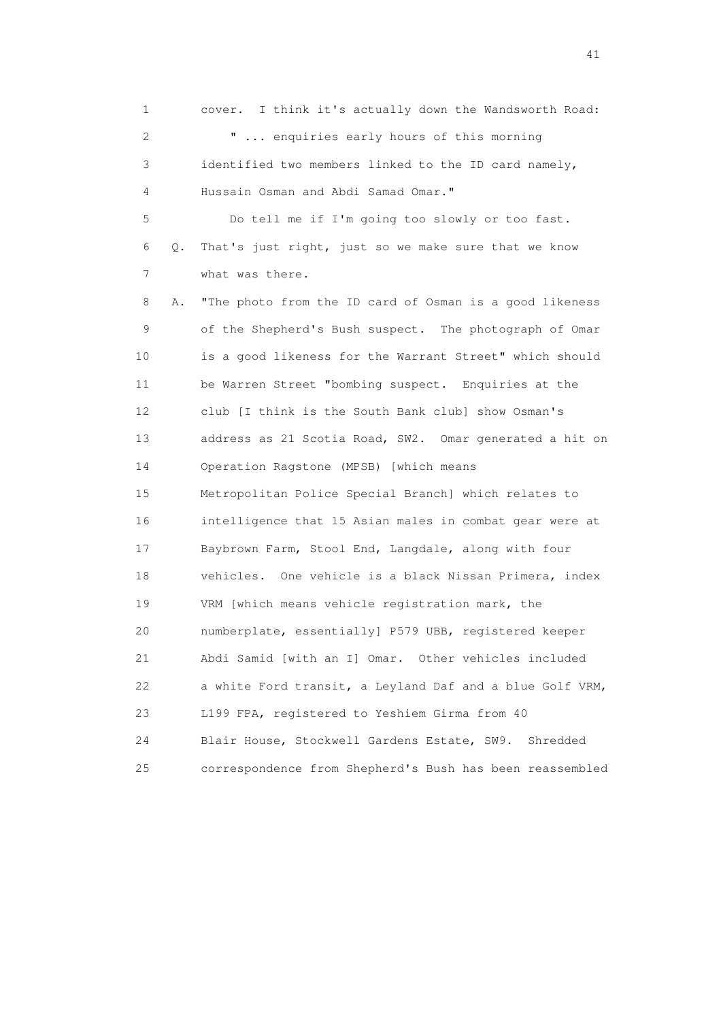1 cover. I think it's actually down the Wandsworth Road: 2 " ... enquiries early hours of this morning 3 identified two members linked to the ID card namely, 4 Hussain Osman and Abdi Samad Omar." 5 Do tell me if I'm going too slowly or too fast. 6 Q. That's just right, just so we make sure that we know 7 what was there. 8 A. "The photo from the ID card of Osman is a good likeness 9 of the Shepherd's Bush suspect. The photograph of Omar 10 is a good likeness for the Warrant Street" which should 11 be Warren Street "bombing suspect. Enquiries at the 12 club [I think is the South Bank club] show Osman's 13 address as 21 Scotia Road, SW2. Omar generated a hit on 14 Operation Ragstone (MPSB) [which means 15 Metropolitan Police Special Branch] which relates to 16 intelligence that 15 Asian males in combat gear were at 17 Baybrown Farm, Stool End, Langdale, along with four 18 vehicles. One vehicle is a black Nissan Primera, index 19 VRM [which means vehicle registration mark, the 20 numberplate, essentially] P579 UBB, registered keeper 21 Abdi Samid [with an I] Omar. Other vehicles included 22 a white Ford transit, a Leyland Daf and a blue Golf VRM, 23 L199 FPA, registered to Yeshiem Girma from 40 24 Blair House, Stockwell Gardens Estate, SW9. Shredded 25 correspondence from Shepherd's Bush has been reassembled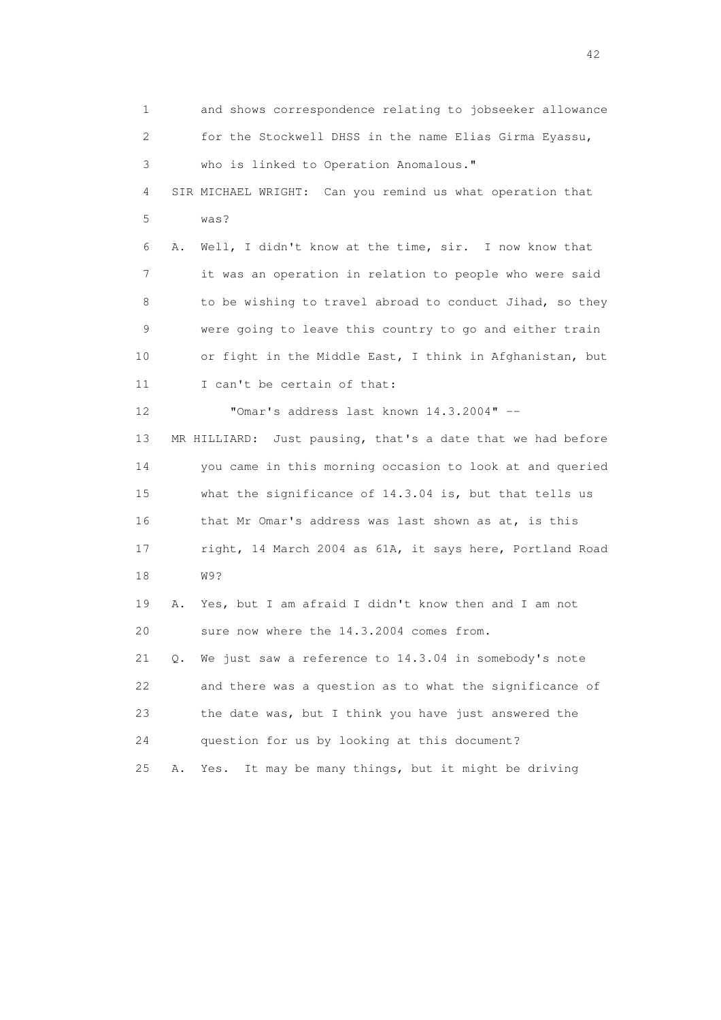1 and shows correspondence relating to jobseeker allowance 2 for the Stockwell DHSS in the name Elias Girma Eyassu, 3 who is linked to Operation Anomalous." 4 SIR MICHAEL WRIGHT: Can you remind us what operation that 5 was? 6 A. Well, I didn't know at the time, sir. I now know that 7 it was an operation in relation to people who were said 8 to be wishing to travel abroad to conduct Jihad, so they 9 were going to leave this country to go and either train 10 or fight in the Middle East, I think in Afghanistan, but 11 I can't be certain of that: 12 "Omar's address last known 14.3.2004" -- 13 MR HILLIARD: Just pausing, that's a date that we had before 14 you came in this morning occasion to look at and queried 15 what the significance of 14.3.04 is, but that tells us 16 that Mr Omar's address was last shown as at, is this 17 right, 14 March 2004 as 61A, it says here, Portland Road 18 W9? 19 A. Yes, but I am afraid I didn't know then and I am not 20 sure now where the 14.3.2004 comes from. 21 Q. We just saw a reference to 14.3.04 in somebody's note 22 and there was a question as to what the significance of 23 the date was, but I think you have just answered the 24 question for us by looking at this document? 25 A. Yes. It may be many things, but it might be driving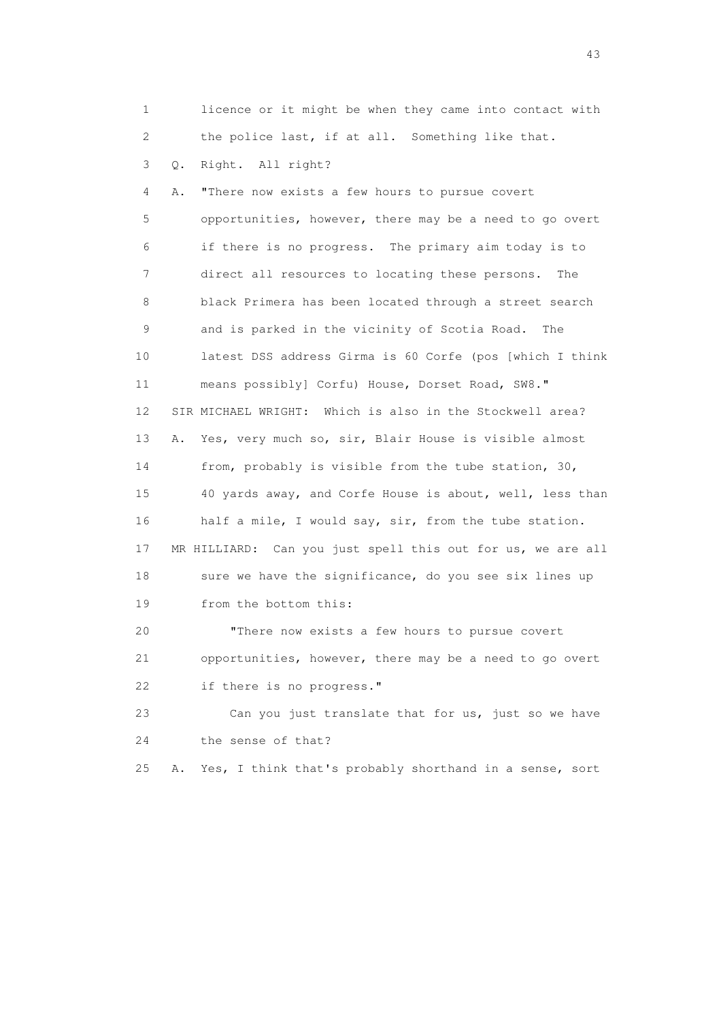1 licence or it might be when they came into contact with 2 the police last, if at all. Something like that.

3 Q. Right. All right?

 4 A. "There now exists a few hours to pursue covert 5 opportunities, however, there may be a need to go overt 6 if there is no progress. The primary aim today is to 7 direct all resources to locating these persons. The 8 black Primera has been located through a street search 9 and is parked in the vicinity of Scotia Road. The 10 latest DSS address Girma is 60 Corfe (pos [which I think 11 means possibly] Corfu) House, Dorset Road, SW8." 12 SIR MICHAEL WRIGHT: Which is also in the Stockwell area? 13 A. Yes, very much so, sir, Blair House is visible almost 14 from, probably is visible from the tube station, 30, 15 40 yards away, and Corfe House is about, well, less than 16 half a mile, I would say, sir, from the tube station. 17 MR HILLIARD: Can you just spell this out for us, we are all 18 sure we have the significance, do you see six lines up 19 from the bottom this: 20 "There now exists a few hours to pursue covert

 21 opportunities, however, there may be a need to go overt 22 if there is no progress."

 23 Can you just translate that for us, just so we have 24 the sense of that?

25 A. Yes, I think that's probably shorthand in a sense, sort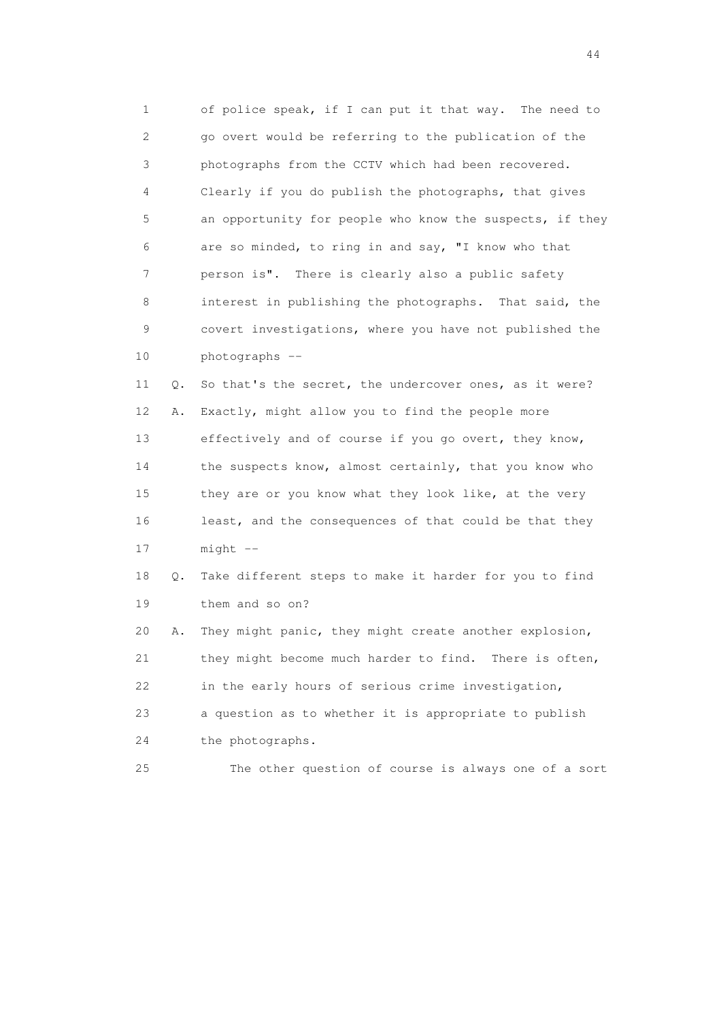1 of police speak, if I can put it that way. The need to 2 go overt would be referring to the publication of the 3 photographs from the CCTV which had been recovered. 4 Clearly if you do publish the photographs, that gives 5 an opportunity for people who know the suspects, if they 6 are so minded, to ring in and say, "I know who that 7 person is". There is clearly also a public safety 8 interest in publishing the photographs. That said, the 9 covert investigations, where you have not published the 10 photographs --

 11 Q. So that's the secret, the undercover ones, as it were? 12 A. Exactly, might allow you to find the people more 13 effectively and of course if you go overt, they know, 14 the suspects know, almost certainly, that you know who 15 they are or you know what they look like, at the very 16 least, and the consequences of that could be that they 17 might --

 18 Q. Take different steps to make it harder for you to find 19 them and so on?

 20 A. They might panic, they might create another explosion, 21 they might become much harder to find. There is often, 22 in the early hours of serious crime investigation, 23 a question as to whether it is appropriate to publish 24 the photographs.

25 The other question of course is always one of a sort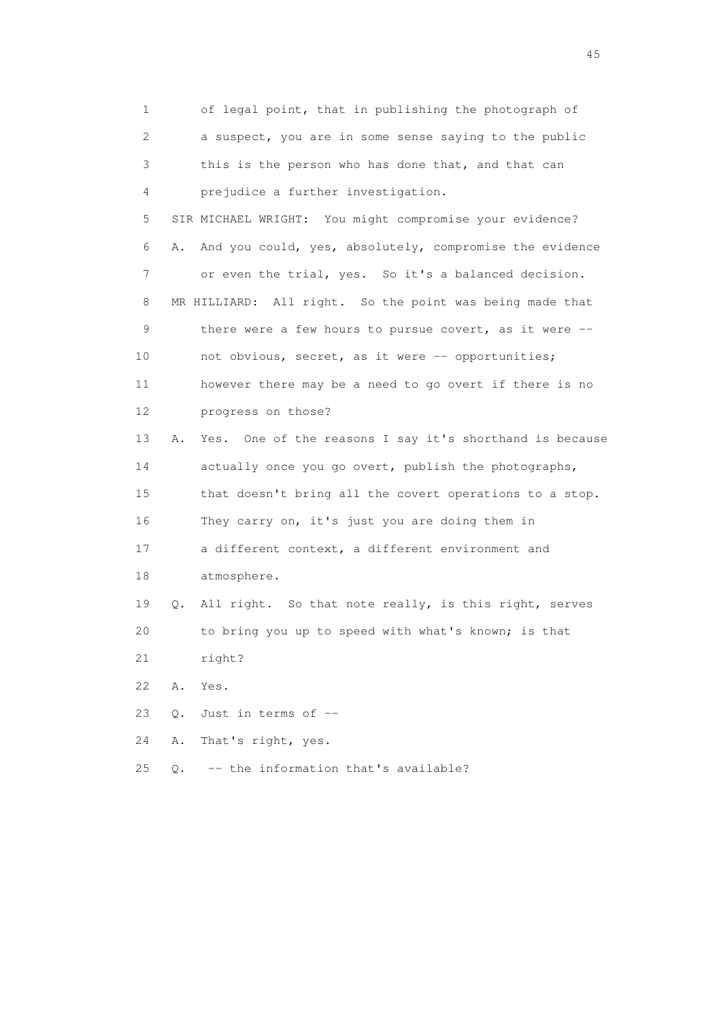1 of legal point, that in publishing the photograph of 2 a suspect, you are in some sense saying to the public 3 this is the person who has done that, and that can 4 prejudice a further investigation. 5 SIR MICHAEL WRIGHT: You might compromise your evidence? 6 A. And you could, yes, absolutely, compromise the evidence 7 or even the trial, yes. So it's a balanced decision. 8 MR HILLIARD: All right. So the point was being made that 9 there were a few hours to pursue covert, as it were -- 10 not obvious, secret, as it were -- opportunities; 11 however there may be a need to go overt if there is no 12 progress on those? 13 A. Yes. One of the reasons I say it's shorthand is because 14 actually once you go overt, publish the photographs, 15 that doesn't bring all the covert operations to a stop. 16 They carry on, it's just you are doing them in 17 a different context, a different environment and 18 atmosphere. 19 Q. All right. So that note really, is this right, serves 20 to bring you up to speed with what's known; is that 21 right? 22 A. Yes. 23 Q. Just in terms of -- 24 A. That's right, yes. 25 Q. -- the information that's available?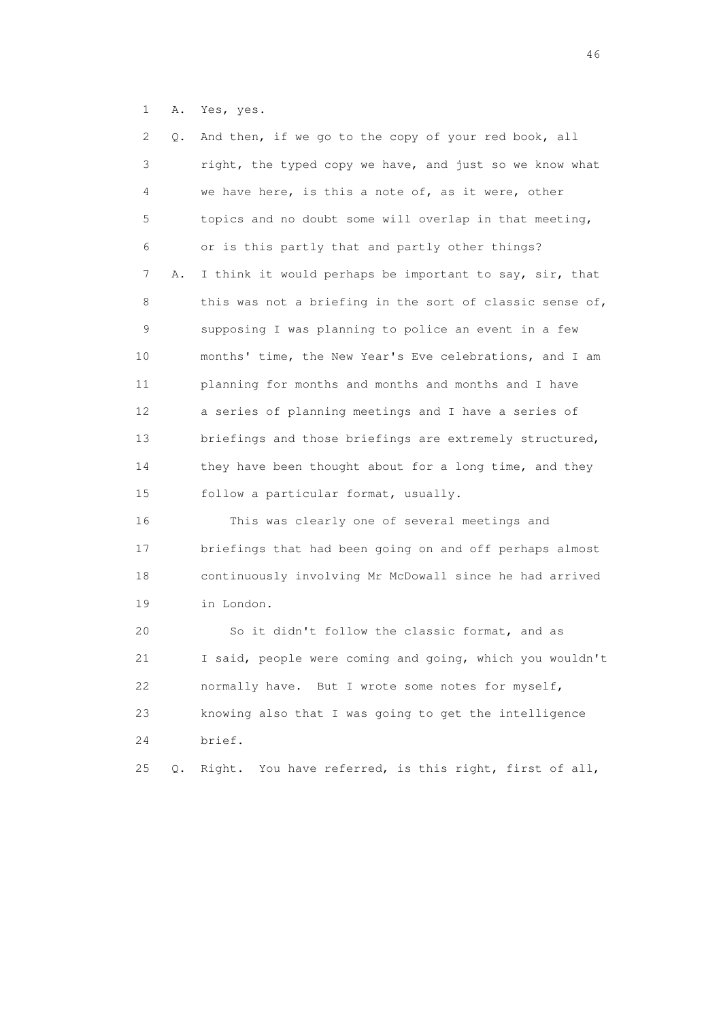1 A. Yes, yes.

| 2  | Q. | And then, if we go to the copy of your red book, all      |
|----|----|-----------------------------------------------------------|
| 3  |    | right, the typed copy we have, and just so we know what   |
| 4  |    | we have here, is this a note of, as it were, other        |
| 5  |    | topics and no doubt some will overlap in that meeting,    |
| 6  |    | or is this partly that and partly other things?           |
| 7  | Α. | I think it would perhaps be important to say, sir, that   |
| 8  |    | this was not a briefing in the sort of classic sense of,  |
| 9  |    | supposing I was planning to police an event in a few      |
| 10 |    | months' time, the New Year's Eve celebrations, and I am   |
| 11 |    | planning for months and months and months and I have      |
| 12 |    | a series of planning meetings and I have a series of      |
| 13 |    | briefings and those briefings are extremely structured,   |
| 14 |    | they have been thought about for a long time, and they    |
| 15 |    | follow a particular format, usually.                      |
| 16 |    | This was clearly one of several meetings and              |
| 17 |    | briefings that had been going on and off perhaps almost   |
| 18 |    | continuously involving Mr McDowall since he had arrived   |
| 19 |    | in London.                                                |
| 20 |    | So it didn't follow the classic format, and as            |
| 21 |    | I said, people were coming and going, which you wouldn't  |
| 22 |    | normally have. But I wrote some notes for myself,         |
| 23 |    | knowing also that I was going to get the intelligence     |
| 24 |    | brief.                                                    |
| 25 | Q. | You have referred, is this right, first of all,<br>Right. |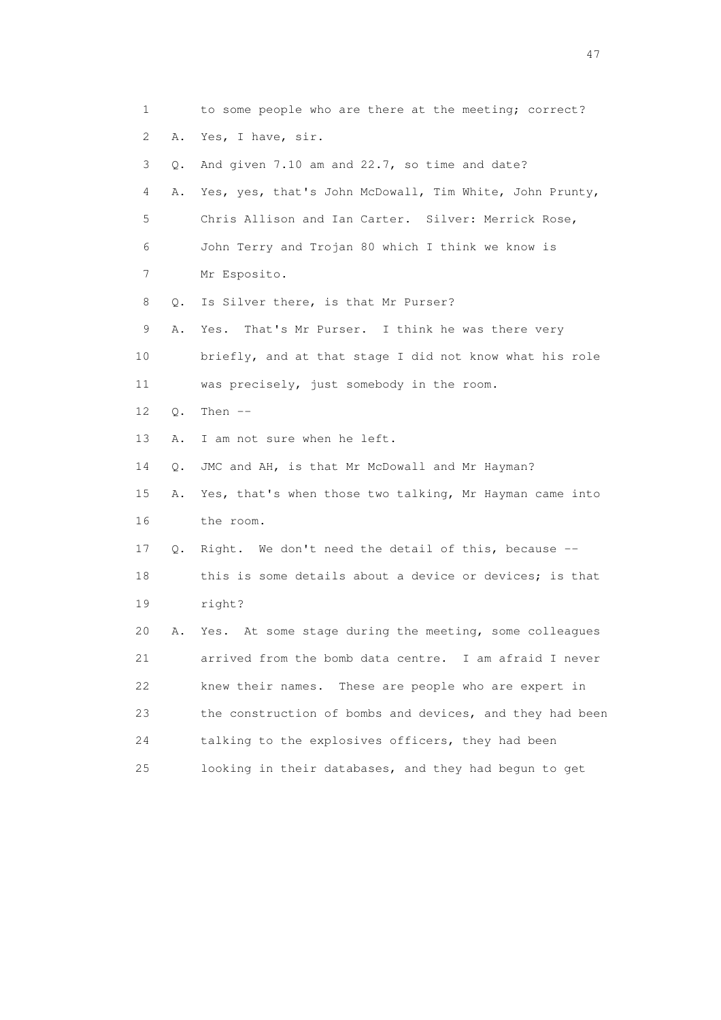| 1  |    | to some people who are there at the meeting; correct?    |
|----|----|----------------------------------------------------------|
| 2  | Α. | Yes, I have, sir.                                        |
| 3  | Q. | And given 7.10 am and 22.7, so time and date?            |
| 4  | Α. | Yes, yes, that's John McDowall, Tim White, John Prunty,  |
| 5  |    | Chris Allison and Ian Carter. Silver: Merrick Rose,      |
| 6  |    | John Terry and Trojan 80 which I think we know is        |
| 7  |    | Mr Esposito.                                             |
| 8  | Q. | Is Silver there, is that Mr Purser?                      |
| 9  | Α. | That's Mr Purser. I think he was there very<br>Yes.      |
| 10 |    | briefly, and at that stage I did not know what his role  |
| 11 |    | was precisely, just somebody in the room.                |
| 12 | Q. | Then $--$                                                |
| 13 | Α. | I am not sure when he left.                              |
| 14 | Q. | JMC and AH, is that Mr McDowall and Mr Hayman?           |
| 15 | Α. | Yes, that's when those two talking, Mr Hayman came into  |
| 16 |    | the room.                                                |
| 17 | Q. | Right. We don't need the detail of this, because --      |
| 18 |    | this is some details about a device or devices; is that  |
| 19 |    | right?                                                   |
| 20 | Α. | Yes. At some stage during the meeting, some colleagues   |
| 21 |    | arrived from the bomb data centre. I am afraid I never   |
| 22 |    | These are people who are expert in<br>knew their names.  |
| 23 |    | the construction of bombs and devices, and they had been |
| 24 |    | talking to the explosives officers, they had been        |
| 25 |    | looking in their databases, and they had begun to get    |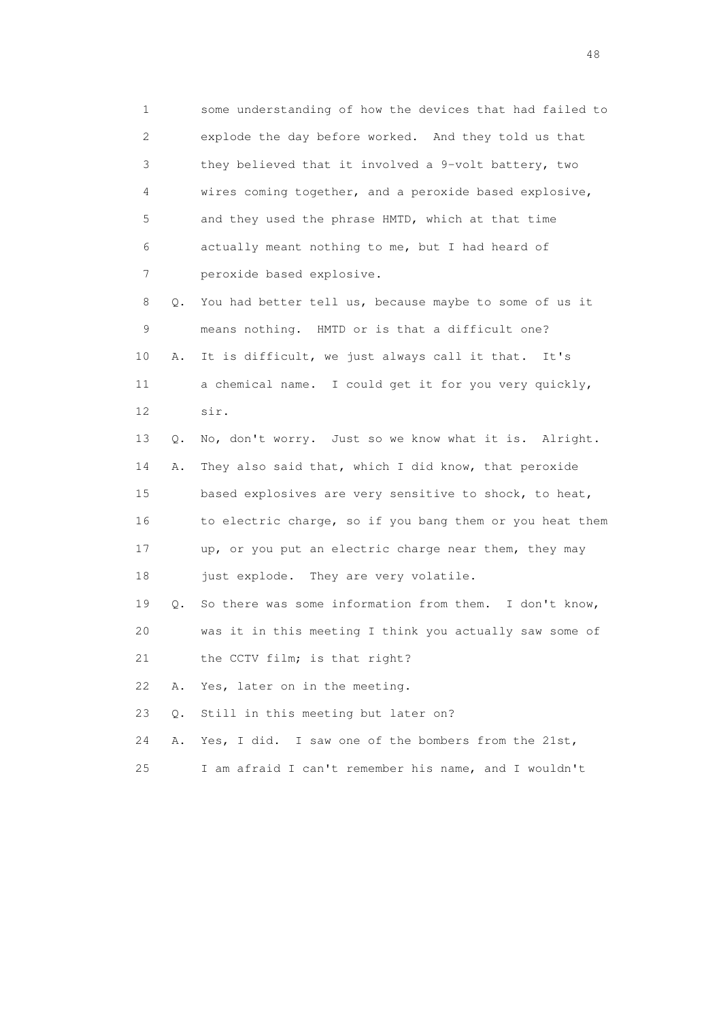1 some understanding of how the devices that had failed to 2 explode the day before worked. And they told us that 3 they believed that it involved a 9-volt battery, two 4 wires coming together, and a peroxide based explosive, 5 and they used the phrase HMTD, which at that time 6 actually meant nothing to me, but I had heard of 7 peroxide based explosive. 8 Q. You had better tell us, because maybe to some of us it 9 means nothing. HMTD or is that a difficult one? 10 A. It is difficult, we just always call it that. It's 11 a chemical name. I could get it for you very quickly, 12 sir. 13 Q. No, don't worry. Just so we know what it is. Alright.

 14 A. They also said that, which I did know, that peroxide 15 based explosives are very sensitive to shock, to heat, 16 to electric charge, so if you bang them or you heat them 17 up, or you put an electric charge near them, they may 18 just explode. They are very volatile.

 19 Q. So there was some information from them. I don't know, 20 was it in this meeting I think you actually saw some of 21 the CCTV film; is that right?

22 A. Yes, later on in the meeting.

23 Q. Still in this meeting but later on?

24 A. Yes, I did. I saw one of the bombers from the 21st,

25 I am afraid I can't remember his name, and I wouldn't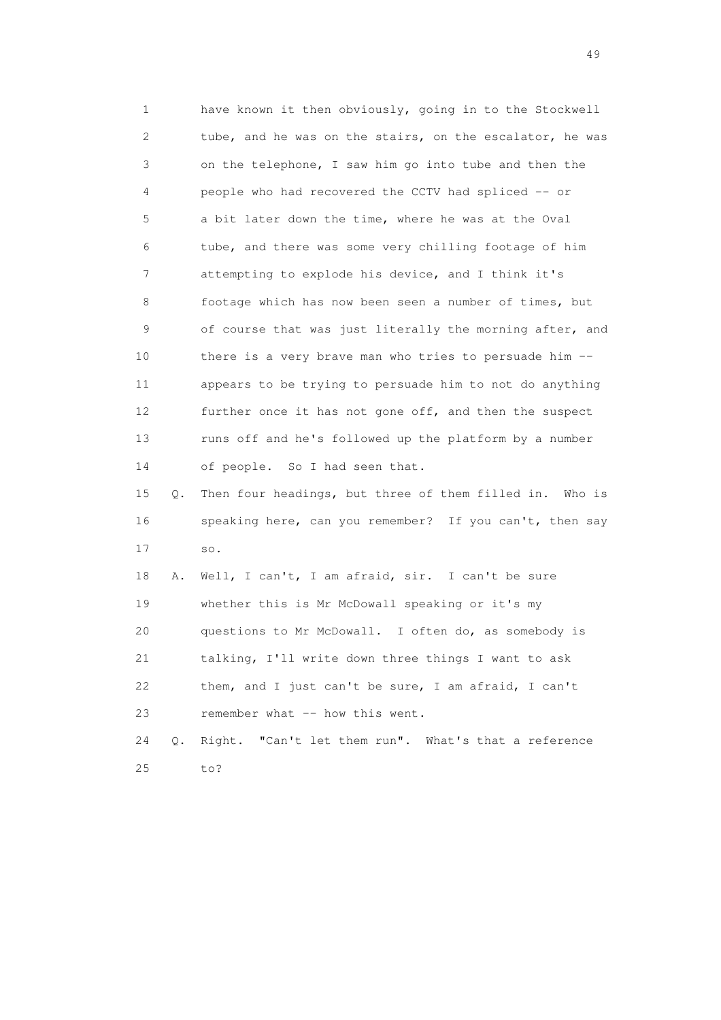1 have known it then obviously, going in to the Stockwell 2 tube, and he was on the stairs, on the escalator, he was 3 on the telephone, I saw him go into tube and then the 4 people who had recovered the CCTV had spliced -- or 5 a bit later down the time, where he was at the Oval 6 tube, and there was some very chilling footage of him 7 attempting to explode his device, and I think it's 8 footage which has now been seen a number of times, but 9 of course that was just literally the morning after, and 10 there is a very brave man who tries to persuade him -- 11 appears to be trying to persuade him to not do anything 12 further once it has not gone off, and then the suspect 13 runs off and he's followed up the platform by a number 14 of people. So I had seen that. 15 Q. Then four headings, but three of them filled in. Who is

## 16 speaking here, can you remember? If you can't, then say 17 so.

 18 A. Well, I can't, I am afraid, sir. I can't be sure 19 whether this is Mr McDowall speaking or it's my 20 questions to Mr McDowall. I often do, as somebody is 21 talking, I'll write down three things I want to ask 22 them, and I just can't be sure, I am afraid, I can't 23 remember what -- how this went. 24 Q. Right. "Can't let them run". What's that a reference

25 to?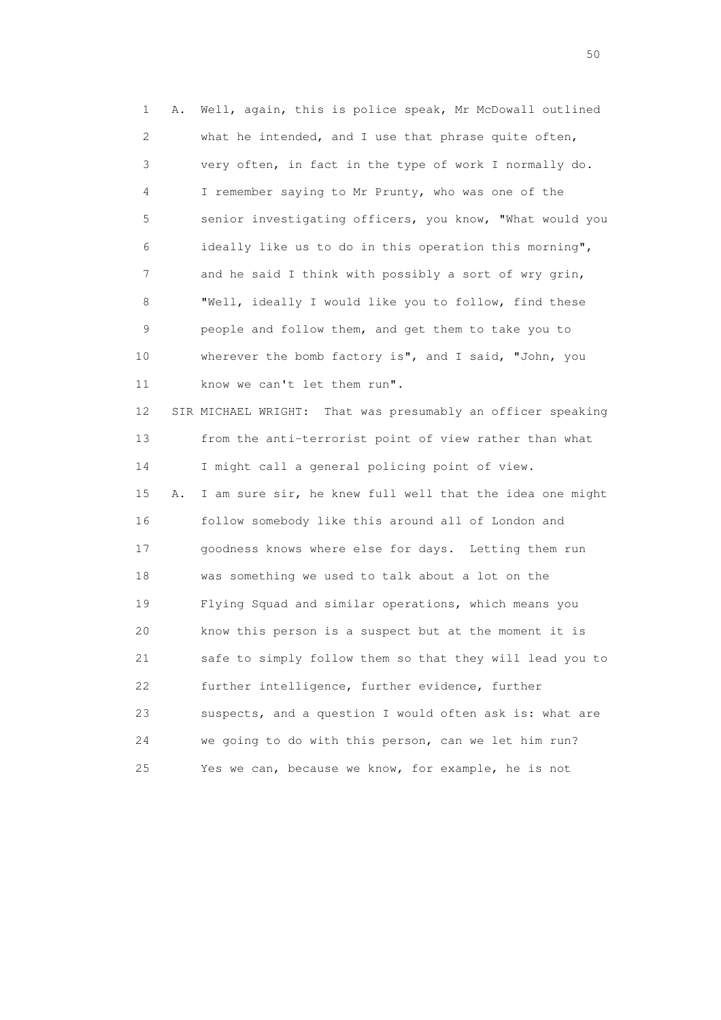1 A. Well, again, this is police speak, Mr McDowall outlined 2 what he intended, and I use that phrase quite often, 3 very often, in fact in the type of work I normally do. 4 I remember saying to Mr Prunty, who was one of the 5 senior investigating officers, you know, "What would you 6 ideally like us to do in this operation this morning", 7 and he said I think with possibly a sort of wry grin, 8 "Well, ideally I would like you to follow, find these 9 people and follow them, and get them to take you to 10 wherever the bomb factory is", and I said, "John, you 11 know we can't let them run". 12 SIR MICHAEL WRIGHT: That was presumably an officer speaking 13 from the anti-terrorist point of view rather than what 14 I might call a general policing point of view. 15 A. I am sure sir, he knew full well that the idea one might 16 follow somebody like this around all of London and 17 goodness knows where else for days. Letting them run 18 was something we used to talk about a lot on the 19 Flying Squad and similar operations, which means you 20 know this person is a suspect but at the moment it is 21 safe to simply follow them so that they will lead you to 22 further intelligence, further evidence, further 23 suspects, and a question I would often ask is: what are 24 we going to do with this person, can we let him run? 25 Yes we can, because we know, for example, he is not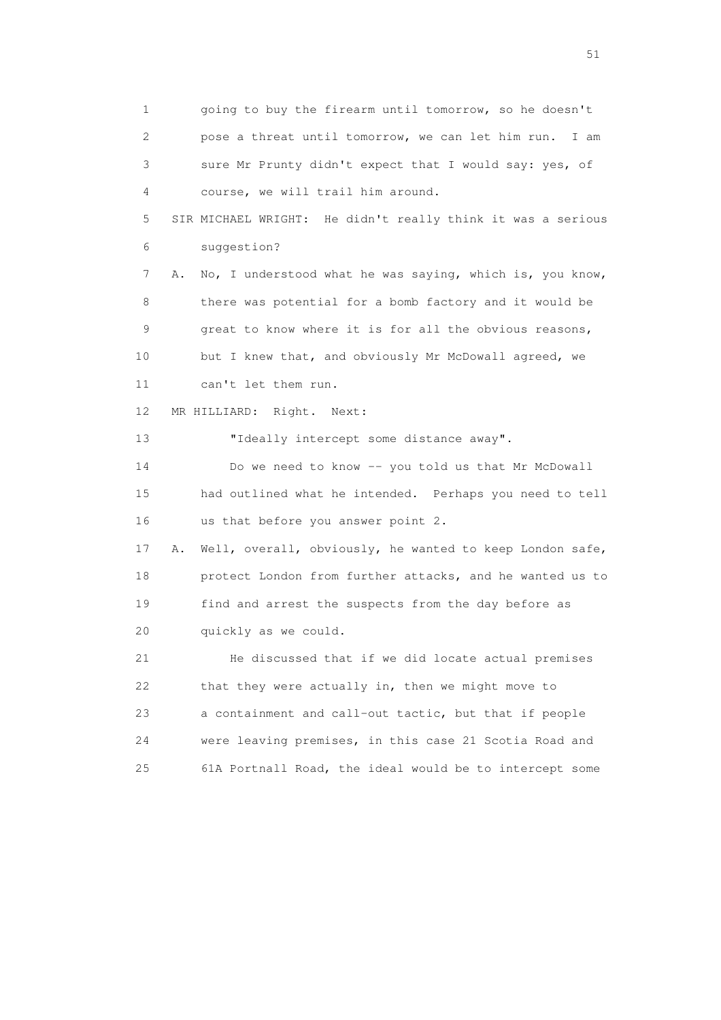1 going to buy the firearm until tomorrow, so he doesn't 2 pose a threat until tomorrow, we can let him run. I am 3 sure Mr Prunty didn't expect that I would say: yes, of 4 course, we will trail him around. 5 SIR MICHAEL WRIGHT: He didn't really think it was a serious 6 suggestion? 7 A. No, I understood what he was saying, which is, you know, 8 there was potential for a bomb factory and it would be 9 great to know where it is for all the obvious reasons, 10 but I knew that, and obviously Mr McDowall agreed, we 11 can't let them run. 12 MR HILLIARD: Right. Next: 13 "Ideally intercept some distance away". 14 Do we need to know -- you told us that Mr McDowall 15 had outlined what he intended. Perhaps you need to tell 16 us that before you answer point 2. 17 A. Well, overall, obviously, he wanted to keep London safe, 18 protect London from further attacks, and he wanted us to 19 find and arrest the suspects from the day before as 20 quickly as we could. 21 He discussed that if we did locate actual premises 22 that they were actually in, then we might move to 23 a containment and call-out tactic, but that if people 24 were leaving premises, in this case 21 Scotia Road and 25 61A Portnall Road, the ideal would be to intercept some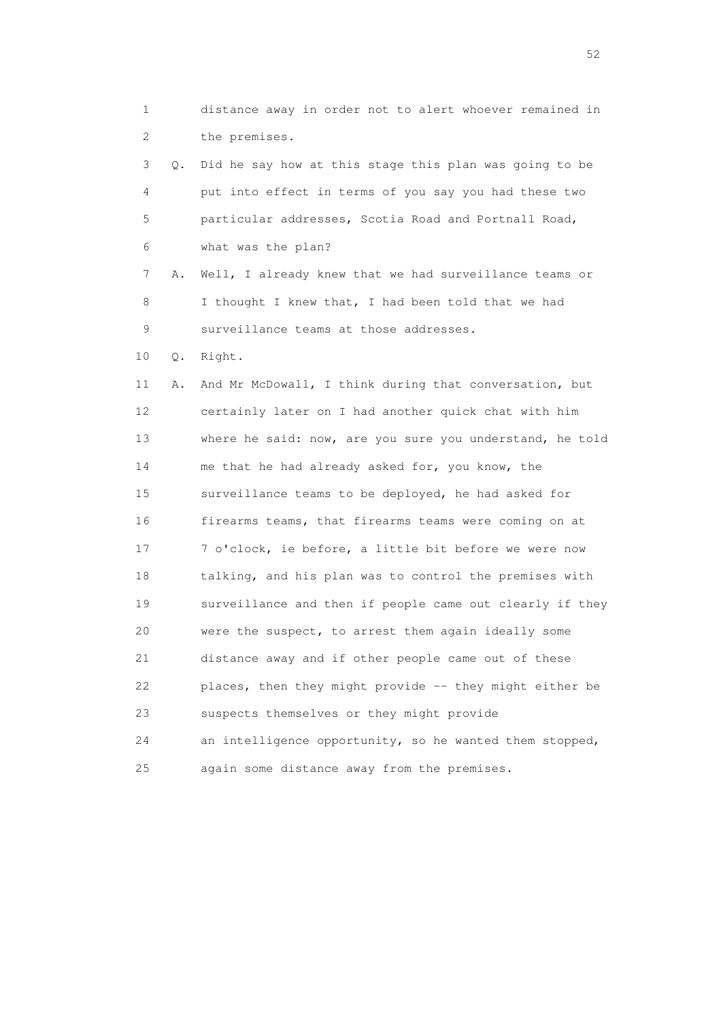1 distance away in order not to alert whoever remained in 2 the premises. 3 Q. Did he say how at this stage this plan was going to be 4 put into effect in terms of you say you had these two 5 particular addresses, Scotia Road and Portnall Road, 6 what was the plan? 7 A. Well, I already knew that we had surveillance teams or 8 I thought I knew that, I had been told that we had 9 surveillance teams at those addresses. 10 Q. Right. 11 A. And Mr McDowall, I think during that conversation, but 12 certainly later on I had another quick chat with him 13 where he said: now, are you sure you understand, he told 14 me that he had already asked for, you know, the 15 surveillance teams to be deployed, he had asked for 16 firearms teams, that firearms teams were coming on at 17 7 o'clock, ie before, a little bit before we were now 18 talking, and his plan was to control the premises with 19 surveillance and then if people came out clearly if they 20 were the suspect, to arrest them again ideally some 21 distance away and if other people came out of these 22 places, then they might provide -- they might either be 23 suspects themselves or they might provide 24 an intelligence opportunity, so he wanted them stopped, 25 again some distance away from the premises.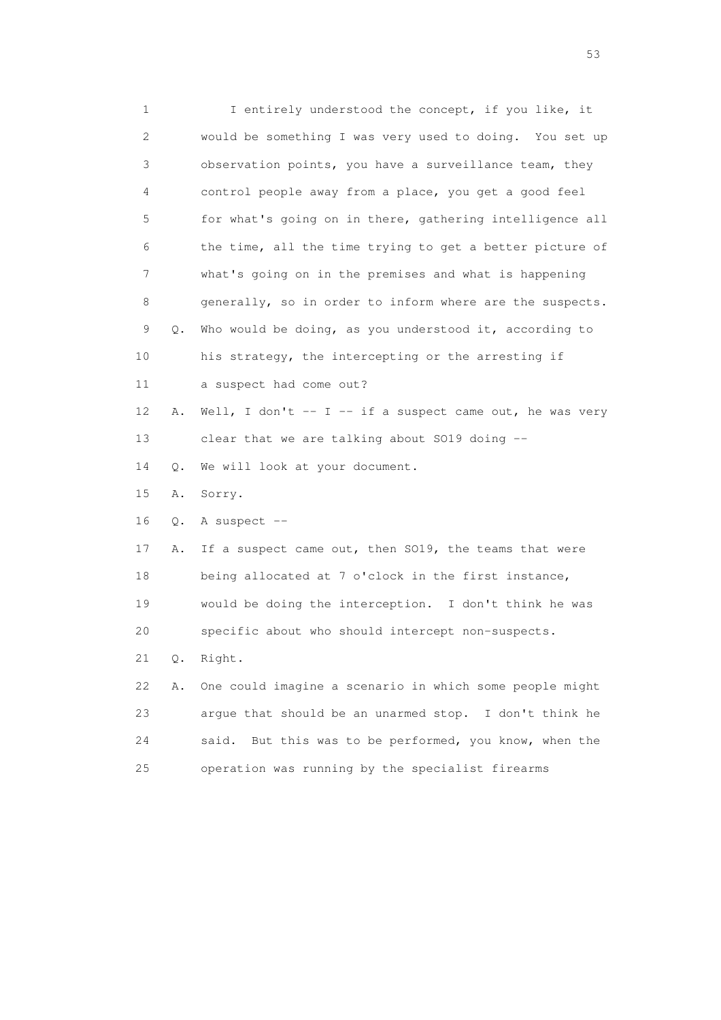1 I entirely understood the concept, if you like, it 2 would be something I was very used to doing. You set up 3 observation points, you have a surveillance team, they 4 control people away from a place, you get a good feel 5 for what's going on in there, gathering intelligence all 6 the time, all the time trying to get a better picture of 7 what's going on in the premises and what is happening 8 generally, so in order to inform where are the suspects. 9 Q. Who would be doing, as you understood it, according to 10 his strategy, the intercepting or the arresting if 11 a suspect had come out? 12 A. Well, I don't -- I -- if a suspect came out, he was very 13 clear that we are talking about SO19 doing -- 14 Q. We will look at your document. 15 A. Sorry. 16 Q. A suspect -- 17 A. If a suspect came out, then SO19, the teams that were 18 being allocated at 7 o'clock in the first instance, 19 would be doing the interception. I don't think he was 20 specific about who should intercept non-suspects. 21 Q. Right. 22 A. One could imagine a scenario in which some people might 23 argue that should be an unarmed stop. I don't think he 24 said. But this was to be performed, you know, when the 25 operation was running by the specialist firearms

 $\sim$  53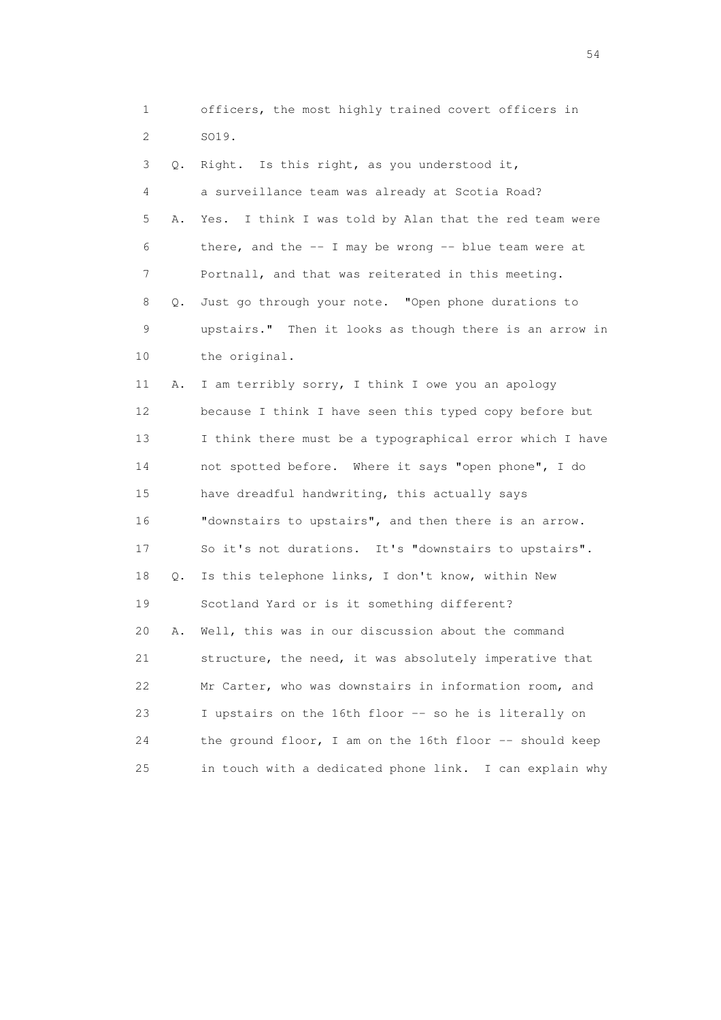1 officers, the most highly trained covert officers in 2 SO19. 3 Q. Right. Is this right, as you understood it, 4 a surveillance team was already at Scotia Road? 5 A. Yes. I think I was told by Alan that the red team were 6 there, and the -- I may be wrong -- blue team were at 7 Portnall, and that was reiterated in this meeting. 8 Q. Just go through your note. "Open phone durations to 9 upstairs." Then it looks as though there is an arrow in 10 the original. 11 A. I am terribly sorry, I think I owe you an apology 12 because I think I have seen this typed copy before but 13 I think there must be a typographical error which I have 14 not spotted before. Where it says "open phone", I do 15 have dreadful handwriting, this actually says 16 "downstairs to upstairs", and then there is an arrow. 17 So it's not durations. It's "downstairs to upstairs". 18 Q. Is this telephone links, I don't know, within New 19 Scotland Yard or is it something different? 20 A. Well, this was in our discussion about the command 21 structure, the need, it was absolutely imperative that 22 Mr Carter, who was downstairs in information room, and 23 I upstairs on the 16th floor -- so he is literally on 24 the ground floor, I am on the 16th floor -- should keep 25 in touch with a dedicated phone link. I can explain why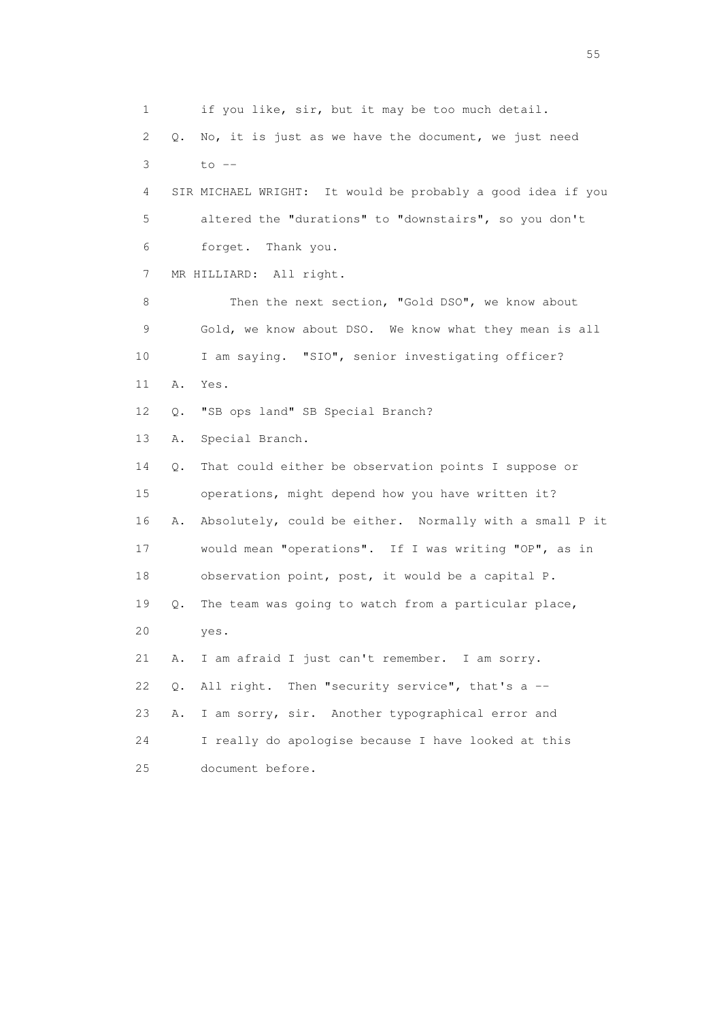1 if you like, sir, but it may be too much detail. 2 Q. No, it is just as we have the document, we just need  $3$  to  $-$  4 SIR MICHAEL WRIGHT: It would be probably a good idea if you 5 altered the "durations" to "downstairs", so you don't 6 forget. Thank you. 7 MR HILLIARD: All right. 8 Then the next section, "Gold DSO", we know about 9 Gold, we know about DSO. We know what they mean is all 10 I am saying. "SIO", senior investigating officer? 11 A. Yes. 12 Q. "SB ops land" SB Special Branch? 13 A. Special Branch. 14 Q. That could either be observation points I suppose or 15 operations, might depend how you have written it? 16 A. Absolutely, could be either. Normally with a small P it 17 would mean "operations". If I was writing "OP", as in 18 observation point, post, it would be a capital P. 19 Q. The team was going to watch from a particular place, 20 yes. 21 A. I am afraid I just can't remember. I am sorry. 22  $Q$ . All right. Then "security service", that's a  $-$  23 A. I am sorry, sir. Another typographical error and 24 I really do apologise because I have looked at this 25 document before.

the state of the state of the state of the state of the state of the state of the state of the state of the state of the state of the state of the state of the state of the state of the state of the state of the state of t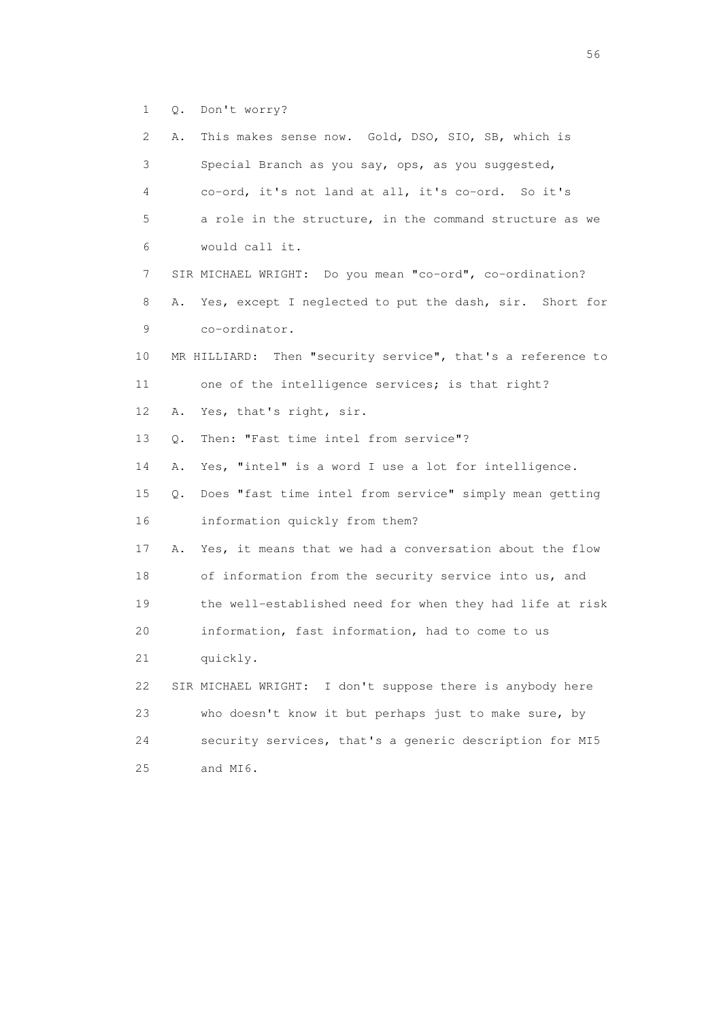1 Q. Don't worry?

| 2  | This makes sense now. Gold, DSO, SIO, SB, which is<br>Α.      |
|----|---------------------------------------------------------------|
| 3  | Special Branch as you say, ops, as you suggested,             |
| 4  | co-ord, it's not land at all, it's co-ord. So it's            |
| 5  | a role in the structure, in the command structure as we       |
| 6  | would call it.                                                |
| 7  | SIR MICHAEL WRIGHT: Do you mean "co-ord", co-ordination?      |
| 8  | Yes, except I neglected to put the dash, sir. Short for<br>Α. |
| 9  | co-ordinator.                                                 |
| 10 | MR HILLIARD: Then "security service", that's a reference to   |
| 11 | one of the intelligence services; is that right?              |
| 12 | Yes, that's right, sir.<br>Α.                                 |
| 13 | Then: "Fast time intel from service"?<br>$Q$ .                |
| 14 | Yes, "intel" is a word I use a lot for intelligence.<br>Α.    |
| 15 | Does "fast time intel from service" simply mean getting<br>Q. |
| 16 | information quickly from them?                                |
| 17 | Yes, it means that we had a conversation about the flow<br>Α. |
| 18 | of information from the security service into us, and         |
| 19 | the well-established need for when they had life at risk      |
| 20 | information, fast information, had to come to us              |
| 21 | quickly.                                                      |
| 22 | SIR MICHAEL WRIGHT: I don't suppose there is anybody here     |
| 23 | who doesn't know it but perhaps just to make sure, by         |
| 24 | security services, that's a generic description for MI5       |
| 25 | and MI6.                                                      |

 $56<sup>o</sup>$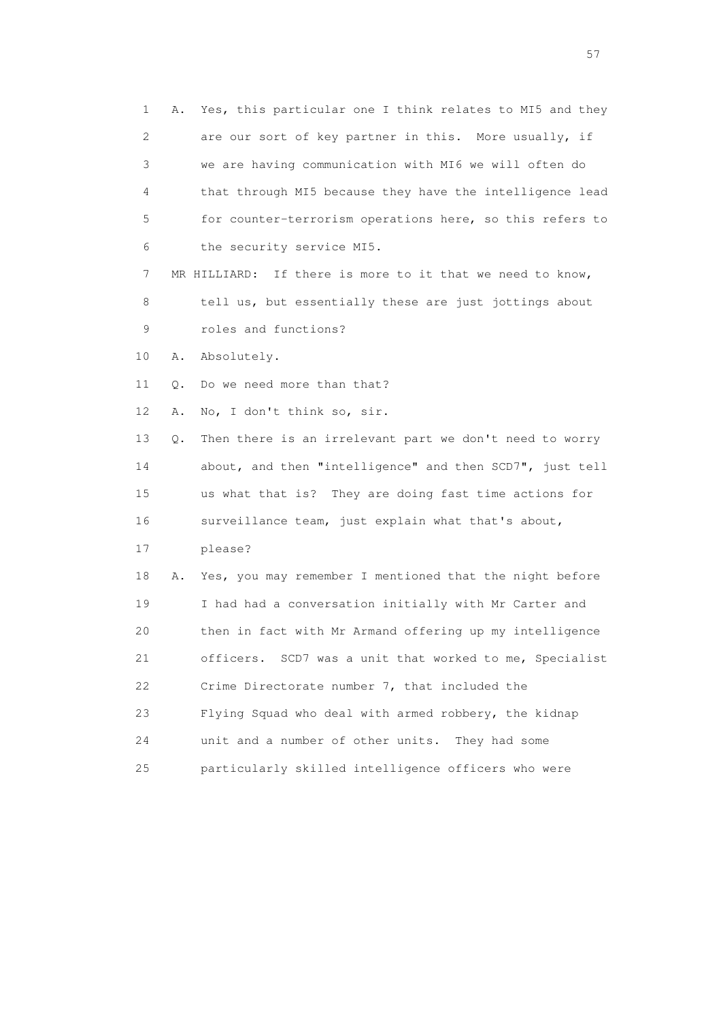1 A. Yes, this particular one I think relates to MI5 and they 2 are our sort of key partner in this. More usually, if 3 we are having communication with MI6 we will often do 4 that through MI5 because they have the intelligence lead 5 for counter-terrorism operations here, so this refers to 6 the security service MI5. 7 MR HILLIARD: If there is more to it that we need to know, 8 tell us, but essentially these are just jottings about 9 roles and functions? 10 A. Absolutely. 11 Q. Do we need more than that? 12 A. No, I don't think so, sir. 13 Q. Then there is an irrelevant part we don't need to worry 14 about, and then "intelligence" and then SCD7", just tell 15 us what that is? They are doing fast time actions for 16 surveillance team, just explain what that's about, 17 please? 18 A. Yes, you may remember I mentioned that the night before 19 I had had a conversation initially with Mr Carter and 20 then in fact with Mr Armand offering up my intelligence 21 officers. SCD7 was a unit that worked to me, Specialist 22 Crime Directorate number 7, that included the 23 Flying Squad who deal with armed robbery, the kidnap 24 unit and a number of other units. They had some 25 particularly skilled intelligence officers who were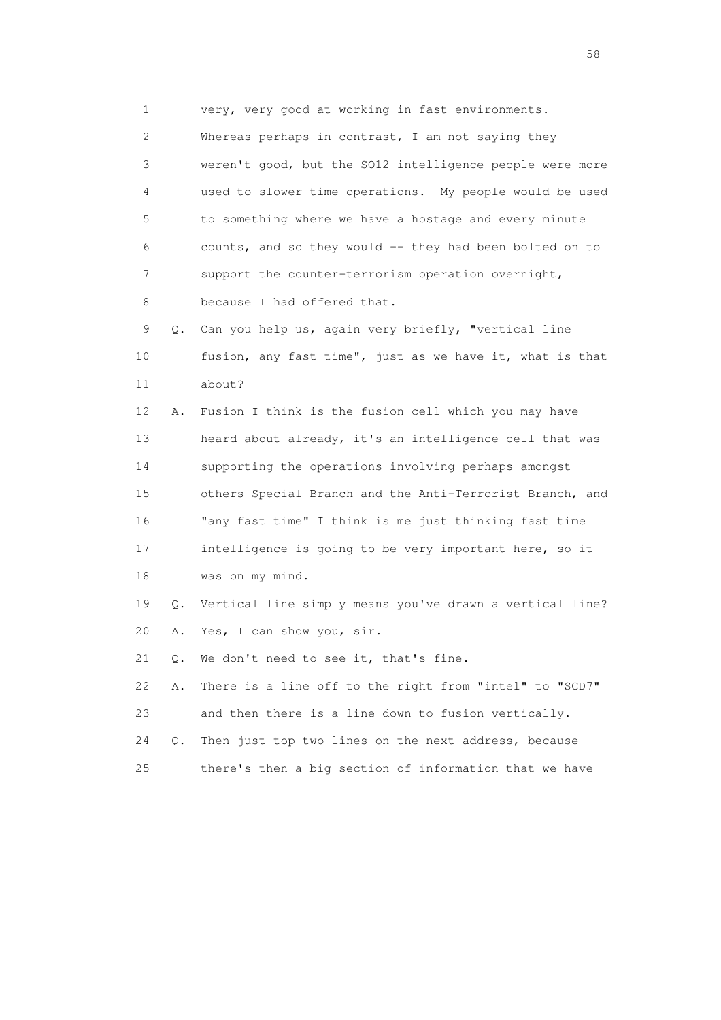1 very, very good at working in fast environments.

 2 Whereas perhaps in contrast, I am not saying they 3 weren't good, but the SO12 intelligence people were more 4 used to slower time operations. My people would be used 5 to something where we have a hostage and every minute 6 counts, and so they would -- they had been bolted on to 7 support the counter-terrorism operation overnight, 8 because I had offered that. 9 Q. Can you help us, again very briefly, "vertical line 10 fusion, any fast time", just as we have it, what is that 11 about?

 12 A. Fusion I think is the fusion cell which you may have 13 heard about already, it's an intelligence cell that was 14 supporting the operations involving perhaps amongst 15 others Special Branch and the Anti-Terrorist Branch, and 16 "any fast time" I think is me just thinking fast time 17 intelligence is going to be very important here, so it 18 was on my mind.

 19 Q. Vertical line simply means you've drawn a vertical line? 20 A. Yes, I can show you, sir.

21 Q. We don't need to see it, that's fine.

 22 A. There is a line off to the right from "intel" to "SCD7" 23 and then there is a line down to fusion vertically. 24 Q. Then just top two lines on the next address, because

25 there's then a big section of information that we have

the state of the state of the state of the state of the state of the state of the state of the state of the state of the state of the state of the state of the state of the state of the state of the state of the state of t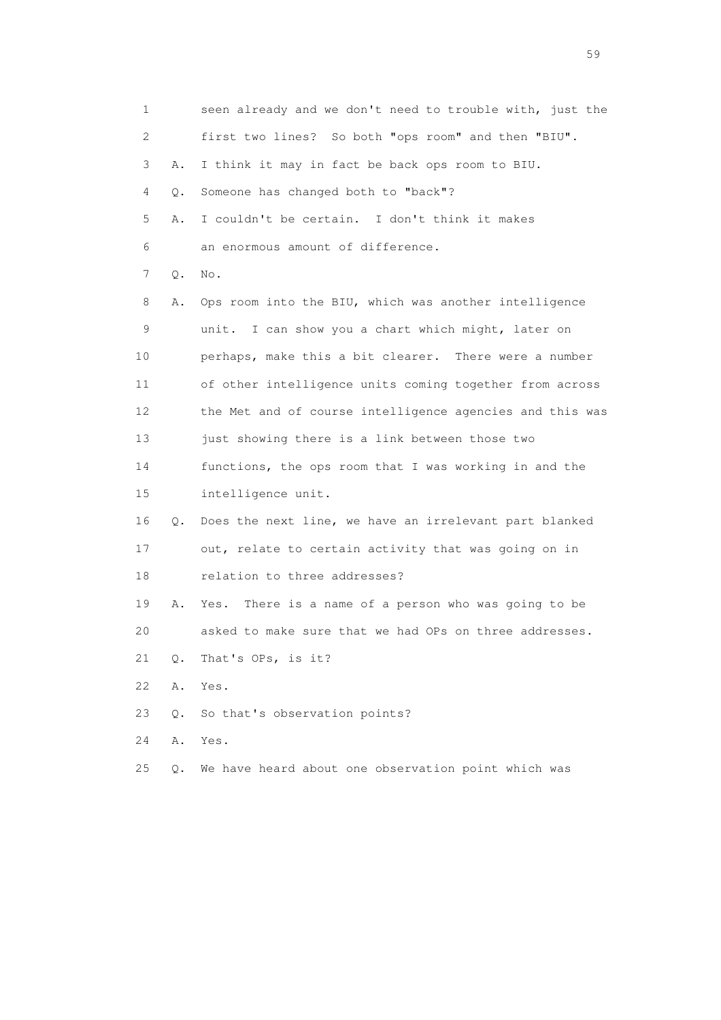| 1  |       | seen already and we don't need to trouble with, just the |
|----|-------|----------------------------------------------------------|
| 2  |       | first two lines? So both "ops room" and then "BIU".      |
| 3  | Α.    | I think it may in fact be back ops room to BIU.          |
| 4  | Q.    | Someone has changed both to "back"?                      |
| 5  | Α.    | I couldn't be certain. I don't think it makes            |
| 6  |       | an enormous amount of difference.                        |
| 7  | Q.    | No.                                                      |
| 8  | Α.    | Ops room into the BIU, which was another intelligence    |
| 9  |       | unit. I can show you a chart which might, later on       |
| 10 |       | perhaps, make this a bit clearer. There were a number    |
| 11 |       | of other intelligence units coming together from across  |
| 12 |       | the Met and of course intelligence agencies and this was |
| 13 |       | just showing there is a link between those two           |
| 14 |       | functions, the ops room that I was working in and the    |
| 15 |       | intelligence unit.                                       |
| 16 | Q.    | Does the next line, we have an irrelevant part blanked   |
| 17 |       | out, relate to certain activity that was going on in     |
| 18 |       | relation to three addresses?                             |
| 19 | Α.    | There is a name of a person who was going to be<br>Yes.  |
| 20 |       | asked to make sure that we had OPs on three addresses.   |
| 21 | Q.    | That's OPs, is it?                                       |
| 22 | Α.    | Yes.                                                     |
| 23 | $Q$ . | So that's observation points?                            |
| 24 | Α.    | Yes.                                                     |
| 25 | Q.    | We have heard about one observation point which was      |

the contract of the contract of the contract of the contract of the contract of the contract of the contract of the contract of the contract of the contract of the contract of the contract of the contract of the contract o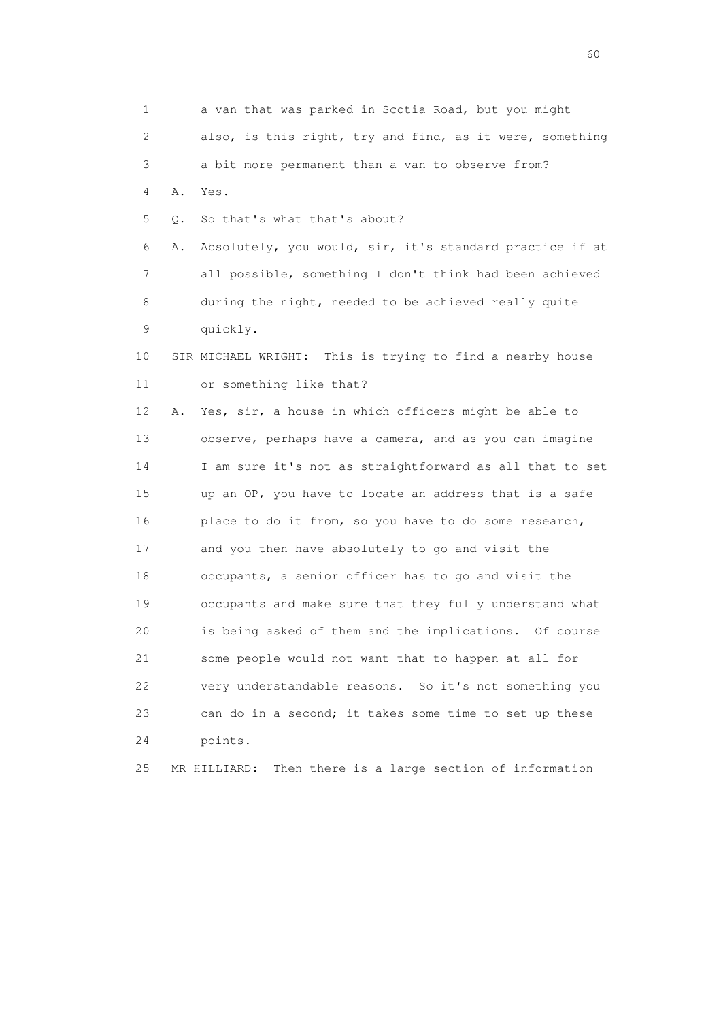1 a van that was parked in Scotia Road, but you might 2 also, is this right, try and find, as it were, something 3 a bit more permanent than a van to observe from? 4 A. Yes. 5 Q. So that's what that's about? 6 A. Absolutely, you would, sir, it's standard practice if at 7 all possible, something I don't think had been achieved 8 during the night, needed to be achieved really quite 9 quickly. 10 SIR MICHAEL WRIGHT: This is trying to find a nearby house 11 or something like that? 12 A. Yes, sir, a house in which officers might be able to 13 observe, perhaps have a camera, and as you can imagine 14 I am sure it's not as straightforward as all that to set 15 up an OP, you have to locate an address that is a safe 16 place to do it from, so you have to do some research, 17 and you then have absolutely to go and visit the 18 occupants, a senior officer has to go and visit the 19 occupants and make sure that they fully understand what 20 is being asked of them and the implications. Of course 21 some people would not want that to happen at all for 22 very understandable reasons. So it's not something you 23 can do in a second; it takes some time to set up these 24 points. 25 MR HILLIARD: Then there is a large section of information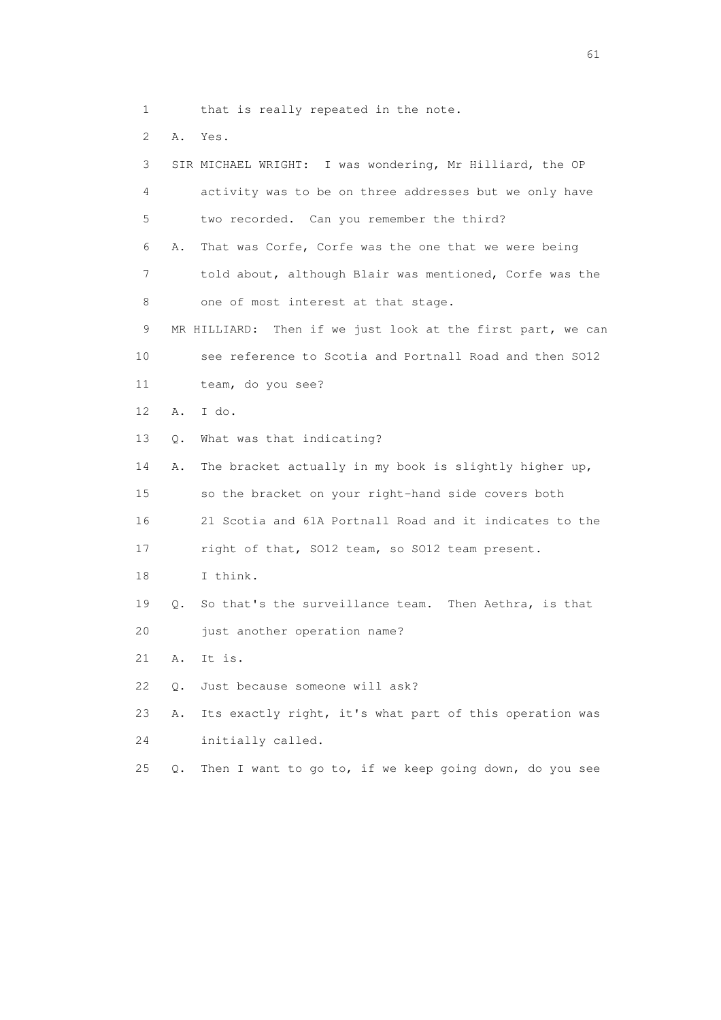1 that is really repeated in the note.

2 A. Yes.

| 3  |    | SIR MICHAEL WRIGHT: I was wondering, Mr Hilliard, the OP       |
|----|----|----------------------------------------------------------------|
| 4  |    | activity was to be on three addresses but we only have         |
| 5  |    | two recorded. Can you remember the third?                      |
| 6  | Α. | That was Corfe, Corfe was the one that we were being           |
| 7  |    | told about, although Blair was mentioned, Corfe was the        |
| 8  |    | one of most interest at that stage.                            |
| 9  |    | MR HILLIARD:<br>Then if we just look at the first part, we can |
| 10 |    | see reference to Scotia and Portnall Road and then SO12        |
| 11 |    | team, do you see?                                              |
| 12 | Α. | I do.                                                          |
| 13 | Q. | What was that indicating?                                      |
| 14 | Α. | The bracket actually in my book is slightly higher up,         |
| 15 |    | so the bracket on your right-hand side covers both             |
| 16 |    | 21 Scotia and 61A Portnall Road and it indicates to the        |
| 17 |    | right of that, SO12 team, so SO12 team present.                |
| 18 |    | I think.                                                       |
| 19 | Q. | So that's the surveillance team. Then Aethra, is that          |
| 20 |    | just another operation name?                                   |
| 21 | Α. | It is.                                                         |
| 22 | Q. | Just because someone will ask?                                 |
| 23 | Α. | Its exactly right, it's what part of this operation was        |
| 24 |    | initially called.                                              |
| 25 | О. | Then I want to go to, if we keep going down, do you see        |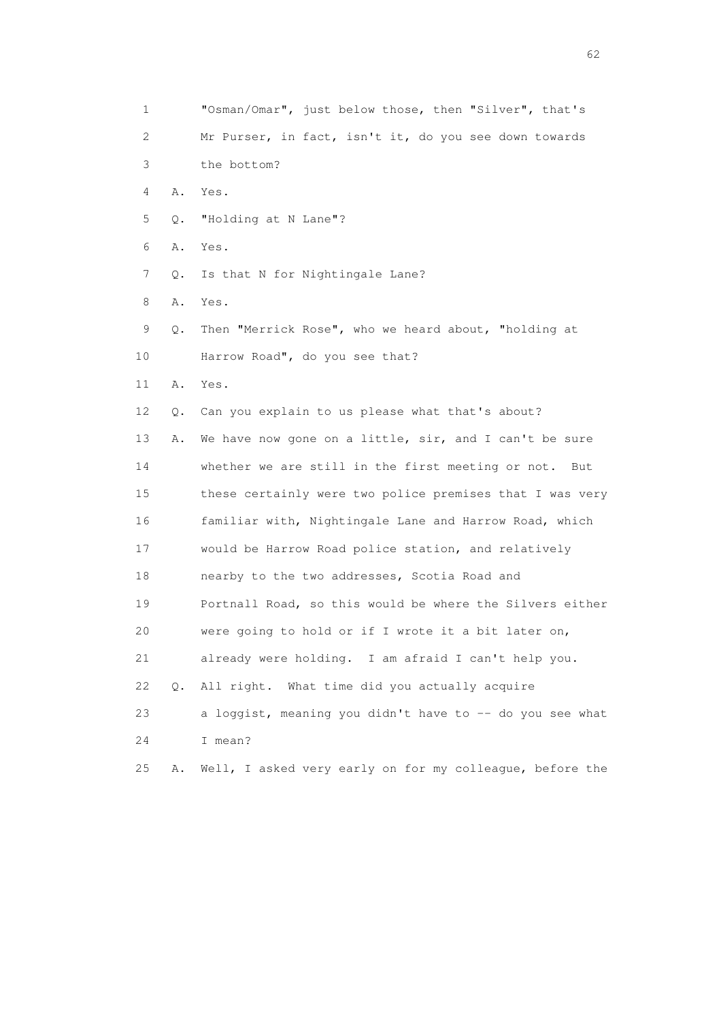1 "Osman/Omar", just below those, then "Silver", that's 2 Mr Purser, in fact, isn't it, do you see down towards 3 the bottom? 4 A. Yes. 5 Q. "Holding at N Lane"? 6 A. Yes. 7 Q. Is that N for Nightingale Lane? 8 A. Yes. 9 Q. Then "Merrick Rose", who we heard about, "holding at 10 Harrow Road", do you see that? 11 A. Yes. 12 Q. Can you explain to us please what that's about? 13 A. We have now gone on a little, sir, and I can't be sure 14 whether we are still in the first meeting or not. But 15 these certainly were two police premises that I was very 16 familiar with, Nightingale Lane and Harrow Road, which 17 would be Harrow Road police station, and relatively 18 nearby to the two addresses, Scotia Road and 19 Portnall Road, so this would be where the Silvers either 20 were going to hold or if I wrote it a bit later on, 21 already were holding. I am afraid I can't help you. 22 Q. All right. What time did you actually acquire 23 a loggist, meaning you didn't have to -- do you see what 24 I mean? 25 A. Well, I asked very early on for my colleague, before the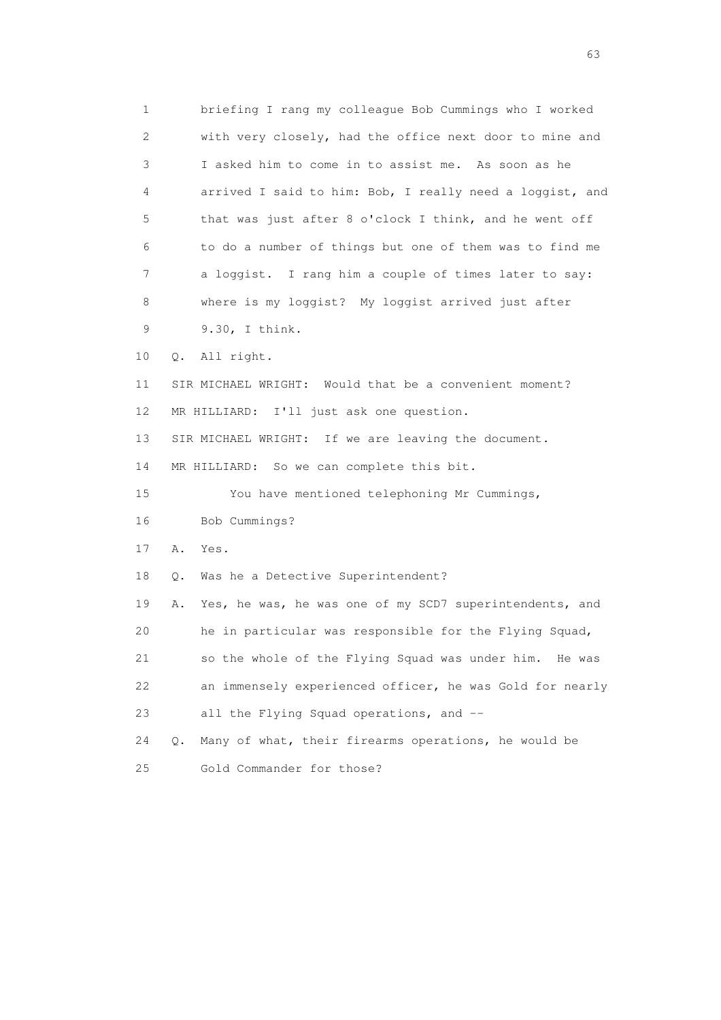1 briefing I rang my colleague Bob Cummings who I worked 2 with very closely, had the office next door to mine and 3 I asked him to come in to assist me. As soon as he 4 arrived I said to him: Bob, I really need a loggist, and 5 that was just after 8 o'clock I think, and he went off 6 to do a number of things but one of them was to find me 7 a loggist. I rang him a couple of times later to say: 8 where is my loggist? My loggist arrived just after 9 9.30, I think. 10 Q. All right. 11 SIR MICHAEL WRIGHT: Would that be a convenient moment? 12 MR HILLIARD: I'll just ask one question. 13 SIR MICHAEL WRIGHT: If we are leaving the document. 14 MR HILLIARD: So we can complete this bit. 15 You have mentioned telephoning Mr Cummings, 16 Bob Cummings? 17 A. Yes. 18 Q. Was he a Detective Superintendent? 19 A. Yes, he was, he was one of my SCD7 superintendents, and 20 he in particular was responsible for the Flying Squad, 21 so the whole of the Flying Squad was under him. He was 22 an immensely experienced officer, he was Gold for nearly 23 all the Flying Squad operations, and -- 24 Q. Many of what, their firearms operations, he would be 25 Gold Commander for those?

experience of the contract of the contract of the contract of the contract of the contract of the contract of the contract of the contract of the contract of the contract of the contract of the contract of the contract of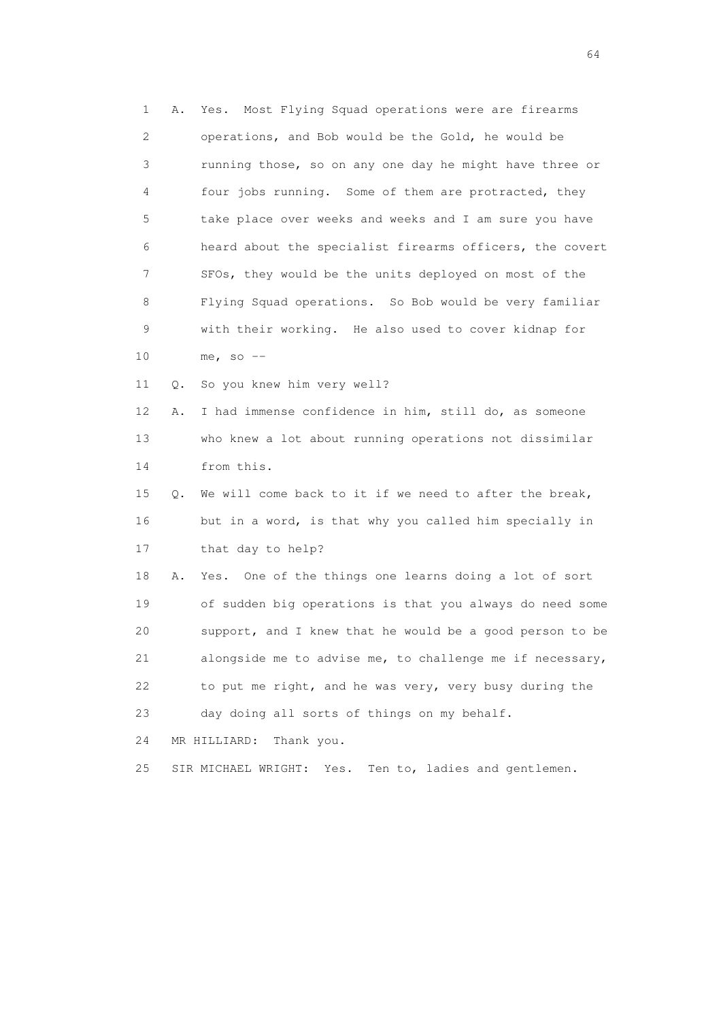1 A. Yes. Most Flying Squad operations were are firearms 2 operations, and Bob would be the Gold, he would be 3 running those, so on any one day he might have three or 4 four jobs running. Some of them are protracted, they 5 take place over weeks and weeks and I am sure you have 6 heard about the specialist firearms officers, the covert 7 SFOs, they would be the units deployed on most of the 8 Flying Squad operations. So Bob would be very familiar 9 with their working. He also used to cover kidnap for 10 me, so -- 11 Q. So you knew him very well?

 12 A. I had immense confidence in him, still do, as someone 13 who knew a lot about running operations not dissimilar 14 from this.

 15 Q. We will come back to it if we need to after the break, 16 but in a word, is that why you called him specially in 17 that day to help?

 18 A. Yes. One of the things one learns doing a lot of sort 19 of sudden big operations is that you always do need some 20 support, and I knew that he would be a good person to be 21 alongside me to advise me, to challenge me if necessary, 22 to put me right, and he was very, very busy during the 23 day doing all sorts of things on my behalf.

24 MR HILLIARD: Thank you.

25 SIR MICHAEL WRIGHT: Yes. Ten to, ladies and gentlemen.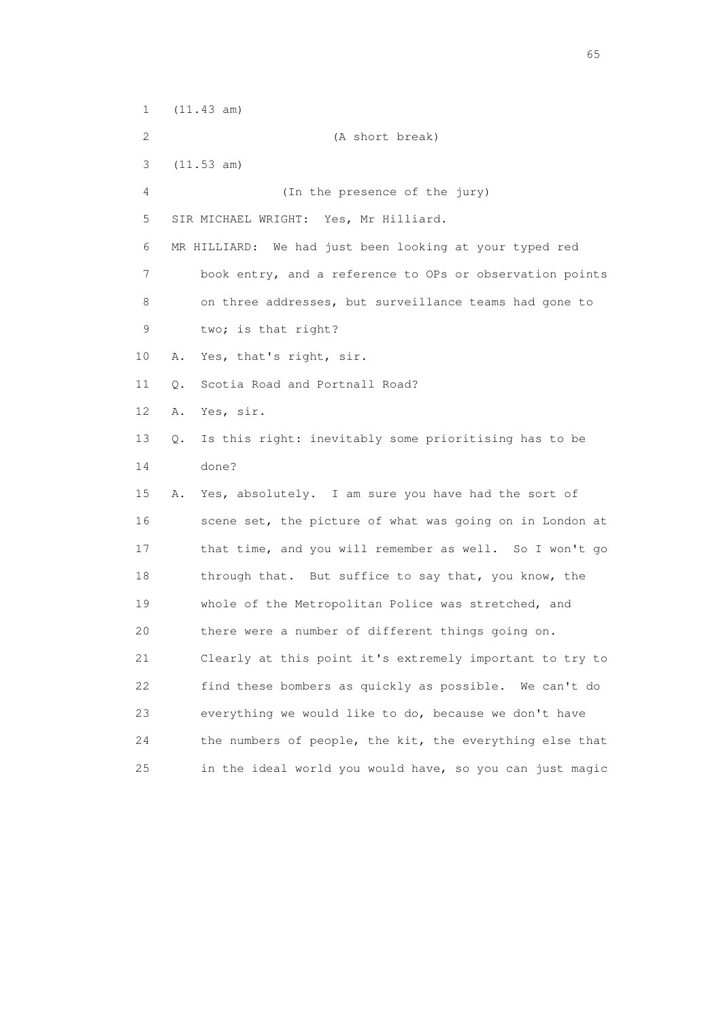1 (11.43 am) 2 (A short break) 3 (11.53 am) 4 (In the presence of the jury) 5 SIR MICHAEL WRIGHT: Yes, Mr Hilliard. 6 MR HILLIARD: We had just been looking at your typed red 7 book entry, and a reference to OPs or observation points 8 on three addresses, but surveillance teams had gone to 9 two; is that right? 10 A. Yes, that's right, sir. 11 O. Scotia Road and Portnall Road? 12 A. Yes, sir. 13 Q. Is this right: inevitably some prioritising has to be 14 done? 15 A. Yes, absolutely. I am sure you have had the sort of 16 scene set, the picture of what was going on in London at 17 that time, and you will remember as well. So I won't go 18 through that. But suffice to say that, you know, the 19 whole of the Metropolitan Police was stretched, and 20 there were a number of different things going on. 21 Clearly at this point it's extremely important to try to 22 find these bombers as quickly as possible. We can't do 23 everything we would like to do, because we don't have 24 the numbers of people, the kit, the everything else that 25 in the ideal world you would have, so you can just magic

 $\sim$  65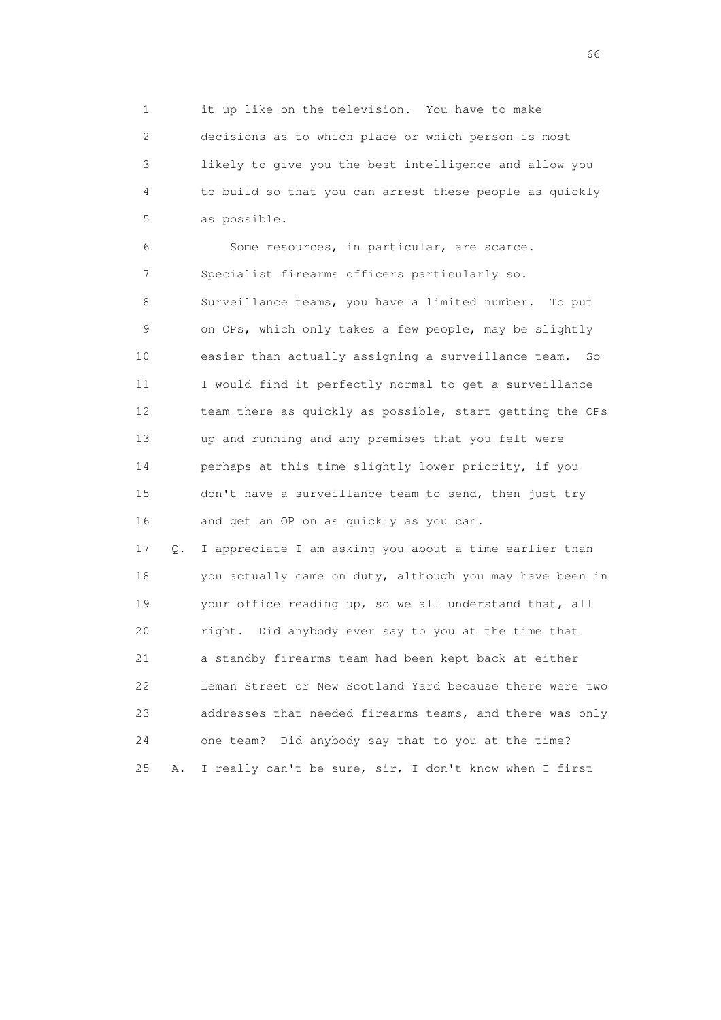1 it up like on the television. You have to make 2 decisions as to which place or which person is most 3 likely to give you the best intelligence and allow you 4 to build so that you can arrest these people as quickly 5 as possible.

 6 Some resources, in particular, are scarce. 7 Specialist firearms officers particularly so. 8 Surveillance teams, you have a limited number. To put 9 on OPs, which only takes a few people, may be slightly 10 easier than actually assigning a surveillance team. So 11 I would find it perfectly normal to get a surveillance 12 team there as quickly as possible, start getting the OPs 13 up and running and any premises that you felt were 14 perhaps at this time slightly lower priority, if you 15 don't have a surveillance team to send, then just try 16 and get an OP on as quickly as you can.

 17 Q. I appreciate I am asking you about a time earlier than 18 you actually came on duty, although you may have been in 19 your office reading up, so we all understand that, all 20 right. Did anybody ever say to you at the time that 21 a standby firearms team had been kept back at either 22 Leman Street or New Scotland Yard because there were two 23 addresses that needed firearms teams, and there was only 24 one team? Did anybody say that to you at the time? 25 A. I really can't be sure, sir, I don't know when I first

 $\sim$  66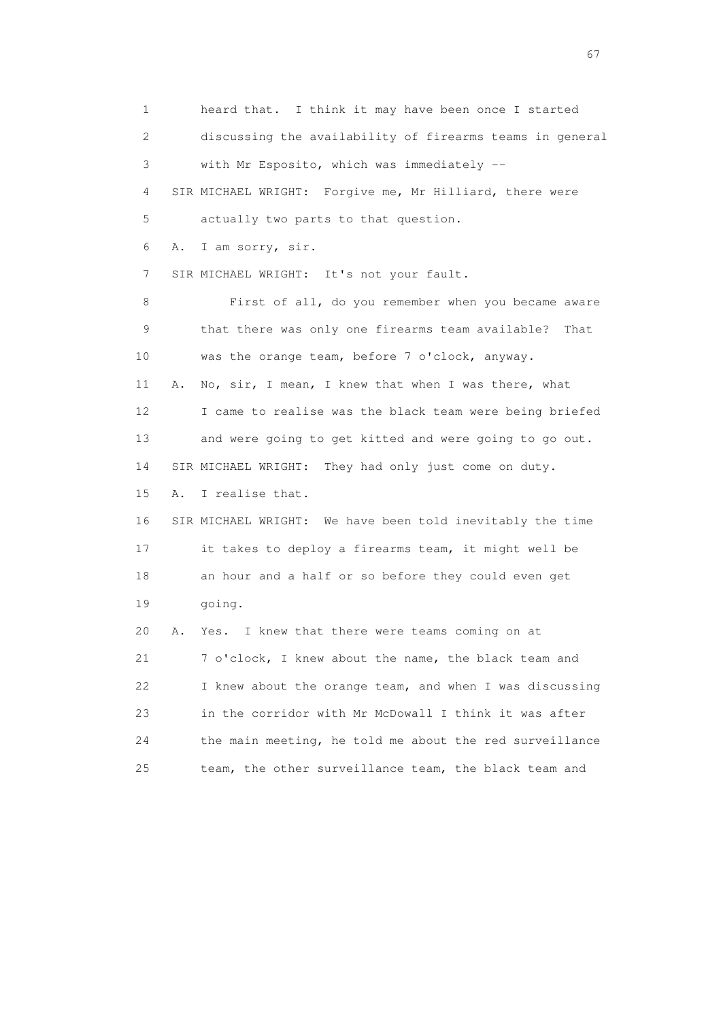1 heard that. I think it may have been once I started 2 discussing the availability of firearms teams in general 3 with Mr Esposito, which was immediately -- 4 SIR MICHAEL WRIGHT: Forgive me, Mr Hilliard, there were 5 actually two parts to that question. 6 A. I am sorry, sir. 7 SIR MICHAEL WRIGHT: It's not your fault. 8 First of all, do you remember when you became aware 9 that there was only one firearms team available? That 10 was the orange team, before 7 o'clock, anyway. 11 A. No, sir, I mean, I knew that when I was there, what 12 I came to realise was the black team were being briefed 13 and were going to get kitted and were going to go out. 14 SIR MICHAEL WRIGHT: They had only just come on duty. 15 A. I realise that. 16 SIR MICHAEL WRIGHT: We have been told inevitably the time 17 it takes to deploy a firearms team, it might well be 18 an hour and a half or so before they could even get 19 going. 20 A. Yes. I knew that there were teams coming on at 21 7 o'clock, I knew about the name, the black team and 22 I knew about the orange team, and when I was discussing 23 in the corridor with Mr McDowall I think it was after 24 the main meeting, he told me about the red surveillance 25 team, the other surveillance team, the black team and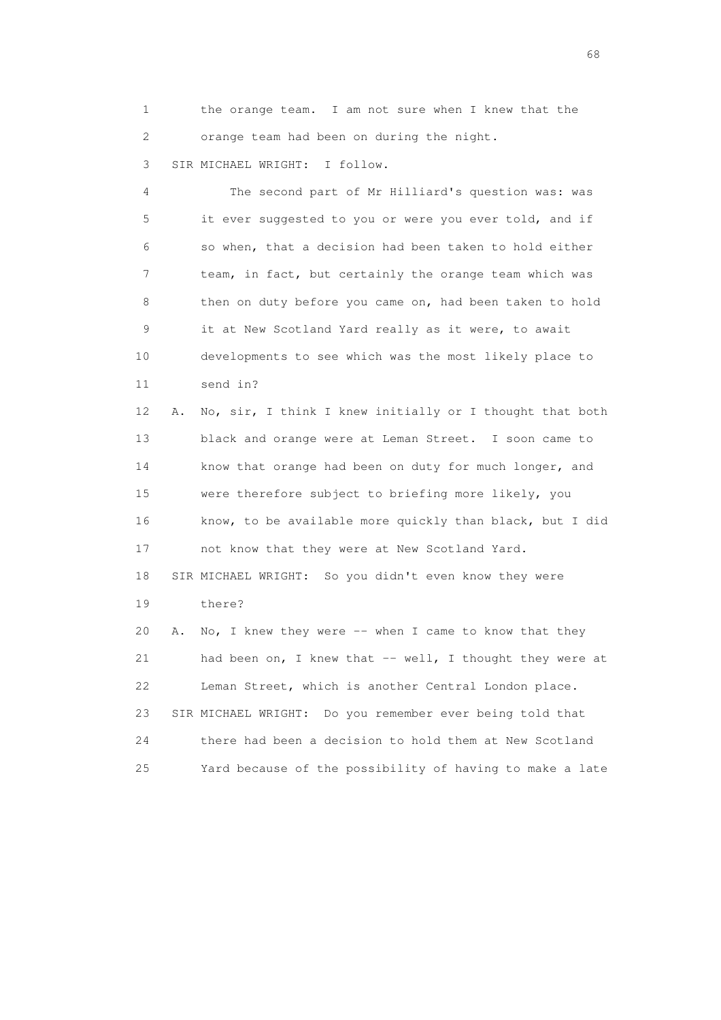1 the orange team. I am not sure when I knew that the 2 orange team had been on during the night.

3 SIR MICHAEL WRIGHT: I follow.

 4 The second part of Mr Hilliard's question was: was 5 it ever suggested to you or were you ever told, and if 6 so when, that a decision had been taken to hold either 7 team, in fact, but certainly the orange team which was 8 then on duty before you came on, had been taken to hold 9 it at New Scotland Yard really as it were, to await 10 developments to see which was the most likely place to 11 send in?

 12 A. No, sir, I think I knew initially or I thought that both 13 black and orange were at Leman Street. I soon came to 14 know that orange had been on duty for much longer, and 15 were therefore subject to briefing more likely, you 16 know, to be available more quickly than black, but I did 17 not know that they were at New Scotland Yard. 18 SIR MICHAEL WRIGHT: So you didn't even know they were 19 there? 20 A. No, I knew they were -- when I came to know that they

21 had been on, I knew that -- well, I thought they were at 22 Leman Street, which is another Central London place. 23 SIR MICHAEL WRIGHT: Do you remember ever being told that 24 there had been a decision to hold them at New Scotland 25 Yard because of the possibility of having to make a late

en de la construction de la construction de la construction de la construction de la construction de la construction de la construction de la construction de la construction de la construction de la construction de la cons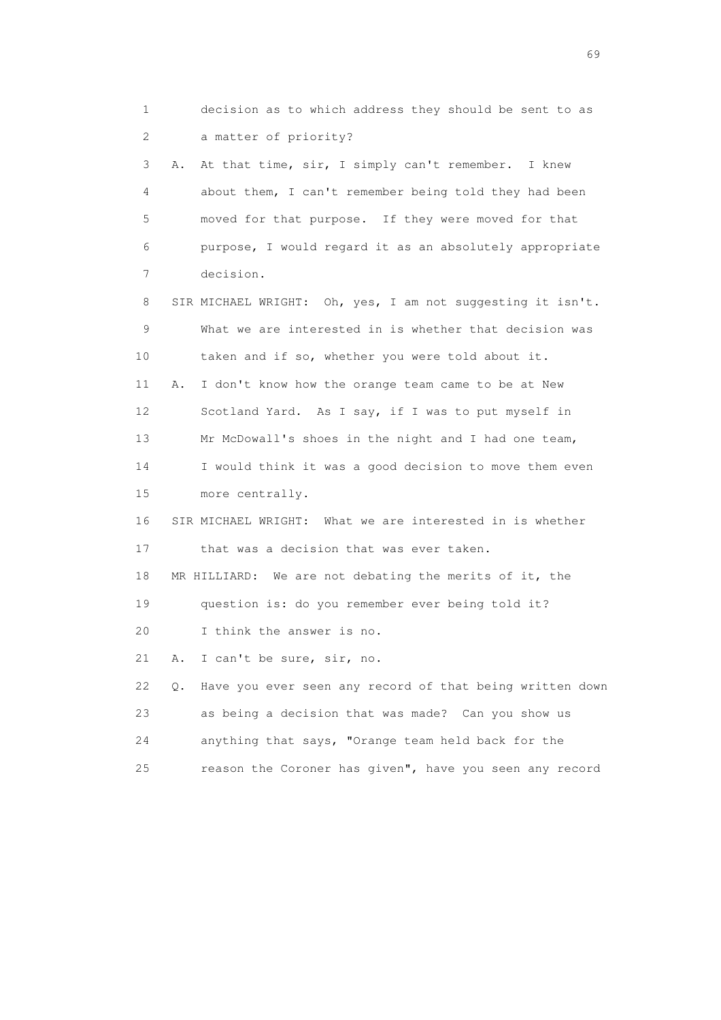1 decision as to which address they should be sent to as 2 a matter of priority? 3 A. At that time, sir, I simply can't remember. I knew 4 about them, I can't remember being told they had been 5 moved for that purpose. If they were moved for that 6 purpose, I would regard it as an absolutely appropriate 7 decision. 8 SIR MICHAEL WRIGHT: Oh, yes, I am not suggesting it isn't. 9 What we are interested in is whether that decision was 10 taken and if so, whether you were told about it. 11 A. I don't know how the orange team came to be at New 12 Scotland Yard. As I say, if I was to put myself in 13 Mr McDowall's shoes in the night and I had one team, 14 I would think it was a good decision to move them even 15 more centrally. 16 SIR MICHAEL WRIGHT: What we are interested in is whether 17 that was a decision that was ever taken. 18 MR HILLIARD: We are not debating the merits of it, the 19 question is: do you remember ever being told it? 20 I think the answer is no. 21 A. I can't be sure, sir, no. 22 Q. Have you ever seen any record of that being written down 23 as being a decision that was made? Can you show us 24 anything that says, "Orange team held back for the 25 reason the Coroner has given", have you seen any record

entral de la construction de la construction de la construction de la construction de la construction de la co<br>1990 : la construction de la construction de la construction de la construction de la construction de la const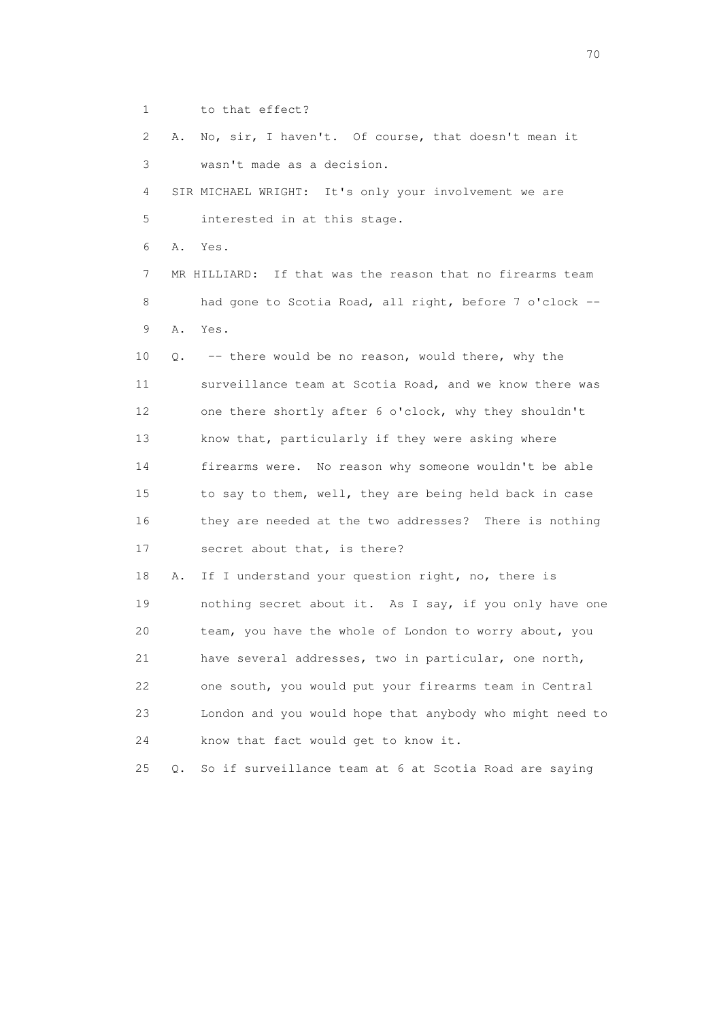1 to that effect?

 2 A. No, sir, I haven't. Of course, that doesn't mean it 3 wasn't made as a decision. 4 SIR MICHAEL WRIGHT: It's only your involvement we are 5 interested in at this stage. 6 A. Yes. 7 MR HILLIARD: If that was the reason that no firearms team 8 had gone to Scotia Road, all right, before 7 o'clock -- 9 A. Yes. 10 Q. -- there would be no reason, would there, why the 11 surveillance team at Scotia Road, and we know there was 12 one there shortly after 6 o'clock, why they shouldn't 13 know that, particularly if they were asking where 14 firearms were. No reason why someone wouldn't be able 15 to say to them, well, they are being held back in case 16 they are needed at the two addresses? There is nothing 17 secret about that, is there? 18 A. If I understand your question right, no, there is 19 nothing secret about it. As I say, if you only have one 20 team, you have the whole of London to worry about, you 21 have several addresses, two in particular, one north, 22 one south, you would put your firearms team in Central 23 London and you would hope that anybody who might need to 24 know that fact would get to know it. 25 Q. So if surveillance team at 6 at Scotia Road are saying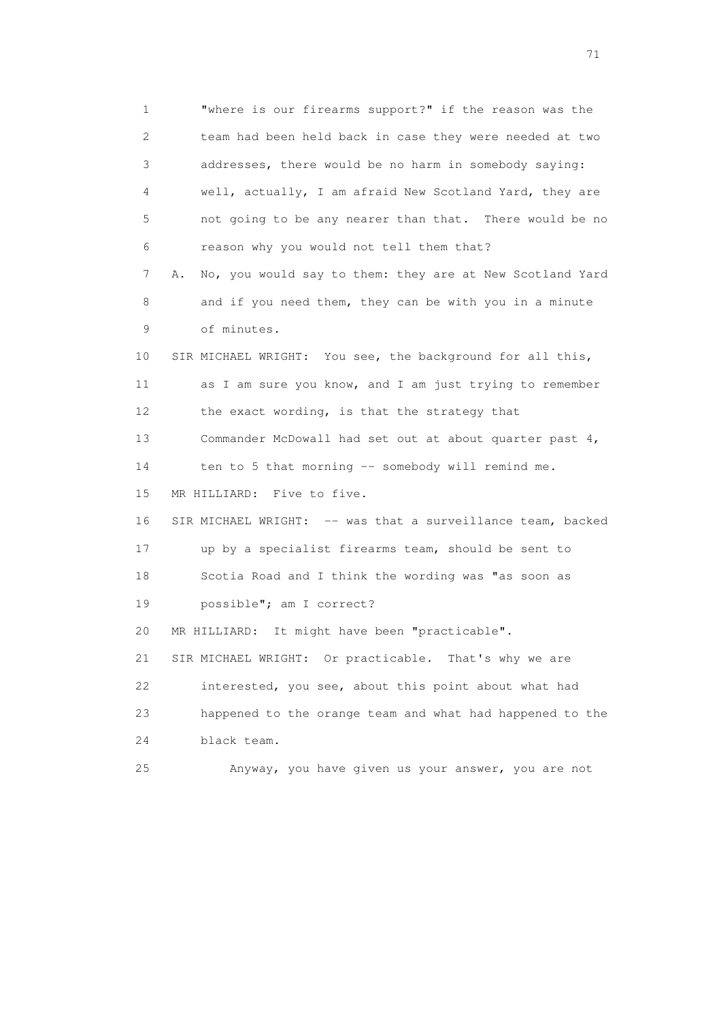1 "where is our firearms support?" if the reason was the 2 team had been held back in case they were needed at two 3 addresses, there would be no harm in somebody saying: 4 well, actually, I am afraid New Scotland Yard, they are 5 not going to be any nearer than that. There would be no 6 reason why you would not tell them that? 7 A. No, you would say to them: they are at New Scotland Yard 8 and if you need them, they can be with you in a minute 9 of minutes. 10 SIR MICHAEL WRIGHT: You see, the background for all this, 11 as I am sure you know, and I am just trying to remember 12 the exact wording, is that the strategy that 13 Commander McDowall had set out at about quarter past 4, 14 ten to 5 that morning -- somebody will remind me. 15 MR HILLIARD: Five to five. 16 SIR MICHAEL WRIGHT: -- was that a surveillance team, backed 17 up by a specialist firearms team, should be sent to 18 Scotia Road and I think the wording was "as soon as 19 possible"; am I correct? 20 MR HILLIARD: It might have been "practicable". 21 SIR MICHAEL WRIGHT: Or practicable. That's why we are 22 interested, you see, about this point about what had 23 happened to the orange team and what had happened to the 24 black team. 25 Anyway, you have given us your answer, you are not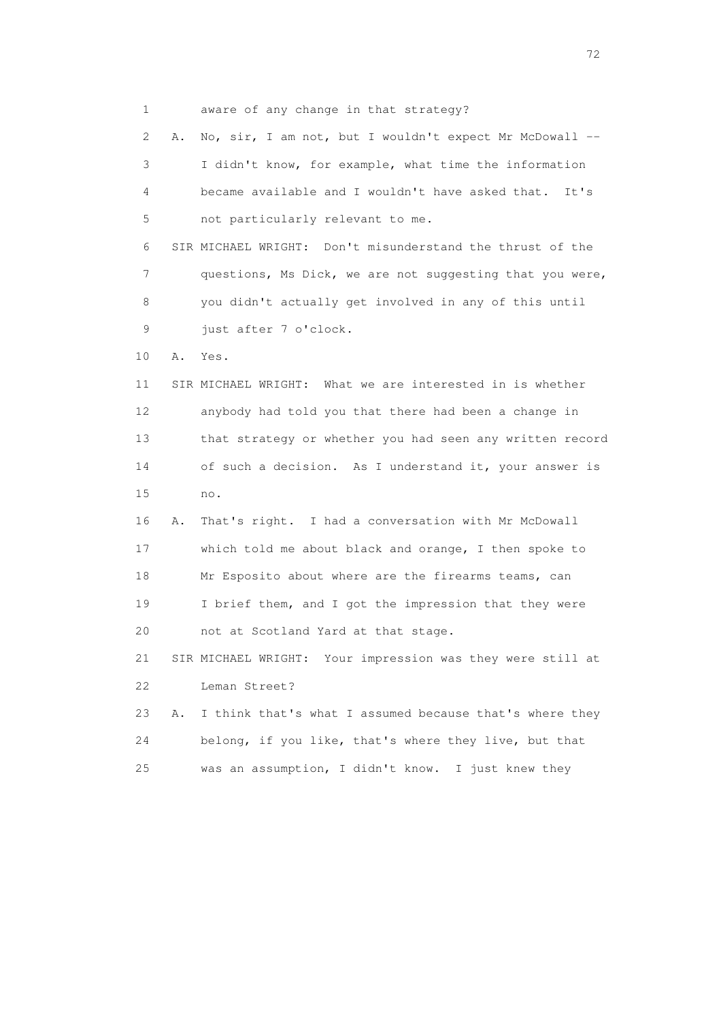1 aware of any change in that strategy?

 2 A. No, sir, I am not, but I wouldn't expect Mr McDowall -- 3 I didn't know, for example, what time the information 4 became available and I wouldn't have asked that. It's 5 not particularly relevant to me. 6 SIR MICHAEL WRIGHT: Don't misunderstand the thrust of the 7 questions, Ms Dick, we are not suggesting that you were, 8 you didn't actually get involved in any of this until 9 just after 7 o'clock. 10 A. Yes. 11 SIR MICHAEL WRIGHT: What we are interested in is whether 12 anybody had told you that there had been a change in 13 that strategy or whether you had seen any written record 14 of such a decision. As I understand it, your answer is 15 no. 16 A. That's right. I had a conversation with Mr McDowall 17 which told me about black and orange, I then spoke to 18 Mr Esposito about where are the firearms teams, can 19 I brief them, and I got the impression that they were 20 not at Scotland Yard at that stage. 21 SIR MICHAEL WRIGHT: Your impression was they were still at 22 Leman Street? 23 A. I think that's what I assumed because that's where they 24 belong, if you like, that's where they live, but that 25 was an assumption, I didn't know. I just knew they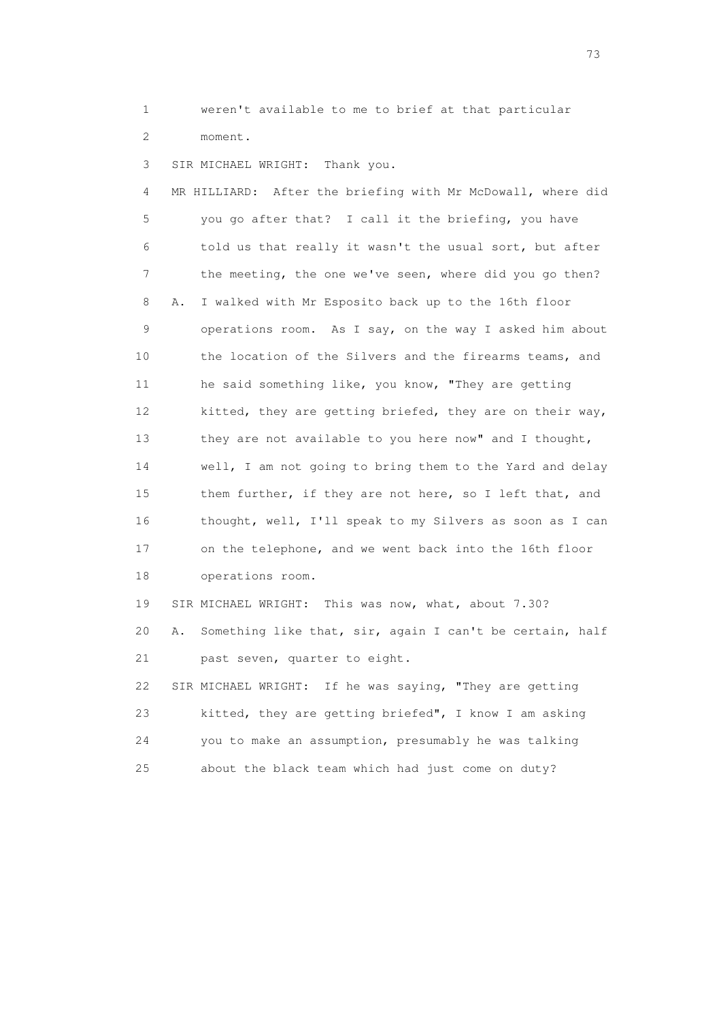1 weren't available to me to brief at that particular 2 moment.

3 SIR MICHAEL WRIGHT: Thank you.

 4 MR HILLIARD: After the briefing with Mr McDowall, where did 5 you go after that? I call it the briefing, you have 6 told us that really it wasn't the usual sort, but after 7 the meeting, the one we've seen, where did you go then? 8 A. I walked with Mr Esposito back up to the 16th floor 9 operations room. As I say, on the way I asked him about 10 the location of the Silvers and the firearms teams, and 11 he said something like, you know, "They are getting 12 kitted, they are getting briefed, they are on their way, 13 they are not available to you here now" and I thought, 14 well, I am not going to bring them to the Yard and delay 15 them further, if they are not here, so I left that, and 16 thought, well, I'll speak to my Silvers as soon as I can 17 on the telephone, and we went back into the 16th floor 18 operations room. 19 SIR MICHAEL WRIGHT: This was now, what, about 7.30? 20 A. Something like that, sir, again I can't be certain, half 21 past seven, quarter to eight. 22 SIR MICHAEL WRIGHT: If he was saying, "They are getting 23 kitted, they are getting briefed", I know I am asking

 24 you to make an assumption, presumably he was talking 25 about the black team which had just come on duty?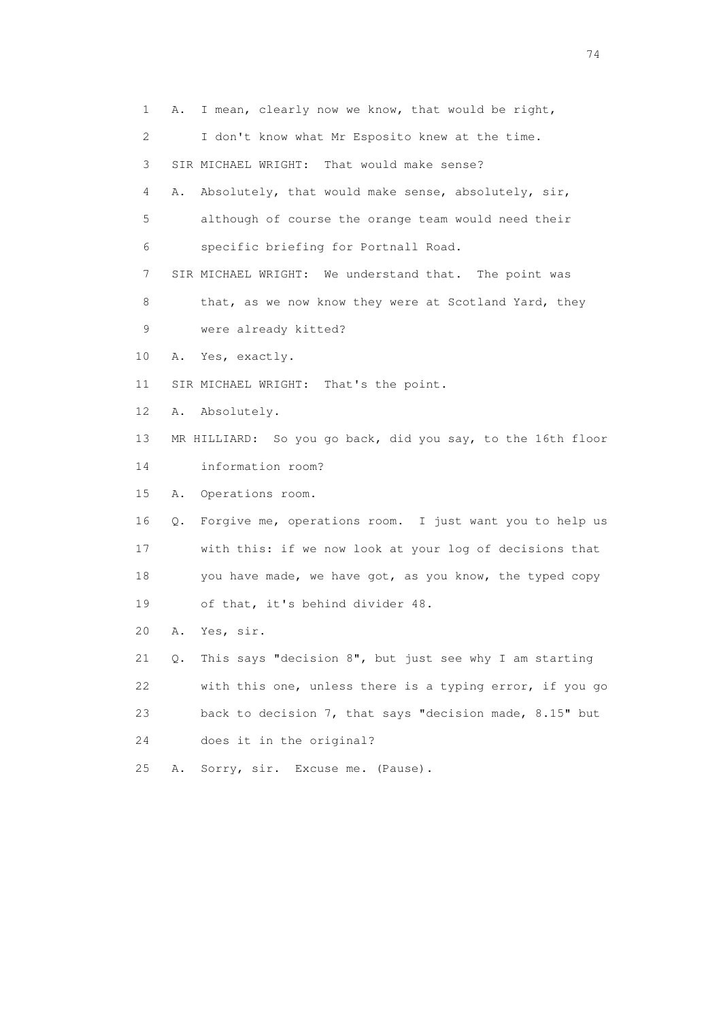1 A. I mean, clearly now we know, that would be right, 2 I don't know what Mr Esposito knew at the time. 3 SIR MICHAEL WRIGHT: That would make sense? 4 A. Absolutely, that would make sense, absolutely, sir, 5 although of course the orange team would need their 6 specific briefing for Portnall Road. 7 SIR MICHAEL WRIGHT: We understand that. The point was 8 that, as we now know they were at Scotland Yard, they 9 were already kitted? 10 A. Yes, exactly. 11 SIR MICHAEL WRIGHT: That's the point. 12 A. Absolutely. 13 MR HILLIARD: So you go back, did you say, to the 16th floor 14 information room? 15 A. Operations room. 16 Q. Forgive me, operations room. I just want you to help us 17 with this: if we now look at your log of decisions that 18 you have made, we have got, as you know, the typed copy 19 of that, it's behind divider 48. 20 A. Yes, sir. 21 Q. This says "decision 8", but just see why I am starting 22 with this one, unless there is a typing error, if you go 23 back to decision 7, that says "decision made, 8.15" but 24 does it in the original? 25 A. Sorry, sir. Excuse me. (Pause).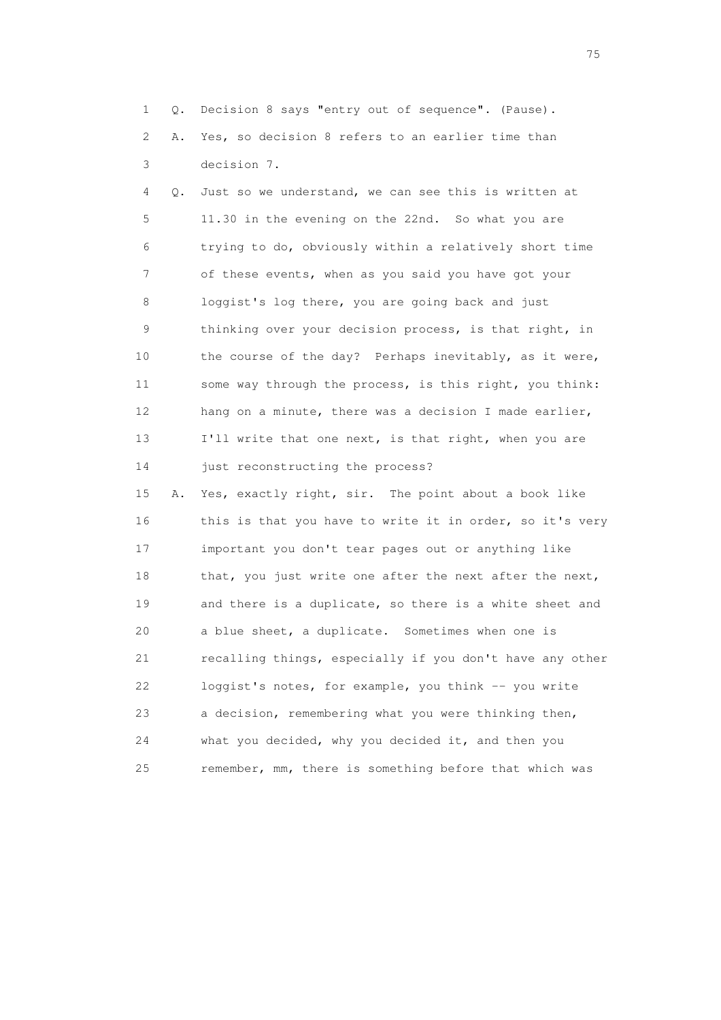1 Q. Decision 8 says "entry out of sequence". (Pause). 2 A. Yes, so decision 8 refers to an earlier time than 3 decision 7.

 4 Q. Just so we understand, we can see this is written at 5 11.30 in the evening on the 22nd. So what you are 6 trying to do, obviously within a relatively short time 7 of these events, when as you said you have got your 8 loggist's log there, you are going back and just 9 thinking over your decision process, is that right, in 10 the course of the day? Perhaps inevitably, as it were, 11 some way through the process, is this right, you think: 12 hang on a minute, there was a decision I made earlier, 13 I'll write that one next, is that right, when you are 14 just reconstructing the process?

 15 A. Yes, exactly right, sir. The point about a book like 16 this is that you have to write it in order, so it's very 17 important you don't tear pages out or anything like 18 that, you just write one after the next after the next, 19 and there is a duplicate, so there is a white sheet and 20 a blue sheet, a duplicate. Sometimes when one is 21 recalling things, especially if you don't have any other 22 loggist's notes, for example, you think -- you write 23 a decision, remembering what you were thinking then, 24 what you decided, why you decided it, and then you 25 remember, mm, there is something before that which was

na matsay na katalog as na kasang na mga 175 may 2008. Ang isang isang nagsang nagsang nagsang nagsang nagsang<br>Tagapang nagsang nagsang nagsang nagsang nagsang nagsang nagsang nagsang nagsang nagsang nagsang nagsang nagsa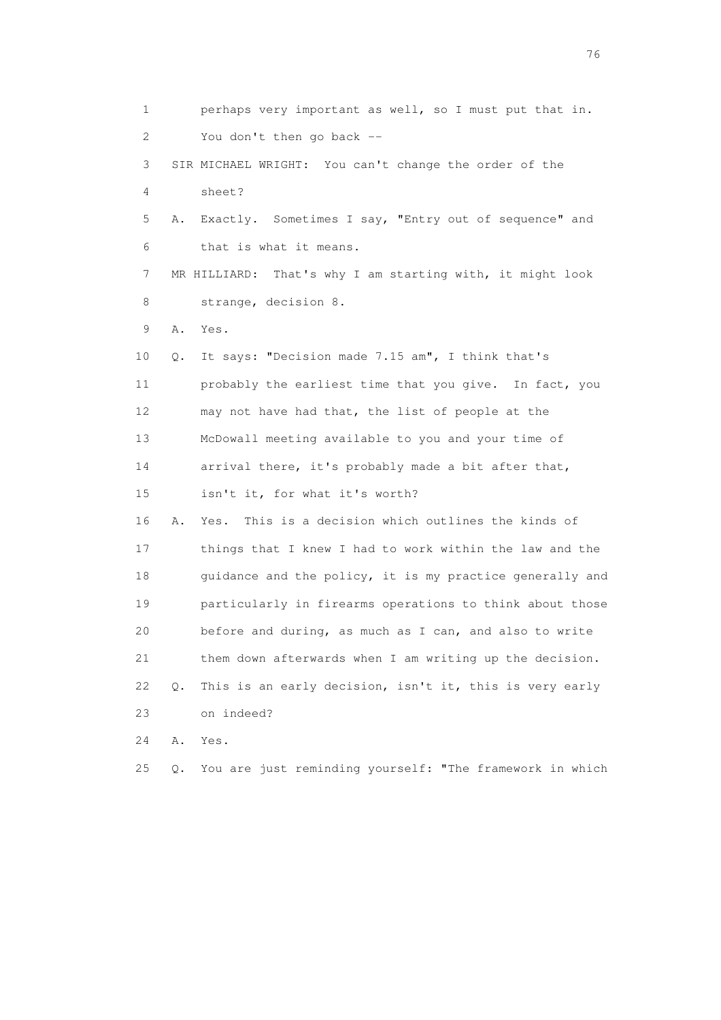| 1  |    | perhaps very important as well, so I must put that in.    |
|----|----|-----------------------------------------------------------|
| 2  |    | You don't then go back --                                 |
| 3  |    | SIR MICHAEL WRIGHT: You can't change the order of the     |
| 4  |    | sheet?                                                    |
| 5  | Α. | Exactly. Sometimes I say, "Entry out of sequence" and     |
| 6  |    | that is what it means.                                    |
| 7  |    | MR HILLIARD: That's why I am starting with, it might look |
| 8  |    | strange, decision 8.                                      |
| 9  | Α. | Yes.                                                      |
| 10 | Q. | It says: "Decision made 7.15 am", I think that's          |
| 11 |    | probably the earliest time that you give. In fact, you    |
| 12 |    | may not have had that, the list of people at the          |
| 13 |    | McDowall meeting available to you and your time of        |
| 14 |    | arrival there, it's probably made a bit after that,       |
| 15 |    | isn't it, for what it's worth?                            |
| 16 | Α. | This is a decision which outlines the kinds of<br>Yes.    |
| 17 |    | things that I knew I had to work within the law and the   |
| 18 |    | guidance and the policy, it is my practice generally and  |
| 19 |    | particularly in firearms operations to think about those  |
| 20 |    | before and during, as much as I can, and also to write    |
| 21 |    | them down afterwards when I am writing up the decision.   |
| 22 | Q. | This is an early decision, isn't it, this is very early   |
| 23 |    | on indeed?                                                |
| 24 | Α. | Yes.                                                      |
| 25 | Q. | You are just reminding yourself: "The framework in which  |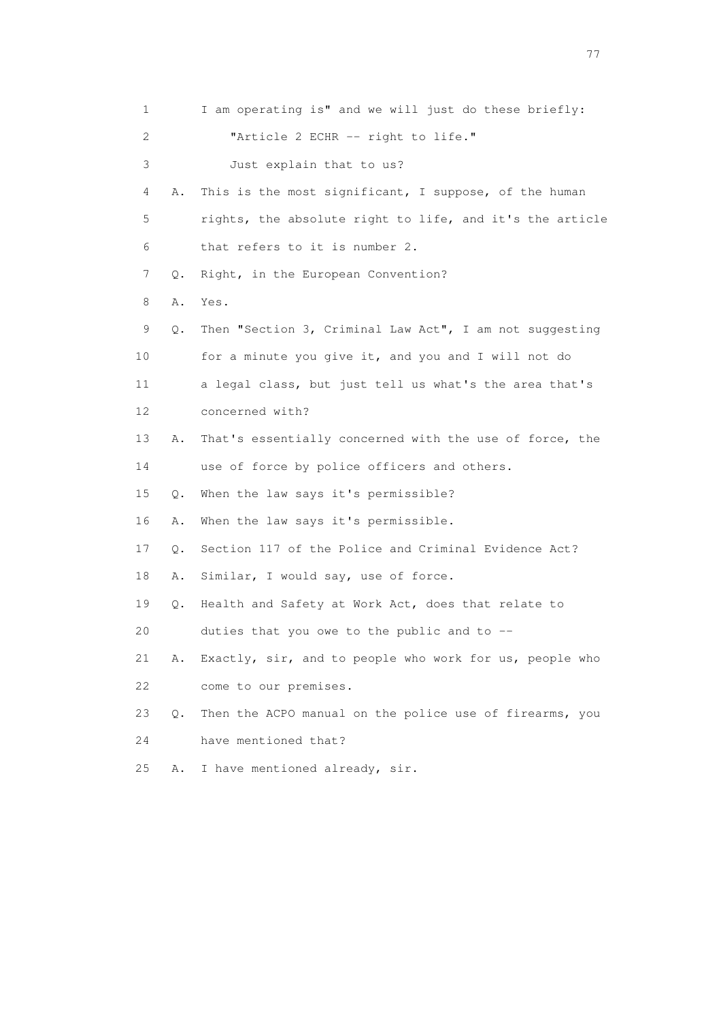1 I am operating is" and we will just do these briefly: 2 "Article 2 ECHR -- right to life." 3 Just explain that to us? 4 A. This is the most significant, I suppose, of the human 5 rights, the absolute right to life, and it's the article 6 that refers to it is number 2. 7 Q. Right, in the European Convention? 8 A. Yes. 9 Q. Then "Section 3, Criminal Law Act", I am not suggesting 10 for a minute you give it, and you and I will not do 11 a legal class, but just tell us what's the area that's 12 concerned with? 13 A. That's essentially concerned with the use of force, the 14 use of force by police officers and others. 15 Q. When the law says it's permissible? 16 A. When the law says it's permissible. 17 Q. Section 117 of the Police and Criminal Evidence Act? 18 A. Similar, I would say, use of force. 19 Q. Health and Safety at Work Act, does that relate to 20 duties that you owe to the public and to -- 21 A. Exactly, sir, and to people who work for us, people who 22 come to our premises. 23 Q. Then the ACPO manual on the police use of firearms, you 24 have mentioned that? 25 A. I have mentioned already, sir.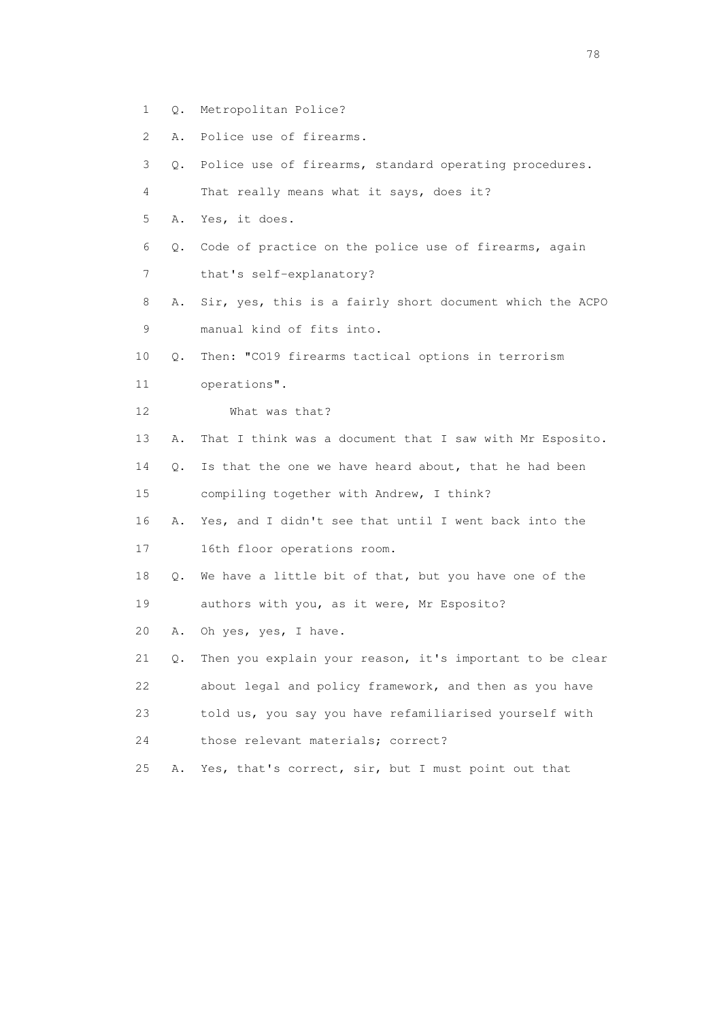- 1 Q. Metropolitan Police?
- 2 A. Police use of firearms.
- 3 Q. Police use of firearms, standard operating procedures.
- 4 That really means what it says, does it?
- 5 A. Yes, it does.
- 6 Q. Code of practice on the police use of firearms, again
- 7 that's self-explanatory?
- 8 A. Sir, yes, this is a fairly short document which the ACPO 9 manual kind of fits into.
- 10 Q. Then: "CO19 firearms tactical options in terrorism
- 11 operations".
- 12 What was that?
- 13 A. That I think was a document that I saw with Mr Esposito.
- 14 Q. Is that the one we have heard about, that he had been
- 15 compiling together with Andrew, I think?
- 16 A. Yes, and I didn't see that until I went back into the
- 17 16th floor operations room.
- 18 Q. We have a little bit of that, but you have one of the 19 authors with you, as it were, Mr Esposito?
- 20 A. Oh yes, yes, I have.
- 21 Q. Then you explain your reason, it's important to be clear 22 about legal and policy framework, and then as you have 23 told us, you say you have refamiliarised yourself with 24 those relevant materials; correct?
- 25 A. Yes, that's correct, sir, but I must point out that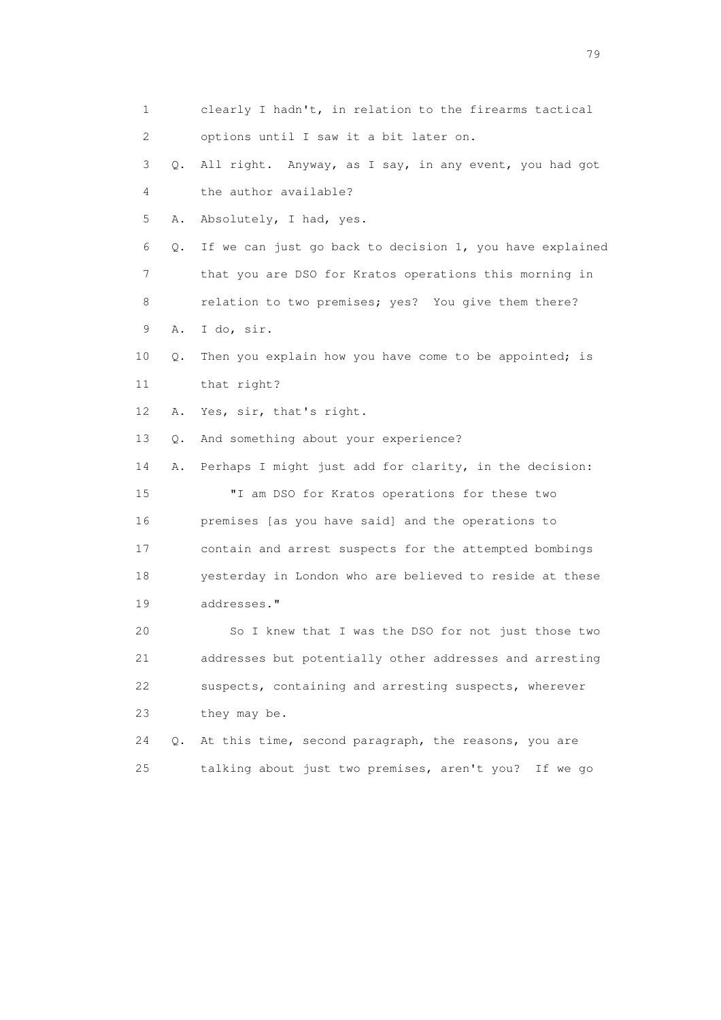1 clearly I hadn't, in relation to the firearms tactical 2 options until I saw it a bit later on. 3 Q. All right. Anyway, as I say, in any event, you had got 4 the author available? 5 A. Absolutely, I had, yes. 6 Q. If we can just go back to decision 1, you have explained 7 that you are DSO for Kratos operations this morning in 8 relation to two premises; yes? You give them there? 9 A. I do, sir. 10 Q. Then you explain how you have come to be appointed; is 11 that right? 12 A. Yes, sir, that's right. 13 Q. And something about your experience? 14 A. Perhaps I might just add for clarity, in the decision: 15 "I am DSO for Kratos operations for these two 16 premises [as you have said] and the operations to 17 contain and arrest suspects for the attempted bombings 18 yesterday in London who are believed to reside at these 19 addresses." 20 So I knew that I was the DSO for not just those two 21 addresses but potentially other addresses and arresting 22 suspects, containing and arresting suspects, wherever 23 they may be. 24 Q. At this time, second paragraph, the reasons, you are 25 talking about just two premises, aren't you? If we go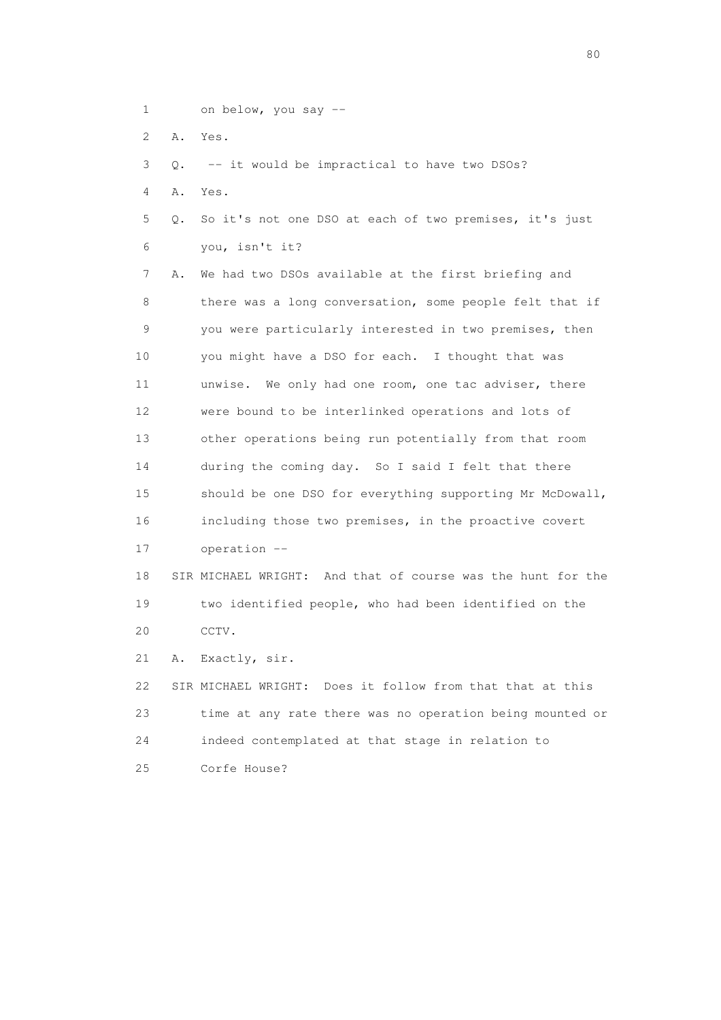- 1 on below, you say --
- 2 A. Yes.

3 Q. -- it would be impractical to have two DSOs?

- 4 A. Yes.
- 5 Q. So it's not one DSO at each of two premises, it's just 6 you, isn't it?

 7 A. We had two DSOs available at the first briefing and 8 there was a long conversation, some people felt that if 9 you were particularly interested in two premises, then 10 you might have a DSO for each. I thought that was 11 unwise. We only had one room, one tac adviser, there 12 were bound to be interlinked operations and lots of 13 other operations being run potentially from that room 14 during the coming day. So I said I felt that there 15 should be one DSO for everything supporting Mr McDowall, 16 including those two premises, in the proactive covert 17 operation --

 18 SIR MICHAEL WRIGHT: And that of course was the hunt for the 19 two identified people, who had been identified on the 20 CCTV.

21 A. Exactly, sir.

 22 SIR MICHAEL WRIGHT: Does it follow from that that at this 23 time at any rate there was no operation being mounted or 24 indeed contemplated at that stage in relation to 25 Corfe House?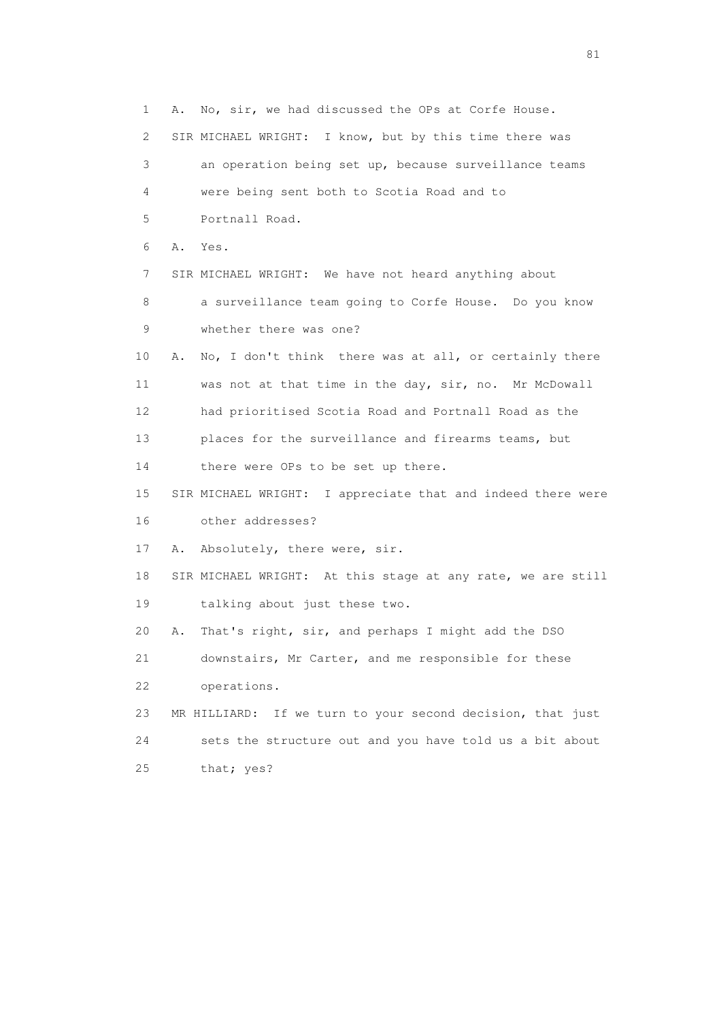1 A. No, sir, we had discussed the OPs at Corfe House. 2 SIR MICHAEL WRIGHT: I know, but by this time there was 3 an operation being set up, because surveillance teams 4 were being sent both to Scotia Road and to 5 Portnall Road. 6 A. Yes. 7 SIR MICHAEL WRIGHT: We have not heard anything about 8 a surveillance team going to Corfe House. Do you know 9 whether there was one? 10 A. No, I don't think there was at all, or certainly there 11 was not at that time in the day, sir, no. Mr McDowall 12 had prioritised Scotia Road and Portnall Road as the 13 places for the surveillance and firearms teams, but 14 there were OPs to be set up there. 15 SIR MICHAEL WRIGHT: I appreciate that and indeed there were 16 other addresses? 17 A. Absolutely, there were, sir. 18 SIR MICHAEL WRIGHT: At this stage at any rate, we are still 19 talking about just these two. 20 A. That's right, sir, and perhaps I might add the DSO 21 downstairs, Mr Carter, and me responsible for these 22 operations. 23 MR HILLIARD: If we turn to your second decision, that just 24 sets the structure out and you have told us a bit about 25 that; yes?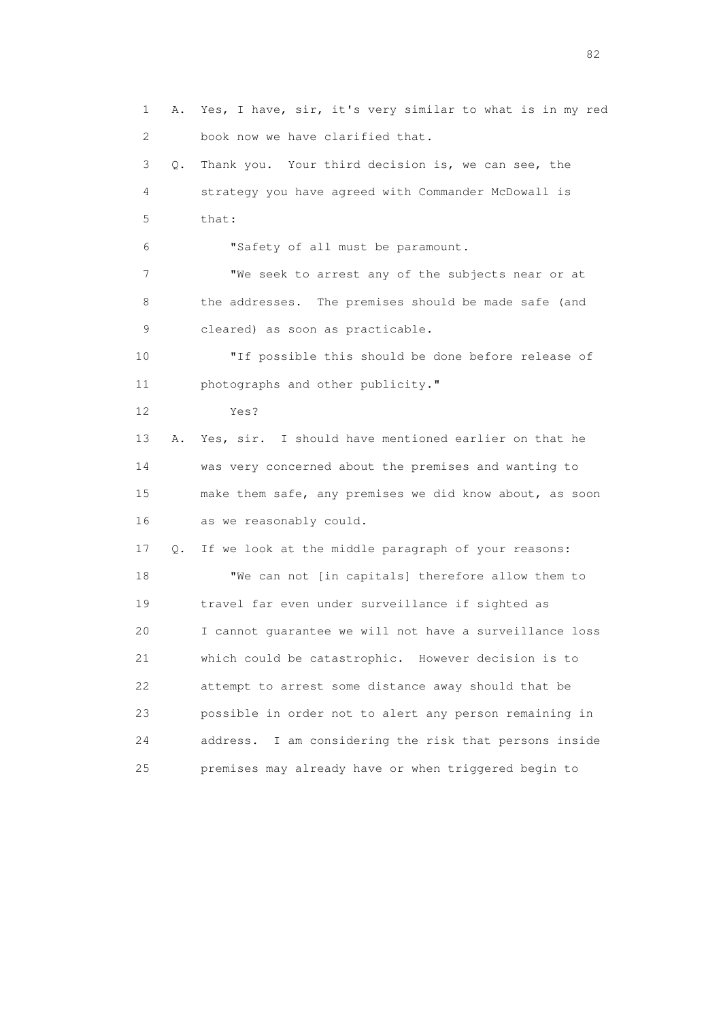1 A. Yes, I have, sir, it's very similar to what is in my red 2 book now we have clarified that. 3 Q. Thank you. Your third decision is, we can see, the 4 strategy you have agreed with Commander McDowall is 5 that: 6 "Safety of all must be paramount. 7 "We seek to arrest any of the subjects near or at 8 the addresses. The premises should be made safe (and 9 cleared) as soon as practicable. 10 "If possible this should be done before release of 11 photographs and other publicity." 12 Yes? 13 A. Yes, sir. I should have mentioned earlier on that he 14 was very concerned about the premises and wanting to 15 make them safe, any premises we did know about, as soon 16 as we reasonably could. 17 Q. If we look at the middle paragraph of your reasons: 18 "We can not [in capitals] therefore allow them to 19 travel far even under surveillance if sighted as 20 I cannot guarantee we will not have a surveillance loss 21 which could be catastrophic. However decision is to 22 attempt to arrest some distance away should that be 23 possible in order not to alert any person remaining in 24 address. I am considering the risk that persons inside 25 premises may already have or when triggered begin to

experience of the state of the state of the state of the state of the state of the state of the state of the s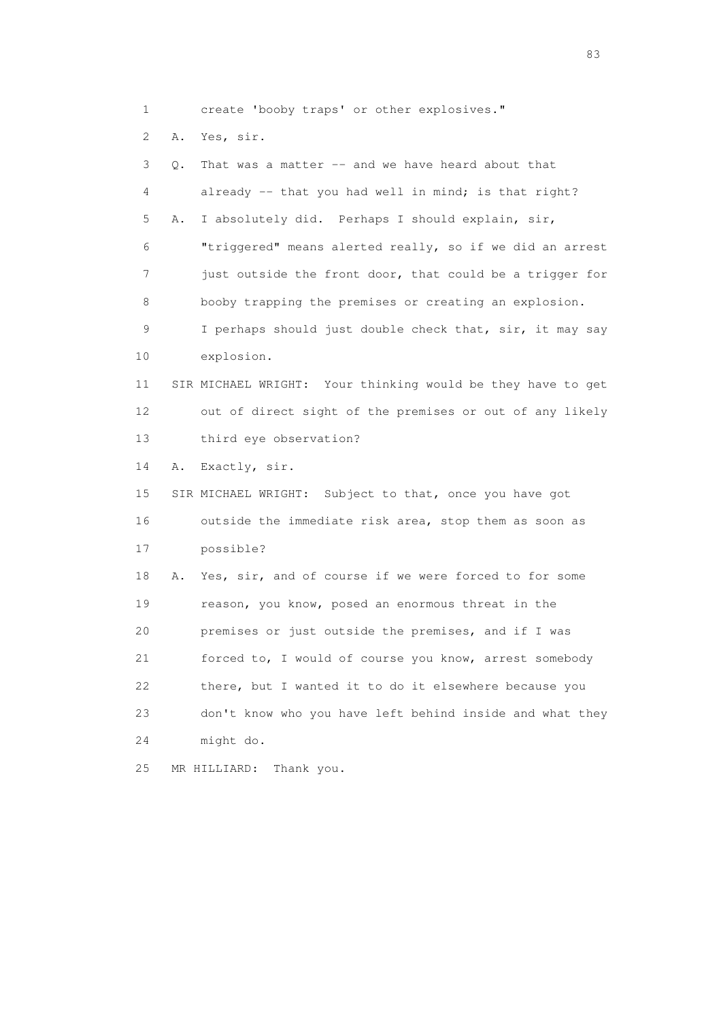1 create 'booby traps' or other explosives."

2 A. Yes, sir.

| 3  | Q. | That was a matter -- and we have heard about that           |
|----|----|-------------------------------------------------------------|
| 4  |    | already -- that you had well in mind; is that right?        |
| 5  | Α. | I absolutely did. Perhaps I should explain, sir,            |
| 6  |    | "triggered" means alerted really, so if we did an arrest    |
| 7  |    | just outside the front door, that could be a trigger for    |
| 8  |    | booby trapping the premises or creating an explosion.       |
| 9  |    | I perhaps should just double check that, sir, it may say    |
| 10 |    | explosion.                                                  |
| 11 |    | SIR MICHAEL WRIGHT: Your thinking would be they have to get |
| 12 |    | out of direct sight of the premises or out of any likely    |
| 13 |    | third eye observation?                                      |
| 14 | Α. | Exactly, sir.                                               |
| 15 |    | SIR MICHAEL WRIGHT: Subject to that, once you have got      |
| 16 |    | outside the immediate risk area, stop them as soon as       |
| 17 |    | possible?                                                   |
| 18 | Α. | Yes, sir, and of course if we were forced to for some       |
| 19 |    | reason, you know, posed an enormous threat in the           |
| 20 |    | premises or just outside the premises, and if I was         |
| 21 |    | forced to, I would of course you know, arrest somebody      |
| 22 |    | there, but I wanted it to do it elsewhere because you       |
| 23 |    | don't know who you have left behind inside and what they    |
| 24 |    | might do.                                                   |
| 25 |    | MR HILLIARD:<br>Thank you.                                  |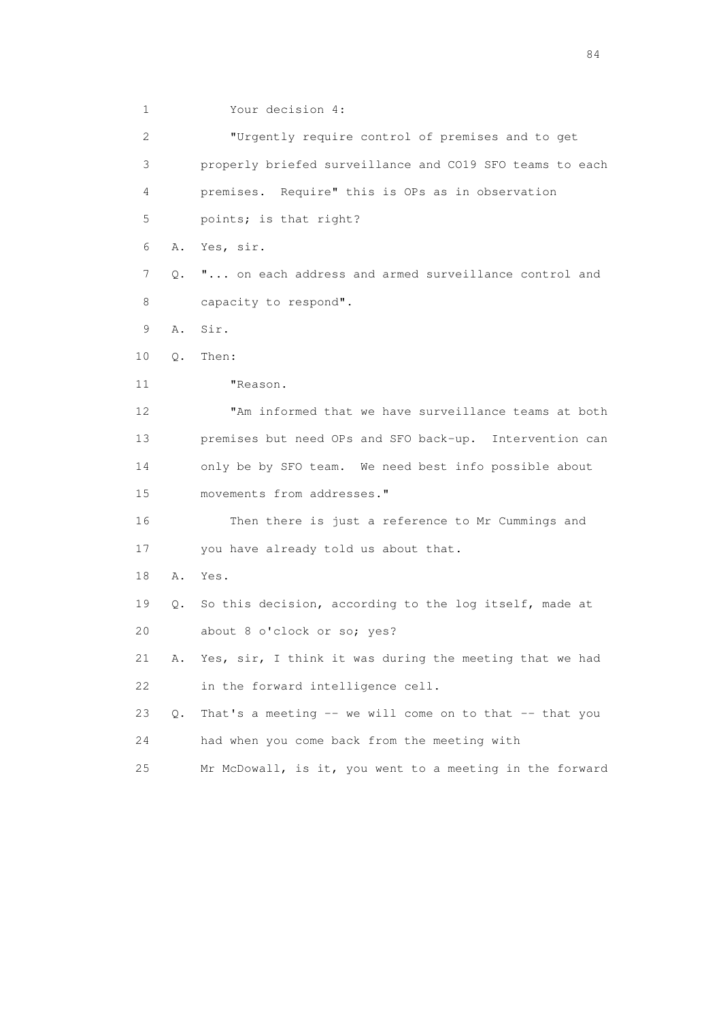1 Your decision 4:

 2 "Urgently require control of premises and to get 3 properly briefed surveillance and CO19 SFO teams to each 4 premises. Require" this is OPs as in observation 5 points; is that right? 6 A. Yes, sir. 7 Q. "... on each address and armed surveillance control and 8 capacity to respond". 9 A. Sir. 10 Q. Then: 11 "Reason. 12 "Am informed that we have surveillance teams at both 13 premises but need OPs and SFO back-up. Intervention can 14 only be by SFO team. We need best info possible about 15 movements from addresses." 16 Then there is just a reference to Mr Cummings and 17 you have already told us about that. 18 A. Yes. 19 Q. So this decision, according to the log itself, made at 20 about 8 o'clock or so; yes? 21 A. Yes, sir, I think it was during the meeting that we had 22 in the forward intelligence cell. 23 Q. That's a meeting -- we will come on to that -- that you 24 had when you come back from the meeting with 25 Mr McDowall, is it, you went to a meeting in the forward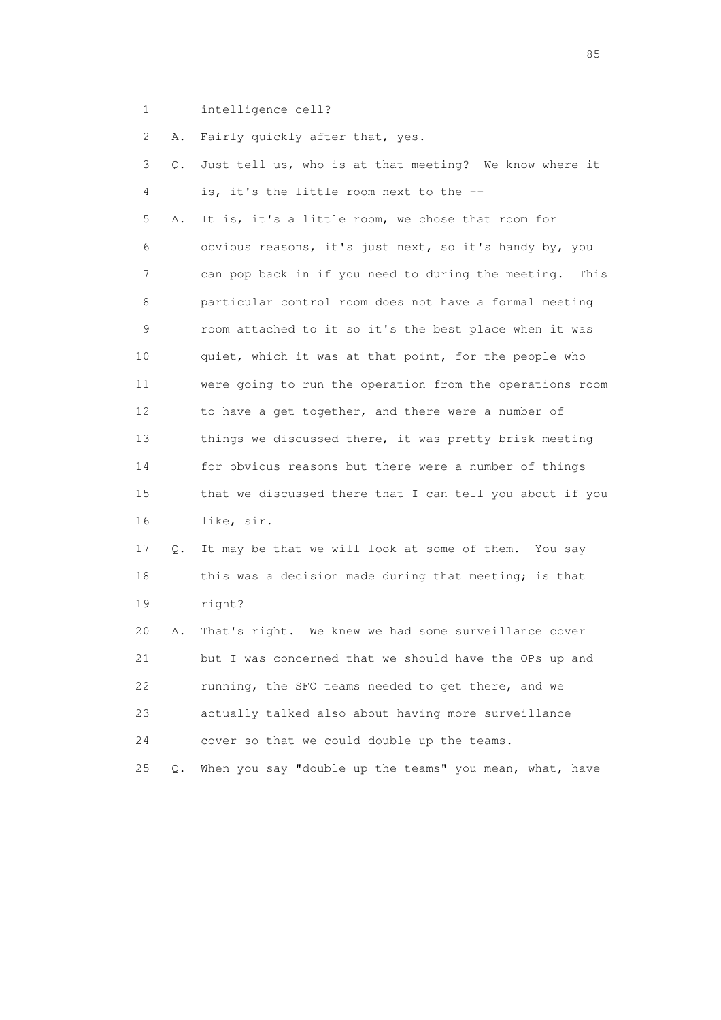1 intelligence cell?

2 A. Fairly quickly after that, yes.

| 3  | Q. | Just tell us, who is at that meeting? We know where it   |
|----|----|----------------------------------------------------------|
| 4  |    | is, it's the little room next to the --                  |
| 5  | Α. | It is, it's a little room, we chose that room for        |
| 6  |    | obvious reasons, it's just next, so it's handy by, you   |
| 7  |    | can pop back in if you need to during the meeting. This  |
| 8  |    | particular control room does not have a formal meeting   |
| 9  |    | room attached to it so it's the best place when it was   |
| 10 |    | quiet, which it was at that point, for the people who    |
| 11 |    | were going to run the operation from the operations room |
| 12 |    | to have a get together, and there were a number of       |
| 13 |    | things we discussed there, it was pretty brisk meeting   |
| 14 |    | for obvious reasons but there were a number of things    |
| 15 |    | that we discussed there that I can tell you about if you |
| 16 |    | like, sir.                                               |
| 17 | Q. | It may be that we will look at some of them. You say     |
| 18 |    | this was a decision made during that meeting; is that    |
| 19 |    | right?                                                   |
| 20 | Α. | That's right. We knew we had some surveillance cover     |
| 21 |    | but I was concerned that we should have the OPs up and   |
| 22 |    | running, the SFO teams needed to get there, and we       |
| 23 |    | actually talked also about having more surveillance      |
| 24 |    | cover so that we could double up the teams.              |
| 25 | Q. | When you say "double up the teams" you mean, what, have  |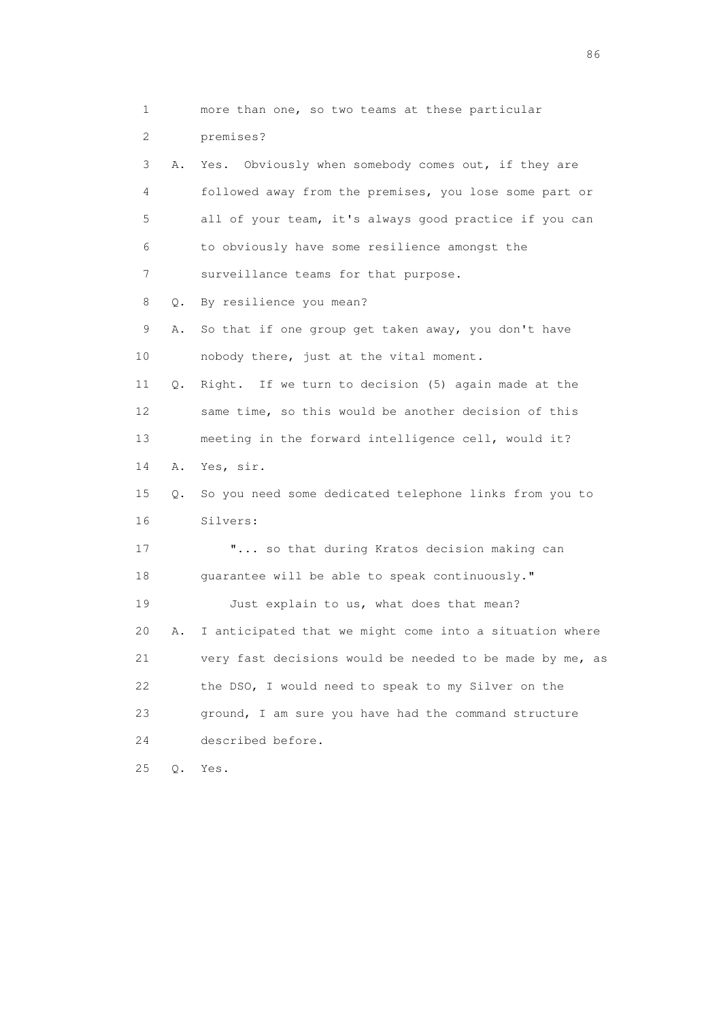1 more than one, so two teams at these particular 2 premises? 3 A. Yes. Obviously when somebody comes out, if they are 4 followed away from the premises, you lose some part or 5 all of your team, it's always good practice if you can 6 to obviously have some resilience amongst the 7 surveillance teams for that purpose. 8 Q. By resilience you mean? 9 A. So that if one group get taken away, you don't have 10 nobody there, just at the vital moment. 11 Q. Right. If we turn to decision (5) again made at the 12 same time, so this would be another decision of this 13 meeting in the forward intelligence cell, would it? 14 A. Yes, sir. 15 Q. So you need some dedicated telephone links from you to 16 Silvers: 17 **"...** so that during Kratos decision making can 18 guarantee will be able to speak continuously." 19 Just explain to us, what does that mean? 20 A. I anticipated that we might come into a situation where 21 very fast decisions would be needed to be made by me, as 22 the DSO, I would need to speak to my Silver on the 23 ground, I am sure you have had the command structure 24 described before. 25 Q. Yes.

entration of the contract of the contract of the contract of the contract of the contract of the contract of the contract of the contract of the contract of the contract of the contract of the contract of the contract of t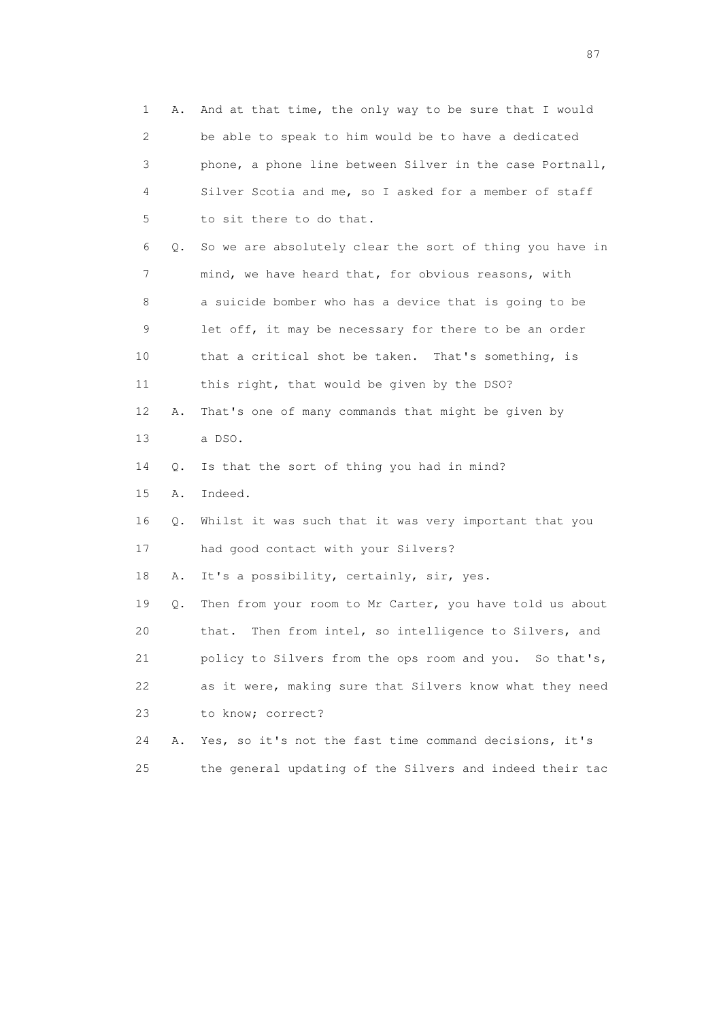| 1                         | Α. | And at that time, the only way to be sure that I would    |
|---------------------------|----|-----------------------------------------------------------|
| $\mathbf{2}^{\mathsf{I}}$ |    | be able to speak to him would be to have a dedicated      |
| 3                         |    | phone, a phone line between Silver in the case Portnall,  |
| 4                         |    | Silver Scotia and me, so I asked for a member of staff    |
| 5                         |    | to sit there to do that.                                  |
| 6                         | Q. | So we are absolutely clear the sort of thing you have in  |
| 7                         |    | mind, we have heard that, for obvious reasons, with       |
| 8                         |    | a suicide bomber who has a device that is going to be     |
| 9                         |    | let off, it may be necessary for there to be an order     |
| 10                        |    | that a critical shot be taken. That's something, is       |
| 11                        |    | this right, that would be given by the DSO?               |
| 12                        | Α. | That's one of many commands that might be given by        |
| 13                        |    | a DSO.                                                    |
| 14                        | Q. | Is that the sort of thing you had in mind?                |
| 15                        | Α. | Indeed.                                                   |
| 16                        | Q. | Whilst it was such that it was very important that you    |
| 17                        |    | had good contact with your Silvers?                       |
| 18                        | Α. | It's a possibility, certainly, sir, yes.                  |
| 19                        | Q. | Then from your room to Mr Carter, you have told us about  |
| 20                        |    | Then from intel, so intelligence to Silvers, and<br>that. |
| 21                        |    | policy to Silvers from the ops room and you. So that's,   |
| 22                        |    | as it were, making sure that Silvers know what they need  |
| 23                        |    | to know; correct?                                         |
| 24                        | Α. | Yes, so it's not the fast time command decisions, it's    |
| 25                        |    | the general updating of the Silvers and indeed their tac  |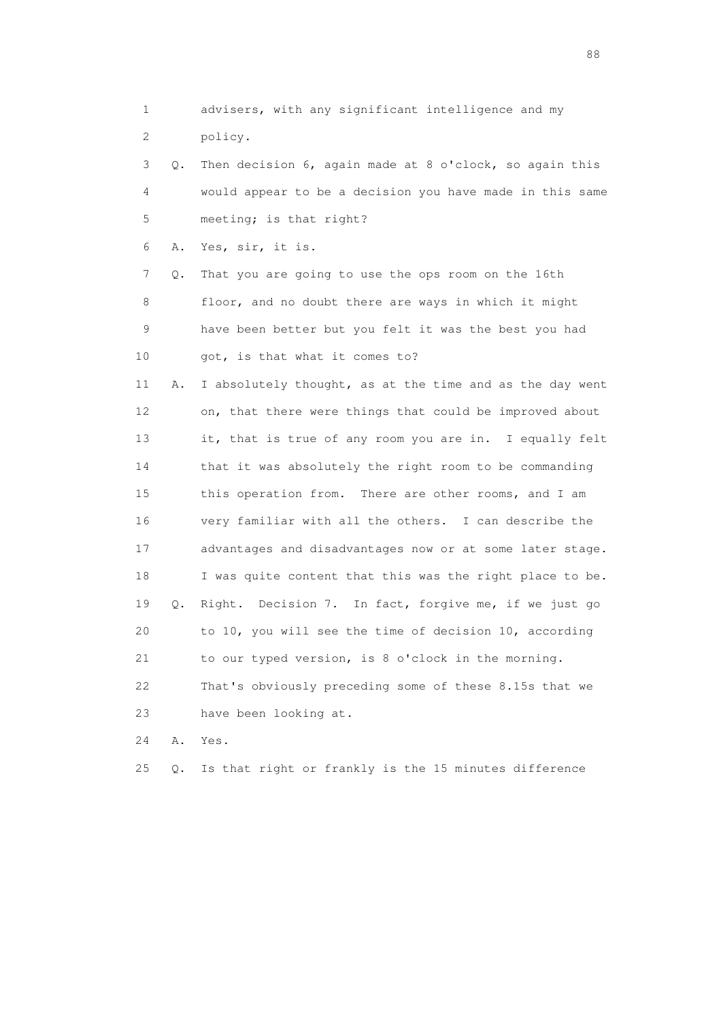1 advisers, with any significant intelligence and my 2 policy. 3 Q. Then decision 6, again made at 8 o'clock, so again this 4 would appear to be a decision you have made in this same 5 meeting; is that right? 6 A. Yes, sir, it is. 7 Q. That you are going to use the ops room on the 16th 8 floor, and no doubt there are ways in which it might 9 have been better but you felt it was the best you had 10 got, is that what it comes to? 11 A. I absolutely thought, as at the time and as the day went 12 on, that there were things that could be improved about 13 it, that is true of any room you are in. I equally felt 14 that it was absolutely the right room to be commanding 15 this operation from. There are other rooms, and I am 16 very familiar with all the others. I can describe the 17 advantages and disadvantages now or at some later stage. 18 I was quite content that this was the right place to be. 19 Q. Right. Decision 7. In fact, forgive me, if we just go 20 to 10, you will see the time of decision 10, according 21 to our typed version, is 8 o'clock in the morning. 22 That's obviously preceding some of these 8.15s that we 23 have been looking at. 24 A. Yes.

25 Q. Is that right or frankly is the 15 minutes difference

en de la construction de la construction de la construction de la construction de la construction de la constr<br>1880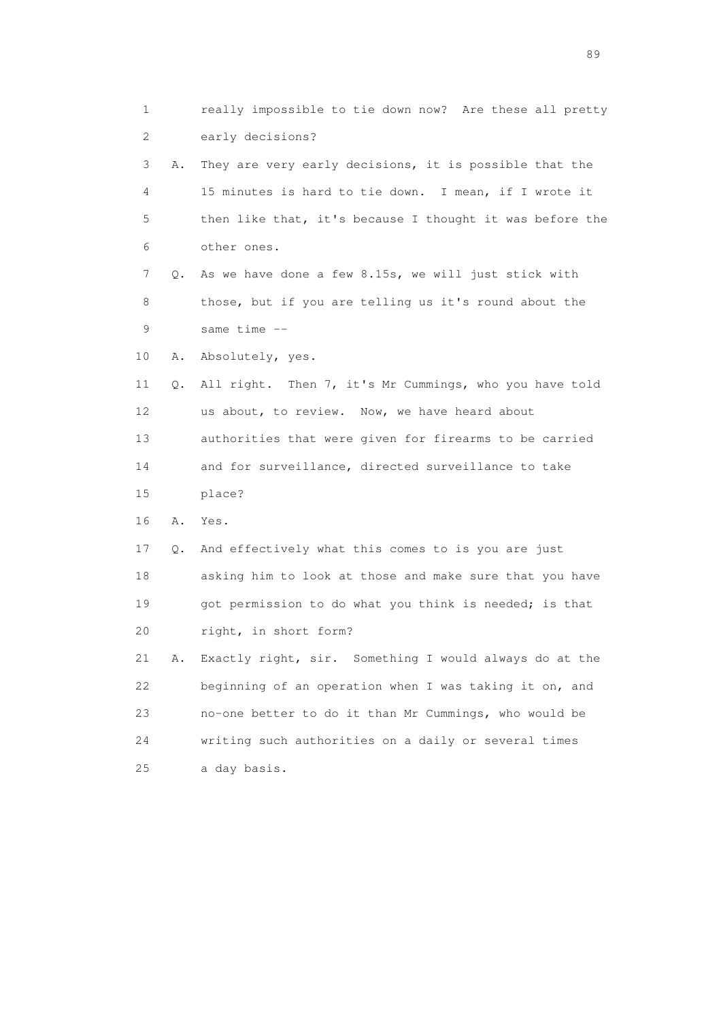1 really impossible to tie down now? Are these all pretty 2 early decisions? 3 A. They are very early decisions, it is possible that the 4 15 minutes is hard to tie down. I mean, if I wrote it 5 then like that, it's because I thought it was before the 6 other ones. 7 Q. As we have done a few 8.15s, we will just stick with 8 those, but if you are telling us it's round about the 9 same time -- 10 A. Absolutely, yes. 11 Q. All right. Then 7, it's Mr Cummings, who you have told 12 us about, to review. Now, we have heard about 13 authorities that were given for firearms to be carried 14 and for surveillance, directed surveillance to take 15 place? 16 A. Yes. 17 Q. And effectively what this comes to is you are just 18 asking him to look at those and make sure that you have 19 got permission to do what you think is needed; is that 20 right, in short form? 21 A. Exactly right, sir. Something I would always do at the 22 beginning of an operation when I was taking it on, and 23 no-one better to do it than Mr Cummings, who would be 24 writing such authorities on a daily or several times 25 a day basis.

en andere en de la seule de la constantin de la constantin de la constantin de la constantin de la constantin<br>189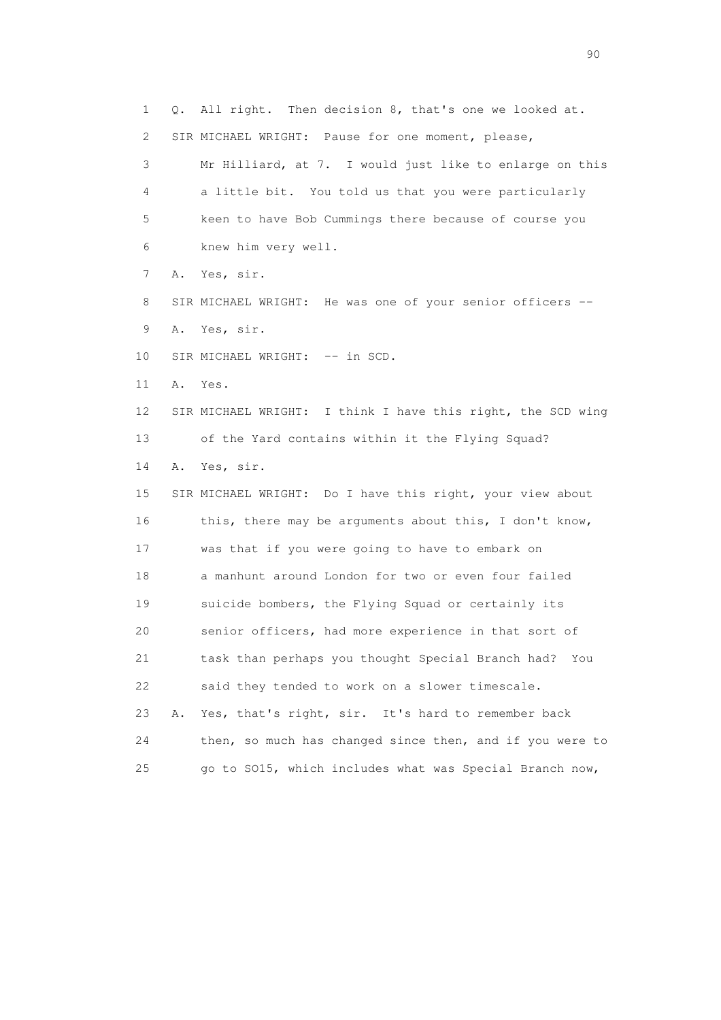1 Q. All right. Then decision 8, that's one we looked at. 2 SIR MICHAEL WRIGHT: Pause for one moment, please, 3 Mr Hilliard, at 7. I would just like to enlarge on this 4 a little bit. You told us that you were particularly 5 keen to have Bob Cummings there because of course you 6 knew him very well. 7 A. Yes, sir. 8 SIR MICHAEL WRIGHT: He was one of your senior officers -- 9 A. Yes, sir. 10 SIR MICHAEL WRIGHT: -- in SCD. 11 A. Yes. 12 SIR MICHAEL WRIGHT: I think I have this right, the SCD wing 13 of the Yard contains within it the Flying Squad? 14 A. Yes, sir. 15 SIR MICHAEL WRIGHT: Do I have this right, your view about 16 this, there may be arguments about this, I don't know, 17 was that if you were going to have to embark on 18 a manhunt around London for two or even four failed 19 suicide bombers, the Flying Squad or certainly its 20 senior officers, had more experience in that sort of 21 task than perhaps you thought Special Branch had? You 22 said they tended to work on a slower timescale. 23 A. Yes, that's right, sir. It's hard to remember back 24 then, so much has changed since then, and if you were to 25 go to SO15, which includes what was Special Branch now,

entration of the contract of the contract of the contract of the contract of the contract of the contract of the contract of the contract of the contract of the contract of the contract of the contract of the contract of t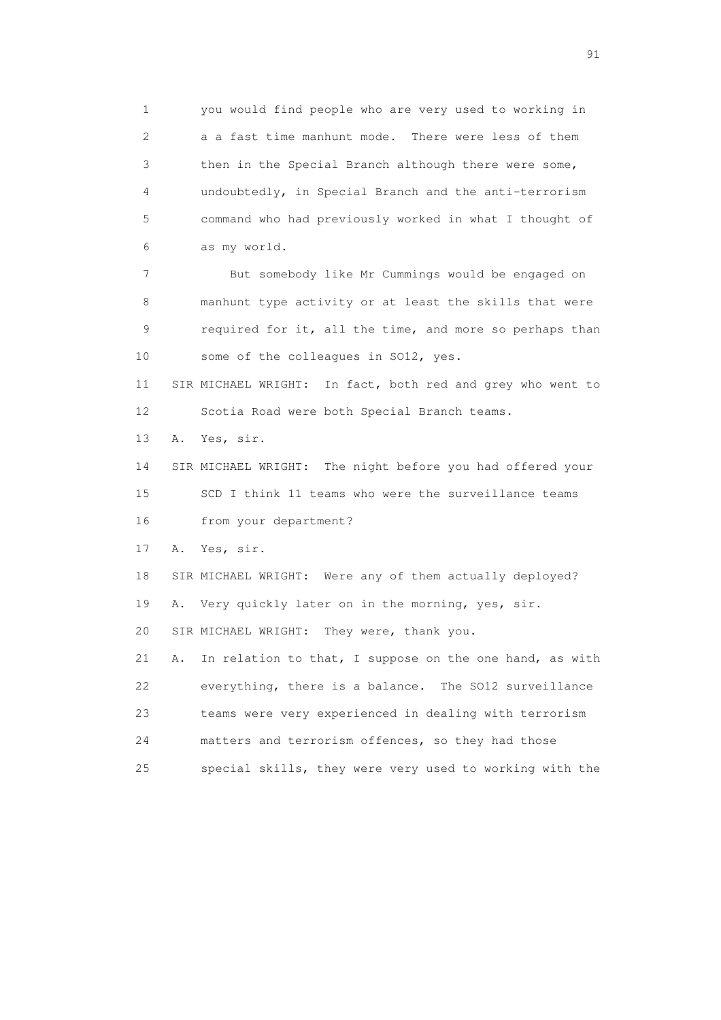1 you would find people who are very used to working in 2 a a fast time manhunt mode. There were less of them 3 then in the Special Branch although there were some, 4 undoubtedly, in Special Branch and the anti-terrorism 5 command who had previously worked in what I thought of 6 as my world. 7 But somebody like Mr Cummings would be engaged on 8 manhunt type activity or at least the skills that were 9 required for it, all the time, and more so perhaps than 10 some of the colleagues in SO12, yes. 11 SIR MICHAEL WRIGHT: In fact, both red and grey who went to 12 Scotia Road were both Special Branch teams. 13 A. Yes, sir. 14 SIR MICHAEL WRIGHT: The night before you had offered your

 15 SCD I think 11 teams who were the surveillance teams 16 from your department?

17 A. Yes, sir.

18 SIR MICHAEL WRIGHT: Were any of them actually deployed?

19 A. Very quickly later on in the morning, yes, sir.

20 SIR MICHAEL WRIGHT: They were, thank you.

 21 A. In relation to that, I suppose on the one hand, as with 22 everything, there is a balance. The SO12 surveillance 23 teams were very experienced in dealing with terrorism 24 matters and terrorism offences, so they had those 25 special skills, they were very used to working with the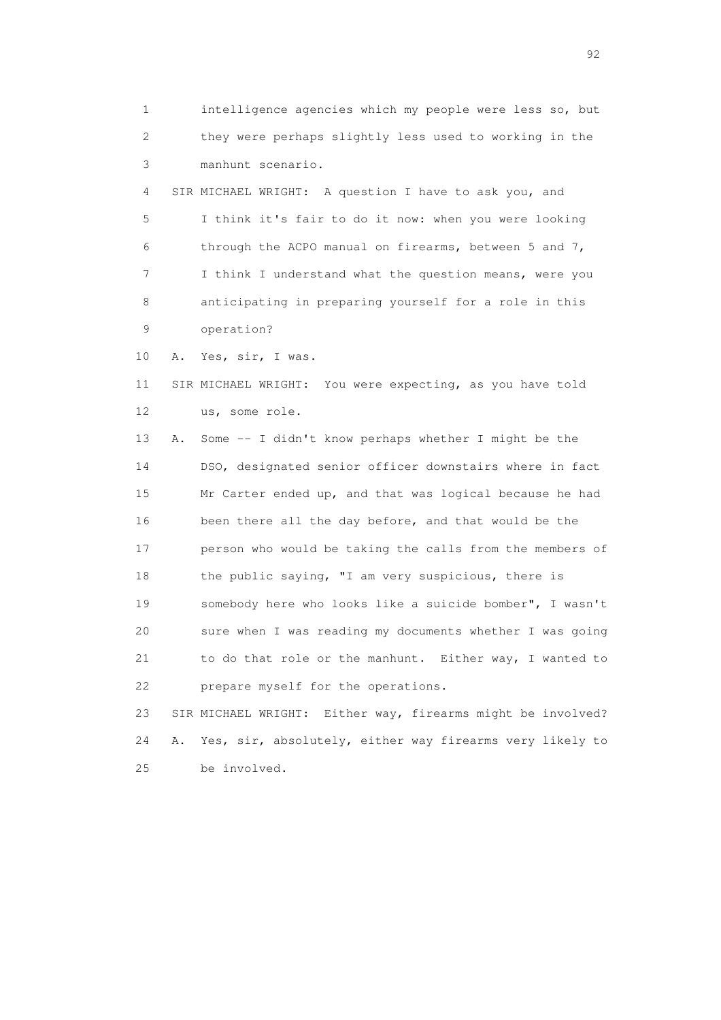1 intelligence agencies which my people were less so, but 2 they were perhaps slightly less used to working in the 3 manhunt scenario.

 4 SIR MICHAEL WRIGHT: A question I have to ask you, and 5 I think it's fair to do it now: when you were looking 6 through the ACPO manual on firearms, between 5 and 7, 7 I think I understand what the question means, were you 8 anticipating in preparing yourself for a role in this 9 operation?

10 A. Yes, sir, I was.

 11 SIR MICHAEL WRIGHT: You were expecting, as you have told 12 us, some role.

 13 A. Some -- I didn't know perhaps whether I might be the 14 DSO, designated senior officer downstairs where in fact 15 Mr Carter ended up, and that was logical because he had 16 been there all the day before, and that would be the 17 person who would be taking the calls from the members of 18 the public saying, "I am very suspicious, there is 19 somebody here who looks like a suicide bomber", I wasn't 20 sure when I was reading my documents whether I was going 21 to do that role or the manhunt. Either way, I wanted to 22 prepare myself for the operations.

 23 SIR MICHAEL WRIGHT: Either way, firearms might be involved? 24 A. Yes, sir, absolutely, either way firearms very likely to 25 be involved.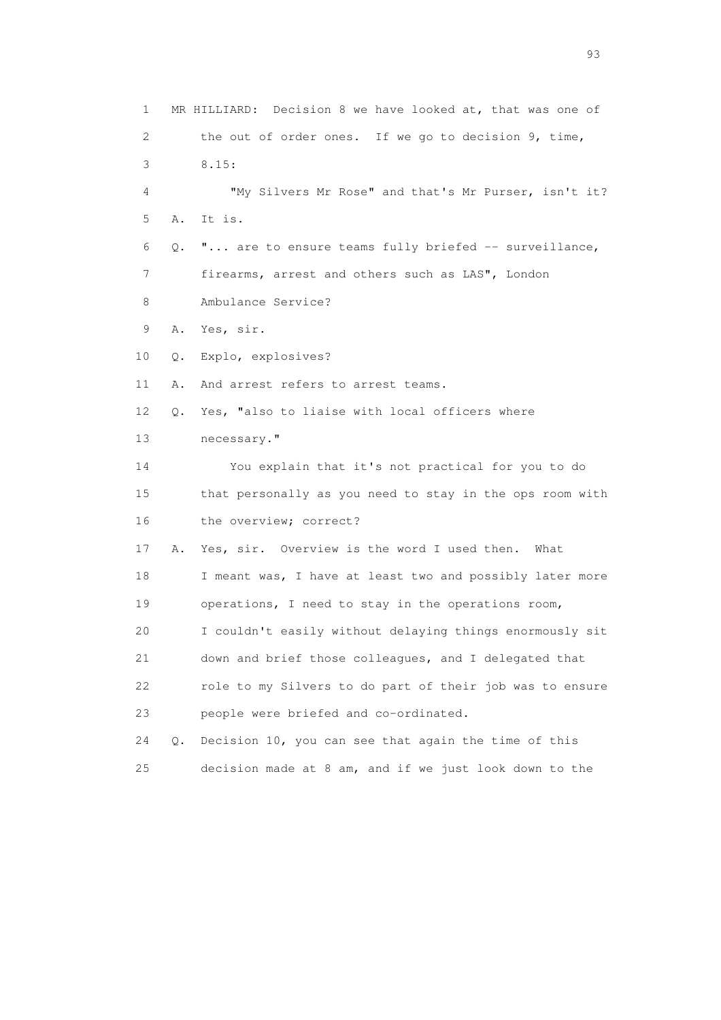1 MR HILLIARD: Decision 8 we have looked at, that was one of 2 the out of order ones. If we go to decision 9, time, 3 8.15: 4 "My Silvers Mr Rose" and that's Mr Purser, isn't it? 5 A. It is. 6 Q. "... are to ensure teams fully briefed -- surveillance, 7 firearms, arrest and others such as LAS", London 8 Ambulance Service? 9 A. Yes, sir. 10 Q. Explo, explosives? 11 A. And arrest refers to arrest teams. 12 Q. Yes, "also to liaise with local officers where 13 necessary." 14 You explain that it's not practical for you to do 15 that personally as you need to stay in the ops room with 16 the overview; correct? 17 A. Yes, sir. Overview is the word I used then. What 18 I meant was, I have at least two and possibly later more 19 operations, I need to stay in the operations room, 20 I couldn't easily without delaying things enormously sit 21 down and brief those colleagues, and I delegated that 22 role to my Silvers to do part of their job was to ensure 23 people were briefed and co-ordinated. 24 Q. Decision 10, you can see that again the time of this 25 decision made at 8 am, and if we just look down to the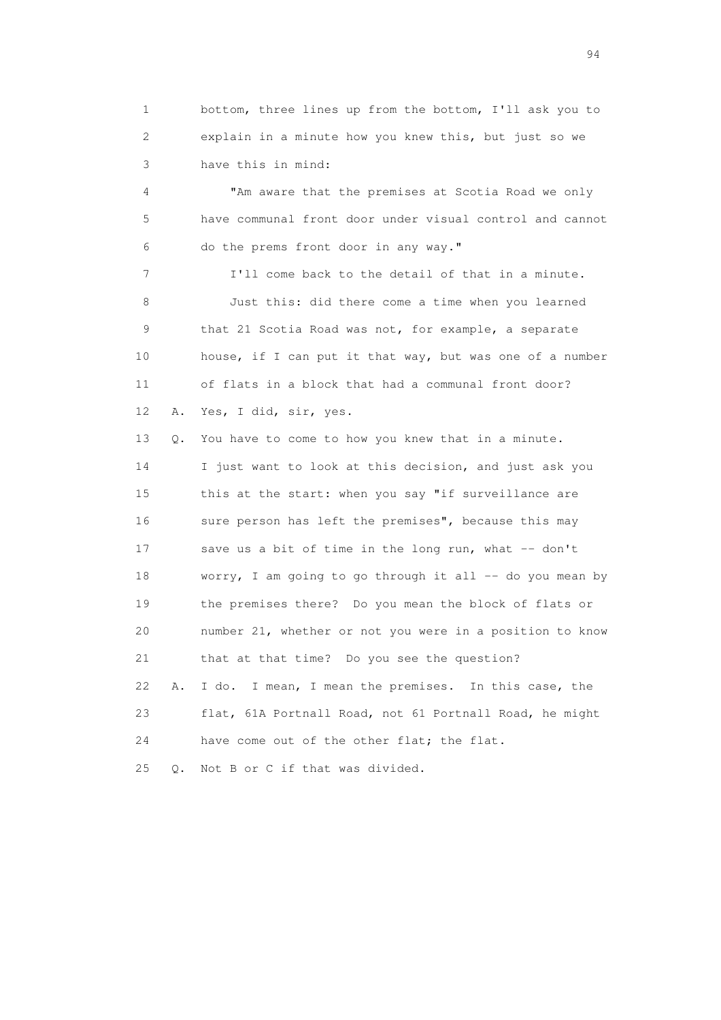1 bottom, three lines up from the bottom, I'll ask you to 2 explain in a minute how you knew this, but just so we 3 have this in mind:

 4 "Am aware that the premises at Scotia Road we only 5 have communal front door under visual control and cannot 6 do the prems front door in any way."

 7 I'll come back to the detail of that in a minute. 8 Just this: did there come a time when you learned 9 that 21 Scotia Road was not, for example, a separate 10 house, if I can put it that way, but was one of a number 11 of flats in a block that had a communal front door? 12 A. Yes, I did, sir, yes.

 13 Q. You have to come to how you knew that in a minute. 14 I just want to look at this decision, and just ask you 15 this at the start: when you say "if surveillance are 16 sure person has left the premises", because this may 17 save us a bit of time in the long run, what -- don't 18 worry, I am going to go through it all -- do you mean by 19 the premises there? Do you mean the block of flats or 20 number 21, whether or not you were in a position to know 21 that at that time? Do you see the question? 22 A. I do. I mean, I mean the premises. In this case, the 23 flat, 61A Portnall Road, not 61 Portnall Road, he might 24 have come out of the other flat; the flat. 25 Q. Not B or C if that was divided.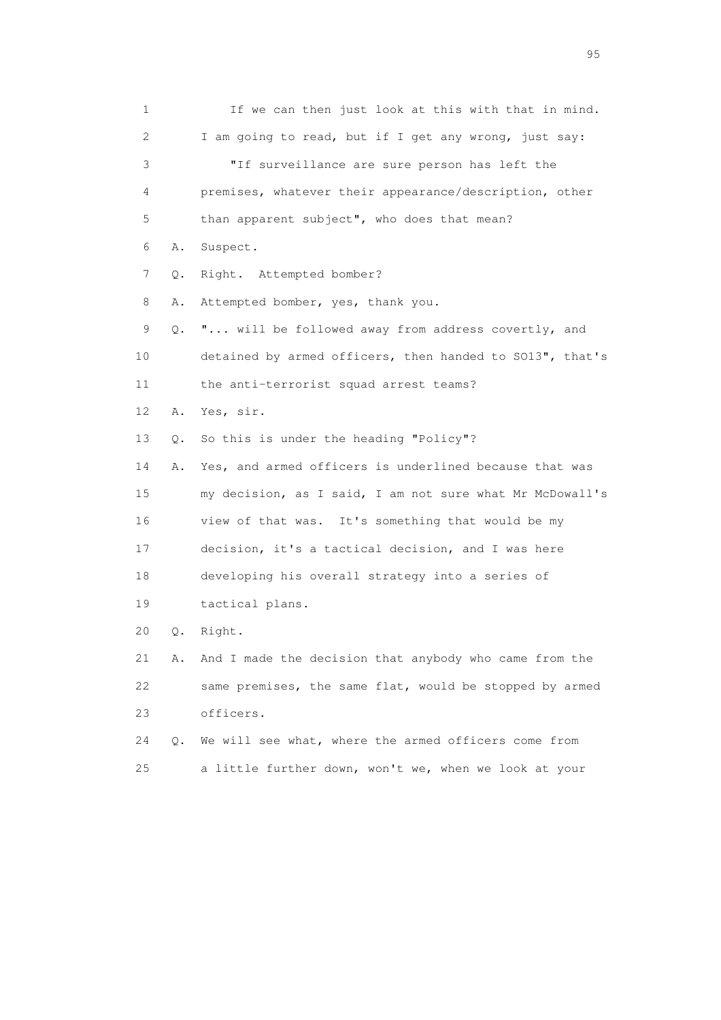1 If we can then just look at this with that in mind. 2 I am going to read, but if I get any wrong, just say: 3 "If surveillance are sure person has left the 4 premises, whatever their appearance/description, other 5 than apparent subject", who does that mean? 6 A. Suspect. 7 Q. Right. Attempted bomber? 8 A. Attempted bomber, yes, thank you. 9 Q. "... will be followed away from address covertly, and 10 detained by armed officers, then handed to SO13", that's 11 the anti-terrorist squad arrest teams? 12 A. Yes, sir. 13 Q. So this is under the heading "Policy"? 14 A. Yes, and armed officers is underlined because that was 15 my decision, as I said, I am not sure what Mr McDowall's 16 view of that was. It's something that would be my 17 decision, it's a tactical decision, and I was here 18 developing his overall strategy into a series of 19 tactical plans. 20 Q. Right. 21 A. And I made the decision that anybody who came from the 22 same premises, the same flat, would be stopped by armed 23 officers. 24 Q. We will see what, where the armed officers come from 25 a little further down, won't we, when we look at your

experience of the contract of the contract of the contract of the contract of the contract of the contract of the contract of the contract of the contract of the contract of the contract of the contract of the contract of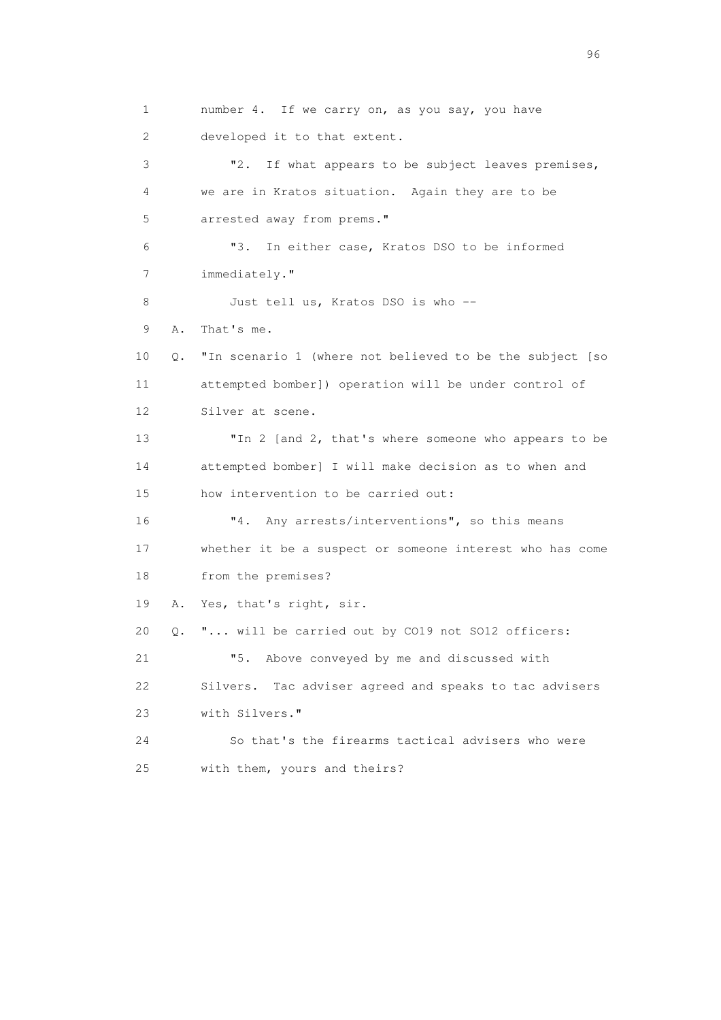1 number 4. If we carry on, as you say, you have 2 developed it to that extent. 3 "2. If what appears to be subject leaves premises, 4 we are in Kratos situation. Again they are to be 5 arrested away from prems." 6 "3. In either case, Kratos DSO to be informed 7 immediately." 8 Just tell us, Kratos DSO is who -- 9 A. That's me. 10 Q. "In scenario 1 (where not believed to be the subject [so 11 attempted bomber]) operation will be under control of 12 Silver at scene. 13 "In 2 [and 2, that's where someone who appears to be 14 attempted bomber] I will make decision as to when and 15 how intervention to be carried out: 16 "4. Any arrests/interventions", so this means 17 whether it be a suspect or someone interest who has come 18 from the premises? 19 A. Yes, that's right, sir. 20 Q. "... will be carried out by CO19 not SO12 officers: 21 "5. Above conveyed by me and discussed with 22 Silvers. Tac adviser agreed and speaks to tac advisers 23 with Silvers." 24 So that's the firearms tactical advisers who were 25 with them, yours and theirs?

<u>96 and the state of the state of the state of the state of the state of the state of the state of the state of the state of the state of the state of the state of the state of the state of the state of the state of the st</u>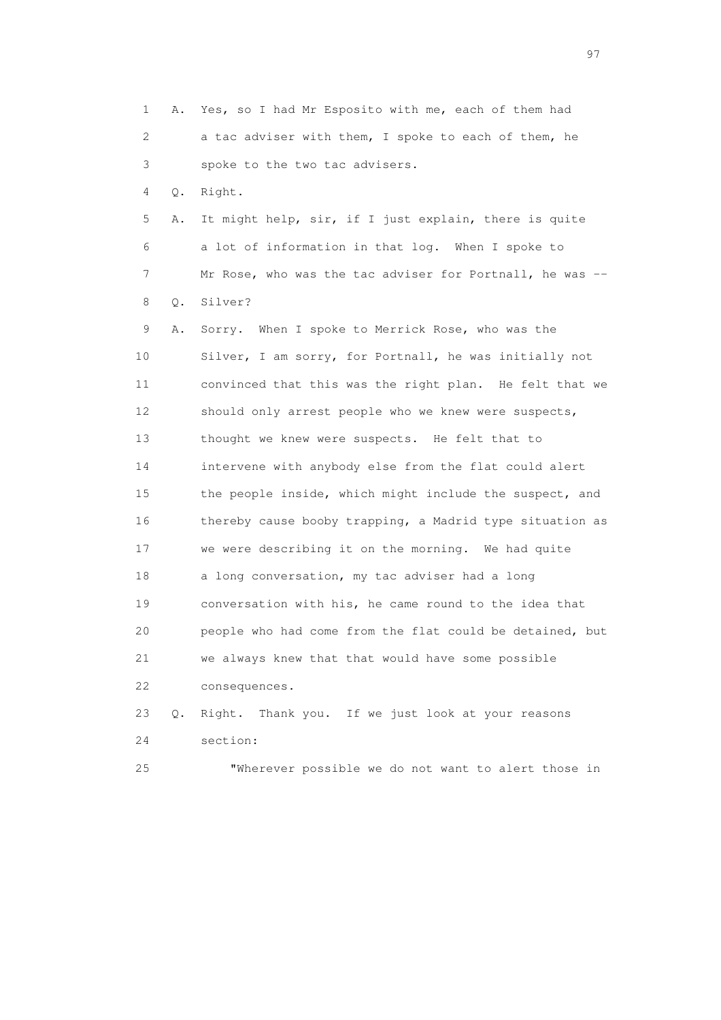1 A. Yes, so I had Mr Esposito with me, each of them had 2 a tac adviser with them, I spoke to each of them, he 3 spoke to the two tac advisers. 4 Q. Right. 5 A. It might help, sir, if I just explain, there is quite 6 a lot of information in that log. When I spoke to 7 Mr Rose, who was the tac adviser for Portnall, he was -- 8 Q. Silver? 9 A. Sorry. When I spoke to Merrick Rose, who was the 10 Silver, I am sorry, for Portnall, he was initially not 11 convinced that this was the right plan. He felt that we 12 should only arrest people who we knew were suspects, 13 thought we knew were suspects. He felt that to 14 intervene with anybody else from the flat could alert 15 the people inside, which might include the suspect, and 16 thereby cause booby trapping, a Madrid type situation as 17 we were describing it on the morning. We had quite 18 a long conversation, my tac adviser had a long 19 conversation with his, he came round to the idea that 20 people who had come from the flat could be detained, but 21 we always knew that that would have some possible 22 consequences. 23 Q. Right. Thank you. If we just look at your reasons 24 section: 25 "Wherever possible we do not want to alert those in

experience of the contract of the contract of the contract of the contract of the contract of the contract of the contract of the contract of the contract of the contract of the contract of the contract of the contract of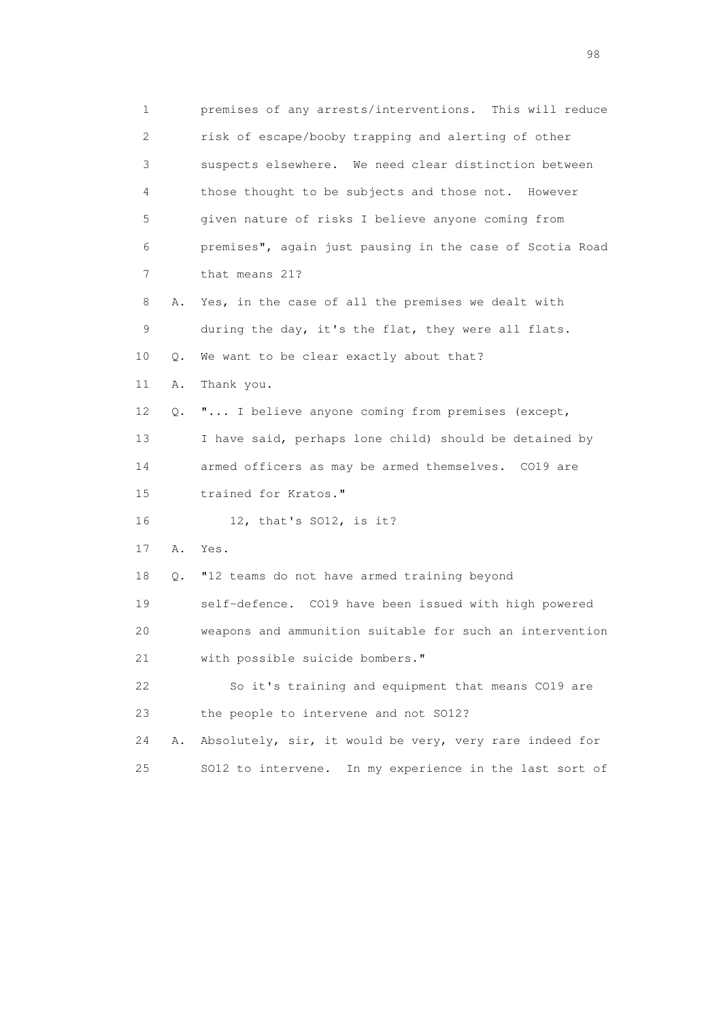1 premises of any arrests/interventions. This will reduce 2 risk of escape/booby trapping and alerting of other 3 suspects elsewhere. We need clear distinction between 4 those thought to be subjects and those not. However 5 given nature of risks I believe anyone coming from 6 premises", again just pausing in the case of Scotia Road 7 that means 21? 8 A. Yes, in the case of all the premises we dealt with 9 during the day, it's the flat, they were all flats. 10 Q. We want to be clear exactly about that? 11 A. Thank you. 12 Q. "... I believe anyone coming from premises (except, 13 I have said, perhaps lone child) should be detained by 14 armed officers as may be armed themselves. CO19 are 15 trained for Kratos." 16 12, that's SO12, is it? 17 A. Yes. 18 Q. "12 teams do not have armed training beyond 19 self-defence. CO19 have been issued with high powered 20 weapons and ammunition suitable for such an intervention 21 with possible suicide bombers." 22 So it's training and equipment that means CO19 are 23 the people to intervene and not SO12? 24 A. Absolutely, sir, it would be very, very rare indeed for 25 SO12 to intervene. In my experience in the last sort of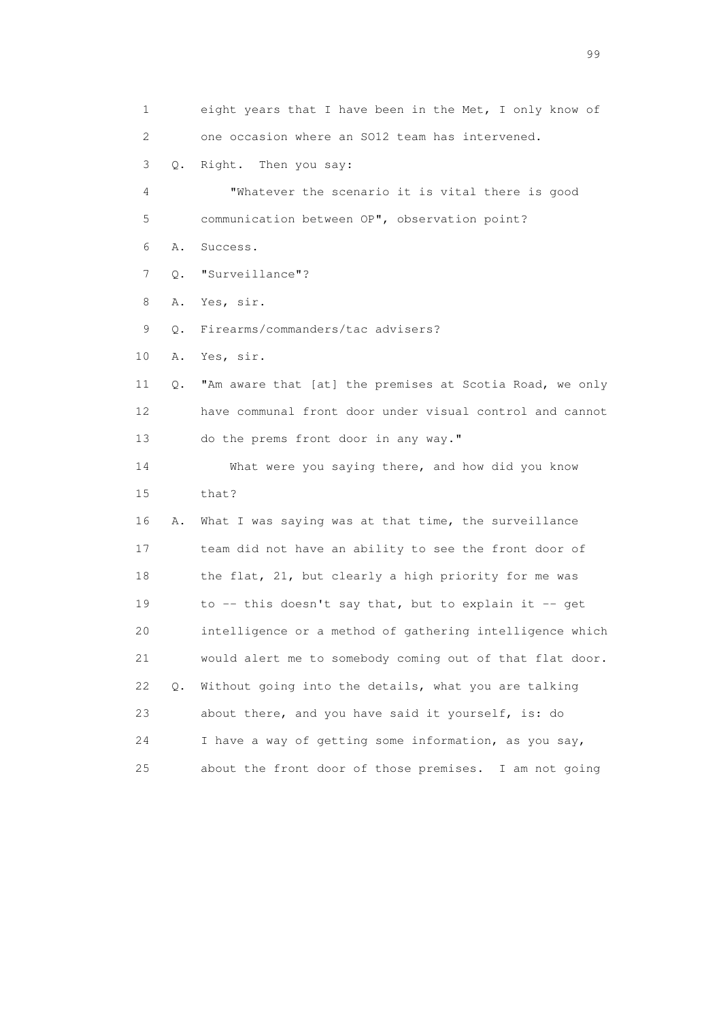1 eight years that I have been in the Met, I only know of 2 one occasion where an SO12 team has intervened. 3 Q. Right. Then you say: 4 "Whatever the scenario it is vital there is good 5 communication between OP", observation point? 6 A. Success. 7 Q. "Surveillance"? 8 A. Yes, sir. 9 Q. Firearms/commanders/tac advisers? 10 A. Yes, sir. 11 Q. "Am aware that [at] the premises at Scotia Road, we only 12 have communal front door under visual control and cannot 13 do the prems front door in any way." 14 What were you saying there, and how did you know 15 that? 16 A. What I was saying was at that time, the surveillance 17 team did not have an ability to see the front door of 18 the flat, 21, but clearly a high priority for me was 19 to -- this doesn't say that, but to explain it -- get 20 intelligence or a method of gathering intelligence which 21 would alert me to somebody coming out of that flat door. 22 Q. Without going into the details, what you are talking 23 about there, and you have said it yourself, is: do 24 I have a way of getting some information, as you say, 25 about the front door of those premises. I am not going

en de la construction de la construction de la construction de la construction de la construction de la constr<br>1990 : le construction de la construction de la construction de la construction de la construction de la const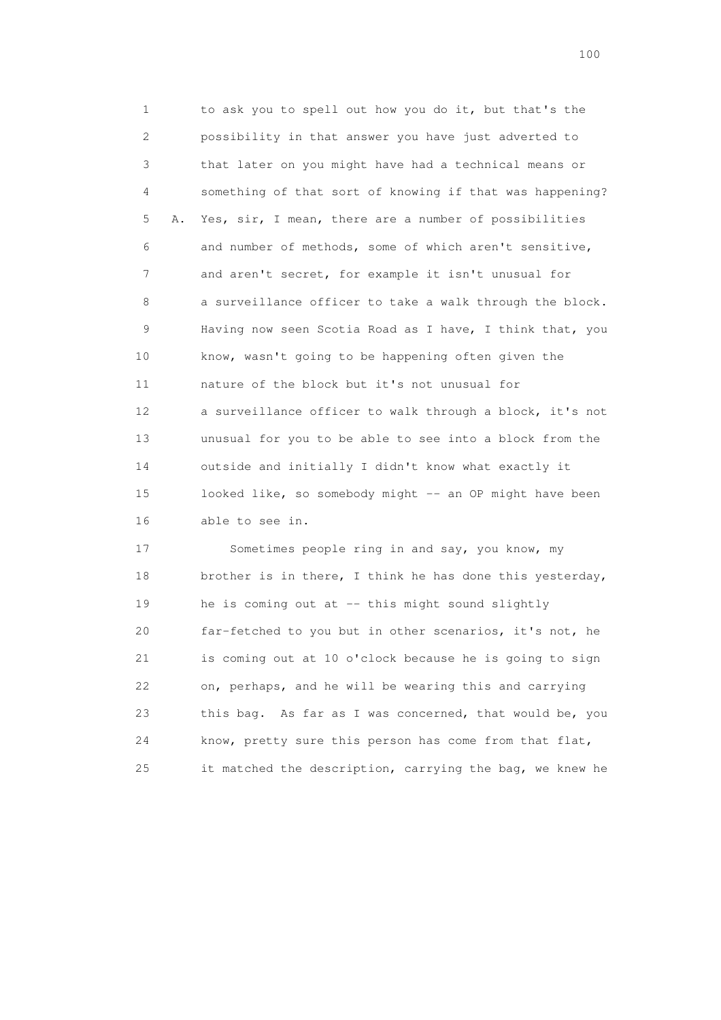1 to ask you to spell out how you do it, but that's the 2 possibility in that answer you have just adverted to 3 that later on you might have had a technical means or 4 something of that sort of knowing if that was happening? 5 A. Yes, sir, I mean, there are a number of possibilities 6 and number of methods, some of which aren't sensitive, 7 and aren't secret, for example it isn't unusual for 8 a surveillance officer to take a walk through the block. 9 Having now seen Scotia Road as I have, I think that, you 10 know, wasn't going to be happening often given the 11 nature of the block but it's not unusual for 12 a surveillance officer to walk through a block, it's not 13 unusual for you to be able to see into a block from the 14 outside and initially I didn't know what exactly it 15 looked like, so somebody might -- an OP might have been 16 able to see in.

 17 Sometimes people ring in and say, you know, my 18 brother is in there, I think he has done this yesterday, 19 he is coming out at -- this might sound slightly 20 far-fetched to you but in other scenarios, it's not, he 21 is coming out at 10 o'clock because he is going to sign 22 on, perhaps, and he will be wearing this and carrying 23 this bag. As far as I was concerned, that would be, you 24 know, pretty sure this person has come from that flat, 25 it matched the description, carrying the bag, we knew he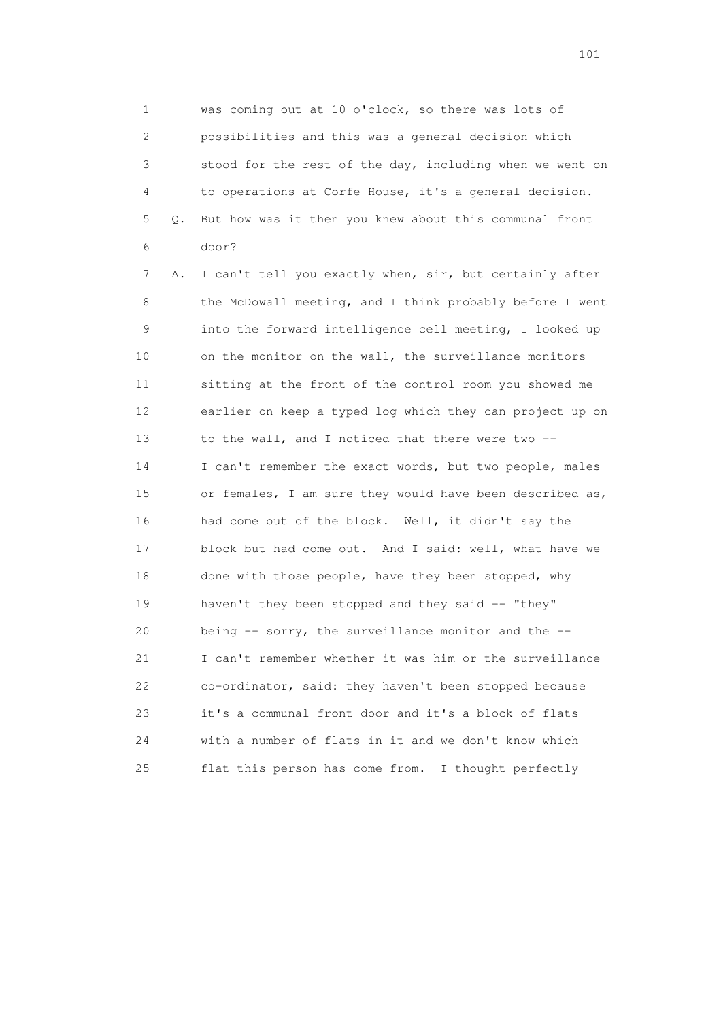1 was coming out at 10 o'clock, so there was lots of 2 possibilities and this was a general decision which 3 stood for the rest of the day, including when we went on 4 to operations at Corfe House, it's a general decision. 5 Q. But how was it then you knew about this communal front 6 door?

 7 A. I can't tell you exactly when, sir, but certainly after 8 the McDowall meeting, and I think probably before I went 9 into the forward intelligence cell meeting, I looked up 10 on the monitor on the wall, the surveillance monitors 11 sitting at the front of the control room you showed me 12 earlier on keep a typed log which they can project up on 13 to the wall, and I noticed that there were two -- 14 I can't remember the exact words, but two people, males 15 or females, I am sure they would have been described as, 16 had come out of the block. Well, it didn't say the 17 block but had come out. And I said: well, what have we 18 done with those people, have they been stopped, why 19 haven't they been stopped and they said -- "they" 20 being -- sorry, the surveillance monitor and the -- 21 I can't remember whether it was him or the surveillance 22 co-ordinator, said: they haven't been stopped because 23 it's a communal front door and it's a block of flats 24 with a number of flats in it and we don't know which 25 flat this person has come from. I thought perfectly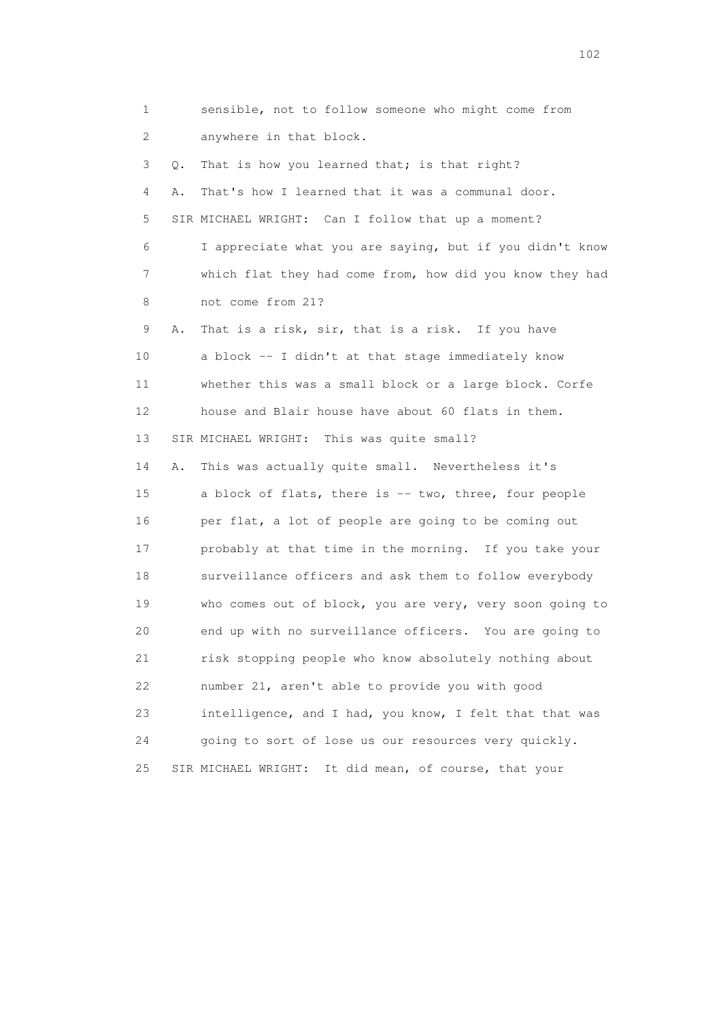1 sensible, not to follow someone who might come from 2 anywhere in that block. 3 Q. That is how you learned that; is that right? 4 A. That's how I learned that it was a communal door. 5 SIR MICHAEL WRIGHT: Can I follow that up a moment? 6 I appreciate what you are saying, but if you didn't know 7 which flat they had come from, how did you know they had 8 not come from 21? 9 A. That is a risk, sir, that is a risk. If you have 10 a block -- I didn't at that stage immediately know 11 whether this was a small block or a large block. Corfe 12 house and Blair house have about 60 flats in them. 13 SIR MICHAEL WRIGHT: This was quite small? 14 A. This was actually quite small. Nevertheless it's 15 a block of flats, there is -- two, three, four people 16 per flat, a lot of people are going to be coming out 17 probably at that time in the morning. If you take your 18 surveillance officers and ask them to follow everybody 19 who comes out of block, you are very, very soon going to 20 end up with no surveillance officers. You are going to 21 risk stopping people who know absolutely nothing about 22 number 21, aren't able to provide you with good 23 intelligence, and I had, you know, I felt that that was 24 going to sort of lose us our resources very quickly. 25 SIR MICHAEL WRIGHT: It did mean, of course, that your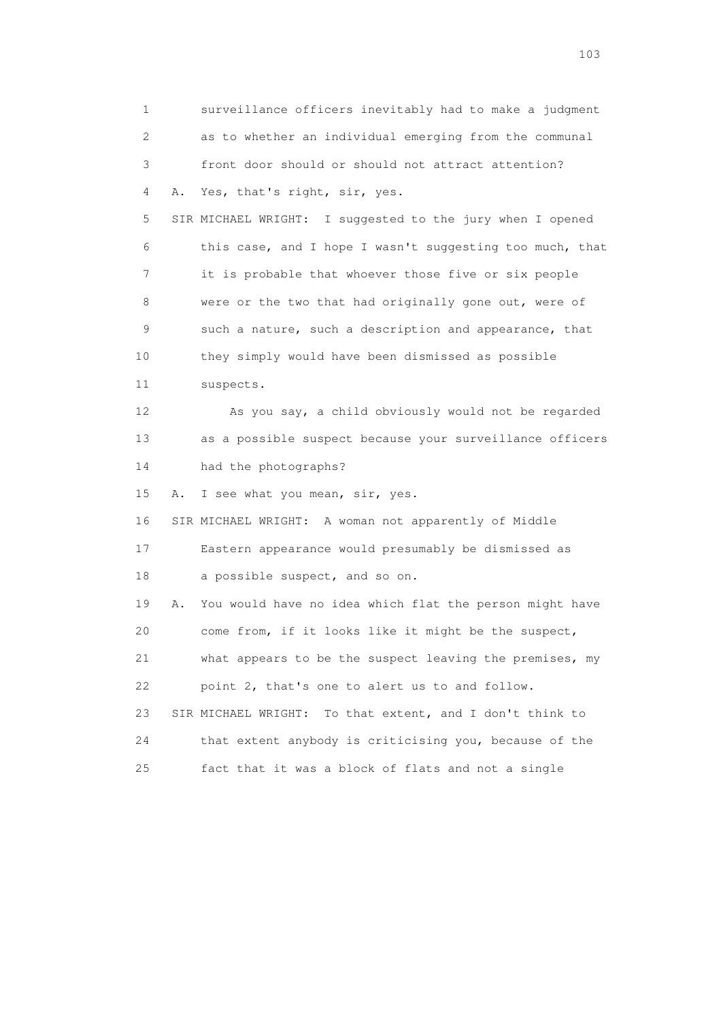1 surveillance officers inevitably had to make a judgment 2 as to whether an individual emerging from the communal 3 front door should or should not attract attention? 4 A. Yes, that's right, sir, yes. 5 SIR MICHAEL WRIGHT: I suggested to the jury when I opened 6 this case, and I hope I wasn't suggesting too much, that 7 it is probable that whoever those five or six people 8 were or the two that had originally gone out, were of 9 such a nature, such a description and appearance, that 10 they simply would have been dismissed as possible 11 suspects. 12 As you say, a child obviously would not be regarded 13 as a possible suspect because your surveillance officers 14 had the photographs? 15 A. I see what you mean, sir, yes. 16 SIR MICHAEL WRIGHT: A woman not apparently of Middle 17 Eastern appearance would presumably be dismissed as 18 a possible suspect, and so on. 19 A. You would have no idea which flat the person might have 20 come from, if it looks like it might be the suspect, 21 what appears to be the suspect leaving the premises, my 22 point 2, that's one to alert us to and follow. 23 SIR MICHAEL WRIGHT: To that extent, and I don't think to 24 that extent anybody is criticising you, because of the 25 fact that it was a block of flats and not a single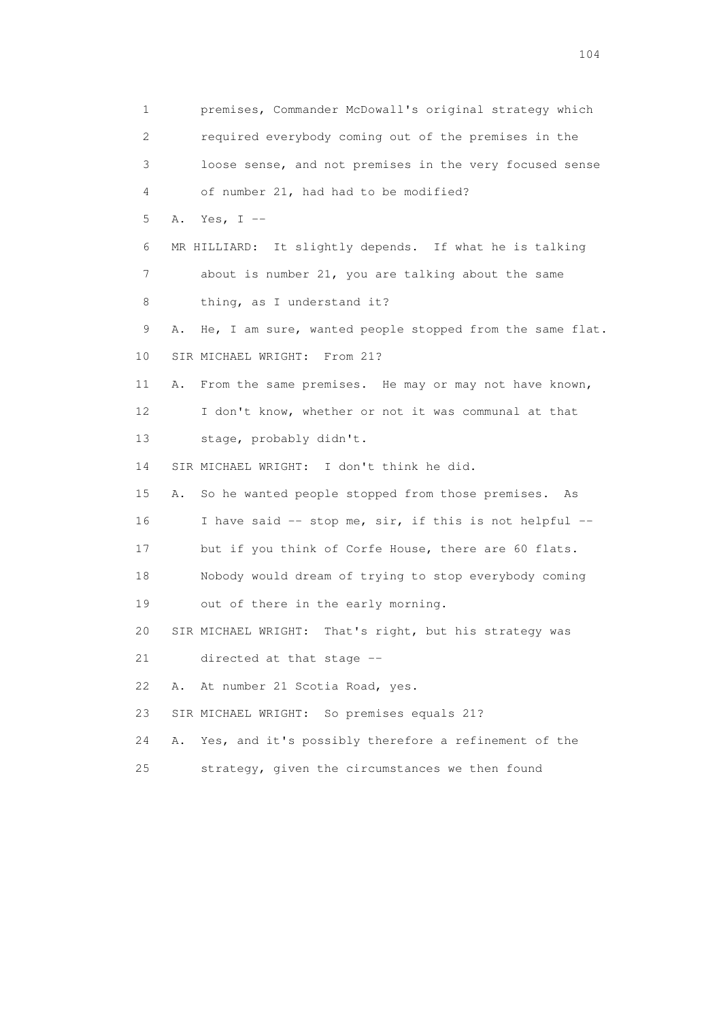1 premises, Commander McDowall's original strategy which 2 required everybody coming out of the premises in the 3 loose sense, and not premises in the very focused sense 4 of number 21, had had to be modified? 5 A. Yes, I -- 6 MR HILLIARD: It slightly depends. If what he is talking 7 about is number 21, you are talking about the same 8 thing, as I understand it? 9 A. He, I am sure, wanted people stopped from the same flat. 10 SIR MICHAEL WRIGHT: From 21? 11 A. From the same premises. He may or may not have known, 12 I don't know, whether or not it was communal at that 13 stage, probably didn't. 14 SIR MICHAEL WRIGHT: I don't think he did. 15 A. So he wanted people stopped from those premises. As 16 I have said -- stop me, sir, if this is not helpful -- 17 but if you think of Corfe House, there are 60 flats. 18 Nobody would dream of trying to stop everybody coming 19 out of there in the early morning. 20 SIR MICHAEL WRIGHT: That's right, but his strategy was 21 directed at that stage -- 22 A. At number 21 Scotia Road, yes. 23 SIR MICHAEL WRIGHT: So premises equals 21? 24 A. Yes, and it's possibly therefore a refinement of the 25 strategy, given the circumstances we then found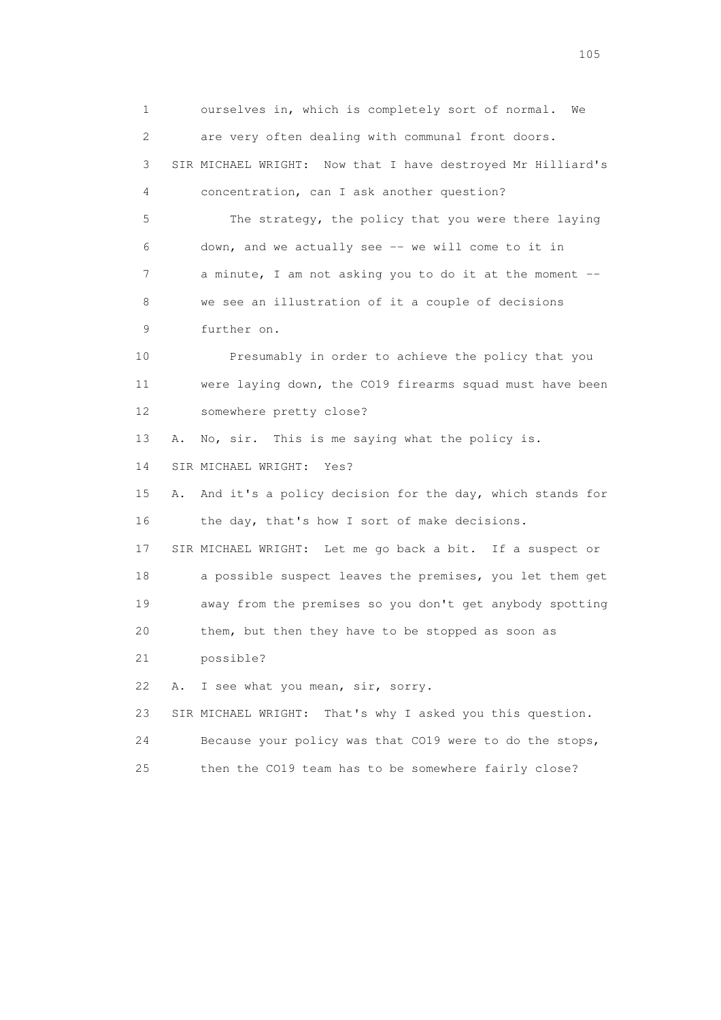1 ourselves in, which is completely sort of normal. We 2 are very often dealing with communal front doors. 3 SIR MICHAEL WRIGHT: Now that I have destroyed Mr Hilliard's 4 concentration, can I ask another question? 5 The strategy, the policy that you were there laying 6 down, and we actually see -- we will come to it in 7 a minute, I am not asking you to do it at the moment -- 8 we see an illustration of it a couple of decisions 9 further on. 10 Presumably in order to achieve the policy that you 11 were laying down, the CO19 firearms squad must have been 12 somewhere pretty close? 13 A. No, sir. This is me saying what the policy is. 14 SIR MICHAEL WRIGHT: Yes? 15 A. And it's a policy decision for the day, which stands for 16 the day, that's how I sort of make decisions. 17 SIR MICHAEL WRIGHT: Let me go back a bit. If a suspect or 18 a possible suspect leaves the premises, you let them get 19 away from the premises so you don't get anybody spotting 20 them, but then they have to be stopped as soon as 21 possible? 22 A. I see what you mean, sir, sorry. 23 SIR MICHAEL WRIGHT: That's why I asked you this question. 24 Because your policy was that CO19 were to do the stops, 25 then the CO19 team has to be somewhere fairly close?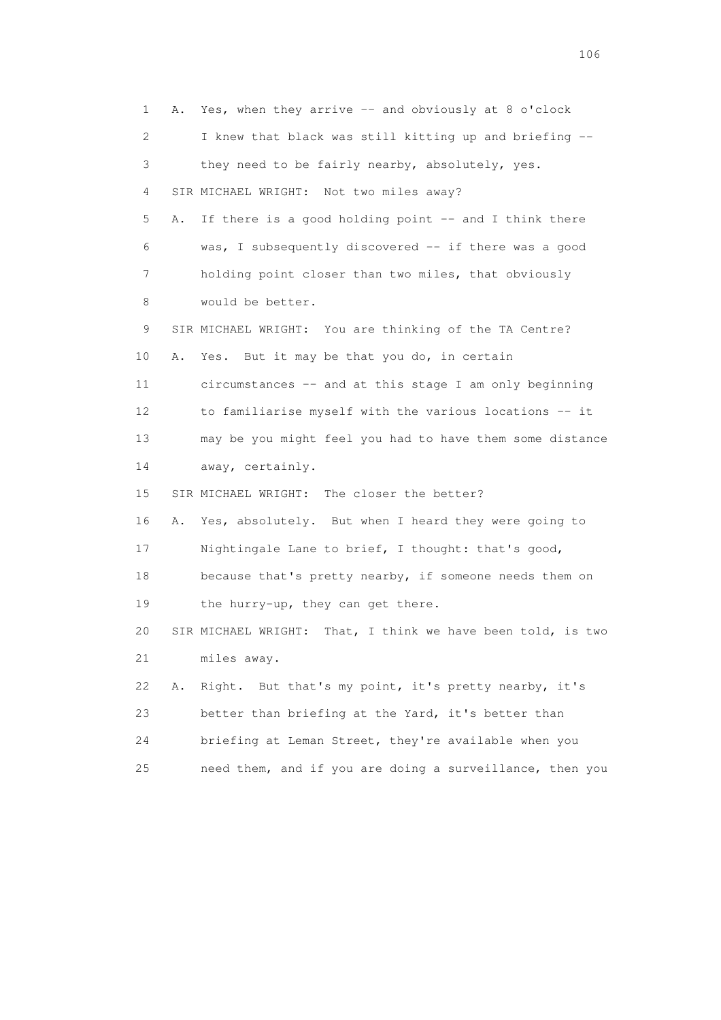1 A. Yes, when they arrive -- and obviously at 8 o'clock 2 I knew that black was still kitting up and briefing -- 3 they need to be fairly nearby, absolutely, yes. 4 SIR MICHAEL WRIGHT: Not two miles away? 5 A. If there is a good holding point -- and I think there 6 was, I subsequently discovered -- if there was a good 7 holding point closer than two miles, that obviously 8 would be better. 9 SIR MICHAEL WRIGHT: You are thinking of the TA Centre? 10 A. Yes. But it may be that you do, in certain 11 circumstances -- and at this stage I am only beginning 12 to familiarise myself with the various locations -- it 13 may be you might feel you had to have them some distance 14 away, certainly. 15 SIR MICHAEL WRIGHT: The closer the better? 16 A. Yes, absolutely. But when I heard they were going to 17 Nightingale Lane to brief, I thought: that's good, 18 because that's pretty nearby, if someone needs them on 19 the hurry-up, they can get there. 20 SIR MICHAEL WRIGHT: That, I think we have been told, is two 21 miles away. 22 A. Right. But that's my point, it's pretty nearby, it's 23 better than briefing at the Yard, it's better than 24 briefing at Leman Street, they're available when you 25 need them, and if you are doing a surveillance, then you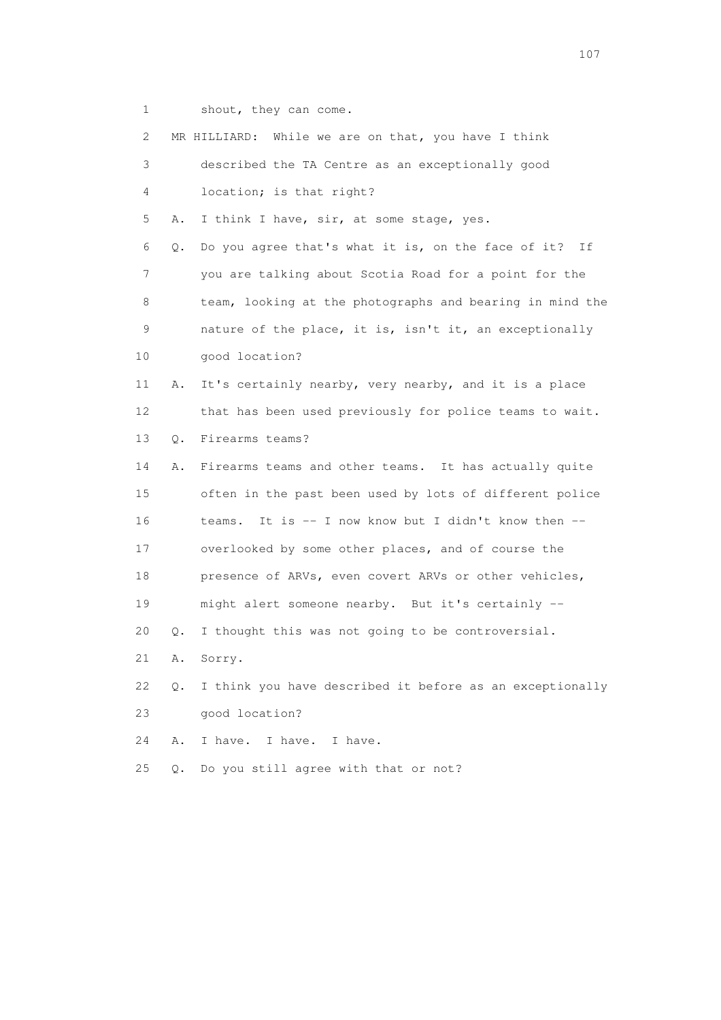1 shout, they can come.

| 2               |               | MR HILLIARD: While we are on that, you have I think      |
|-----------------|---------------|----------------------------------------------------------|
| 3               |               | described the TA Centre as an exceptionally good         |
| 4               |               | location; is that right?                                 |
| 5               | Α.            | I think I have, sir, at some stage, yes.                 |
| 6               | Q.            | Do you agree that's what it is, on the face of it? If    |
| 7               |               | you are talking about Scotia Road for a point for the    |
| 8               |               | team, looking at the photographs and bearing in mind the |
| 9               |               | nature of the place, it is, isn't it, an exceptionally   |
| 10 <sub>1</sub> |               | good location?                                           |
| 11              | Α.            | It's certainly nearby, very nearby, and it is a place    |
| 12 <sup>°</sup> |               | that has been used previously for police teams to wait.  |
| 13              | $Q$ .         | Firearms teams?                                          |
| 14              | Α.            | Firearms teams and other teams. It has actually quite    |
| 15              |               | often in the past been used by lots of different police  |
| 16              |               | It is -- I now know but I didn't know then --<br>teams.  |
| 17              |               | overlooked by some other places, and of course the       |
| 18              |               | presence of ARVs, even covert ARVs or other vehicles,    |
| 19              |               | might alert someone nearby. But it's certainly --        |
| 20              | Q.            | I thought this was not going to be controversial.        |
| 21              | Α.            | Sorry.                                                   |
| 22              | $Q_{\bullet}$ | I think you have described it before as an exceptionally |
| 23              |               | good location?                                           |
| 24              | Α.            | I have. I have. I have.                                  |
| 25              | $Q$ .         | Do you still agree with that or not?                     |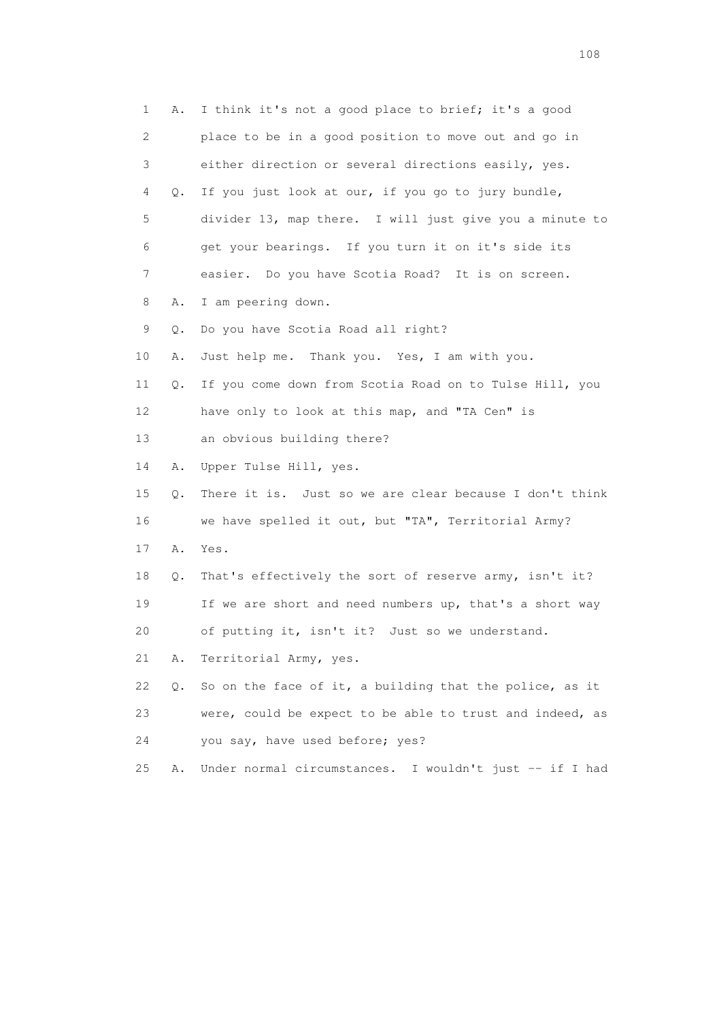1 A. I think it's not a good place to brief; it's a good 2 place to be in a good position to move out and go in 3 either direction or several directions easily, yes. 4 Q. If you just look at our, if you go to jury bundle, 5 divider 13, map there. I will just give you a minute to 6 get your bearings. If you turn it on it's side its 7 easier. Do you have Scotia Road? It is on screen. 8 A. I am peering down. 9 Q. Do you have Scotia Road all right? 10 A. Just help me. Thank you. Yes, I am with you. 11 Q. If you come down from Scotia Road on to Tulse Hill, you 12 have only to look at this map, and "TA Cen" is 13 an obvious building there? 14 A. Upper Tulse Hill, yes. 15 Q. There it is. Just so we are clear because I don't think 16 we have spelled it out, but "TA", Territorial Army? 17 A. Yes. 18 Q. That's effectively the sort of reserve army, isn't it? 19 If we are short and need numbers up, that's a short way 20 of putting it, isn't it? Just so we understand. 21 A. Territorial Army, yes. 22 Q. So on the face of it, a building that the police, as it 23 were, could be expect to be able to trust and indeed, as 24 you say, have used before; yes? 25 A. Under normal circumstances. I wouldn't just -- if I had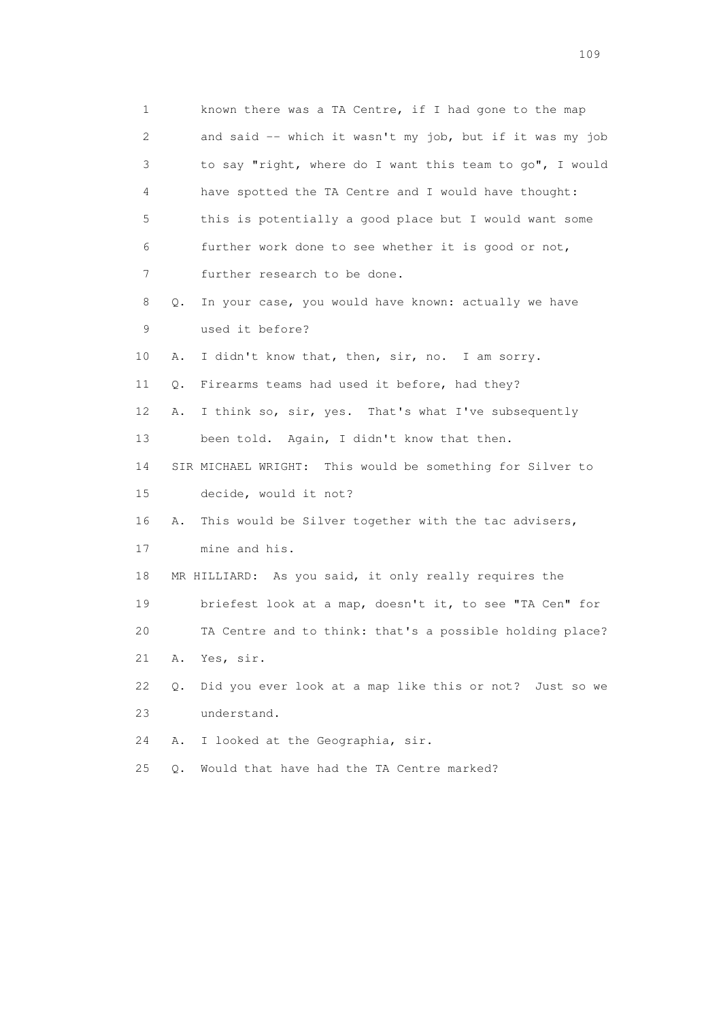1 known there was a TA Centre, if I had gone to the map 2 and said -- which it wasn't my job, but if it was my job 3 to say "right, where do I want this team to go", I would 4 have spotted the TA Centre and I would have thought: 5 this is potentially a good place but I would want some 6 further work done to see whether it is good or not, 7 further research to be done. 8 Q. In your case, you would have known: actually we have 9 used it before? 10 A. I didn't know that, then, sir, no. I am sorry. 11 Q. Firearms teams had used it before, had they? 12 A. I think so, sir, yes. That's what I've subsequently 13 been told. Again, I didn't know that then. 14 SIR MICHAEL WRIGHT: This would be something for Silver to 15 decide, would it not? 16 A. This would be Silver together with the tac advisers, 17 mine and his. 18 MR HILLIARD: As you said, it only really requires the 19 briefest look at a map, doesn't it, to see "TA Cen" for 20 TA Centre and to think: that's a possible holding place? 21 A. Yes, sir. 22 Q. Did you ever look at a map like this or not? Just so we 23 understand. 24 A. I looked at the Geographia, sir. 25 Q. Would that have had the TA Centre marked?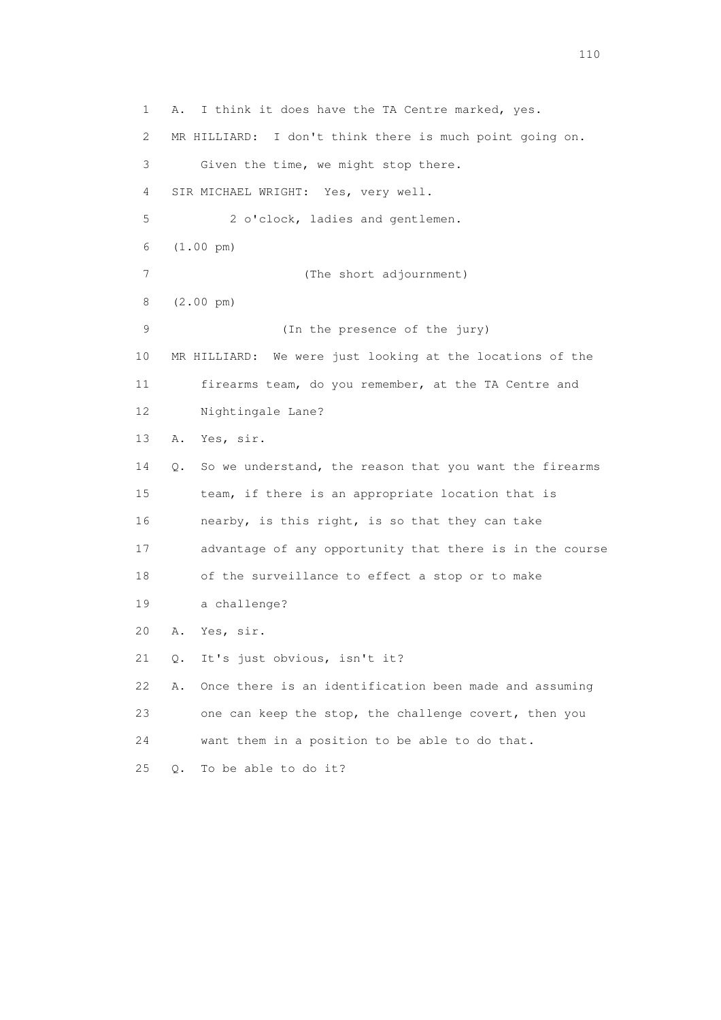1 A. I think it does have the TA Centre marked, yes. 2 MR HILLIARD: I don't think there is much point going on. 3 Given the time, we might stop there. 4 SIR MICHAEL WRIGHT: Yes, very well. 5 2 o'clock, ladies and gentlemen. 6 (1.00 pm) 7 (The short adjournment) 8 (2.00 pm) 9 (In the presence of the jury) 10 MR HILLIARD: We were just looking at the locations of the 11 firearms team, do you remember, at the TA Centre and 12 Nightingale Lane? 13 A. Yes, sir. 14 Q. So we understand, the reason that you want the firearms 15 team, if there is an appropriate location that is 16 nearby, is this right, is so that they can take 17 advantage of any opportunity that there is in the course 18 of the surveillance to effect a stop or to make 19 a challenge? 20 A. Yes, sir. 21 Q. It's just obvious, isn't it? 22 A. Once there is an identification been made and assuming 23 one can keep the stop, the challenge covert, then you 24 want them in a position to be able to do that. 25 Q. To be able to do it?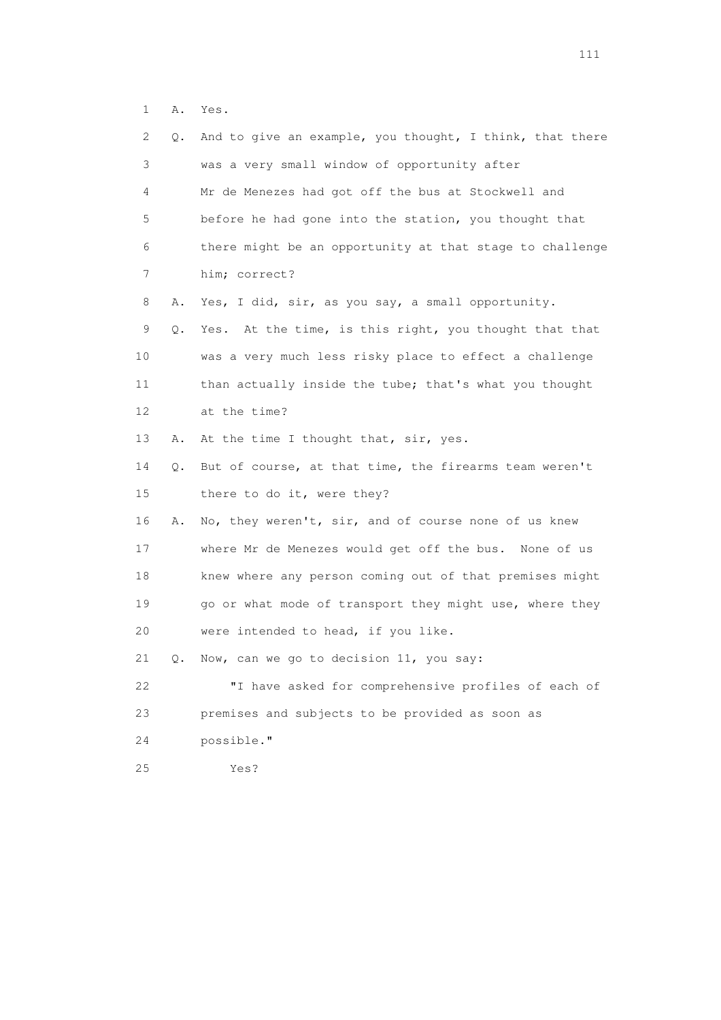1 A. Yes.

| 2.<br>Q. | And to give an example, you thought, I think, that there |
|----------|----------------------------------------------------------|
| 3        | was a very small window of opportunity after             |
| 4        | Mr de Menezes had got off the bus at Stockwell and       |
| 5        | before he had gone into the station, you thought that    |
| 6        | there might be an opportunity at that stage to challenge |
| 7        | him; correct?                                            |
| 8<br>Α.  | Yes, I did, sir, as you say, a small opportunity.        |
| 9<br>Q.  | Yes. At the time, is this right, you thought that that   |
| 10       | was a very much less risky place to effect a challenge   |
| 11       | than actually inside the tube; that's what you thought   |
| 12       | at the time?                                             |
| 13<br>Α. | At the time I thought that, sir, yes.                    |
| 14<br>Q. | But of course, at that time, the firearms team weren't   |
| 15       | there to do it, were they?                               |
| 16<br>Α. | No, they weren't, sir, and of course none of us knew     |
| 17       | where Mr de Menezes would get off the bus. None of us    |
| 18       | knew where any person coming out of that premises might  |
| 19       | go or what mode of transport they might use, where they  |
| 20       | were intended to head, if you like.                      |
| 21<br>О. | Now, can we go to decision 11, you say:                  |
| 22       | "I have asked for comprehensive profiles of each of      |
| 23       | premises and subjects to be provided as soon as          |
| 24       | possible."                                               |
| 25       | Yes?                                                     |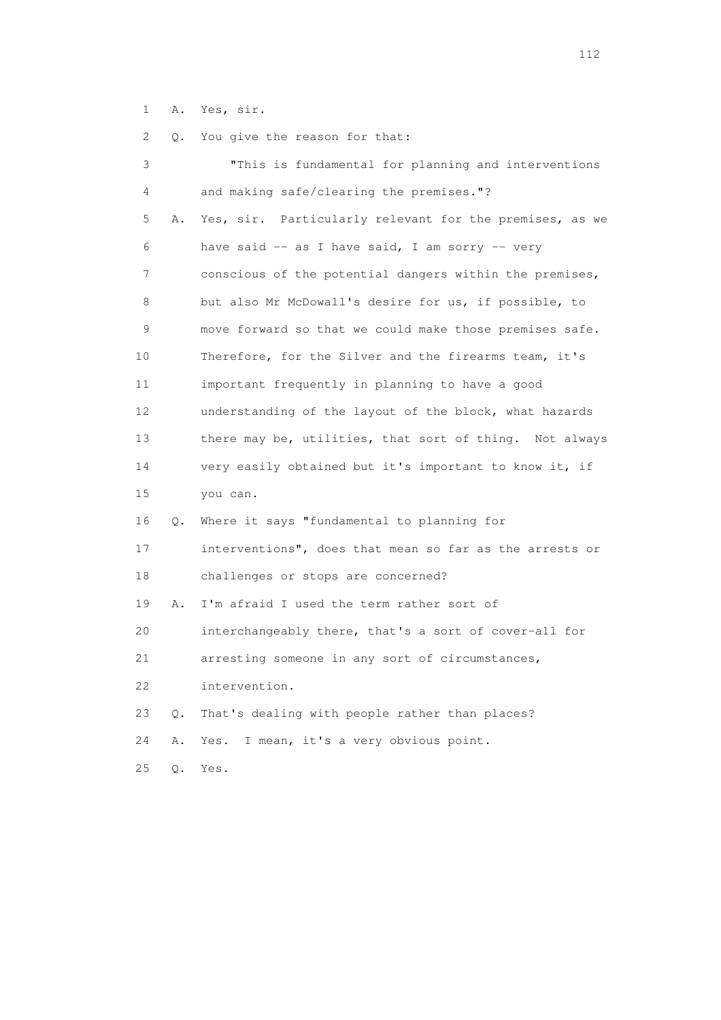1 A. Yes, sir.

| 2  | Q.    | You give the reason for that:                           |
|----|-------|---------------------------------------------------------|
| 3  |       | "This is fundamental for planning and interventions     |
| 4  |       | and making safe/clearing the premises."?                |
| 5  | Α.    | Yes, sir. Particularly relevant for the premises, as we |
| 6  |       | have said $-$ as I have said, I am sorry $-$ very       |
| 7  |       | conscious of the potential dangers within the premises, |
| 8  |       | but also Mr McDowall's desire for us, if possible, to   |
| 9  |       | move forward so that we could make those premises safe. |
| 10 |       | Therefore, for the Silver and the firearms team, it's   |
| 11 |       | important frequently in planning to have a good         |
| 12 |       | understanding of the layout of the block, what hazards  |
| 13 |       | there may be, utilities, that sort of thing. Not always |
| 14 |       | very easily obtained but it's important to know it, if  |
| 15 |       | you can.                                                |
| 16 | Q.    | Where it says "fundamental to planning for              |
| 17 |       | interventions", does that mean so far as the arrests or |
| 18 |       | challenges or stops are concerned?                      |
| 19 | Α.    | I'm afraid I used the term rather sort of               |
| 20 |       | interchangeably there, that's a sort of cover-all for   |
| 21 |       | arresting someone in any sort of circumstances,         |
| 22 |       | intervention.                                           |
| 23 | $Q$ . | That's dealing with people rather than places?          |
| 24 | Α.    | I mean, it's a very obvious point.<br>Yes.              |
| 25 | Q.    | Yes.                                                    |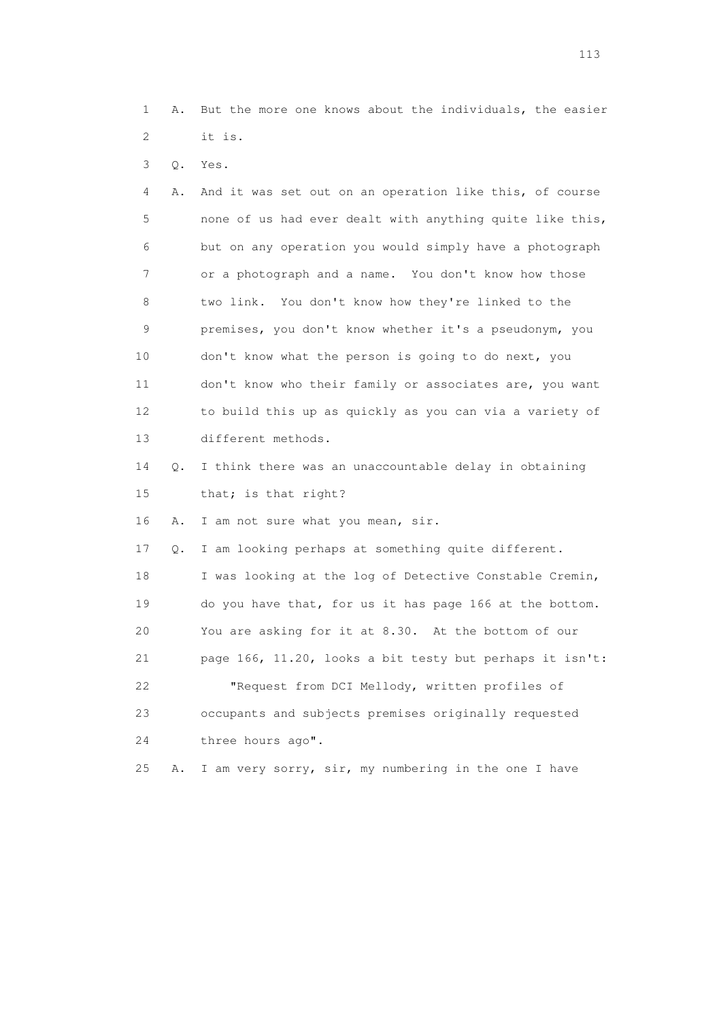1 A. But the more one knows about the individuals, the easier 2 it is.

3 Q. Yes.

 4 A. And it was set out on an operation like this, of course 5 none of us had ever dealt with anything quite like this, 6 but on any operation you would simply have a photograph 7 or a photograph and a name. You don't know how those 8 two link. You don't know how they're linked to the 9 premises, you don't know whether it's a pseudonym, you 10 don't know what the person is going to do next, you 11 don't know who their family or associates are, you want 12 to build this up as quickly as you can via a variety of 13 different methods.

 14 Q. I think there was an unaccountable delay in obtaining 15 that; is that right?

16 A. I am not sure what you mean, sir.

 17 Q. I am looking perhaps at something quite different. 18 I was looking at the log of Detective Constable Cremin, 19 do you have that, for us it has page 166 at the bottom. 20 You are asking for it at 8.30. At the bottom of our 21 page 166, 11.20, looks a bit testy but perhaps it isn't: 22 "Request from DCI Mellody, written profiles of 23 occupants and subjects premises originally requested 24 three hours ago".

25 A. I am very sorry, sir, my numbering in the one I have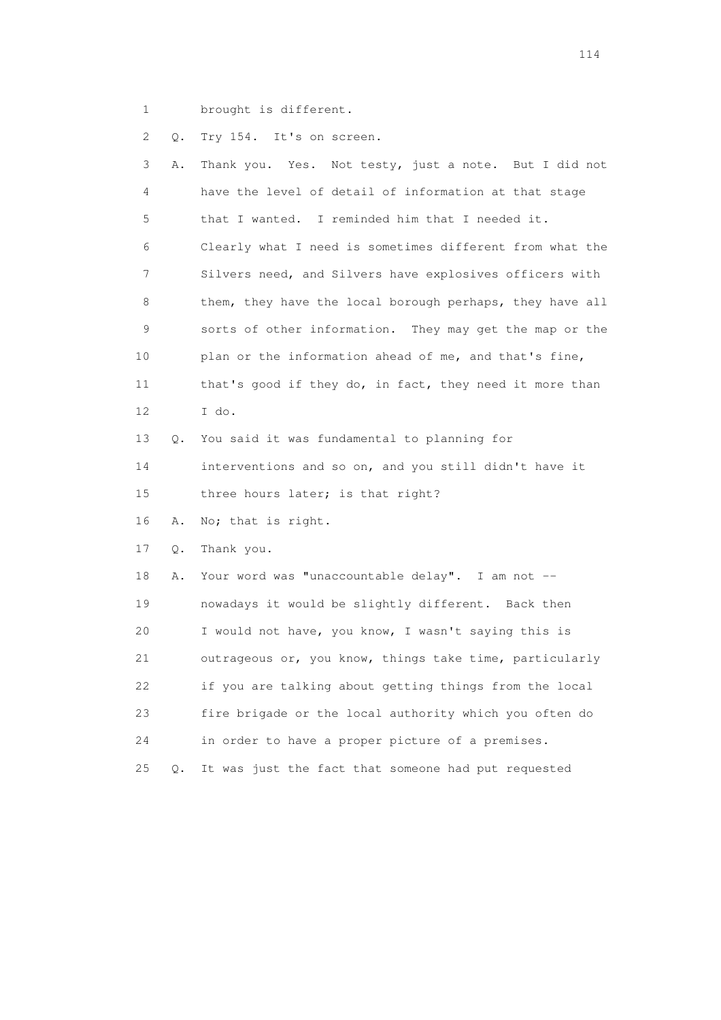1 brought is different.

2 Q. Try 154. It's on screen.

|    | 3<br>Α. | Thank you. Yes. Not testy, just a note. But I did not    |
|----|---------|----------------------------------------------------------|
|    | 4       | have the level of detail of information at that stage    |
|    | 5       | that I wanted. I reminded him that I needed it.          |
|    | 6       | Clearly what I need is sometimes different from what the |
|    | 7       | Silvers need, and Silvers have explosives officers with  |
|    | 8       | them, they have the local borough perhaps, they have all |
|    | 9       | sorts of other information. They may get the map or the  |
| 10 |         | plan or the information ahead of me, and that's fine,    |
| 11 |         | that's good if they do, in fact, they need it more than  |
| 12 |         | I do.                                                    |
| 13 | 0.      | You said it was fundamental to planning for              |
| 14 |         | interventions and so on, and you still didn't have it    |
| 15 |         | three hours later; is that right?                        |
| 16 | Α.      | No; that is right.                                       |
| 17 | Q.      | Thank you.                                               |
| 18 | Α.      | Your word was "unaccountable delay". I am not --         |
| 19 |         | nowadays it would be slightly different. Back then       |
| 20 |         | I would not have, you know, I wasn't saying this is      |
| 21 |         | outrageous or, you know, things take time, particularly  |
| 22 |         | if you are talking about getting things from the local   |
| 23 |         | fire brigade or the local authority which you often do   |
| 24 |         | in order to have a proper picture of a premises.         |
| 25 | Q.      | It was just the fact that someone had put requested      |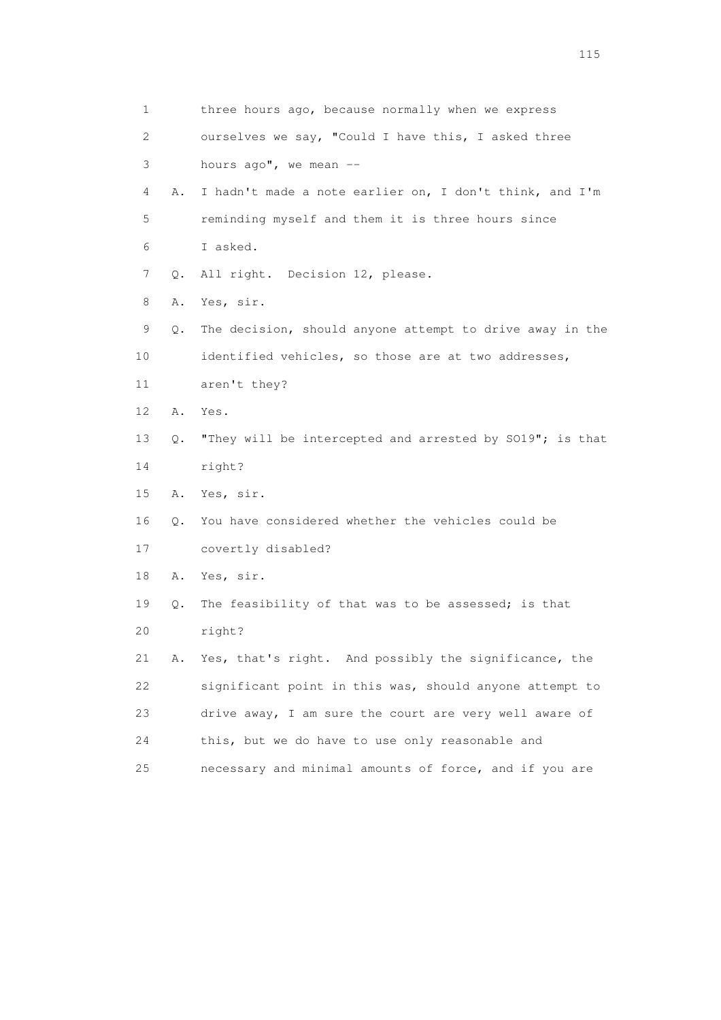| 1  |           | three hours ago, because normally when we express        |
|----|-----------|----------------------------------------------------------|
| 2  |           | ourselves we say, "Could I have this, I asked three      |
| 3  |           | hours $aqo"$ , we mean $-$                               |
| 4  | Α.        | I hadn't made a note earlier on, I don't think, and I'm  |
| 5  |           | reminding myself and them it is three hours since        |
| 6  |           | I asked.                                                 |
| 7  | Q.        | All right. Decision 12, please.                          |
| 8  | Α.        | Yes, sir.                                                |
| 9  | Q.        | The decision, should anyone attempt to drive away in the |
| 10 |           | identified vehicles, so those are at two addresses,      |
| 11 |           | aren't they?                                             |
| 12 | Α.        | Yes.                                                     |
| 13 | Q.        | "They will be intercepted and arrested by SO19"; is that |
| 14 |           | right?                                                   |
| 15 | Α.        | Yes, sir.                                                |
| 16 | $\circ$ . | You have considered whether the vehicles could be        |
| 17 |           | covertly disabled?                                       |
| 18 | Α.        | Yes, sir.                                                |
| 19 | Q.        | The feasibility of that was to be assessed; is that      |
| 20 |           | right?                                                   |
| 21 | Α.        | Yes, that's right. And possibly the significance, the    |
| 22 |           | significant point in this was, should anyone attempt to  |
| 23 |           | drive away, I am sure the court are very well aware of   |
| 24 |           | this, but we do have to use only reasonable and          |
| 25 |           | necessary and minimal amounts of force, and if you are   |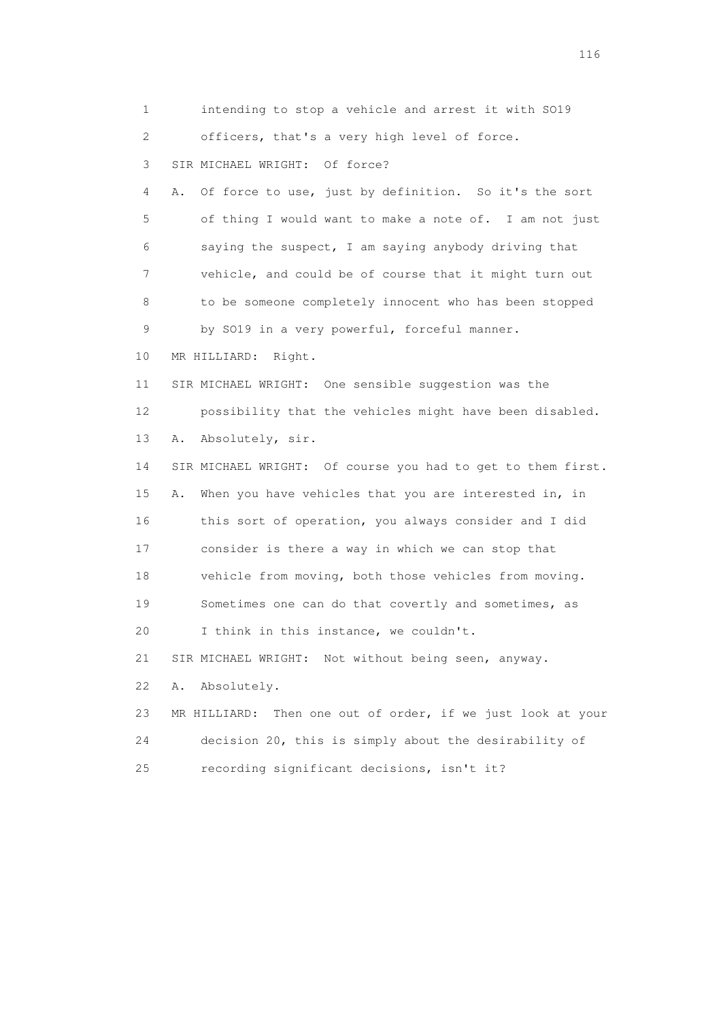1 intending to stop a vehicle and arrest it with SO19 2 officers, that's a very high level of force. 3 SIR MICHAEL WRIGHT: Of force? 4 A. Of force to use, just by definition. So it's the sort 5 of thing I would want to make a note of. I am not just 6 saying the suspect, I am saying anybody driving that 7 vehicle, and could be of course that it might turn out 8 to be someone completely innocent who has been stopped 9 by SO19 in a very powerful, forceful manner. 10 MR HILLIARD: Right. 11 SIR MICHAEL WRIGHT: One sensible suggestion was the 12 possibility that the vehicles might have been disabled. 13 A. Absolutely, sir. 14 SIR MICHAEL WRIGHT: Of course you had to get to them first. 15 A. When you have vehicles that you are interested in, in 16 this sort of operation, you always consider and I did 17 consider is there a way in which we can stop that 18 vehicle from moving, both those vehicles from moving. 19 Sometimes one can do that covertly and sometimes, as 20 I think in this instance, we couldn't. 21 SIR MICHAEL WRIGHT: Not without being seen, anyway. 22 A. Absolutely. 23 MR HILLIARD: Then one out of order, if we just look at your 24 decision 20, this is simply about the desirability of 25 recording significant decisions, isn't it?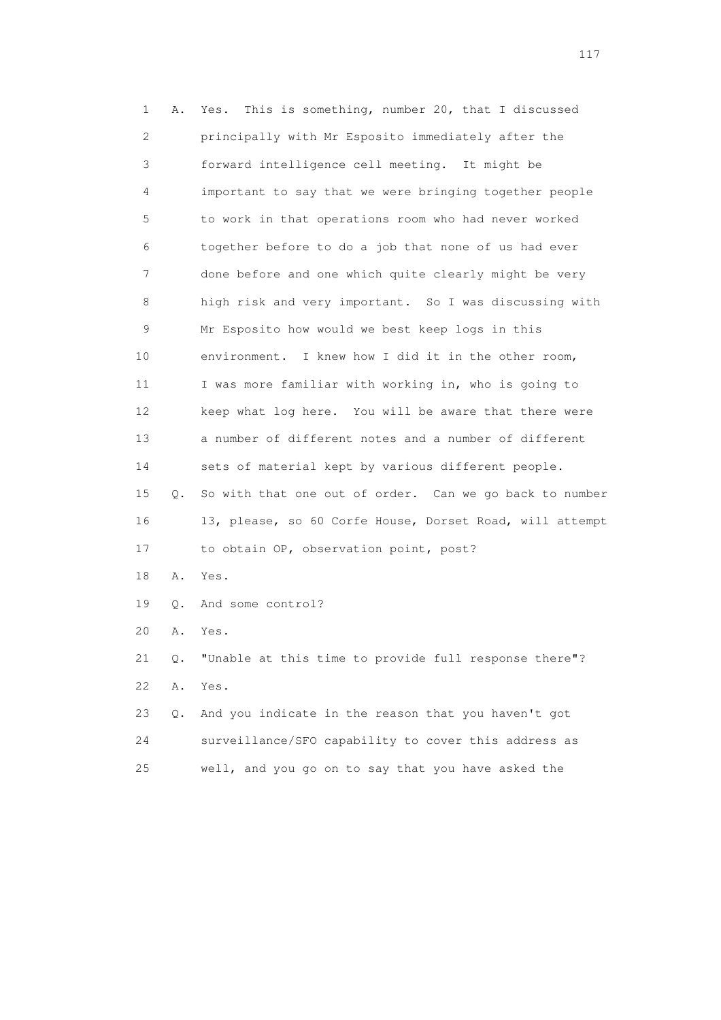1 A. Yes. This is something, number 20, that I discussed 2 principally with Mr Esposito immediately after the 3 forward intelligence cell meeting. It might be 4 important to say that we were bringing together people 5 to work in that operations room who had never worked 6 together before to do a job that none of us had ever 7 done before and one which quite clearly might be very 8 high risk and very important. So I was discussing with 9 Mr Esposito how would we best keep logs in this 10 environment. I knew how I did it in the other room, 11 I was more familiar with working in, who is going to 12 keep what log here. You will be aware that there were 13 a number of different notes and a number of different 14 sets of material kept by various different people. 15 Q. So with that one out of order. Can we go back to number 16 13, please, so 60 Corfe House, Dorset Road, will attempt 17 to obtain OP, observation point, post? 18 A. Yes. 19 Q. And some control? 20 A. Yes. 21 Q. "Unable at this time to provide full response there"? 22 A. Yes. 23 Q. And you indicate in the reason that you haven't got 24 surveillance/SFO capability to cover this address as 25 well, and you go on to say that you have asked the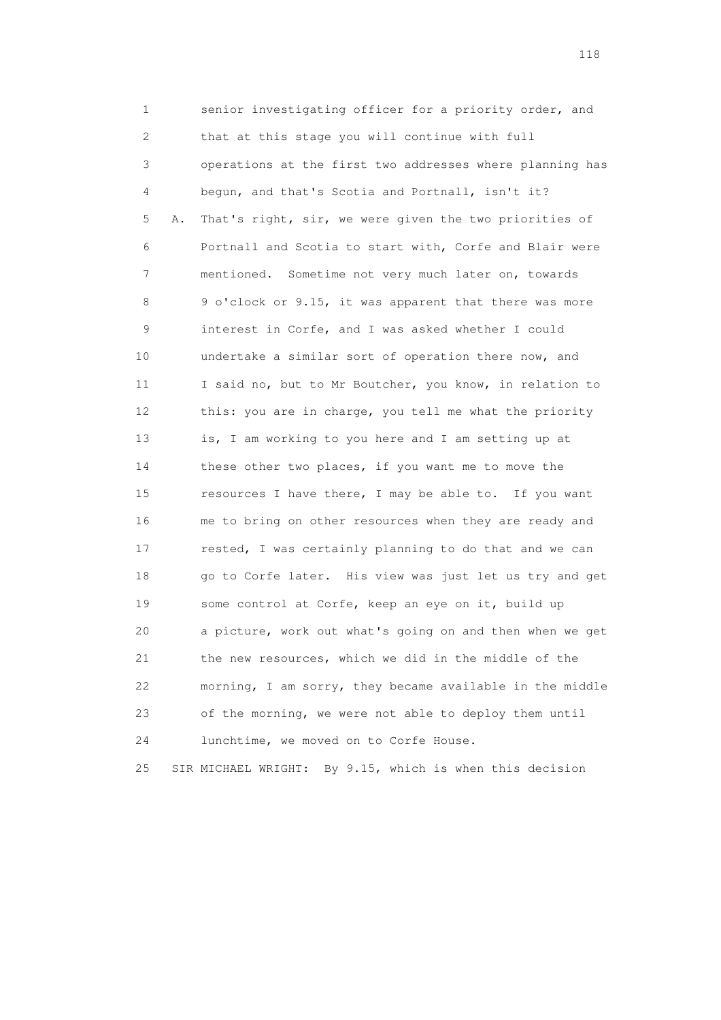1 senior investigating officer for a priority order, and 2 that at this stage you will continue with full 3 operations at the first two addresses where planning has 4 begun, and that's Scotia and Portnall, isn't it? 5 A. That's right, sir, we were given the two priorities of 6 Portnall and Scotia to start with, Corfe and Blair were 7 mentioned. Sometime not very much later on, towards 8 9 o'clock or 9.15, it was apparent that there was more 9 interest in Corfe, and I was asked whether I could 10 undertake a similar sort of operation there now, and 11 I said no, but to Mr Boutcher, you know, in relation to 12 this: you are in charge, you tell me what the priority 13 is, I am working to you here and I am setting up at 14 these other two places, if you want me to move the 15 resources I have there, I may be able to. If you want 16 me to bring on other resources when they are ready and 17 rested, I was certainly planning to do that and we can 18 go to Corfe later. His view was just let us try and get 19 some control at Corfe, keep an eye on it, build up 20 a picture, work out what's going on and then when we get 21 the new resources, which we did in the middle of the 22 morning, I am sorry, they became available in the middle 23 of the morning, we were not able to deploy them until 24 lunchtime, we moved on to Corfe House.

25 SIR MICHAEL WRIGHT: By 9.15, which is when this decision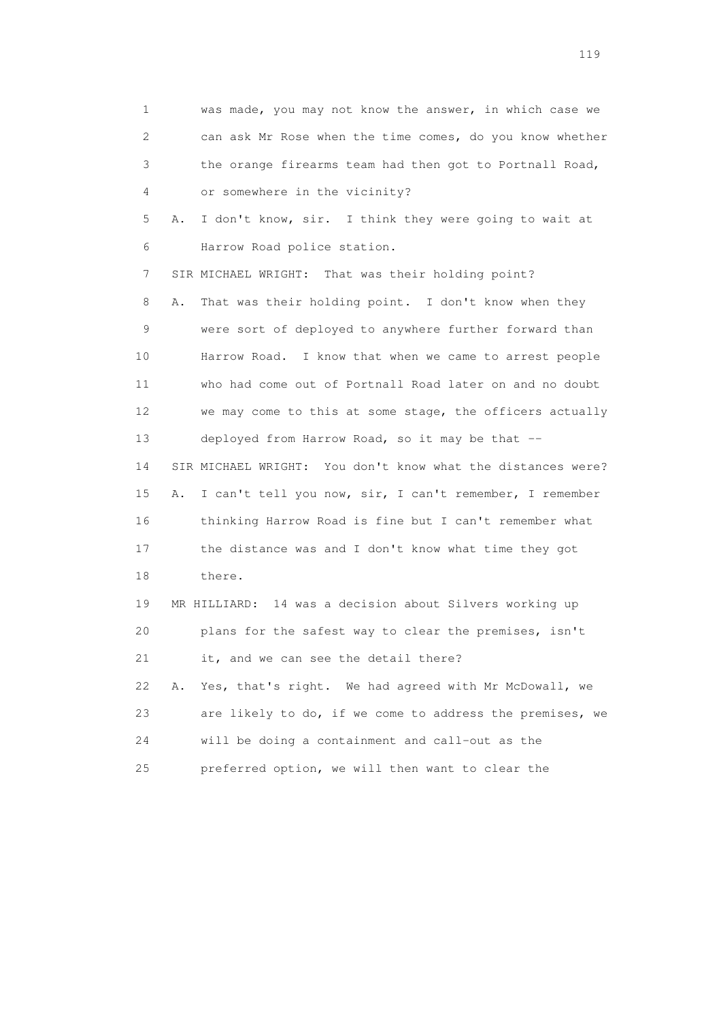1 was made, you may not know the answer, in which case we 2 can ask Mr Rose when the time comes, do you know whether 3 the orange firearms team had then got to Portnall Road, 4 or somewhere in the vicinity? 5 A. I don't know, sir. I think they were going to wait at 6 Harrow Road police station. 7 SIR MICHAEL WRIGHT: That was their holding point? 8 A. That was their holding point. I don't know when they 9 were sort of deployed to anywhere further forward than 10 Harrow Road. I know that when we came to arrest people 11 who had come out of Portnall Road later on and no doubt 12 we may come to this at some stage, the officers actually 13 deployed from Harrow Road, so it may be that -- 14 SIR MICHAEL WRIGHT: You don't know what the distances were? 15 A. I can't tell you now, sir, I can't remember, I remember 16 thinking Harrow Road is fine but I can't remember what 17 the distance was and I don't know what time they got 18 there. 19 MR HILLIARD: 14 was a decision about Silvers working up 20 plans for the safest way to clear the premises, isn't 21 it, and we can see the detail there? 22 A. Yes, that's right. We had agreed with Mr McDowall, we 23 are likely to do, if we come to address the premises, we 24 will be doing a containment and call-out as the 25 preferred option, we will then want to clear the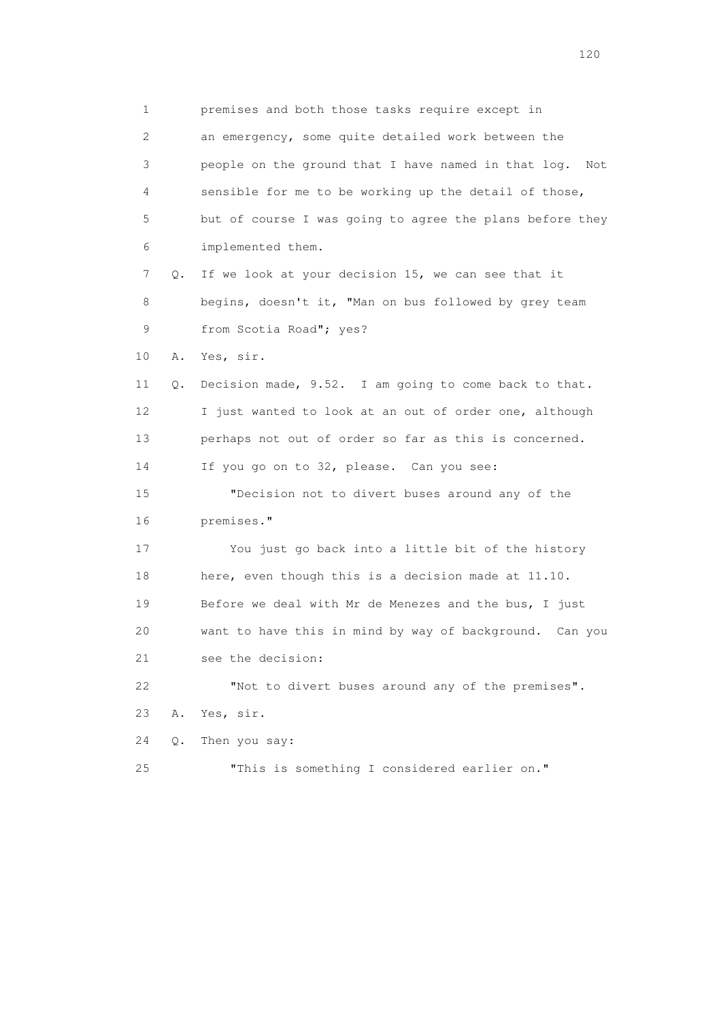1 premises and both those tasks require except in 2 an emergency, some quite detailed work between the 3 people on the ground that I have named in that log. Not 4 sensible for me to be working up the detail of those, 5 but of course I was going to agree the plans before they 6 implemented them. 7 Q. If we look at your decision 15, we can see that it 8 begins, doesn't it, "Man on bus followed by grey team 9 from Scotia Road"; yes? 10 A. Yes, sir. 11 Q. Decision made, 9.52. I am going to come back to that. 12 I just wanted to look at an out of order one, although 13 perhaps not out of order so far as this is concerned. 14 If you go on to 32, please. Can you see: 15 "Decision not to divert buses around any of the 16 premises." 17 You just go back into a little bit of the history 18 here, even though this is a decision made at 11.10. 19 Before we deal with Mr de Menezes and the bus, I just 20 want to have this in mind by way of background. Can you 21 see the decision: 22 "Not to divert buses around any of the premises". 23 A. Yes, sir. 24 Q. Then you say: 25 "This is something I considered earlier on."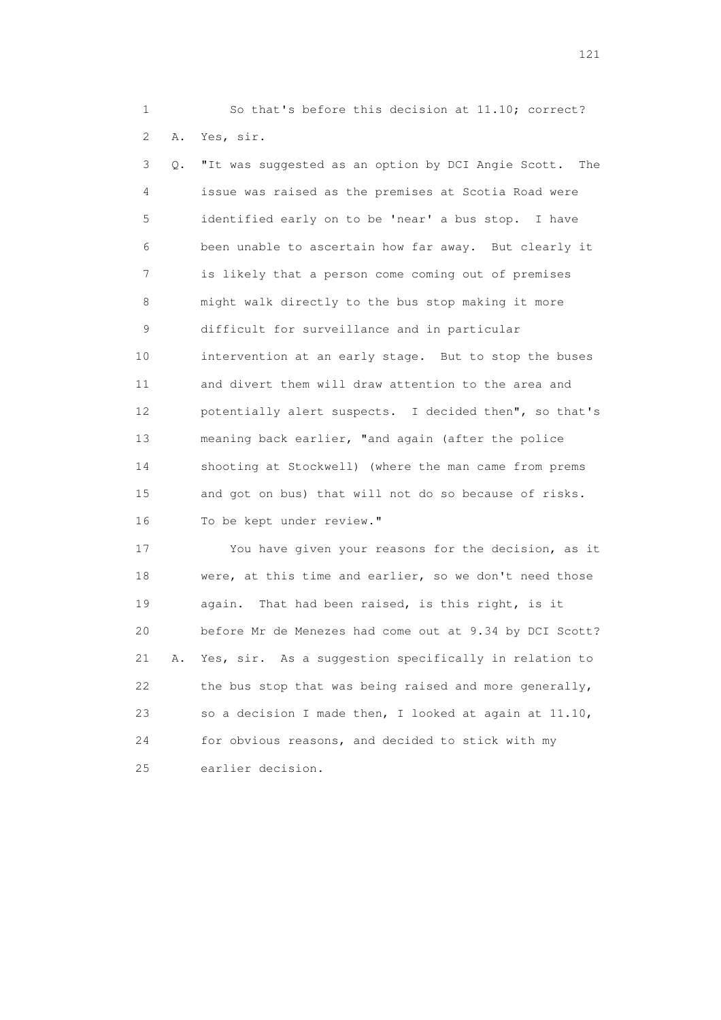1 So that's before this decision at 11.10; correct? 2 A. Yes, sir.

 3 Q. "It was suggested as an option by DCI Angie Scott. The 4 issue was raised as the premises at Scotia Road were 5 identified early on to be 'near' a bus stop. I have 6 been unable to ascertain how far away. But clearly it 7 is likely that a person come coming out of premises 8 might walk directly to the bus stop making it more 9 difficult for surveillance and in particular 10 intervention at an early stage. But to stop the buses 11 and divert them will draw attention to the area and 12 potentially alert suspects. I decided then", so that's 13 meaning back earlier, "and again (after the police 14 shooting at Stockwell) (where the man came from prems 15 and got on bus) that will not do so because of risks. 16 To be kept under review."

 17 You have given your reasons for the decision, as it 18 were, at this time and earlier, so we don't need those 19 again. That had been raised, is this right, is it 20 before Mr de Menezes had come out at 9.34 by DCI Scott? 21 A. Yes, sir. As a suggestion specifically in relation to 22 the bus stop that was being raised and more generally, 23 so a decision I made then, I looked at again at 11.10, 24 for obvious reasons, and decided to stick with my 25 earlier decision.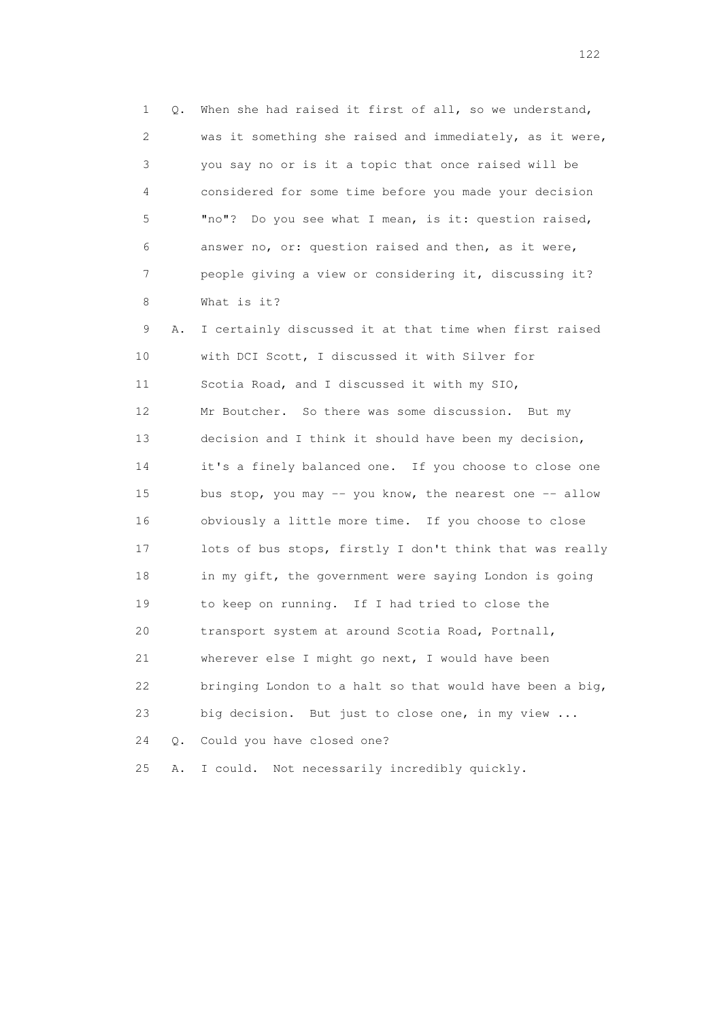1 Q. When she had raised it first of all, so we understand, 2 was it something she raised and immediately, as it were, 3 you say no or is it a topic that once raised will be 4 considered for some time before you made your decision 5 "no"? Do you see what I mean, is it: question raised, 6 answer no, or: question raised and then, as it were, 7 people giving a view or considering it, discussing it? 8 What is it? 9 A. I certainly discussed it at that time when first raised 10 with DCI Scott, I discussed it with Silver for 11 Scotia Road, and I discussed it with my SIO, 12 Mr Boutcher. So there was some discussion. But my 13 decision and I think it should have been my decision, 14 it's a finely balanced one. If you choose to close one 15 bus stop, you may -- you know, the nearest one -- allow 16 obviously a little more time. If you choose to close 17 lots of bus stops, firstly I don't think that was really 18 in my gift, the government were saying London is going 19 to keep on running. If I had tried to close the 20 transport system at around Scotia Road, Portnall, 21 wherever else I might go next, I would have been 22 bringing London to a halt so that would have been a big, 23 big decision. But just to close one, in my view ... 24 Q. Could you have closed one? 25 A. I could. Not necessarily incredibly quickly.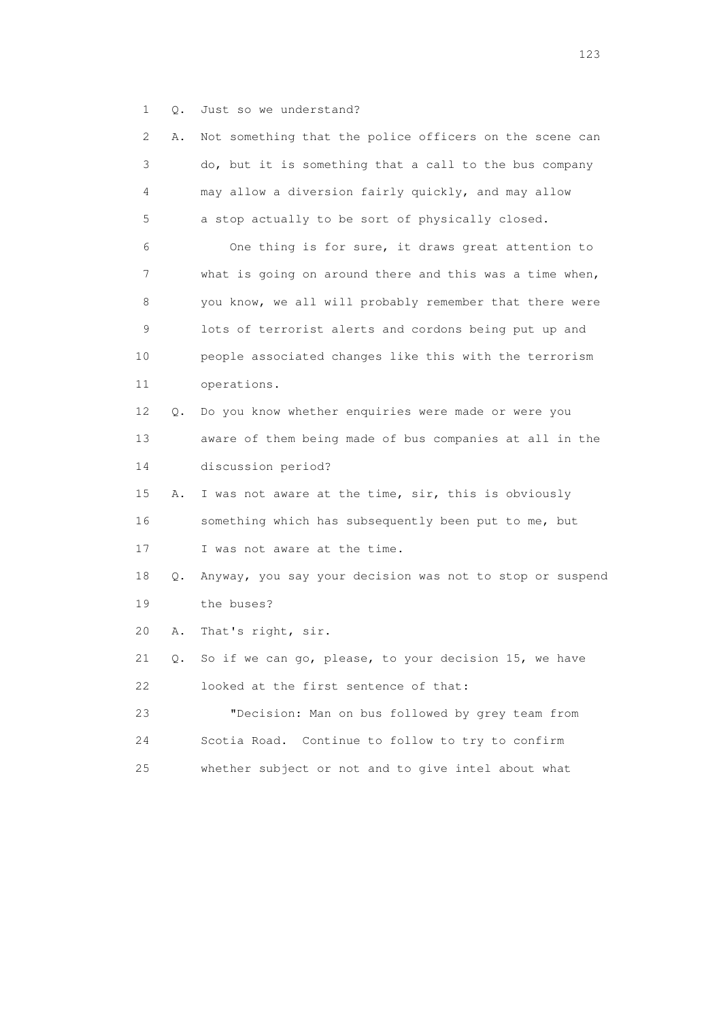1 Q. Just so we understand?

| $\mathbf{2}^{\mathsf{I}}$ | Α. | Not something that the police officers on the scene can  |
|---------------------------|----|----------------------------------------------------------|
| 3                         |    | do, but it is something that a call to the bus company   |
| 4                         |    | may allow a diversion fairly quickly, and may allow      |
| 5                         |    | a stop actually to be sort of physically closed.         |
| 6                         |    | One thing is for sure, it draws great attention to       |
| 7                         |    | what is going on around there and this was a time when,  |
| 8                         |    | you know, we all will probably remember that there were  |
| 9                         |    | lots of terrorist alerts and cordons being put up and    |
| 10                        |    | people associated changes like this with the terrorism   |
| 11                        |    | operations.                                              |
| 12                        | Q. | Do you know whether enquiries were made or were you      |
| 13                        |    | aware of them being made of bus companies at all in the  |
| 14                        |    | discussion period?                                       |
| 15                        | Α. | I was not aware at the time, sir, this is obviously      |
| 16                        |    | something which has subsequently been put to me, but     |
| 17                        |    | I was not aware at the time.                             |
| 18                        | Q. | Anyway, you say your decision was not to stop or suspend |
| 19                        |    | the buses?                                               |
| 20                        | Α. | That's right, sir.                                       |
| 21                        | Q. | So if we can go, please, to your decision 15, we have    |
| 22                        |    | looked at the first sentence of that:                    |
| 23                        |    | "Decision: Man on bus followed by grey team from         |
| 24                        |    | Scotia Road. Continue to follow to try to confirm        |
| 25                        |    | whether subject or not and to give intel about what      |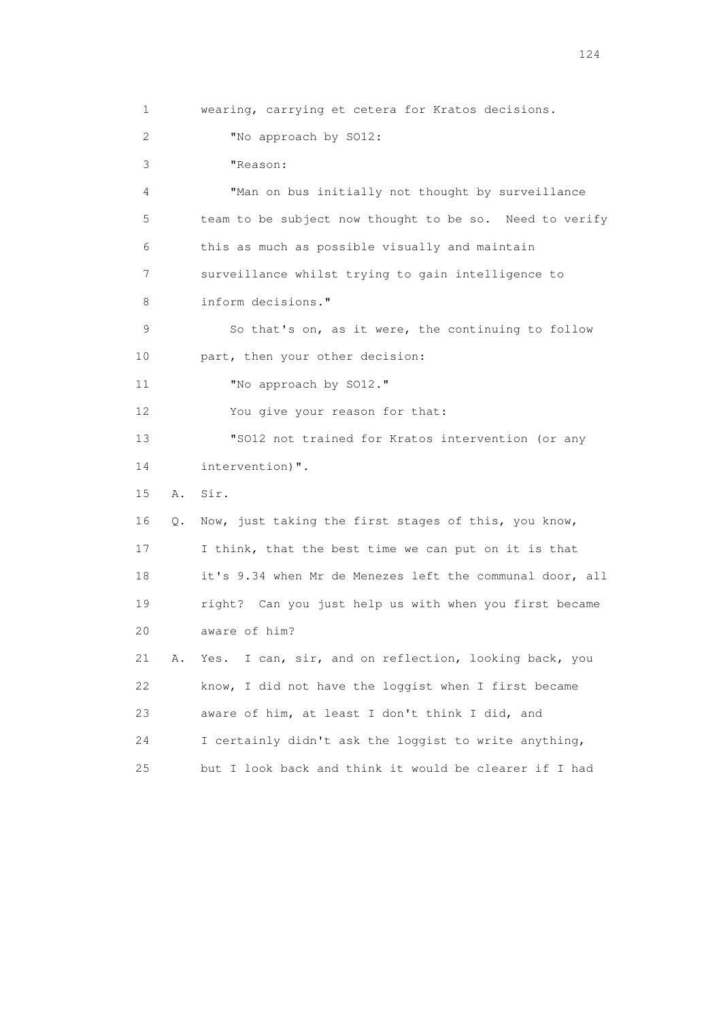1 wearing, carrying et cetera for Kratos decisions. 2 "No approach by SO12: 3 "Reason: 4 "Man on bus initially not thought by surveillance 5 team to be subject now thought to be so. Need to verify 6 this as much as possible visually and maintain 7 surveillance whilst trying to gain intelligence to 8 inform decisions." 9 So that's on, as it were, the continuing to follow 10 part, then your other decision: 11 "No approach by SO12." 12 You give your reason for that: 13 "SO12 not trained for Kratos intervention (or any 14 intervention)". 15 A. Sir. 16 Q. Now, just taking the first stages of this, you know, 17 I think, that the best time we can put on it is that 18 it's 9.34 when Mr de Menezes left the communal door, all 19 right? Can you just help us with when you first became 20 aware of him? 21 A. Yes. I can, sir, and on reflection, looking back, you 22 know, I did not have the loggist when I first became 23 aware of him, at least I don't think I did, and 24 I certainly didn't ask the loggist to write anything, 25 but I look back and think it would be clearer if I had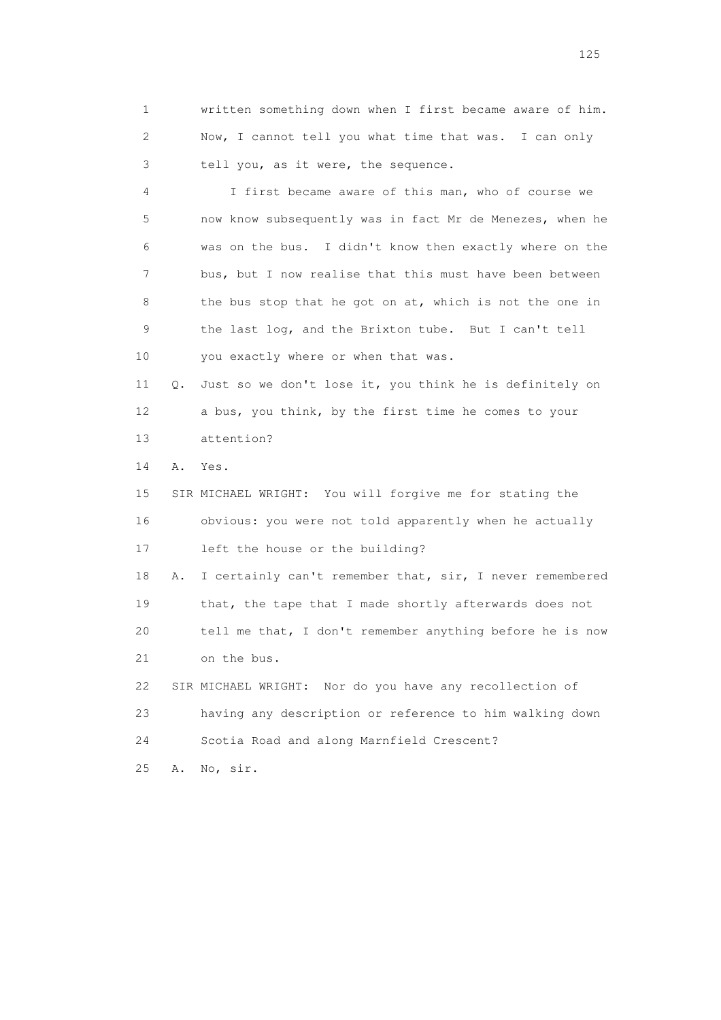1 written something down when I first became aware of him. 2 Now, I cannot tell you what time that was. I can only 3 tell you, as it were, the sequence.

 4 I first became aware of this man, who of course we 5 now know subsequently was in fact Mr de Menezes, when he 6 was on the bus. I didn't know then exactly where on the 7 bus, but I now realise that this must have been between 8 the bus stop that he got on at, which is not the one in 9 the last log, and the Brixton tube. But I can't tell 10 you exactly where or when that was.

 11 Q. Just so we don't lose it, you think he is definitely on 12 a bus, you think, by the first time he comes to your 13 attention?

14 A. Yes.

 15 SIR MICHAEL WRIGHT: You will forgive me for stating the 16 obvious: you were not told apparently when he actually 17 left the house or the building?

18 A. I certainly can't remember that, sir, I never remembered 19 that, the tape that I made shortly afterwards does not 20 tell me that, I don't remember anything before he is now 21 on the bus.

 22 SIR MICHAEL WRIGHT: Nor do you have any recollection of 23 having any description or reference to him walking down 24 Scotia Road and along Marnfield Crescent? 25 A. No, sir.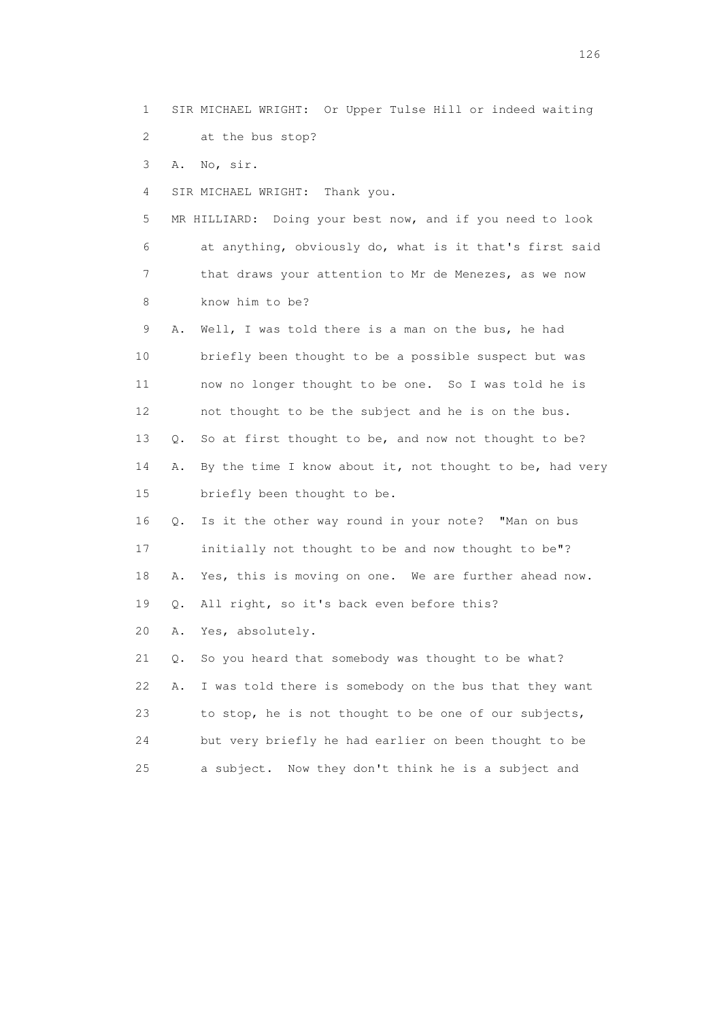1 SIR MICHAEL WRIGHT: Or Upper Tulse Hill or indeed waiting 2 at the bus stop? 3 A. No, sir. 4 SIR MICHAEL WRIGHT: Thank you. 5 MR HILLIARD: Doing your best now, and if you need to look 6 at anything, obviously do, what is it that's first said 7 that draws your attention to Mr de Menezes, as we now 8 know him to be?

 9 A. Well, I was told there is a man on the bus, he had 10 briefly been thought to be a possible suspect but was 11 now no longer thought to be one. So I was told he is 12 not thought to be the subject and he is on the bus. 13 Q. So at first thought to be, and now not thought to be? 14 A. By the time I know about it, not thought to be, had very 15 briefly been thought to be.

 16 Q. Is it the other way round in your note? "Man on bus 17 initially not thought to be and now thought to be"? 18 A. Yes, this is moving on one. We are further ahead now.

19 Q. All right, so it's back even before this?

20 A. Yes, absolutely.

 21 Q. So you heard that somebody was thought to be what? 22 A. I was told there is somebody on the bus that they want 23 to stop, he is not thought to be one of our subjects, 24 but very briefly he had earlier on been thought to be 25 a subject. Now they don't think he is a subject and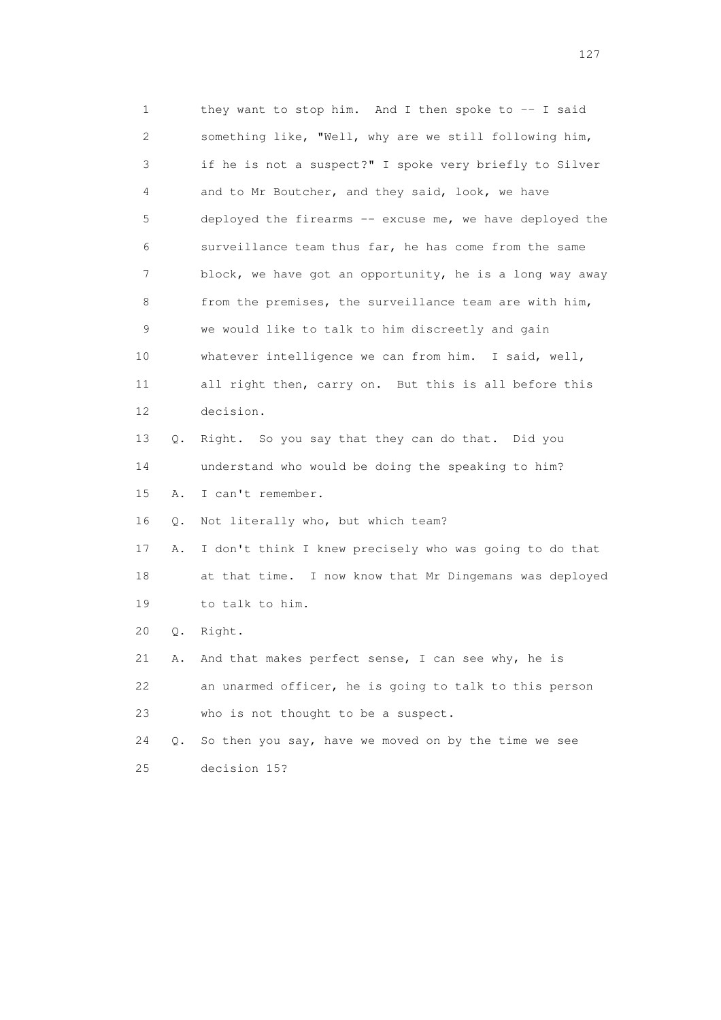1 they want to stop him. And I then spoke to -- I said 2 something like, "Well, why are we still following him, 3 if he is not a suspect?" I spoke very briefly to Silver 4 and to Mr Boutcher, and they said, look, we have 5 deployed the firearms -- excuse me, we have deployed the 6 surveillance team thus far, he has come from the same 7 block, we have got an opportunity, he is a long way away 8 from the premises, the surveillance team are with him, 9 we would like to talk to him discreetly and gain 10 whatever intelligence we can from him. I said, well, 11 all right then, carry on. But this is all before this 12 decision. 13 Q. Right. So you say that they can do that. Did you 14 understand who would be doing the speaking to him? 15 A. I can't remember. 16 Q. Not literally who, but which team? 17 A. I don't think I knew precisely who was going to do that 18 at that time. I now know that Mr Dingemans was deployed 19 to talk to him. 20 Q. Right. 21 A. And that makes perfect sense, I can see why, he is 22 an unarmed officer, he is going to talk to this person 23 who is not thought to be a suspect. 24 Q. So then you say, have we moved on by the time we see

25 decision 15?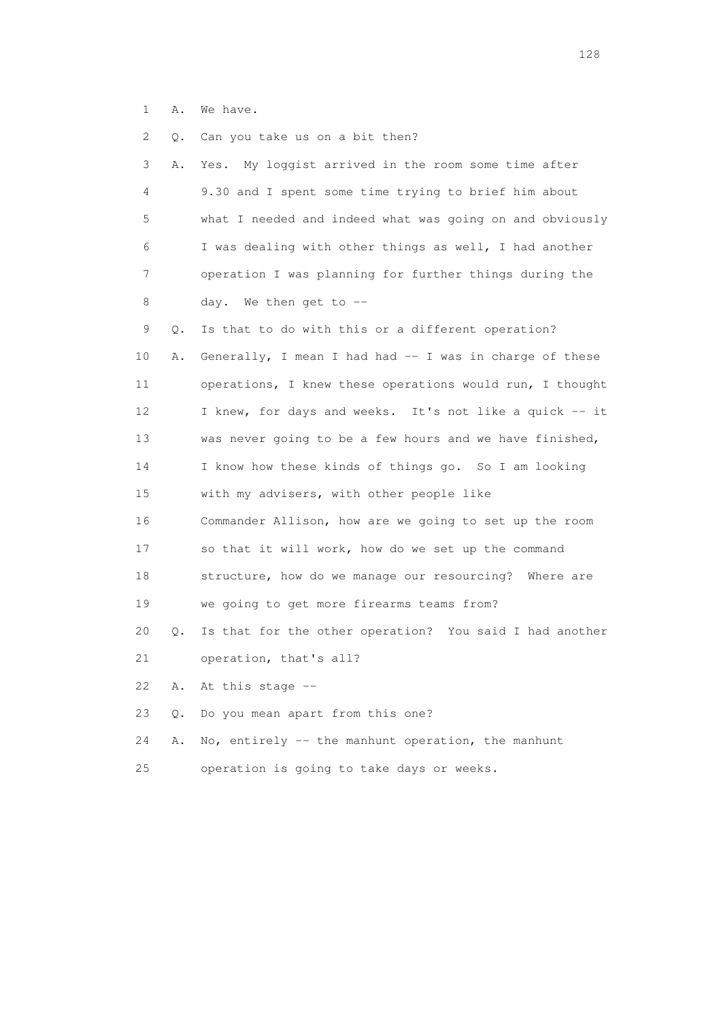1 A. We have.

 2 Q. Can you take us on a bit then? 3 A. Yes. My loggist arrived in the room some time after 4 9.30 and I spent some time trying to brief him about 5 what I needed and indeed what was going on and obviously 6 I was dealing with other things as well, I had another 7 operation I was planning for further things during the 8 day. We then get to -- 9 Q. Is that to do with this or a different operation? 10 A. Generally, I mean I had had -- I was in charge of these 11 operations, I knew these operations would run, I thought 12 I knew, for days and weeks. It's not like a quick -- it 13 was never going to be a few hours and we have finished, 14 I know how these kinds of things go. So I am looking 15 with my advisers, with other people like 16 Commander Allison, how are we going to set up the room 17 so that it will work, how do we set up the command 18 structure, how do we manage our resourcing? Where are 19 we going to get more firearms teams from? 20 Q. Is that for the other operation? You said I had another 21 operation, that's all? 22 A. At this stage -- 23 Q. Do you mean apart from this one? 24 A. No, entirely -- the manhunt operation, the manhunt 25 operation is going to take days or weeks.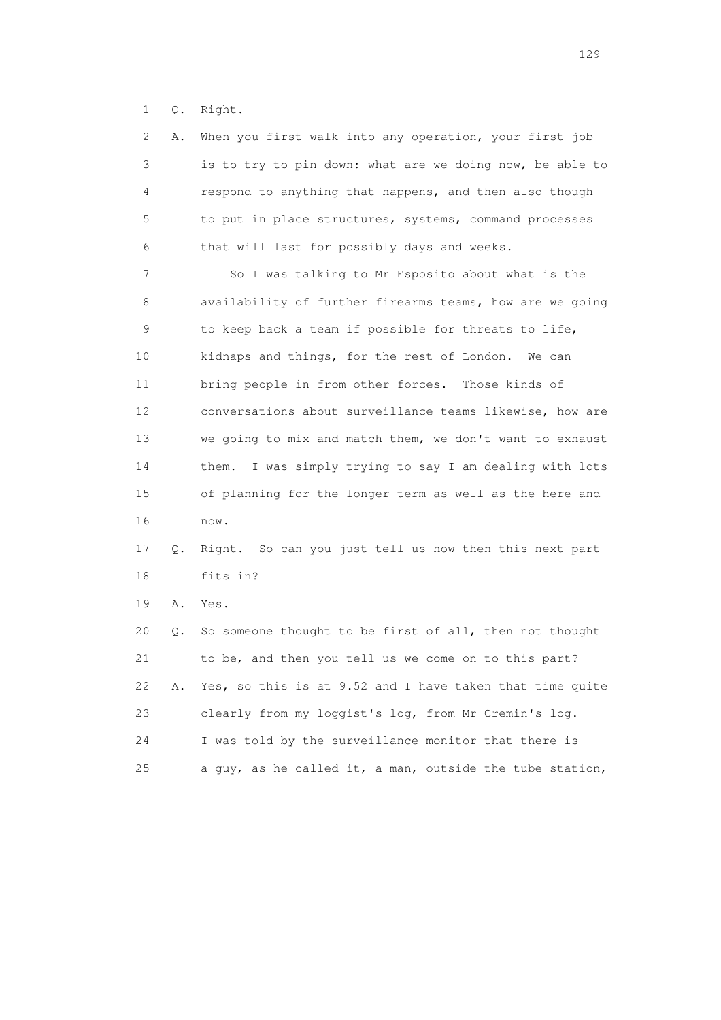1 Q. Right.

| 2           | Α. | When you first walk into any operation, your first job     |
|-------------|----|------------------------------------------------------------|
| 3           |    | is to try to pin down: what are we doing now, be able to   |
| 4           |    | respond to anything that happens, and then also though     |
| 5           |    | to put in place structures, systems, command processes     |
| 6           |    | that will last for possibly days and weeks.                |
| 7           |    | So I was talking to Mr Esposito about what is the          |
| 8           |    | availability of further firearms teams, how are we going   |
| $\mathsf 9$ |    | to keep back a team if possible for threats to life,       |
| 10          |    | kidnaps and things, for the rest of London.<br>We can      |
| 11          |    | bring people in from other forces.<br>Those kinds of       |
| 12          |    | conversations about surveillance teams likewise, how are   |
| 13          |    | we going to mix and match them, we don't want to exhaust   |
| 14          |    | I was simply trying to say I am dealing with lots<br>them. |
| 15          |    | of planning for the longer term as well as the here and    |
| 16          |    | now.                                                       |
| 17          | Q. | Right. So can you just tell us how then this next part     |
| 18          |    | fits in?                                                   |
| 19          | Α. | Yes.                                                       |
| 20          | Q. | So someone thought to be first of all, then not thought    |
| 21          |    | to be, and then you tell us we come on to this part?       |
| 22          | Α. | Yes, so this is at 9.52 and I have taken that time quite   |
| 23          |    | clearly from my loggist's log, from Mr Cremin's log.       |
| 24          |    | I was told by the surveillance monitor that there is       |
| 25          |    | a guy, as he called it, a man, outside the tube station,   |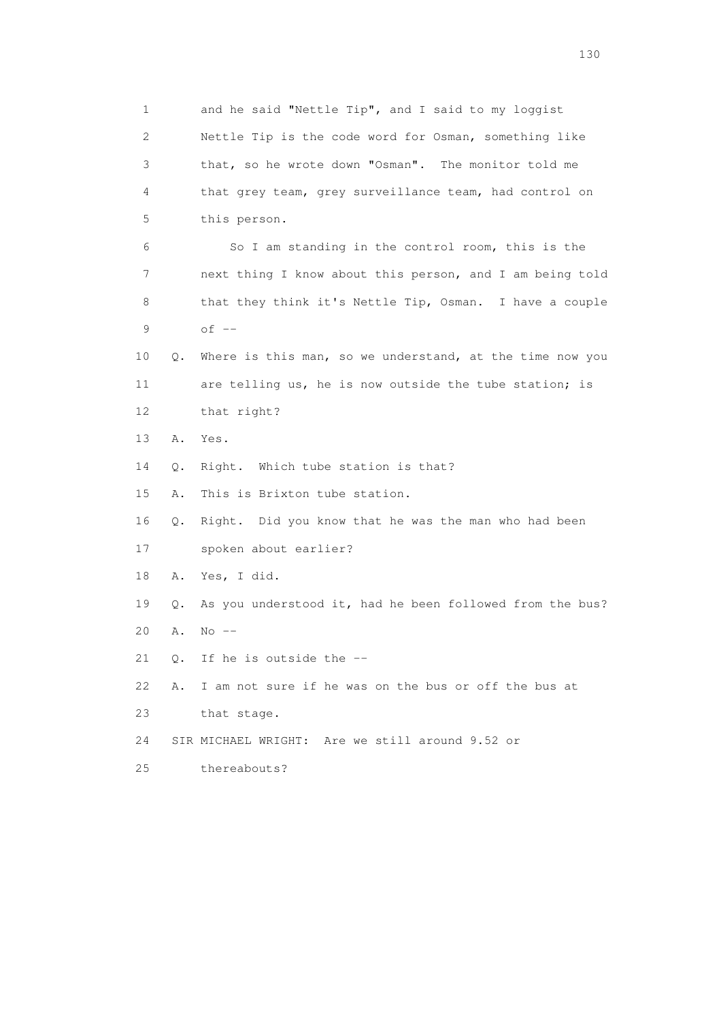1 and he said "Nettle Tip", and I said to my loggist 2 Nettle Tip is the code word for Osman, something like 3 that, so he wrote down "Osman". The monitor told me 4 that grey team, grey surveillance team, had control on 5 this person. 6 So I am standing in the control room, this is the 7 next thing I know about this person, and I am being told 8 that they think it's Nettle Tip, Osman. I have a couple 9 of -- 10 Q. Where is this man, so we understand, at the time now you 11 are telling us, he is now outside the tube station; is 12 that right? 13 A. Yes. 14 Q. Right. Which tube station is that? 15 A. This is Brixton tube station. 16 Q. Right. Did you know that he was the man who had been 17 spoken about earlier? 18 A. Yes, I did. 19 Q. As you understood it, had he been followed from the bus? 20 A. No -- 21 Q. If he is outside the -- 22 A. I am not sure if he was on the bus or off the bus at 23 that stage. 24 SIR MICHAEL WRIGHT: Are we still around 9.52 or 25 thereabouts?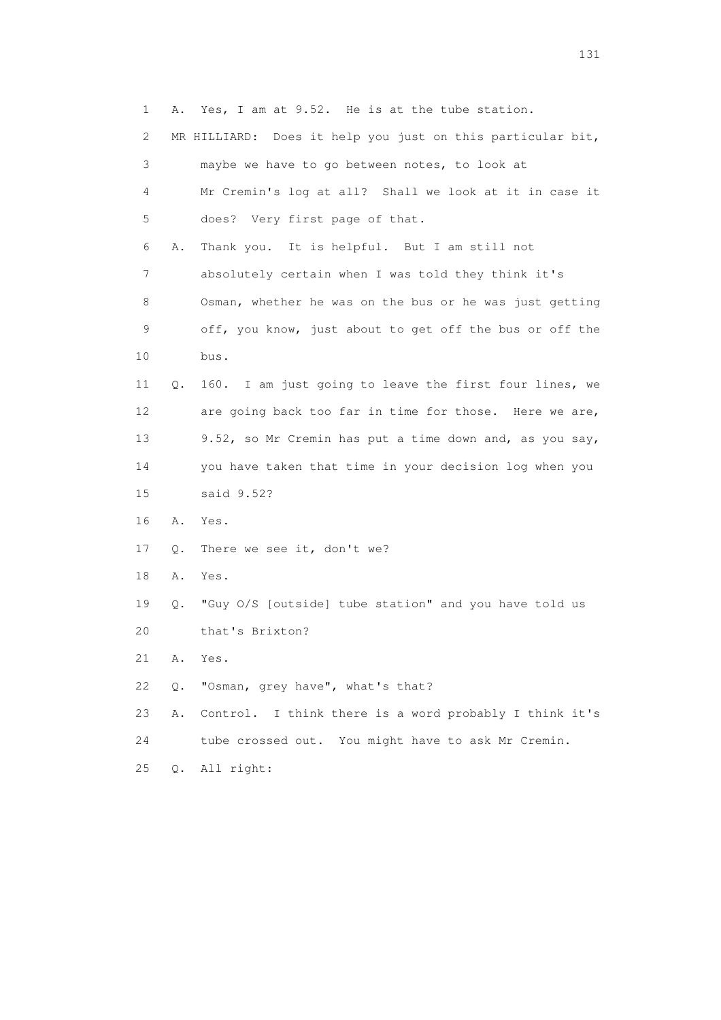| $\mathbf{1}$ | Α.        | Yes, I am at 9.52. He is at the tube station.                 |
|--------------|-----------|---------------------------------------------------------------|
| 2            |           | Does it help you just on this particular bit,<br>MR HILLIARD: |
| 3            |           | maybe we have to go between notes, to look at                 |
| 4            |           | Mr Cremin's log at all? Shall we look at it in case it        |
| 5            |           | does? Very first page of that.                                |
| 6            | Α.        | Thank you. It is helpful. But I am still not                  |
| 7            |           | absolutely certain when I was told they think it's            |
| 8            |           | Osman, whether he was on the bus or he was just getting       |
| 9            |           | off, you know, just about to get off the bus or off the       |
| 10           |           | bus.                                                          |
| 11           | $\circ$ . | 160. I am just going to leave the first four lines, we        |
| 12           |           | are going back too far in time for those. Here we are,        |
| 13           |           | 9.52, so Mr Cremin has put a time down and, as you say,       |
| 14           |           | you have taken that time in your decision log when you        |
| 15           |           | said 9.52?                                                    |
| 16           | Α.        | Yes.                                                          |
| 17           | Q.        | There we see it, don't we?                                    |
| 18           | Α.        | Yes.                                                          |
| 19           | Q.        | "Guy O/S [outside] tube station" and you have told us         |
| 20           |           | that's Brixton?                                               |
| 21           | Α.        | Yes.                                                          |
| 22           | Q.        | "Osman, grey have", what's that?                              |
| 23           | Α.        | Control. I think there is a word probably I think it's        |
| 24           |           | tube crossed out. You might have to ask Mr Cremin.            |

25 Q. All right: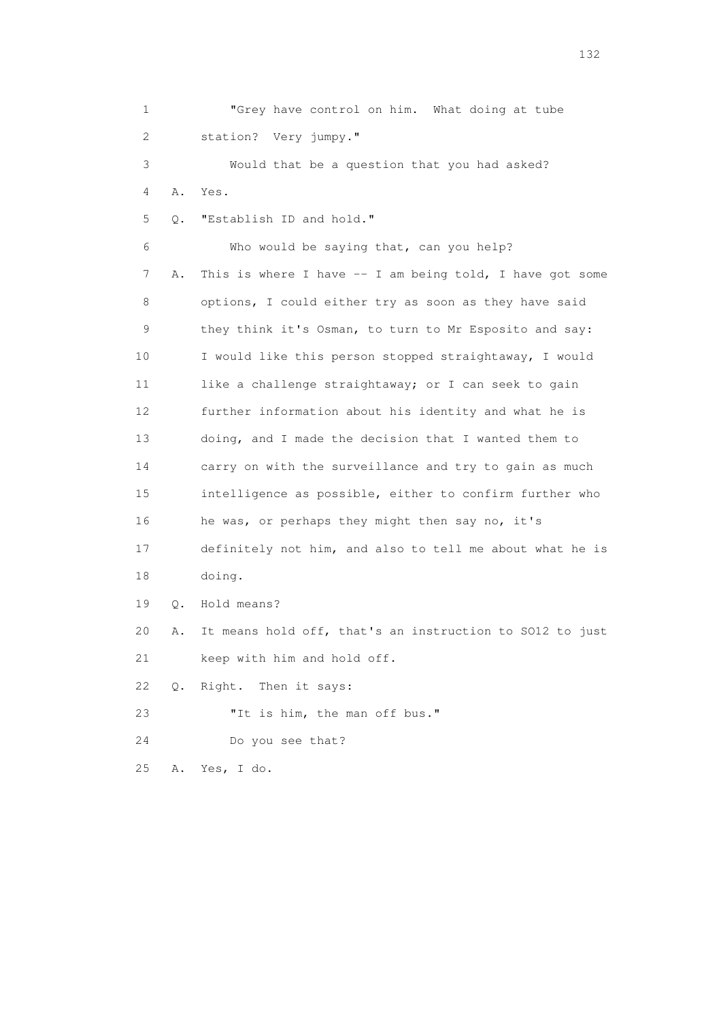1 "Grey have control on him. What doing at tube 2 station? Very jumpy." 3 Would that be a question that you had asked? 4 A. Yes. 5 Q. "Establish ID and hold." 6 Who would be saying that, can you help? 7 A. This is where I have -- I am being told, I have got some 8 options, I could either try as soon as they have said 9 they think it's Osman, to turn to Mr Esposito and say: 10 I would like this person stopped straightaway, I would 11 like a challenge straightaway; or I can seek to gain 12 further information about his identity and what he is 13 doing, and I made the decision that I wanted them to 14 carry on with the surveillance and try to gain as much 15 intelligence as possible, either to confirm further who 16 he was, or perhaps they might then say no, it's 17 definitely not him, and also to tell me about what he is 18 doing. 19 Q. Hold means? 20 A. It means hold off, that's an instruction to SO12 to just 21 keep with him and hold off. 22 Q. Right. Then it says: 23 "It is him, the man off bus." 24 Do you see that? 25 A. Yes, I do.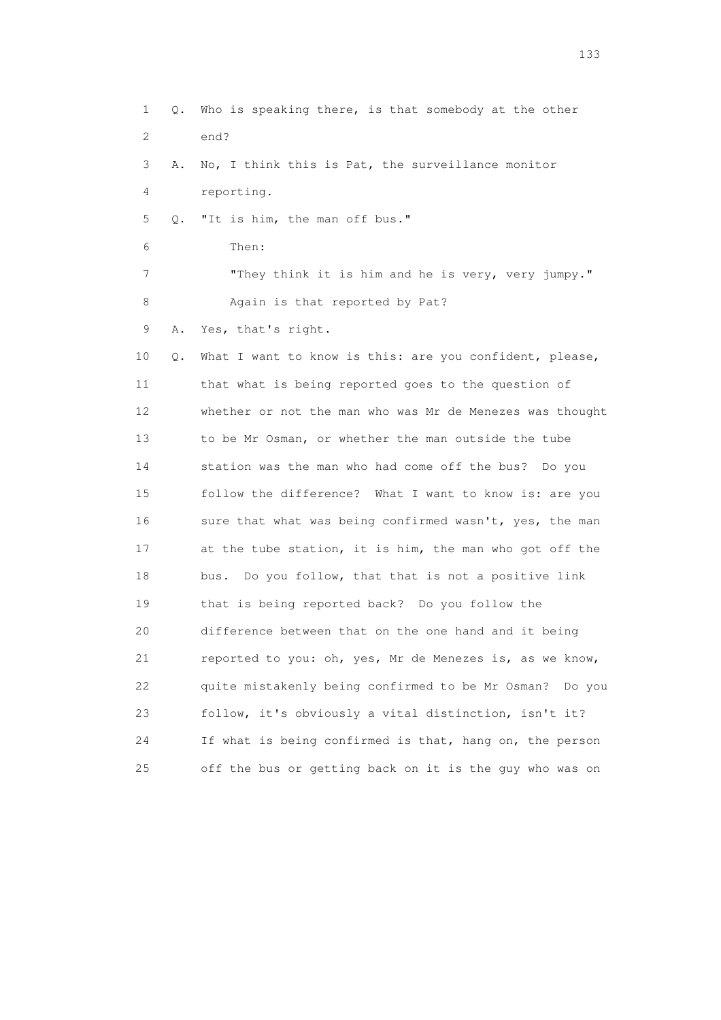1 Q. Who is speaking there, is that somebody at the other 2 end? 3 A. No, I think this is Pat, the surveillance monitor 4 reporting. 5 Q. "It is him, the man off bus." 6 Then: 7 "They think it is him and he is very, very jumpy." 8 Again is that reported by Pat? 9 A. Yes, that's right. 10 Q. What I want to know is this: are you confident, please, 11 that what is being reported goes to the question of 12 whether or not the man who was Mr de Menezes was thought 13 to be Mr Osman, or whether the man outside the tube 14 station was the man who had come off the bus? Do you 15 follow the difference? What I want to know is: are you 16 sure that what was being confirmed wasn't, yes, the man 17 at the tube station, it is him, the man who got off the 18 bus. Do you follow, that that is not a positive link 19 that is being reported back? Do you follow the 20 difference between that on the one hand and it being 21 reported to you: oh, yes, Mr de Menezes is, as we know, 22 quite mistakenly being confirmed to be Mr Osman? Do you 23 follow, it's obviously a vital distinction, isn't it? 24 If what is being confirmed is that, hang on, the person 25 off the bus or getting back on it is the guy who was on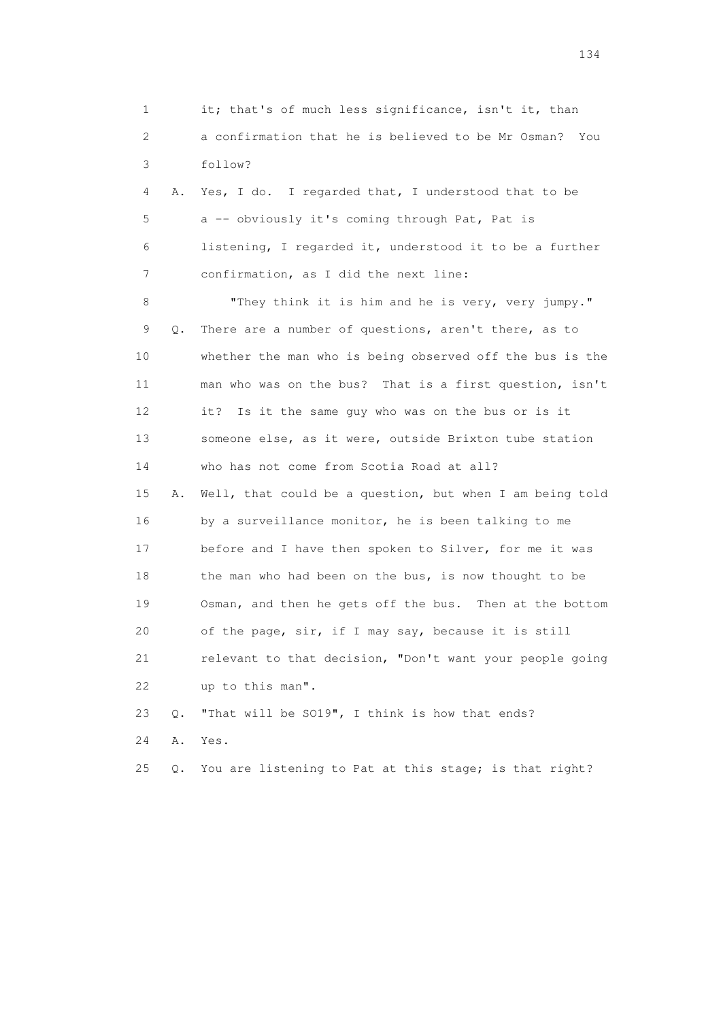1 it; that's of much less significance, isn't it, than 2 a confirmation that he is believed to be Mr Osman? You 3 follow? 4 A. Yes, I do. I regarded that, I understood that to be 5 a -- obviously it's coming through Pat, Pat is 6 listening, I regarded it, understood it to be a further 7 confirmation, as I did the next line: 8 "They think it is him and he is very, very jumpy." 9 Q. There are a number of questions, aren't there, as to 10 whether the man who is being observed off the bus is the 11 man who was on the bus? That is a first question, isn't 12 it? Is it the same guy who was on the bus or is it 13 someone else, as it were, outside Brixton tube station 14 who has not come from Scotia Road at all? 15 A. Well, that could be a question, but when I am being told 16 by a surveillance monitor, he is been talking to me 17 before and I have then spoken to Silver, for me it was 18 the man who had been on the bus, is now thought to be 19 Osman, and then he gets off the bus. Then at the bottom 20 of the page, sir, if I may say, because it is still 21 relevant to that decision, "Don't want your people going 22 up to this man". 23 Q. "That will be SO19", I think is how that ends? 24 A. Yes. 25 Q. You are listening to Pat at this stage; is that right?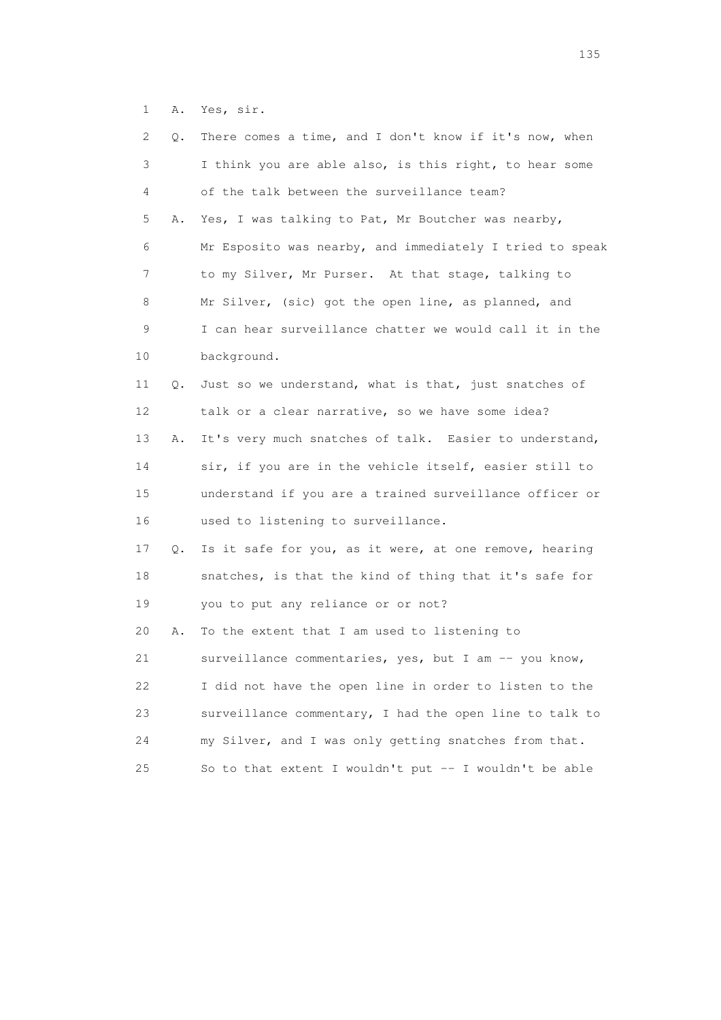1 A. Yes, sir.

| 2  | Q. | There comes a time, and I don't know if it's now, when   |
|----|----|----------------------------------------------------------|
| 3  |    | I think you are able also, is this right, to hear some   |
| 4  |    | of the talk between the surveillance team?               |
| 5  | Α. | Yes, I was talking to Pat, Mr Boutcher was nearby,       |
| 6  |    | Mr Esposito was nearby, and immediately I tried to speak |
| 7  |    | to my Silver, Mr Purser. At that stage, talking to       |
| 8  |    | Mr Silver, (sic) got the open line, as planned, and      |
| 9  |    | I can hear surveillance chatter we would call it in the  |
| 10 |    | background.                                              |
| 11 | Q. | Just so we understand, what is that, just snatches of    |
| 12 |    | talk or a clear narrative, so we have some idea?         |
| 13 | Α. | It's very much snatches of talk. Easier to understand,   |
| 14 |    | sir, if you are in the vehicle itself, easier still to   |
| 15 |    | understand if you are a trained surveillance officer or  |
| 16 |    | used to listening to surveillance.                       |
| 17 | Q. | Is it safe for you, as it were, at one remove, hearing   |
| 18 |    | snatches, is that the kind of thing that it's safe for   |
| 19 |    | you to put any reliance or or not?                       |
| 20 | Α. | To the extent that I am used to listening to             |
| 21 |    | surveillance commentaries, yes, but I am -- you know,    |
|    |    |                                                          |
| 22 |    | I did not have the open line in order to listen to the   |
| 23 |    | surveillance commentary, I had the open line to talk to  |
| 24 |    | my Silver, and I was only getting snatches from that.    |
| 25 |    | So to that extent I wouldn't put -- I wouldn't be able   |

n 135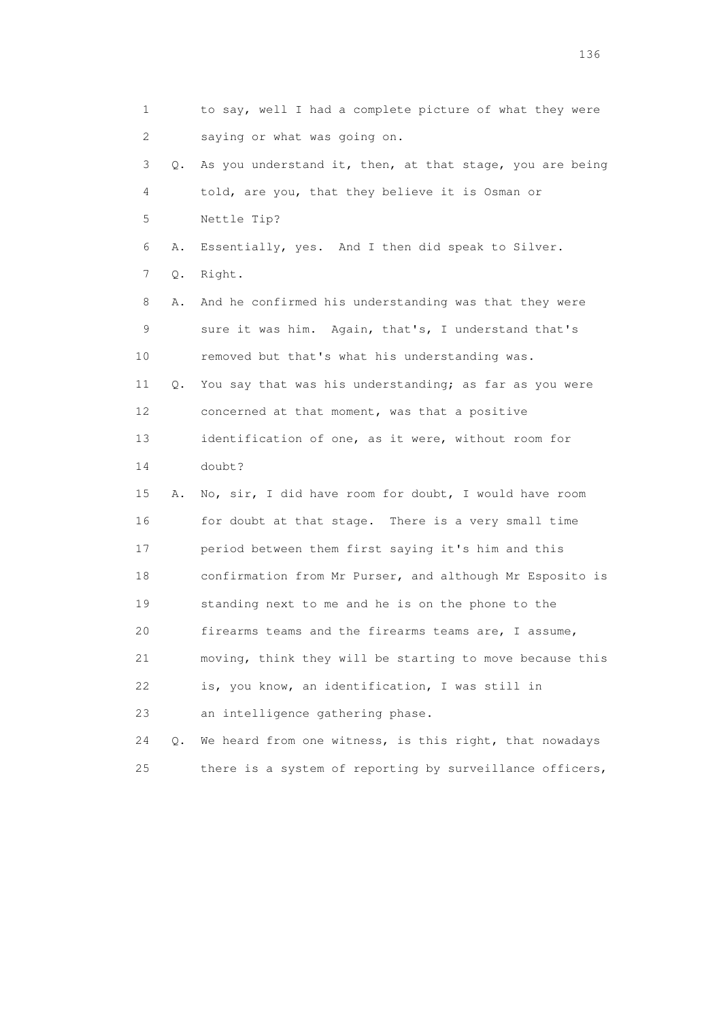| 1  |    | to say, well I had a complete picture of what they were  |
|----|----|----------------------------------------------------------|
| 2  |    | saying or what was going on.                             |
| 3  | 0. | As you understand it, then, at that stage, you are being |
| 4  |    | told, are you, that they believe it is Osman or          |
| 5  |    | Nettle Tip?                                              |
| 6  | Α. | Essentially, yes. And I then did speak to Silver.        |
| 7  | Q. | Right.                                                   |
| 8  | Α. | And he confirmed his understanding was that they were    |
| 9  |    | sure it was him. Again, that's, I understand that's      |
| 10 |    | removed but that's what his understanding was.           |
| 11 | Q. | You say that was his understanding; as far as you were   |
| 12 |    | concerned at that moment, was that a positive            |
| 13 |    | identification of one, as it were, without room for      |
| 14 |    | doubt?                                                   |
| 15 | Α. | No, sir, I did have room for doubt, I would have room    |
| 16 |    | for doubt at that stage. There is a very small time      |
| 17 |    | period between them first saying it's him and this       |
| 18 |    | confirmation from Mr Purser, and although Mr Esposito is |
| 19 |    | standing next to me and he is on the phone to the        |
| 20 |    | firearms teams and the firearms teams are, I assume,     |
| 21 |    | moving, think they will be starting to move because this |
| 22 |    | is, you know, an identification, I was still in          |
| 23 |    | an intelligence gathering phase.                         |
| 24 | О. | We heard from one witness, is this right, that nowadays  |
| 25 |    | there is a system of reporting by surveillance officers, |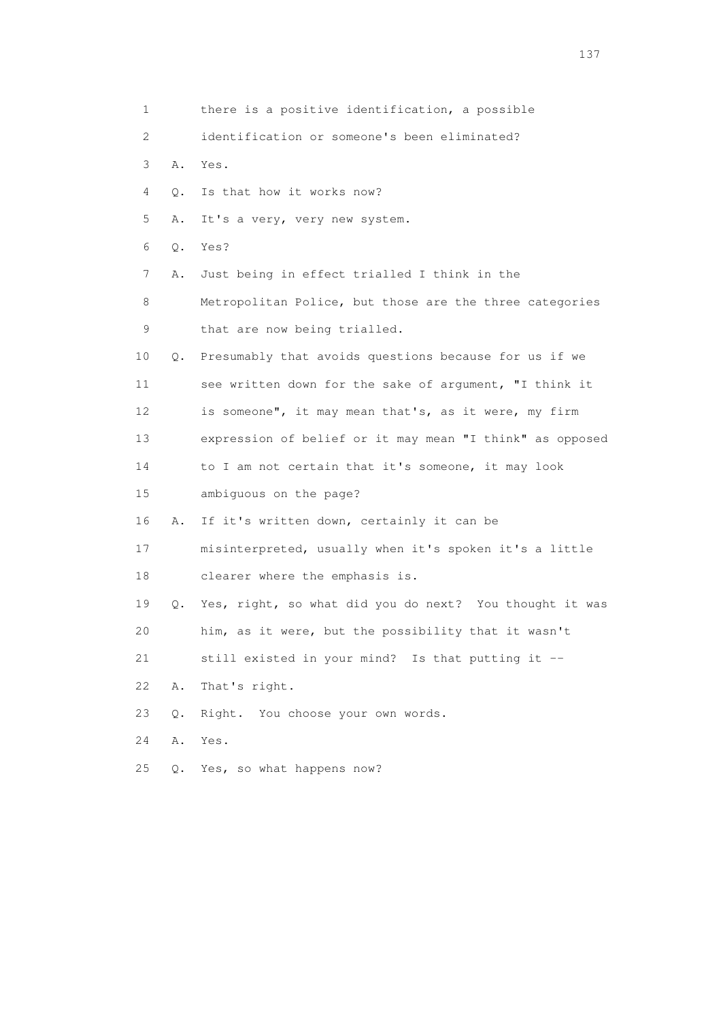| 1           |       | there is a positive identification, a possible           |
|-------------|-------|----------------------------------------------------------|
| 2           |       | identification or someone's been eliminated?             |
| 3           | Α.    | Yes.                                                     |
| 4           | Q.    | Is that how it works now?                                |
| 5           | Α.    | It's a very, very new system.                            |
| 6           | Q.    | Yes?                                                     |
| 7           | Α.    | Just being in effect trialled I think in the             |
| 8           |       | Metropolitan Police, but those are the three categories  |
| $\mathsf 9$ |       | that are now being trialled.                             |
| 10          | Q.    | Presumably that avoids questions because for us if we    |
| 11          |       | see written down for the sake of argument, "I think it   |
| 12          |       | is someone", it may mean that's, as it were, my firm     |
| 13          |       | expression of belief or it may mean "I think" as opposed |
| 14          |       | to I am not certain that it's someone, it may look       |
| 15          |       | ambiguous on the page?                                   |
| 16          | Α.    | If it's written down, certainly it can be                |
| 17          |       | misinterpreted, usually when it's spoken it's a little   |
| 18          |       | clearer where the emphasis is.                           |
| 19          | Q.    | Yes, right, so what did you do next? You thought it was  |
| 20          |       | him, as it were, but the possibility that it wasn't      |
| 21          |       | still existed in your mind? Is that putting it --        |
| 22          | Α.    | That's right.                                            |
| 23          | $Q$ . | Right. You choose your own words.                        |
| 24          | Α.    | Yes.                                                     |
| 25          | Q.    | Yes, so what happens now?                                |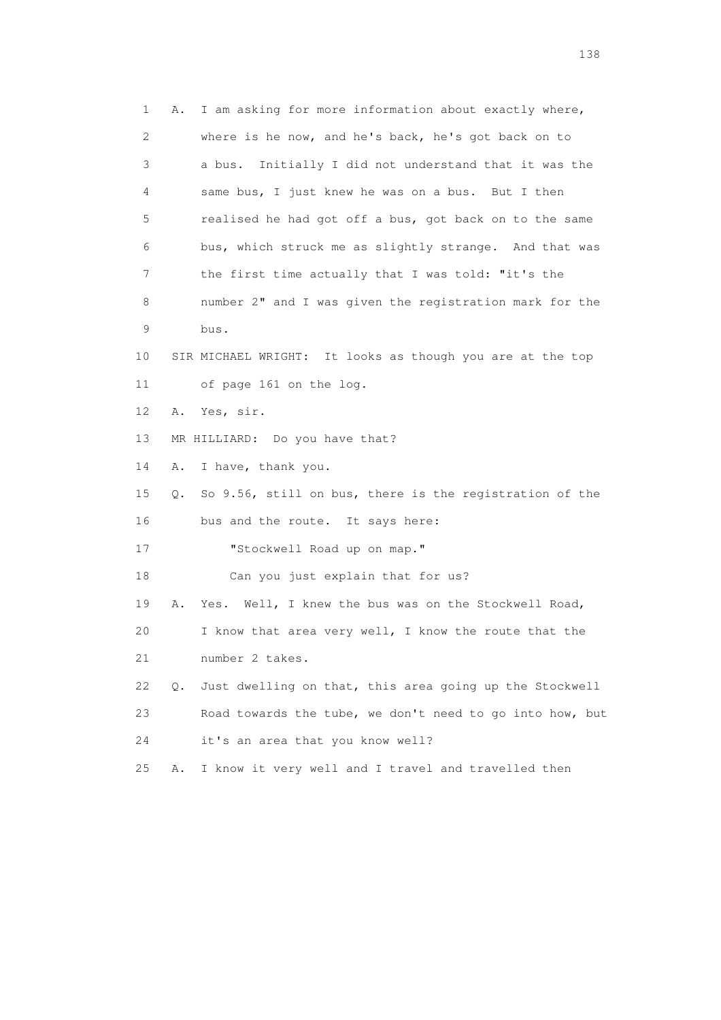1 A. I am asking for more information about exactly where, 2 where is he now, and he's back, he's got back on to 3 a bus. Initially I did not understand that it was the 4 same bus, I just knew he was on a bus. But I then 5 realised he had got off a bus, got back on to the same 6 bus, which struck me as slightly strange. And that was 7 the first time actually that I was told: "it's the 8 number 2" and I was given the registration mark for the 9 bus. 10 SIR MICHAEL WRIGHT: It looks as though you are at the top 11 of page 161 on the log. 12 A. Yes, sir. 13 MR HILLIARD: Do you have that? 14 A. I have, thank you. 15 Q. So 9.56, still on bus, there is the registration of the 16 bus and the route. It says here: 17 "Stockwell Road up on map." 18 Can you just explain that for us? 19 A. Yes. Well, I knew the bus was on the Stockwell Road, 20 I know that area very well, I know the route that the 21 number 2 takes. 22 Q. Just dwelling on that, this area going up the Stockwell 23 Road towards the tube, we don't need to go into how, but 24 it's an area that you know well? 25 A. I know it very well and I travel and travelled then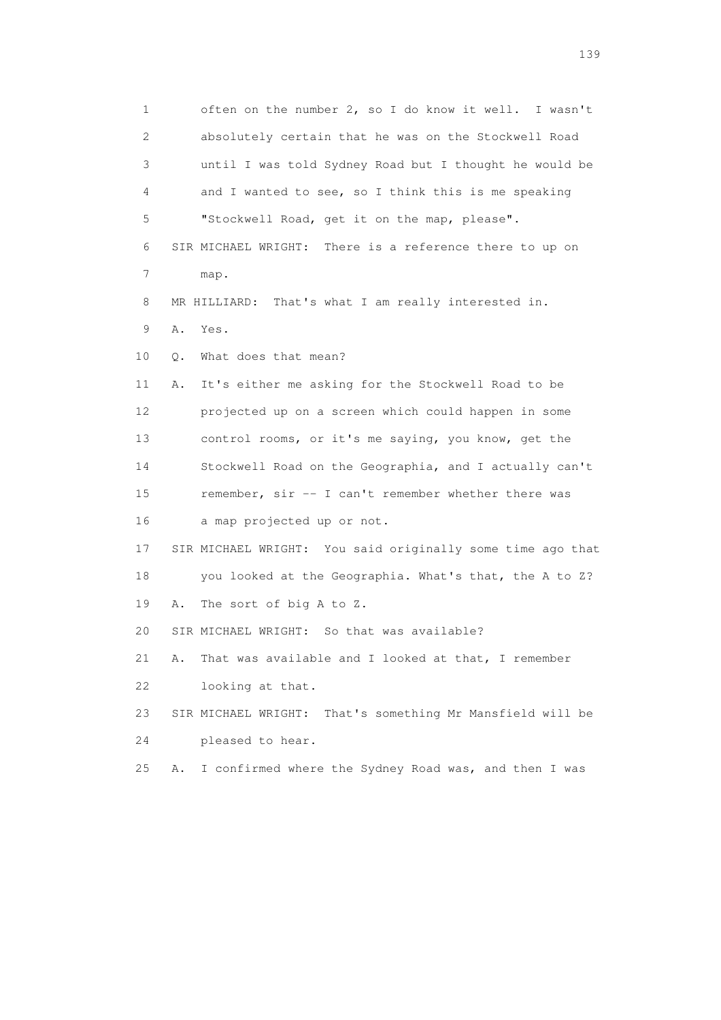1 often on the number 2, so I do know it well. I wasn't 2 absolutely certain that he was on the Stockwell Road 3 until I was told Sydney Road but I thought he would be 4 and I wanted to see, so I think this is me speaking 5 "Stockwell Road, get it on the map, please". 6 SIR MICHAEL WRIGHT: There is a reference there to up on 7 map. 8 MR HILLIARD: That's what I am really interested in. 9 A. Yes. 10 Q. What does that mean? 11 A. It's either me asking for the Stockwell Road to be 12 projected up on a screen which could happen in some 13 control rooms, or it's me saying, you know, get the 14 Stockwell Road on the Geographia, and I actually can't 15 remember, sir -- I can't remember whether there was 16 a map projected up or not. 17 SIR MICHAEL WRIGHT: You said originally some time ago that 18 you looked at the Geographia. What's that, the A to Z? 19 A. The sort of big A to Z. 20 SIR MICHAEL WRIGHT: So that was available? 21 A. That was available and I looked at that, I remember 22 looking at that. 23 SIR MICHAEL WRIGHT: That's something Mr Mansfield will be 24 pleased to hear. 25 A. I confirmed where the Sydney Road was, and then I was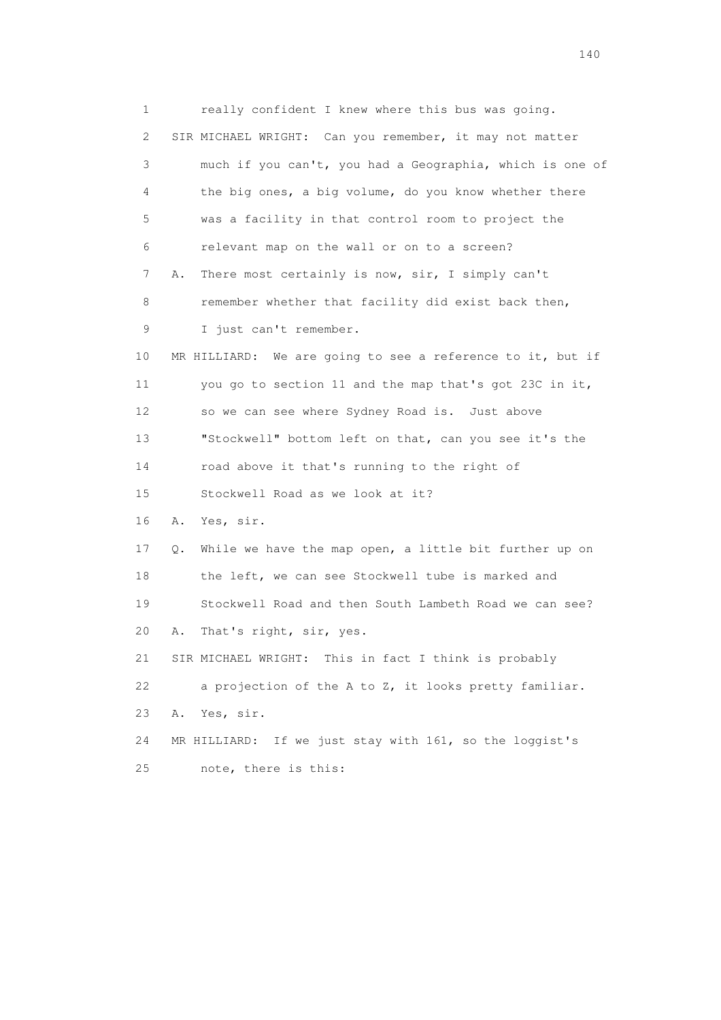1 really confident I knew where this bus was going. 2 SIR MICHAEL WRIGHT: Can you remember, it may not matter 3 much if you can't, you had a Geographia, which is one of 4 the big ones, a big volume, do you know whether there 5 was a facility in that control room to project the 6 relevant map on the wall or on to a screen? 7 A. There most certainly is now, sir, I simply can't 8 remember whether that facility did exist back then, 9 I just can't remember. 10 MR HILLIARD: We are going to see a reference to it, but if 11 you go to section 11 and the map that's got 23C in it, 12 so we can see where Sydney Road is. Just above 13 "Stockwell" bottom left on that, can you see it's the 14 road above it that's running to the right of 15 Stockwell Road as we look at it? 16 A. Yes, sir. 17 Q. While we have the map open, a little bit further up on 18 the left, we can see Stockwell tube is marked and 19 Stockwell Road and then South Lambeth Road we can see? 20 A. That's right, sir, yes. 21 SIR MICHAEL WRIGHT: This in fact I think is probably 22 a projection of the A to Z, it looks pretty familiar. 23 A. Yes, sir. 24 MR HILLIARD: If we just stay with 161, so the loggist's 25 note, there is this: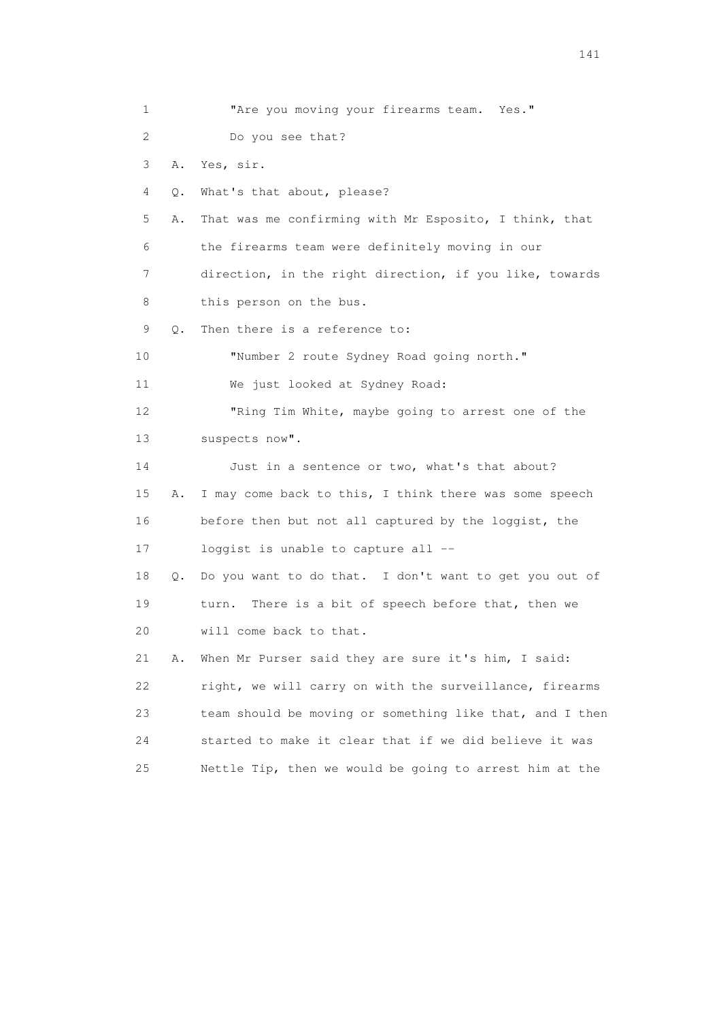1 **"Are you moving your firearms team.** Yes." 2 Do you see that? 3 A. Yes, sir. 4 Q. What's that about, please? 5 A. That was me confirming with Mr Esposito, I think, that 6 the firearms team were definitely moving in our 7 direction, in the right direction, if you like, towards 8 this person on the bus. 9 Q. Then there is a reference to: 10 "Number 2 route Sydney Road going north." 11 We just looked at Sydney Road: 12 "Ring Tim White, maybe going to arrest one of the 13 suspects now". 14 Just in a sentence or two, what's that about? 15 A. I may come back to this, I think there was some speech 16 before then but not all captured by the loggist, the 17 loggist is unable to capture all -- 18 Q. Do you want to do that. I don't want to get you out of 19 turn. There is a bit of speech before that, then we 20 will come back to that. 21 A. When Mr Purser said they are sure it's him, I said: 22 right, we will carry on with the surveillance, firearms 23 team should be moving or something like that, and I then 24 started to make it clear that if we did believe it was 25 Nettle Tip, then we would be going to arrest him at the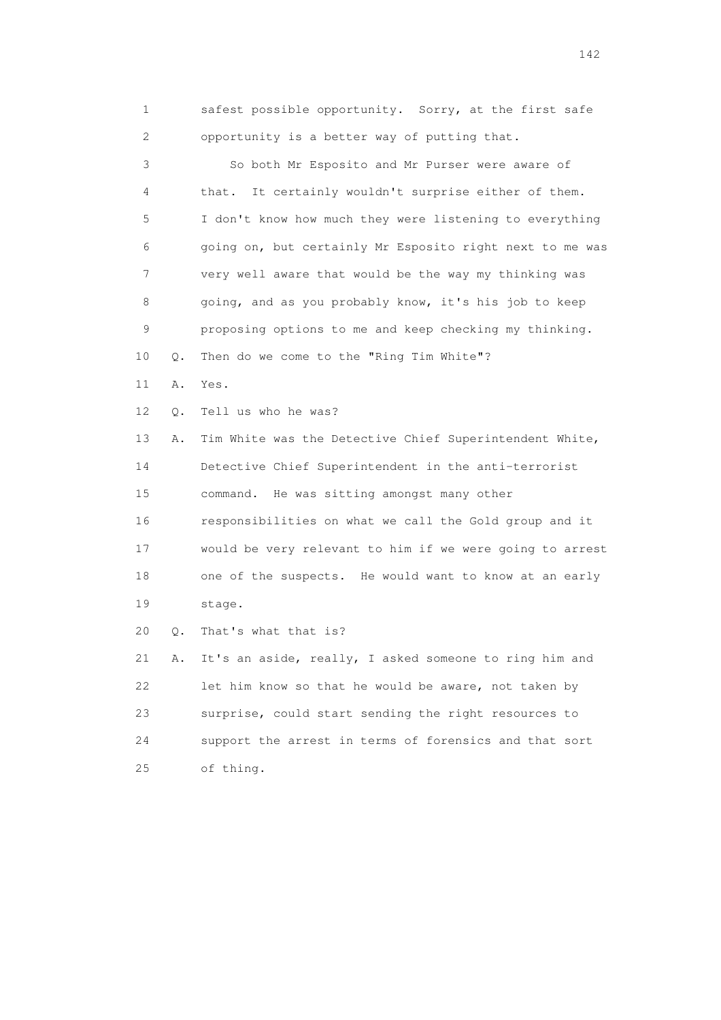1 safest possible opportunity. Sorry, at the first safe 2 opportunity is a better way of putting that.

 3 So both Mr Esposito and Mr Purser were aware of 4 that. It certainly wouldn't surprise either of them. 5 I don't know how much they were listening to everything 6 going on, but certainly Mr Esposito right next to me was 7 very well aware that would be the way my thinking was 8 going, and as you probably know, it's his job to keep 9 proposing options to me and keep checking my thinking. 10 Q. Then do we come to the "Ring Tim White"?

- 11 A. Yes.
- 12 Q. Tell us who he was?

 13 A. Tim White was the Detective Chief Superintendent White, 14 Detective Chief Superintendent in the anti-terrorist 15 command. He was sitting amongst many other 16 responsibilities on what we call the Gold group and it 17 would be very relevant to him if we were going to arrest 18 one of the suspects. He would want to know at an early 19 stage.

20 Q. That's what that is?

 21 A. It's an aside, really, I asked someone to ring him and 22 let him know so that he would be aware, not taken by 23 surprise, could start sending the right resources to 24 support the arrest in terms of forensics and that sort 25 of thing.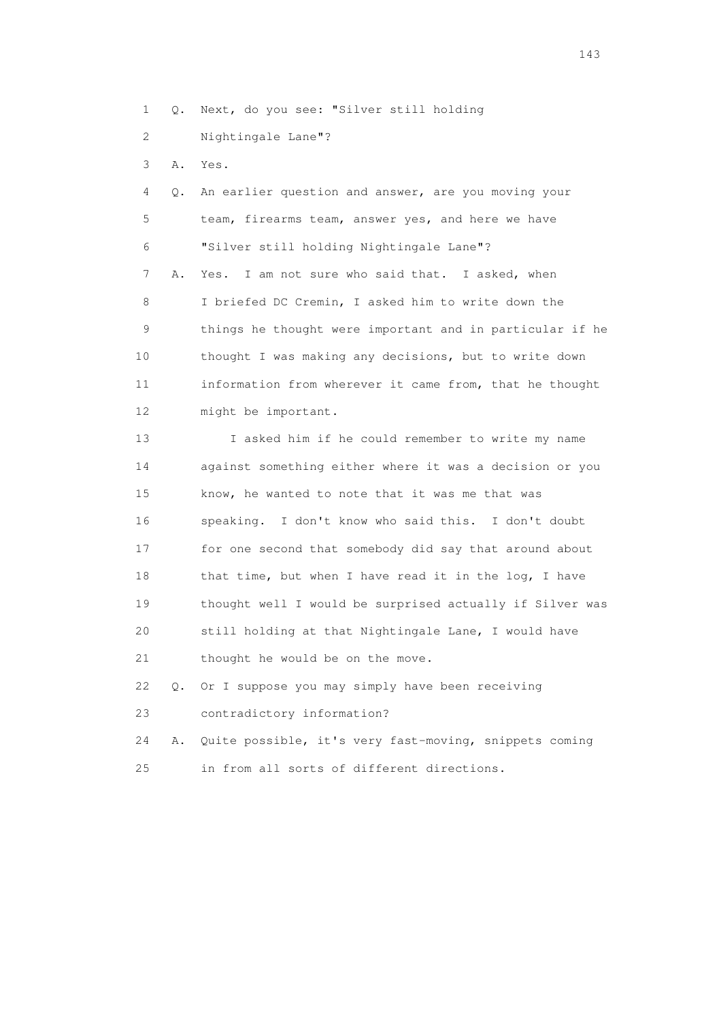1 Q. Next, do you see: "Silver still holding

- 2 Nightingale Lane"?
- 3 A. Yes.

 4 Q. An earlier question and answer, are you moving your 5 team, firearms team, answer yes, and here we have 6 "Silver still holding Nightingale Lane"? 7 A. Yes. I am not sure who said that. I asked, when 8 I briefed DC Cremin, I asked him to write down the 9 things he thought were important and in particular if he 10 thought I was making any decisions, but to write down 11 information from wherever it came from, that he thought 12 might be important.

 13 I asked him if he could remember to write my name 14 against something either where it was a decision or you 15 know, he wanted to note that it was me that was 16 speaking. I don't know who said this. I don't doubt 17 for one second that somebody did say that around about 18 that time, but when I have read it in the log, I have 19 thought well I would be surprised actually if Silver was 20 still holding at that Nightingale Lane, I would have 21 thought he would be on the move.

 22 Q. Or I suppose you may simply have been receiving 23 contradictory information?

 24 A. Quite possible, it's very fast-moving, snippets coming 25 in from all sorts of different directions.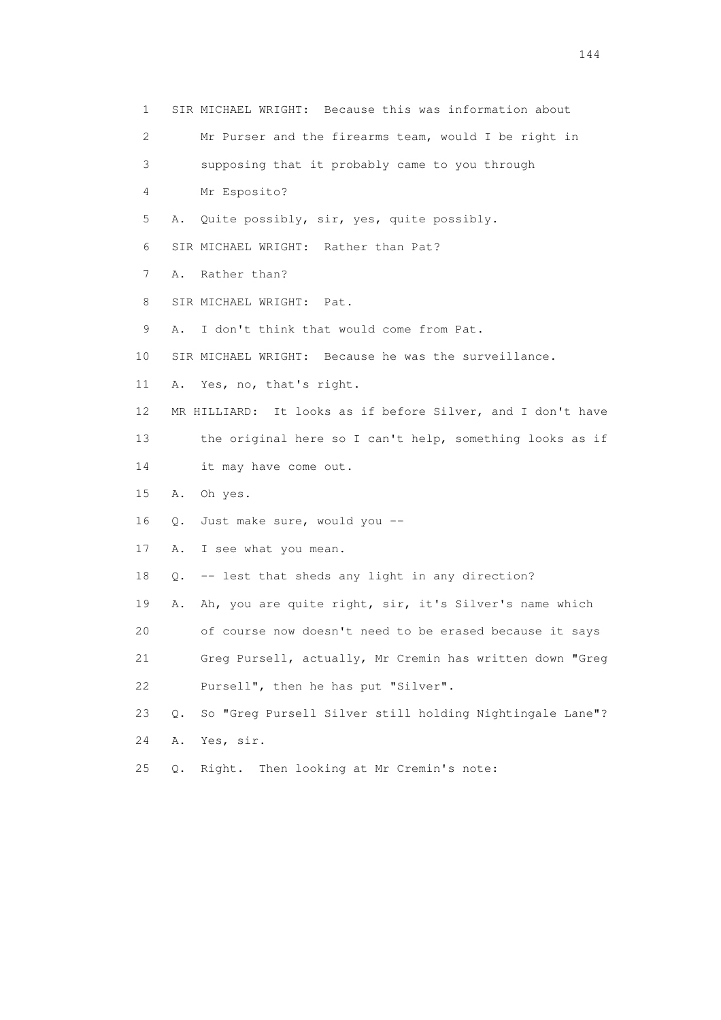1 SIR MICHAEL WRIGHT: Because this was information about 2 Mr Purser and the firearms team, would I be right in 3 supposing that it probably came to you through 4 Mr Esposito? 5 A. Quite possibly, sir, yes, quite possibly. 6 SIR MICHAEL WRIGHT: Rather than Pat? 7 A. Rather than? 8 SIR MICHAEL WRIGHT: Pat. 9 A. I don't think that would come from Pat. 10 SIR MICHAEL WRIGHT: Because he was the surveillance. 11 A. Yes, no, that's right. 12 MR HILLIARD: It looks as if before Silver, and I don't have 13 the original here so I can't help, something looks as if 14 it may have come out. 15 A. Oh yes. 16 Q. Just make sure, would you -- 17 A. I see what you mean. 18 Q. -- lest that sheds any light in any direction? 19 A. Ah, you are quite right, sir, it's Silver's name which 20 of course now doesn't need to be erased because it says 21 Greg Pursell, actually, Mr Cremin has written down "Greg 22 Pursell", then he has put "Silver". 23 Q. So "Greg Pursell Silver still holding Nightingale Lane"? 24 A. Yes, sir. 25 Q. Right. Then looking at Mr Cremin's note: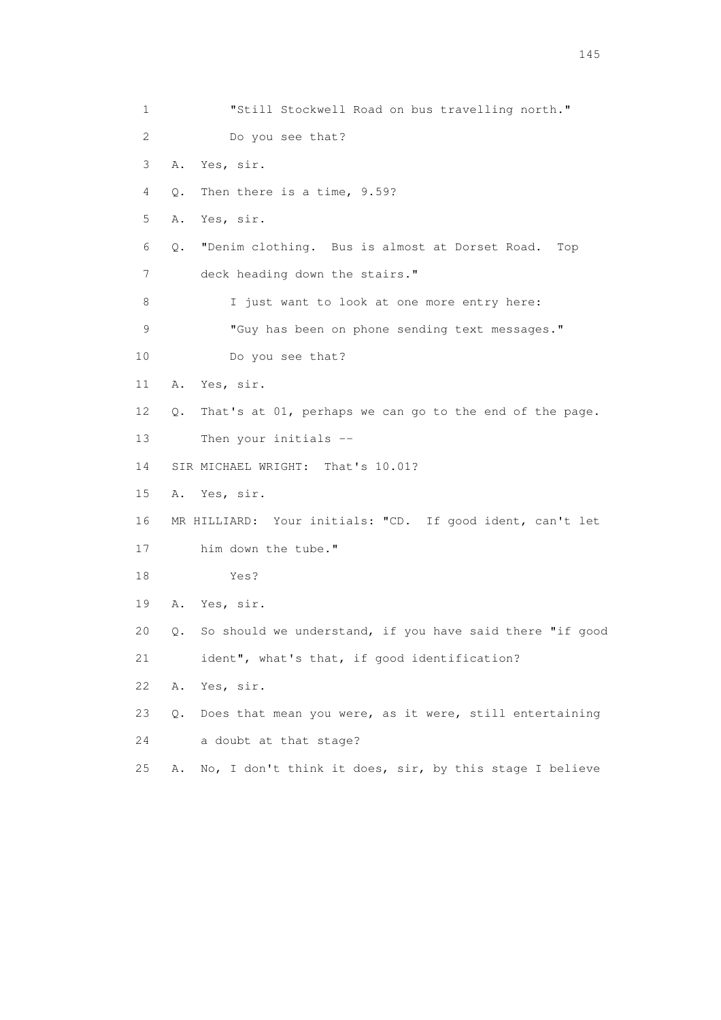1 "Still Stockwell Road on bus travelling north." 2 Do you see that? 3 A. Yes, sir. 4 Q. Then there is a time, 9.59? 5 A. Yes, sir. 6 Q. "Denim clothing. Bus is almost at Dorset Road. Top 7 deck heading down the stairs." 8 I just want to look at one more entry here: 9 "Guy has been on phone sending text messages." 10 Do you see that? 11 A. Yes, sir. 12 Q. That's at 01, perhaps we can go to the end of the page. 13 Then your initials -- 14 SIR MICHAEL WRIGHT: That's 10.01? 15 A. Yes, sir. 16 MR HILLIARD: Your initials: "CD. If good ident, can't let 17 him down the tube." 18 Yes? 19 A. Yes, sir. 20 Q. So should we understand, if you have said there "if good 21 ident", what's that, if good identification? 22 A. Yes, sir. 23 Q. Does that mean you were, as it were, still entertaining 24 a doubt at that stage? 25 A. No, I don't think it does, sir, by this stage I believe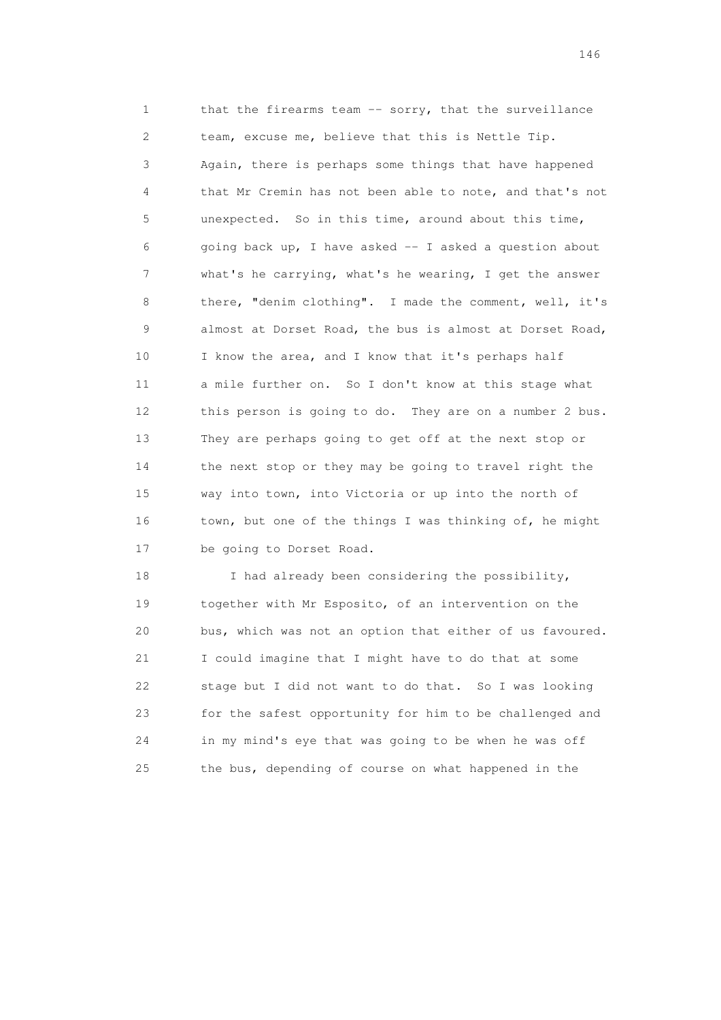1 that the firearms team -- sorry, that the surveillance 2 team, excuse me, believe that this is Nettle Tip. 3 Again, there is perhaps some things that have happened 4 that Mr Cremin has not been able to note, and that's not 5 unexpected. So in this time, around about this time, 6 going back up, I have asked -- I asked a question about 7 what's he carrying, what's he wearing, I get the answer 8 there, "denim clothing". I made the comment, well, it's 9 almost at Dorset Road, the bus is almost at Dorset Road, 10 I know the area, and I know that it's perhaps half 11 a mile further on. So I don't know at this stage what 12 this person is going to do. They are on a number 2 bus. 13 They are perhaps going to get off at the next stop or 14 the next stop or they may be going to travel right the 15 way into town, into Victoria or up into the north of 16 town, but one of the things I was thinking of, he might 17 be going to Dorset Road.

18 I had already been considering the possibility, 19 together with Mr Esposito, of an intervention on the 20 bus, which was not an option that either of us favoured. 21 I could imagine that I might have to do that at some 22 stage but I did not want to do that. So I was looking 23 for the safest opportunity for him to be challenged and 24 in my mind's eye that was going to be when he was off 25 the bus, depending of course on what happened in the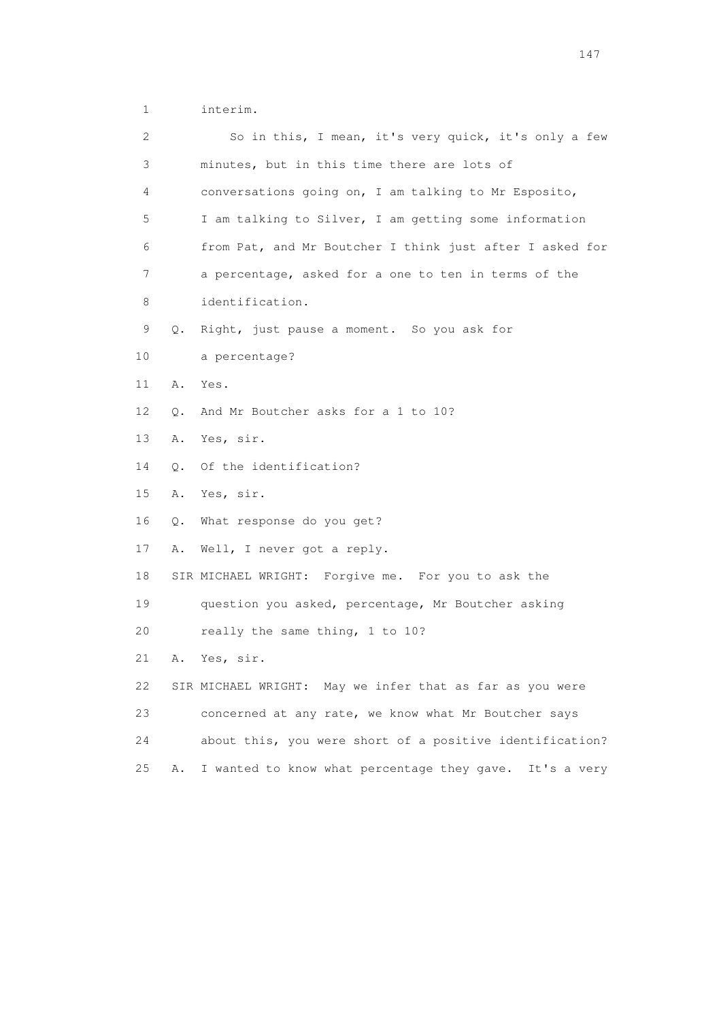1 interim.

| 2  |           | So in this, I mean, it's very quick, it's only a few     |
|----|-----------|----------------------------------------------------------|
| 3  |           | minutes, but in this time there are lots of              |
| 4  |           | conversations going on, I am talking to Mr Esposito,     |
| 5  |           | I am talking to Silver, I am getting some information    |
| 6  |           | from Pat, and Mr Boutcher I think just after I asked for |
| 7  |           | a percentage, asked for a one to ten in terms of the     |
| 8  |           | identification.                                          |
| 9  | Q.        | Right, just pause a moment. So you ask for               |
| 10 |           | a percentage?                                            |
| 11 | Α.        | Yes.                                                     |
| 12 | О.        | And Mr Boutcher asks for a 1 to 10?                      |
| 13 | Α.        | Yes, sir.                                                |
| 14 | $\circ$ . | Of the identification?                                   |
| 15 | A.        | Yes, sir.                                                |
| 16 | Q.        | What response do you get?                                |
| 17 | Α.        | Well, I never got a reply.                               |
| 18 |           | SIR MICHAEL WRIGHT: Forgive me. For you to ask the       |
| 19 |           | question you asked, percentage, Mr Boutcher asking       |
| 20 |           | really the same thing, 1 to 10?                          |
| 21 | Α.        | Yes, sir.                                                |
| 22 |           | SIR MICHAEL WRIGHT: May we infer that as far as you were |
| 23 |           | concerned at any rate, we know what Mr Boutcher says     |
| 24 |           | about this, you were short of a positive identification? |
| 25 | Α.        | I wanted to know what percentage they gave. It's a very  |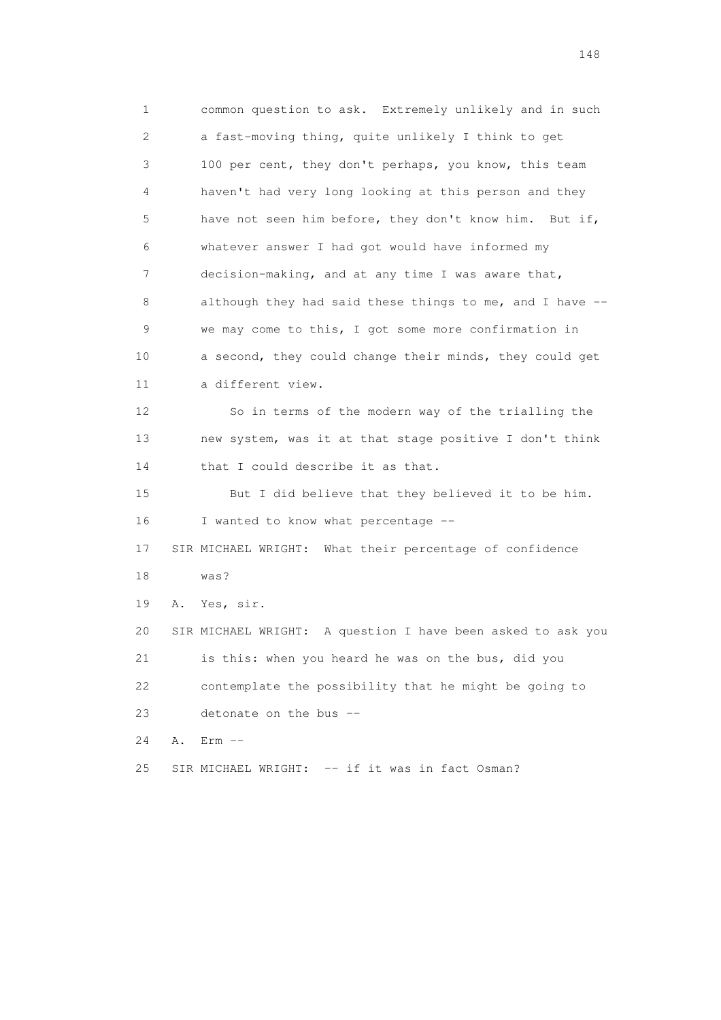1 common question to ask. Extremely unlikely and in such 2 a fast-moving thing, quite unlikely I think to get 3 100 per cent, they don't perhaps, you know, this team 4 haven't had very long looking at this person and they 5 have not seen him before, they don't know him. But if, 6 whatever answer I had got would have informed my 7 decision-making, and at any time I was aware that, 8 although they had said these things to me, and I have -- 9 we may come to this, I got some more confirmation in 10 a second, they could change their minds, they could get 11 a different view. 12 So in terms of the modern way of the trialling the 13 new system, was it at that stage positive I don't think 14 that I could describe it as that. 15 But I did believe that they believed it to be him. 16 I wanted to know what percentage -- 17 SIR MICHAEL WRIGHT: What their percentage of confidence 18 was? 19 A. Yes, sir. 20 SIR MICHAEL WRIGHT: A question I have been asked to ask you 21 is this: when you heard he was on the bus, did you 22 contemplate the possibility that he might be going to 23 detonate on the bus -- 24 A. Erm -- 25 SIR MICHAEL WRIGHT: -- if it was in fact Osman?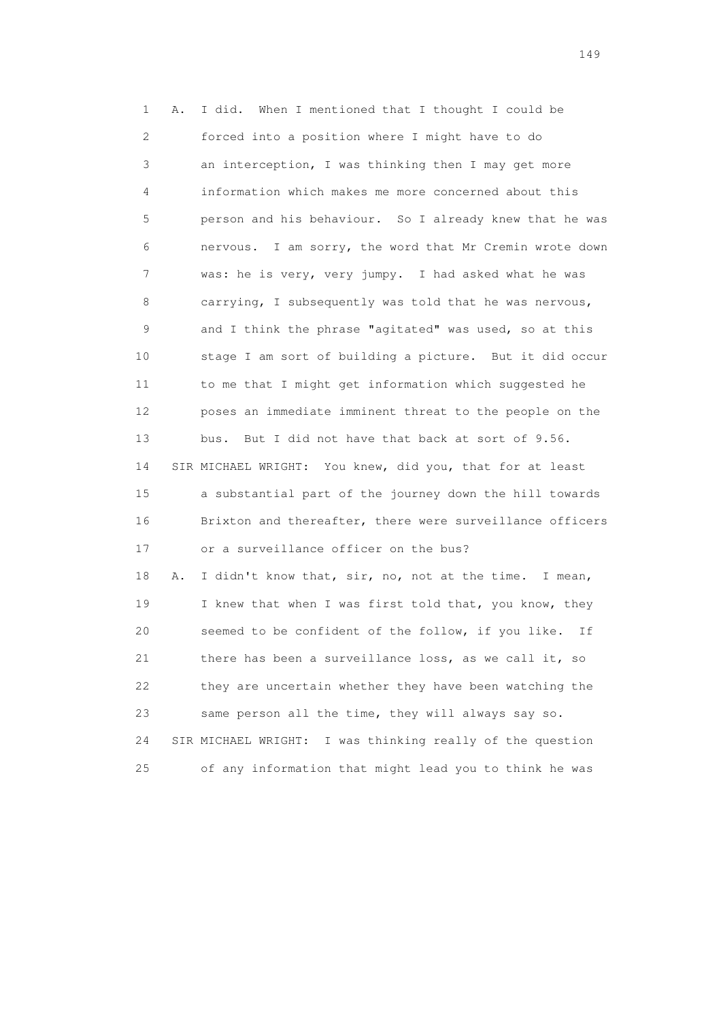1 A. I did. When I mentioned that I thought I could be 2 forced into a position where I might have to do 3 an interception, I was thinking then I may get more 4 information which makes me more concerned about this 5 person and his behaviour. So I already knew that he was 6 nervous. I am sorry, the word that Mr Cremin wrote down 7 was: he is very, very jumpy. I had asked what he was 8 carrying, I subsequently was told that he was nervous, 9 and I think the phrase "agitated" was used, so at this 10 stage I am sort of building a picture. But it did occur 11 to me that I might get information which suggested he 12 poses an immediate imminent threat to the people on the 13 bus. But I did not have that back at sort of 9.56. 14 SIR MICHAEL WRIGHT: You knew, did you, that for at least 15 a substantial part of the journey down the hill towards 16 Brixton and thereafter, there were surveillance officers 17 or a surveillance officer on the bus? 18 A. I didn't know that, sir, no, not at the time. I mean, 19 I knew that when I was first told that, you know, they 20 seemed to be confident of the follow, if you like. If 21 there has been a surveillance loss, as we call it, so 22 they are uncertain whether they have been watching the 23 same person all the time, they will always say so. 24 SIR MICHAEL WRIGHT: I was thinking really of the question 25 of any information that might lead you to think he was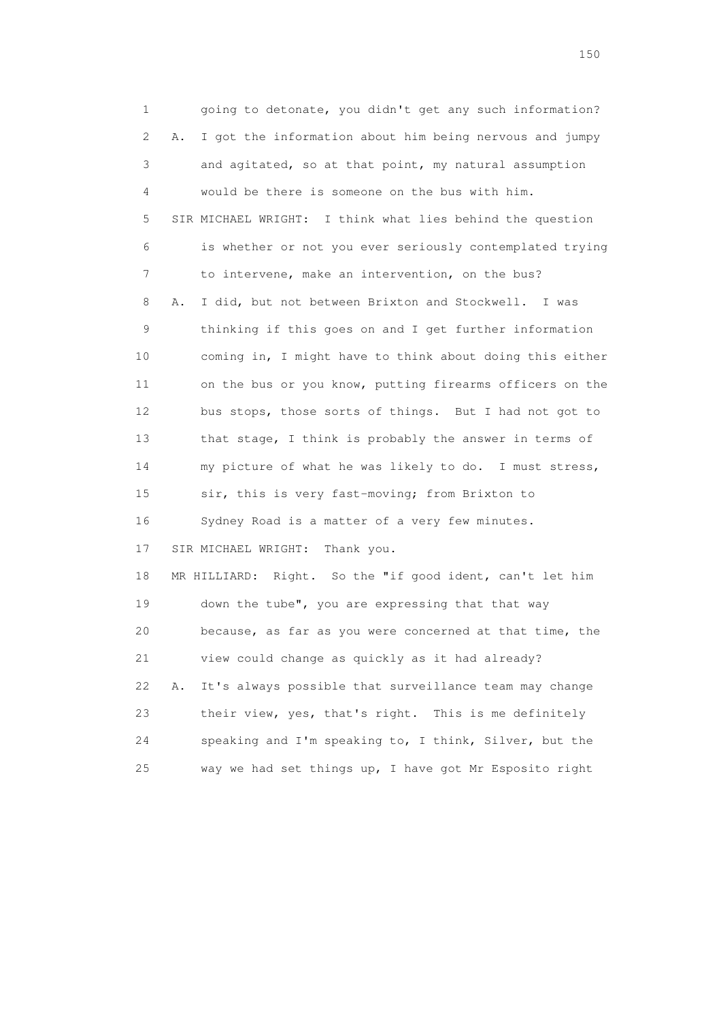1 going to detonate, you didn't get any such information? 2 A. I got the information about him being nervous and jumpy 3 and agitated, so at that point, my natural assumption 4 would be there is someone on the bus with him. 5 SIR MICHAEL WRIGHT: I think what lies behind the question 6 is whether or not you ever seriously contemplated trying 7 to intervene, make an intervention, on the bus? 8 A. I did, but not between Brixton and Stockwell. I was 9 thinking if this goes on and I get further information 10 coming in, I might have to think about doing this either 11 on the bus or you know, putting firearms officers on the 12 bus stops, those sorts of things. But I had not got to 13 that stage, I think is probably the answer in terms of 14 my picture of what he was likely to do. I must stress, 15 sir, this is very fast-moving; from Brixton to 16 Sydney Road is a matter of a very few minutes. 17 SIR MICHAEL WRIGHT: Thank you. 18 MR HILLIARD: Right. So the "if good ident, can't let him 19 down the tube", you are expressing that that way 20 because, as far as you were concerned at that time, the 21 view could change as quickly as it had already? 22 A. It's always possible that surveillance team may change 23 their view, yes, that's right. This is me definitely 24 speaking and I'm speaking to, I think, Silver, but the 25 way we had set things up, I have got Mr Esposito right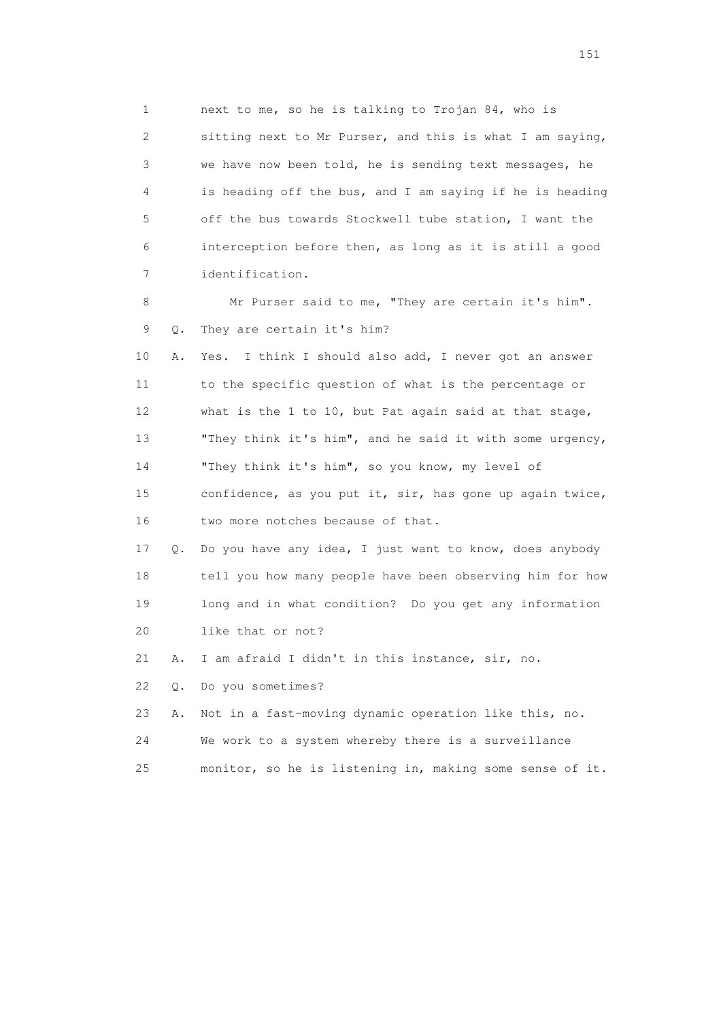1 next to me, so he is talking to Trojan 84, who is 2 sitting next to Mr Purser, and this is what I am saying, 3 we have now been told, he is sending text messages, he 4 is heading off the bus, and I am saying if he is heading 5 off the bus towards Stockwell tube station, I want the 6 interception before then, as long as it is still a good 7 identification.

 8 Mr Purser said to me, "They are certain it's him". 9 Q. They are certain it's him?

 10 A. Yes. I think I should also add, I never got an answer 11 to the specific question of what is the percentage or 12 what is the 1 to 10, but Pat again said at that stage, 13 "They think it's him", and he said it with some urgency, 14 "They think it's him", so you know, my level of 15 confidence, as you put it, sir, has gone up again twice, 16 two more notches because of that.

 17 Q. Do you have any idea, I just want to know, does anybody 18 tell you how many people have been observing him for how 19 long and in what condition? Do you get any information 20 like that or not?

21 A. I am afraid I didn't in this instance, sir, no.

22 Q. Do you sometimes?

23 A. Not in a fast-moving dynamic operation like this, no.

24 We work to a system whereby there is a surveillance

25 monitor, so he is listening in, making some sense of it.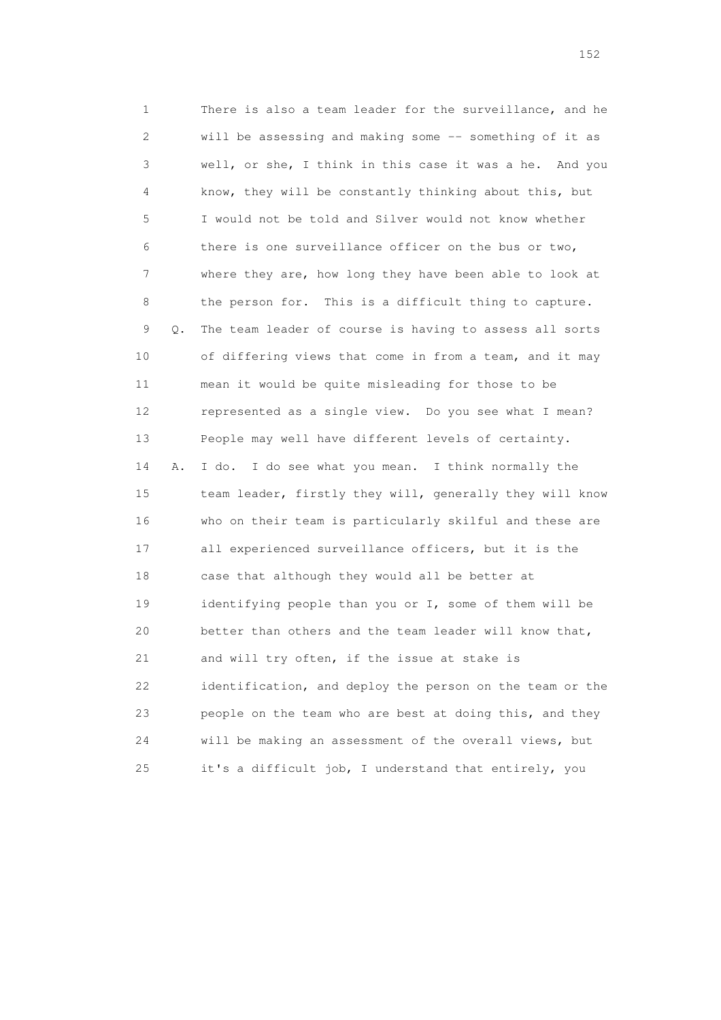1 There is also a team leader for the surveillance, and he 2 will be assessing and making some -- something of it as 3 well, or she, I think in this case it was a he. And you 4 know, they will be constantly thinking about this, but 5 I would not be told and Silver would not know whether 6 there is one surveillance officer on the bus or two, 7 where they are, how long they have been able to look at 8 the person for. This is a difficult thing to capture. 9 Q. The team leader of course is having to assess all sorts 10 of differing views that come in from a team, and it may 11 mean it would be quite misleading for those to be 12 represented as a single view. Do you see what I mean? 13 People may well have different levels of certainty. 14 A. I do. I do see what you mean. I think normally the 15 team leader, firstly they will, generally they will know 16 who on their team is particularly skilful and these are 17 all experienced surveillance officers, but it is the 18 case that although they would all be better at 19 identifying people than you or I, some of them will be 20 better than others and the team leader will know that, 21 and will try often, if the issue at stake is 22 identification, and deploy the person on the team or the 23 people on the team who are best at doing this, and they 24 will be making an assessment of the overall views, but 25 it's a difficult job, I understand that entirely, you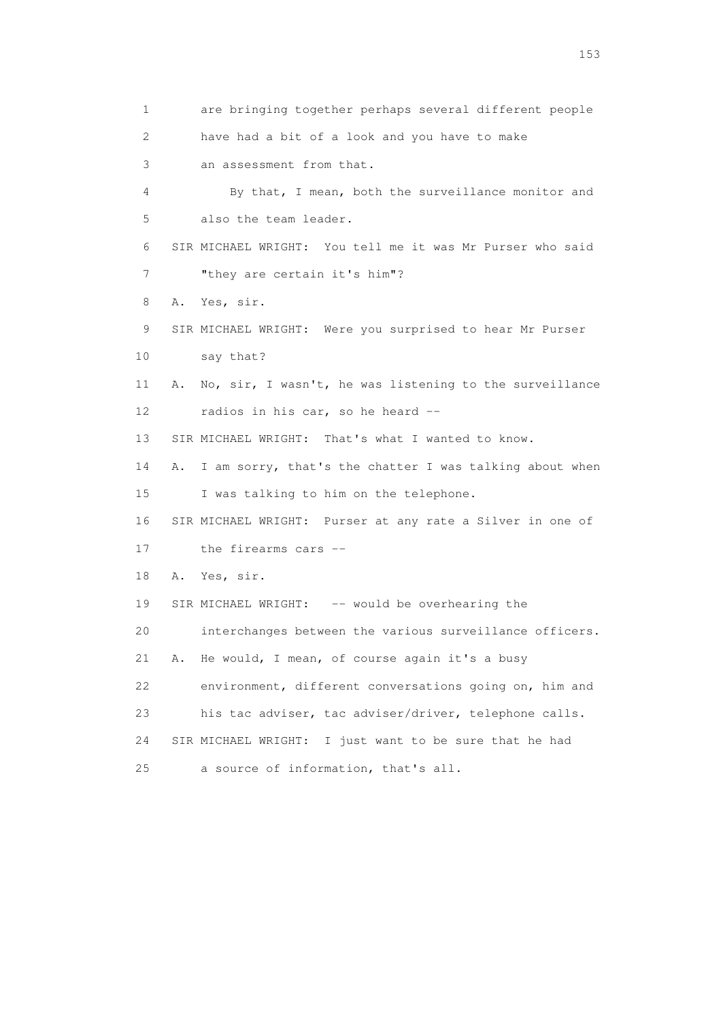1 are bringing together perhaps several different people 2 have had a bit of a look and you have to make 3 an assessment from that. 4 By that, I mean, both the surveillance monitor and 5 also the team leader. 6 SIR MICHAEL WRIGHT: You tell me it was Mr Purser who said 7 "they are certain it's him"? 8 A. Yes, sir. 9 SIR MICHAEL WRIGHT: Were you surprised to hear Mr Purser 10 say that? 11 A. No, sir, I wasn't, he was listening to the surveillance 12 radios in his car, so he heard -- 13 SIR MICHAEL WRIGHT: That's what I wanted to know. 14 A. I am sorry, that's the chatter I was talking about when 15 I was talking to him on the telephone. 16 SIR MICHAEL WRIGHT: Purser at any rate a Silver in one of 17 the firearms cars -- 18 A. Yes, sir. 19 SIR MICHAEL WRIGHT: -- would be overhearing the 20 interchanges between the various surveillance officers. 21 A. He would, I mean, of course again it's a busy 22 environment, different conversations going on, him and 23 his tac adviser, tac adviser/driver, telephone calls. 24 SIR MICHAEL WRIGHT: I just want to be sure that he had 25 a source of information, that's all.

n 153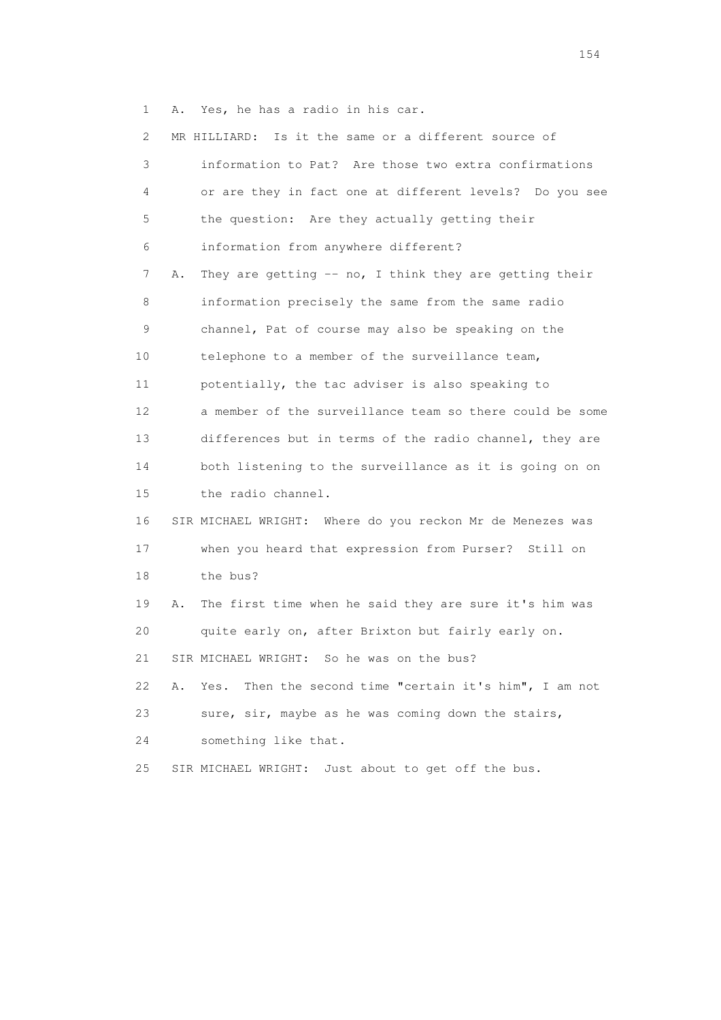1 A. Yes, he has a radio in his car.

| $\mathbf{2}^{\mathsf{I}}$ |    | MR HILLIARD: Is it the same or a different source of      |
|---------------------------|----|-----------------------------------------------------------|
| 3                         |    | information to Pat? Are those two extra confirmations     |
| 4                         |    | or are they in fact one at different levels? Do you see   |
| 5                         |    | the question: Are they actually getting their             |
| 6                         |    | information from anywhere different?                      |
| 7                         | Α. | They are getting $--$ no, I think they are getting their  |
| 8                         |    | information precisely the same from the same radio        |
| 9                         |    | channel, Pat of course may also be speaking on the        |
| 10                        |    | telephone to a member of the surveillance team,           |
| 11                        |    | potentially, the tac adviser is also speaking to          |
| 12                        |    | a member of the surveillance team so there could be some  |
| 13                        |    | differences but in terms of the radio channel, they are   |
| 14                        |    | both listening to the surveillance as it is going on on   |
| 15                        |    | the radio channel.                                        |
| 16                        |    | SIR MICHAEL WRIGHT: Where do you reckon Mr de Menezes was |
| 17                        |    | when you heard that expression from Purser? Still on      |
| 18                        |    | the bus?                                                  |
| 19                        | Α. | The first time when he said they are sure it's him was    |
| 20                        |    | quite early on, after Brixton but fairly early on.        |
| 21                        |    | SIR MICHAEL WRIGHT: So he was on the bus?                 |
| 22                        | Α. | Then the second time "certain it's him", I am not<br>Yes. |
| 23                        |    | sure, sir, maybe as he was coming down the stairs,        |
| 24                        |    | something like that.                                      |
| 25                        |    | Just about to get off the bus.<br>SIR MICHAEL WRIGHT:     |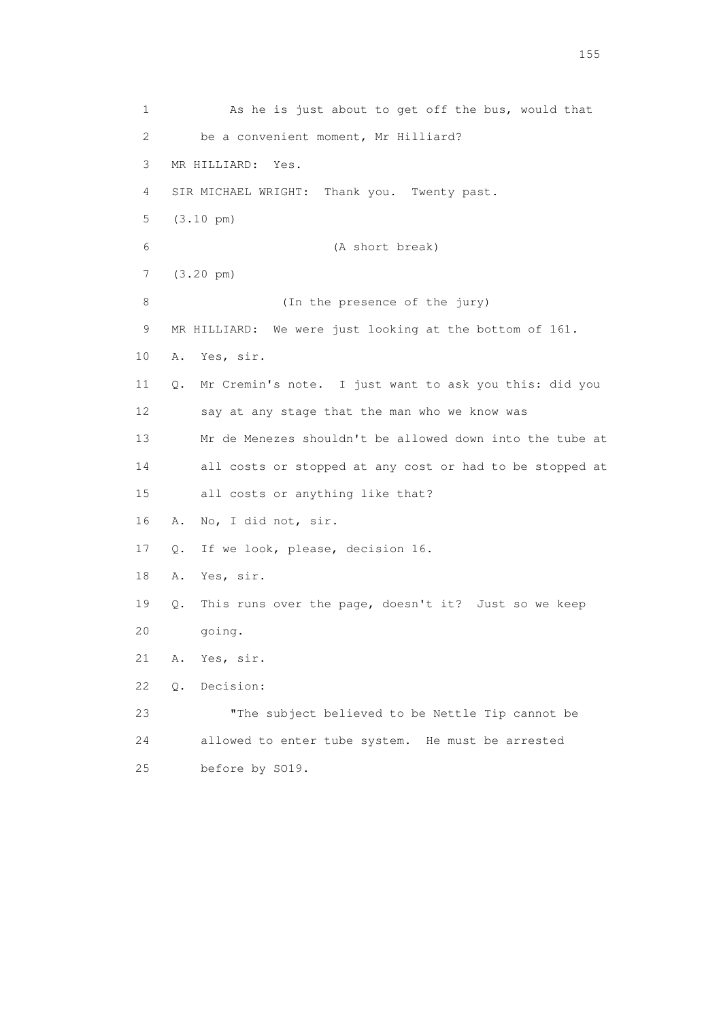1 As he is just about to get off the bus, would that 2 be a convenient moment, Mr Hilliard? 3 MR HILLIARD: Yes. 4 SIR MICHAEL WRIGHT: Thank you. Twenty past. 5 (3.10 pm) 6 (A short break) 7 (3.20 pm) 8 (In the presence of the jury) 9 MR HILLIARD: We were just looking at the bottom of 161. 10 A. Yes, sir. 11 Q. Mr Cremin's note. I just want to ask you this: did you 12 say at any stage that the man who we know was 13 Mr de Menezes shouldn't be allowed down into the tube at 14 all costs or stopped at any cost or had to be stopped at 15 all costs or anything like that? 16 A. No, I did not, sir. 17 Q. If we look, please, decision 16. 18 A. Yes, sir. 19 Q. This runs over the page, doesn't it? Just so we keep 20 going. 21 A. Yes, sir. 22 Q. Decision: 23 "The subject believed to be Nettle Tip cannot be 24 allowed to enter tube system. He must be arrested 25 before by SO19.

n 155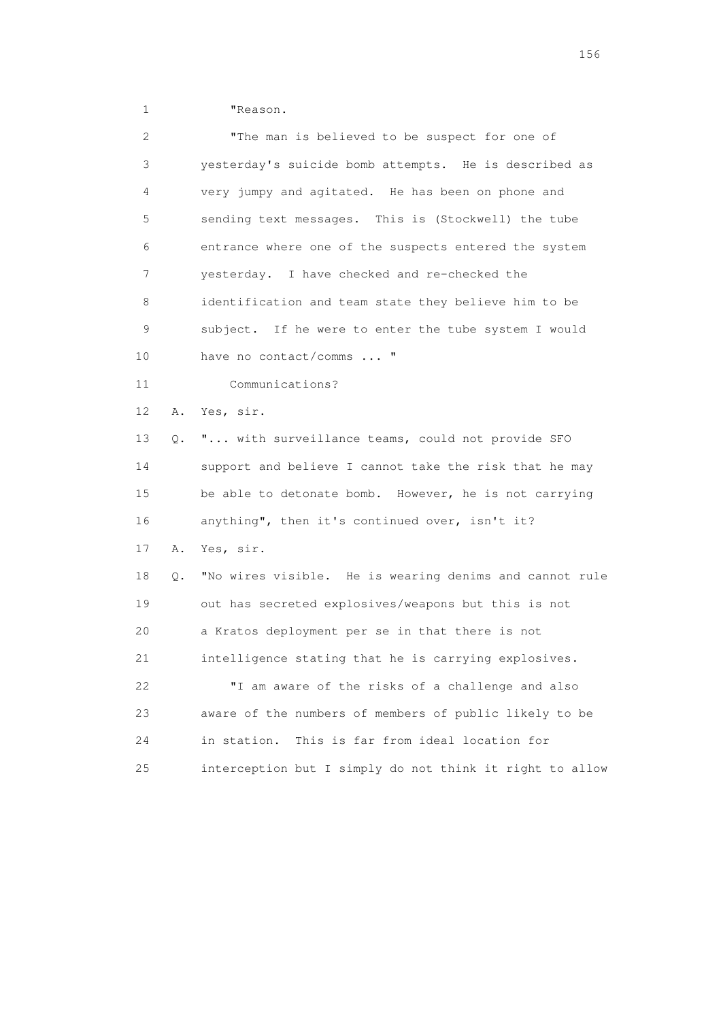1 "Reason.

| $\mathbf{2}^{\mathsf{I}}$ |    | "The man is believed to be suspect for one of            |
|---------------------------|----|----------------------------------------------------------|
| 3                         |    | yesterday's suicide bomb attempts. He is described as    |
| 4                         |    | very jumpy and agitated. He has been on phone and        |
| 5                         |    | sending text messages. This is (Stockwell) the tube      |
| 6                         |    | entrance where one of the suspects entered the system    |
| 7                         |    | yesterday. I have checked and re-checked the             |
| 8                         |    | identification and team state they believe him to be     |
| 9                         |    | subject. If he were to enter the tube system I would     |
| 10                        |    | have no contact/comms  "                                 |
| 11                        |    | Communications?                                          |
| 12                        | Α. | Yes, sir.                                                |
| 13                        | О. | " with surveillance teams, could not provide SFO         |
| 14                        |    | support and believe I cannot take the risk that he may   |
| 15                        |    | be able to detonate bomb. However, he is not carrying    |
| 16                        |    | anything", then it's continued over, isn't it?           |
| 17                        | Α. | Yes, sir.                                                |
| 18                        | Q. | "No wires visible. He is wearing denims and cannot rule  |
| 19                        |    | out has secreted explosives/weapons but this is not      |
| 20                        |    | a Kratos deployment per se in that there is not          |
| 21                        |    | intelligence stating that he is carrying explosives.     |
| 22                        |    | "I am aware of the risks of a challenge and also         |
| 23                        |    | aware of the numbers of members of public likely to be   |
| 24                        |    | in station.<br>This is far from ideal location for       |
| 25                        |    | interception but I simply do not think it right to allow |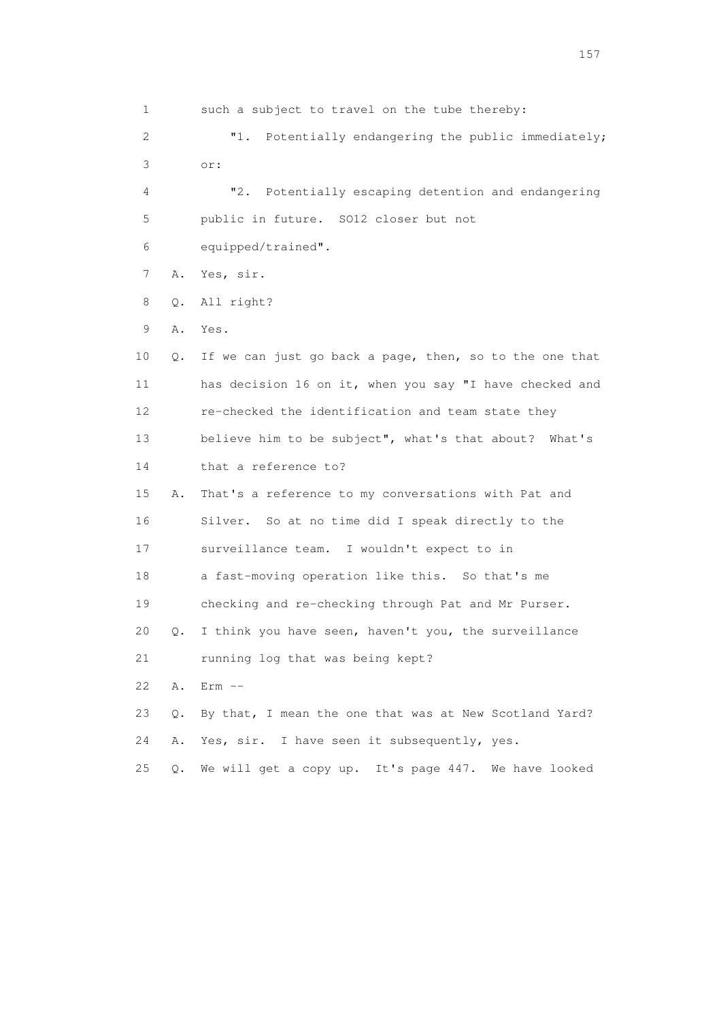1 such a subject to travel on the tube thereby: 2 "1. Potentially endangering the public immediately; 3 or: 4 "2. Potentially escaping detention and endangering 5 public in future. SO12 closer but not 6 equipped/trained". 7 A. Yes, sir. 8 Q. All right? 9 A. Yes. 10 Q. If we can just go back a page, then, so to the one that 11 has decision 16 on it, when you say "I have checked and 12 re-checked the identification and team state they 13 believe him to be subject", what's that about? What's 14 that a reference to? 15 A. That's a reference to my conversations with Pat and 16 Silver. So at no time did I speak directly to the 17 surveillance team. I wouldn't expect to in 18 a fast-moving operation like this. So that's me 19 checking and re-checking through Pat and Mr Purser. 20 Q. I think you have seen, haven't you, the surveillance 21 running log that was being kept? 22 A. Erm -- 23 Q. By that, I mean the one that was at New Scotland Yard? 24 A. Yes, sir. I have seen it subsequently, yes. 25 Q. We will get a copy up. It's page 447. We have looked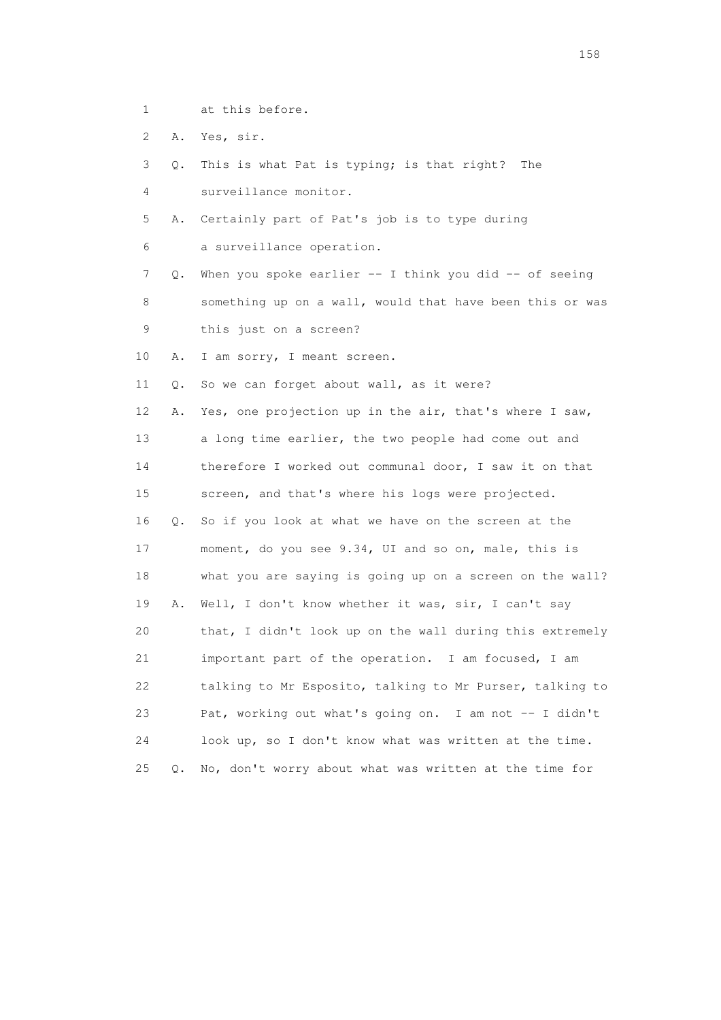- 1 at this before.
- 2 A. Yes, sir.
- 3 Q. This is what Pat is typing; is that right? The 4 surveillance monitor.
- 5 A. Certainly part of Pat's job is to type during
- 6 a surveillance operation.
- 7 Q. When you spoke earlier -- I think you did -- of seeing 8 something up on a wall, would that have been this or was 9 this just on a screen?
- 10 A. I am sorry, I meant screen.
- 11 Q. So we can forget about wall, as it were?

 12 A. Yes, one projection up in the air, that's where I saw, 13 a long time earlier, the two people had come out and 14 therefore I worked out communal door, I saw it on that 15 screen, and that's where his logs were projected. 16 Q. So if you look at what we have on the screen at the 17 moment, do you see 9.34, UI and so on, male, this is 18 what you are saying is going up on a screen on the wall? 19 A. Well, I don't know whether it was, sir, I can't say 20 that, I didn't look up on the wall during this extremely 21 important part of the operation. I am focused, I am 22 talking to Mr Esposito, talking to Mr Purser, talking to 23 Pat, working out what's going on. I am not -- I didn't 24 look up, so I don't know what was written at the time. 25 Q. No, don't worry about what was written at the time for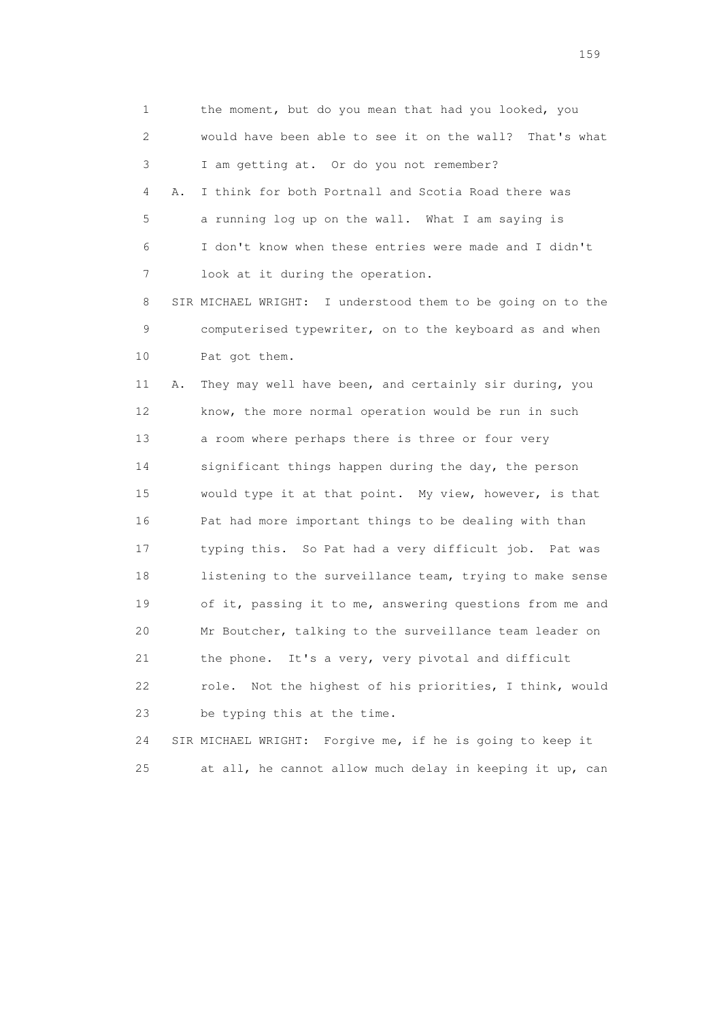1 the moment, but do you mean that had you looked, you 2 would have been able to see it on the wall? That's what 3 I am getting at. Or do you not remember? 4 A. I think for both Portnall and Scotia Road there was 5 a running log up on the wall. What I am saying is 6 I don't know when these entries were made and I didn't 7 look at it during the operation. 8 SIR MICHAEL WRIGHT: I understood them to be going on to the 9 computerised typewriter, on to the keyboard as and when 10 Pat got them. 11 A. They may well have been, and certainly sir during, you 12 know, the more normal operation would be run in such 13 a room where perhaps there is three or four very 14 significant things happen during the day, the person 15 would type it at that point. My view, however, is that 16 Pat had more important things to be dealing with than 17 typing this. So Pat had a very difficult job. Pat was 18 listening to the surveillance team, trying to make sense 19 of it, passing it to me, answering questions from me and 20 Mr Boutcher, talking to the surveillance team leader on 21 the phone. It's a very, very pivotal and difficult 22 role. Not the highest of his priorities, I think, would 23 be typing this at the time.

 24 SIR MICHAEL WRIGHT: Forgive me, if he is going to keep it 25 at all, he cannot allow much delay in keeping it up, can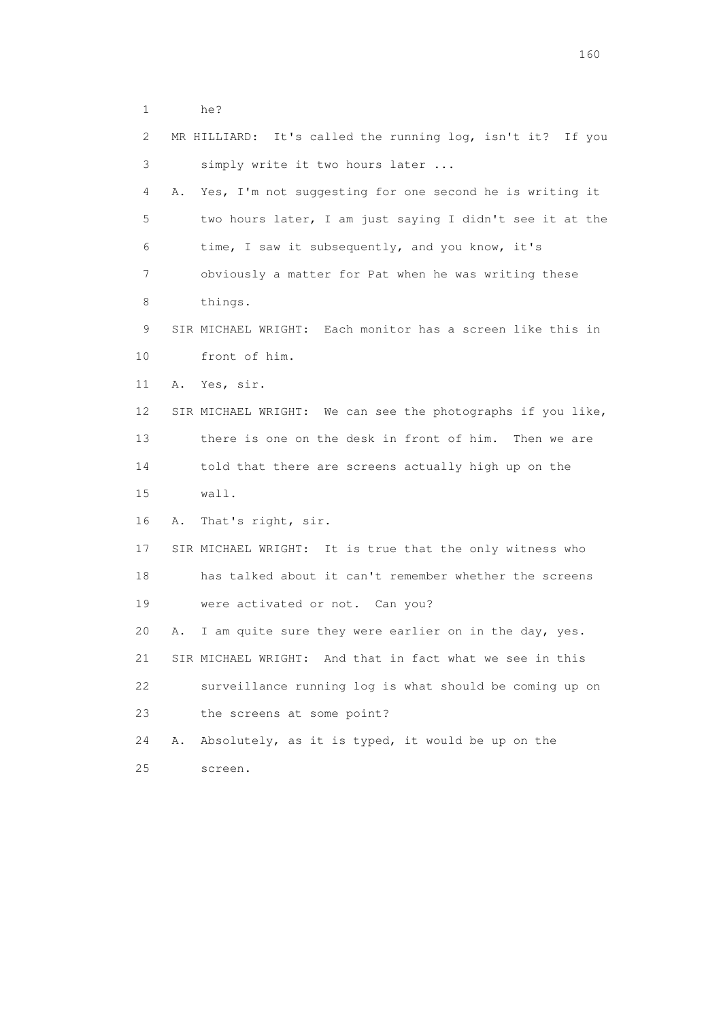| 1              |    | he?                                                         |
|----------------|----|-------------------------------------------------------------|
| $\overline{2}$ |    | MR HILLIARD: It's called the running log, isn't it? If you  |
| 3              |    | simply write it two hours later                             |
| 4              | Α. | Yes, I'm not suggesting for one second he is writing it     |
| 5              |    | two hours later, I am just saying I didn't see it at the    |
| 6              |    | time, I saw it subsequently, and you know, it's             |
| 7              |    | obviously a matter for Pat when he was writing these        |
| 8              |    | things.                                                     |
| 9              |    | SIR MICHAEL WRIGHT: Each monitor has a screen like this in  |
| 10             |    | front of him.                                               |
| 11             |    | A. Yes, sir.                                                |
| 12             |    | SIR MICHAEL WRIGHT: We can see the photographs if you like, |
| 13             |    | there is one on the desk in front of him. Then we are       |
| 14             |    | told that there are screens actually high up on the         |
| 15             |    | wall.                                                       |
| 16             | Α. | That's right, sir.                                          |
| 17             |    | SIR MICHAEL WRIGHT: It is true that the only witness who    |
| 18             |    | has talked about it can't remember whether the screens      |
| 19             |    | were activated or not. Can you?                             |
| 20             | Α. | I am quite sure they were earlier on in the day, yes.       |
| 21             |    | SIR MICHAEL WRIGHT: And that in fact what we see in this    |
| 22             |    | surveillance running log is what should be coming up on     |
| 23             |    | the screens at some point?                                  |
| 24             | Α. | Absolutely, as it is typed, it would be up on the           |
| 25             |    | screen.                                                     |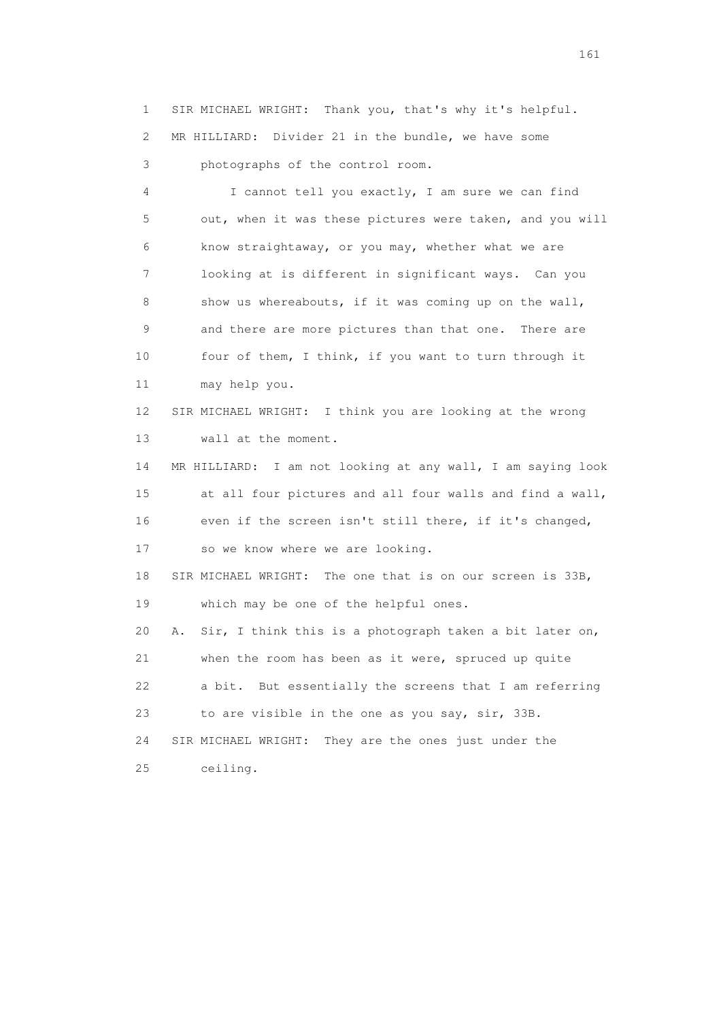1 SIR MICHAEL WRIGHT: Thank you, that's why it's helpful. 2 MR HILLIARD: Divider 21 in the bundle, we have some

3 photographs of the control room.

 4 I cannot tell you exactly, I am sure we can find 5 out, when it was these pictures were taken, and you will 6 know straightaway, or you may, whether what we are 7 looking at is different in significant ways. Can you 8 show us whereabouts, if it was coming up on the wall, 9 and there are more pictures than that one. There are 10 four of them, I think, if you want to turn through it 11 may help you. 12 SIR MICHAEL WRIGHT: I think you are looking at the wrong 13 wall at the moment. 14 MR HILLIARD: I am not looking at any wall, I am saying look 15 at all four pictures and all four walls and find a wall, 16 even if the screen isn't still there, if it's changed, 17 so we know where we are looking. 18 SIR MICHAEL WRIGHT: The one that is on our screen is 33B, 19 which may be one of the helpful ones. 20 A. Sir, I think this is a photograph taken a bit later on, 21 when the room has been as it were, spruced up quite 22 a bit. But essentially the screens that I am referring 23 to are visible in the one as you say, sir, 33B. 24 SIR MICHAEL WRIGHT: They are the ones just under the 25 ceiling.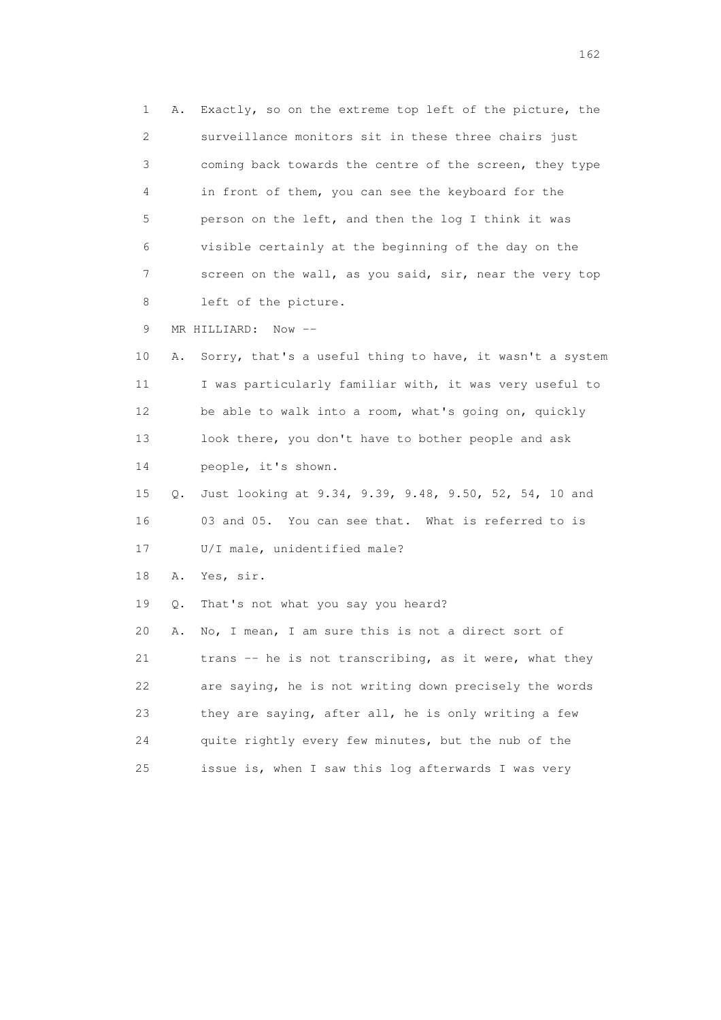1 A. Exactly, so on the extreme top left of the picture, the 2 surveillance monitors sit in these three chairs just 3 coming back towards the centre of the screen, they type 4 in front of them, you can see the keyboard for the 5 person on the left, and then the log I think it was 6 visible certainly at the beginning of the day on the 7 screen on the wall, as you said, sir, near the very top 8 left of the picture.

9 MR HILLIARD: Now --

 10 A. Sorry, that's a useful thing to have, it wasn't a system 11 I was particularly familiar with, it was very useful to 12 be able to walk into a room, what's going on, quickly 13 look there, you don't have to bother people and ask 14 people, it's shown.

 15 Q. Just looking at 9.34, 9.39, 9.48, 9.50, 52, 54, 10 and 16 03 and 05. You can see that. What is referred to is 17 U/I male, unidentified male?

18 A. Yes, sir.

19 Q. That's not what you say you heard?

 20 A. No, I mean, I am sure this is not a direct sort of 21 trans -- he is not transcribing, as it were, what they 22 are saying, he is not writing down precisely the words 23 they are saying, after all, he is only writing a few 24 quite rightly every few minutes, but the nub of the 25 issue is, when I saw this log afterwards I was very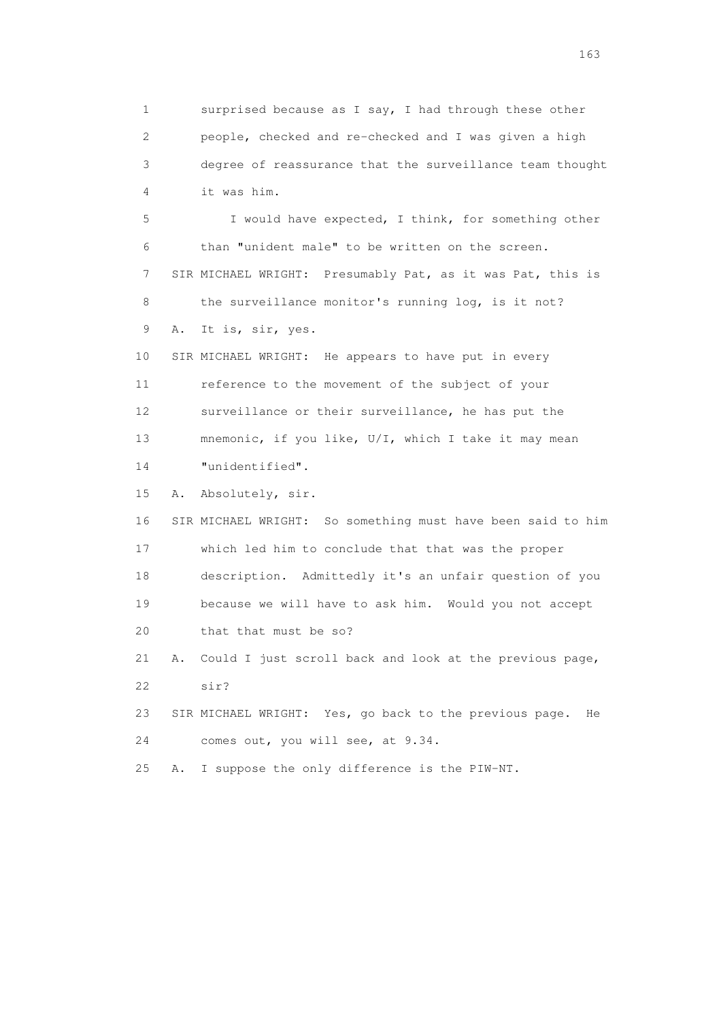1 surprised because as I say, I had through these other 2 people, checked and re-checked and I was given a high 3 degree of reassurance that the surveillance team thought 4 it was him. 5 I would have expected, I think, for something other 6 than "unident male" to be written on the screen. 7 SIR MICHAEL WRIGHT: Presumably Pat, as it was Pat, this is 8 the surveillance monitor's running log, is it not? 9 A. It is, sir, yes. 10 SIR MICHAEL WRIGHT: He appears to have put in every 11 reference to the movement of the subject of your 12 surveillance or their surveillance, he has put the 13 mnemonic, if you like, U/I, which I take it may mean 14 "unidentified". 15 A. Absolutely, sir. 16 SIR MICHAEL WRIGHT: So something must have been said to him 17 which led him to conclude that that was the proper 18 description. Admittedly it's an unfair question of you 19 because we will have to ask him. Would you not accept 20 that that must be so? 21 A. Could I just scroll back and look at the previous page, 22 sir? 23 SIR MICHAEL WRIGHT: Yes, go back to the previous page. He 24 comes out, you will see, at 9.34. 25 A. I suppose the only difference is the PIW-NT.

<u>163</u>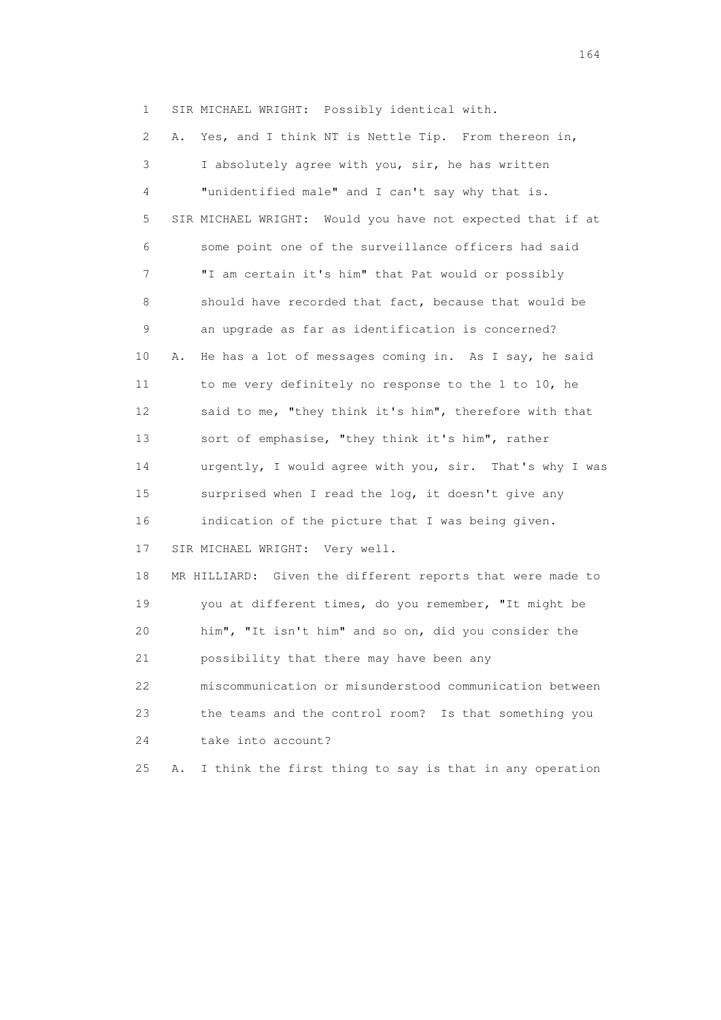1 SIR MICHAEL WRIGHT: Possibly identical with.

 2 A. Yes, and I think NT is Nettle Tip. From thereon in, 3 I absolutely agree with you, sir, he has written 4 "unidentified male" and I can't say why that is. 5 SIR MICHAEL WRIGHT: Would you have not expected that if at 6 some point one of the surveillance officers had said 7 "I am certain it's him" that Pat would or possibly 8 should have recorded that fact, because that would be 9 an upgrade as far as identification is concerned? 10 A. He has a lot of messages coming in. As I say, he said 11 to me very definitely no response to the 1 to 10, he 12 said to me, "they think it's him", therefore with that 13 sort of emphasise, "they think it's him", rather 14 urgently, I would agree with you, sir. That's why I was 15 surprised when I read the log, it doesn't give any 16 indication of the picture that I was being given. 17 SIR MICHAEL WRIGHT: Very well. 18 MR HILLIARD: Given the different reports that were made to 19 you at different times, do you remember, "It might be 20 him", "It isn't him" and so on, did you consider the 21 possibility that there may have been any 22 miscommunication or misunderstood communication between 23 the teams and the control room? Is that something you 24 take into account? 25 A. I think the first thing to say is that in any operation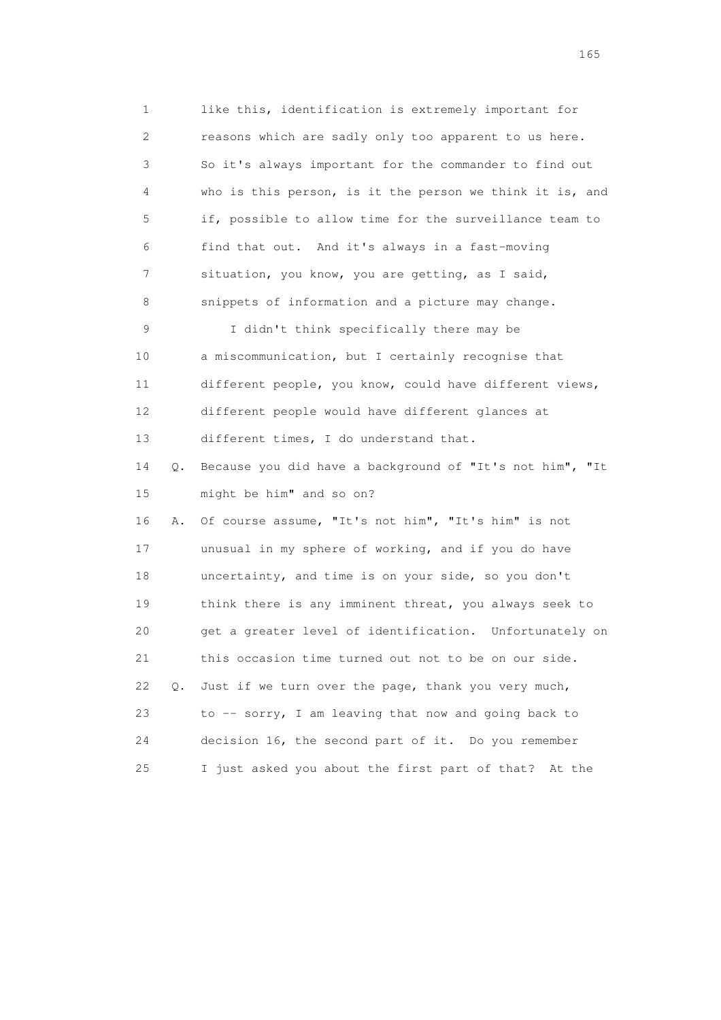1 like this, identification is extremely important for 2 reasons which are sadly only too apparent to us here. 3 So it's always important for the commander to find out 4 who is this person, is it the person we think it is, and 5 if, possible to allow time for the surveillance team to 6 find that out. And it's always in a fast-moving 7 situation, you know, you are getting, as I said, 8 snippets of information and a picture may change. 9 I didn't think specifically there may be 10 a miscommunication, but I certainly recognise that 11 different people, you know, could have different views, 12 different people would have different glances at 13 different times, I do understand that. 14 Q. Because you did have a background of "It's not him", "It 15 might be him" and so on? 16 A. Of course assume, "It's not him", "It's him" is not 17 unusual in my sphere of working, and if you do have 18 uncertainty, and time is on your side, so you don't 19 think there is any imminent threat, you always seek to 20 get a greater level of identification. Unfortunately on 21 this occasion time turned out not to be on our side. 22 Q. Just if we turn over the page, thank you very much, 23 to -- sorry, I am leaving that now and going back to 24 decision 16, the second part of it. Do you remember 25 I just asked you about the first part of that? At the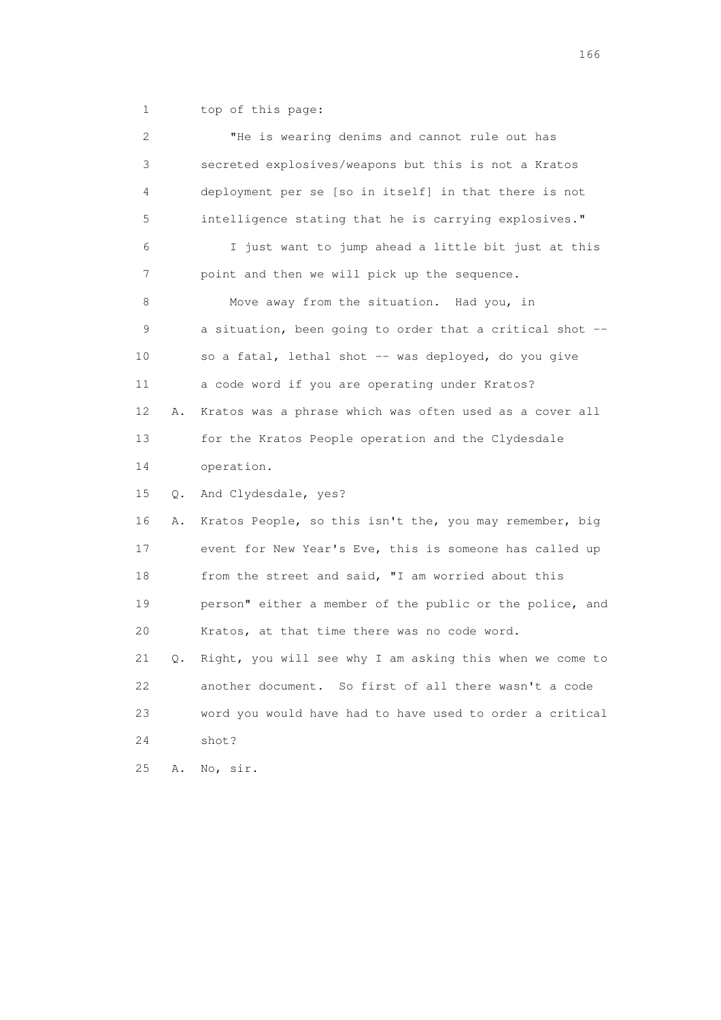1 top of this page:

| 2  |    | "He is wearing denims and cannot rule out has            |
|----|----|----------------------------------------------------------|
| 3  |    | secreted explosives/weapons but this is not a Kratos     |
| 4  |    | deployment per se [so in itself] in that there is not    |
| 5  |    | intelligence stating that he is carrying explosives."    |
| 6  |    | I just want to jump ahead a little bit just at this      |
| 7  |    | point and then we will pick up the sequence.             |
| 8  |    | Move away from the situation. Had you, in                |
| 9  |    | a situation, been going to order that a critical shot -- |
| 10 |    | so a fatal, lethal shot -- was deployed, do you give     |
| 11 |    | a code word if you are operating under Kratos?           |
| 12 | Α. | Kratos was a phrase which was often used as a cover all  |
| 13 |    | for the Kratos People operation and the Clydesdale       |
| 14 |    | operation.                                               |
| 15 | Q. | And Clydesdale, yes?                                     |
| 16 | Α. | Kratos People, so this isn't the, you may remember, big  |
| 17 |    | event for New Year's Eve, this is someone has called up  |
| 18 |    | from the street and said, "I am worried about this       |
| 19 |    | person" either a member of the public or the police, and |
| 20 |    | Kratos, at that time there was no code word.             |
| 21 | Q. | Right, you will see why I am asking this when we come to |
| 22 |    | another document. So first of all there wasn't a code    |
| 23 |    | word you would have had to have used to order a critical |
| 24 |    | shot?                                                    |
| 25 | Α. | No, sir.                                                 |

<u>166</u> **166**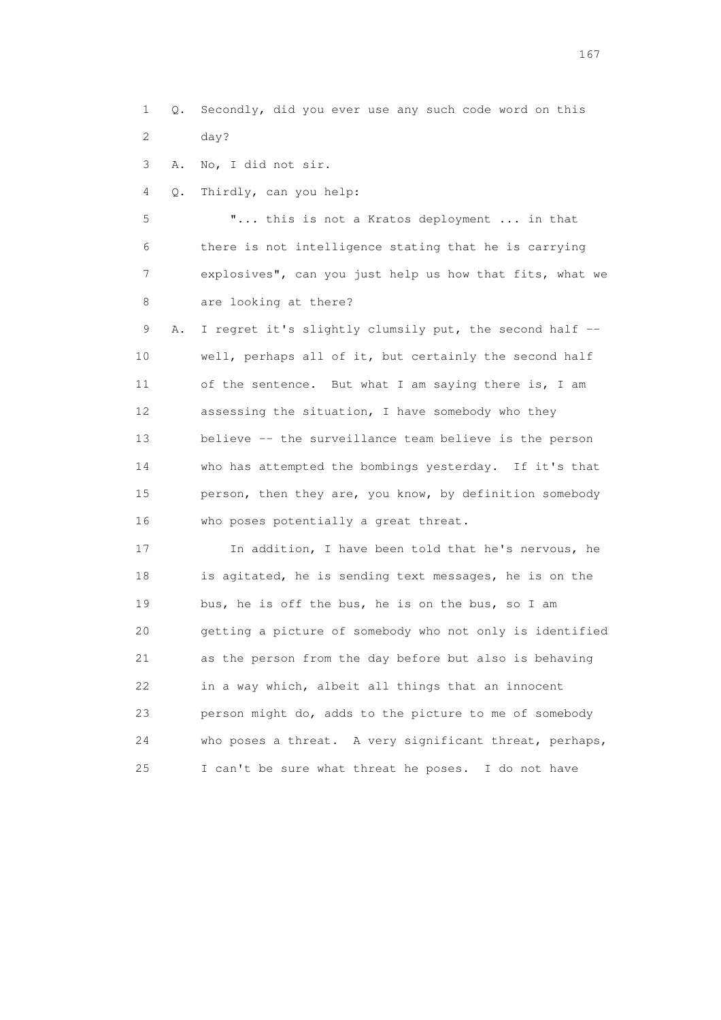1 Q. Secondly, did you ever use any such code word on this 2 day?

3 A. No, I did not sir.

4 Q. Thirdly, can you help:

 5 "... this is not a Kratos deployment ... in that 6 there is not intelligence stating that he is carrying 7 explosives", can you just help us how that fits, what we 8 are looking at there?

9 A. I regret it's slightly clumsily put, the second half -- 10 well, perhaps all of it, but certainly the second half 11 of the sentence. But what I am saying there is, I am 12 assessing the situation, I have somebody who they 13 believe -- the surveillance team believe is the person 14 who has attempted the bombings yesterday. If it's that 15 person, then they are, you know, by definition somebody 16 who poses potentially a great threat.

 17 In addition, I have been told that he's nervous, he 18 is agitated, he is sending text messages, he is on the 19 bus, he is off the bus, he is on the bus, so I am 20 getting a picture of somebody who not only is identified 21 as the person from the day before but also is behaving 22 in a way which, albeit all things that an innocent 23 person might do, adds to the picture to me of somebody 24 who poses a threat. A very significant threat, perhaps, 25 I can't be sure what threat he poses. I do not have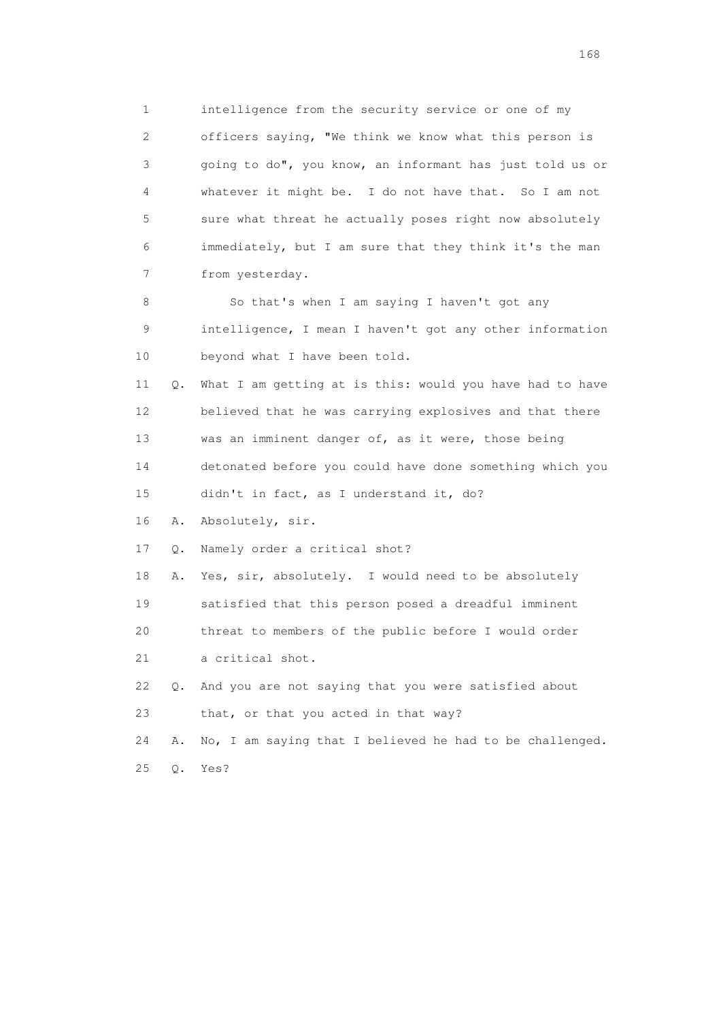1 intelligence from the security service or one of my 2 officers saying, "We think we know what this person is 3 going to do", you know, an informant has just told us or 4 whatever it might be. I do not have that. So I am not 5 sure what threat he actually poses right now absolutely 6 immediately, but I am sure that they think it's the man 7 from yesterday.

 8 So that's when I am saying I haven't got any 9 intelligence, I mean I haven't got any other information 10 beyond what I have been told.

 11 Q. What I am getting at is this: would you have had to have 12 believed that he was carrying explosives and that there 13 was an imminent danger of, as it were, those being 14 detonated before you could have done something which you 15 didn't in fact, as I understand it, do?

16 A. Absolutely, sir.

17 Q. Namely order a critical shot?

 18 A. Yes, sir, absolutely. I would need to be absolutely 19 satisfied that this person posed a dreadful imminent 20 threat to members of the public before I would order 21 a critical shot.

 22 Q. And you are not saying that you were satisfied about 23 that, or that you acted in that way?

 24 A. No, I am saying that I believed he had to be challenged. 25 Q. Yes?

<u>168</u> **168**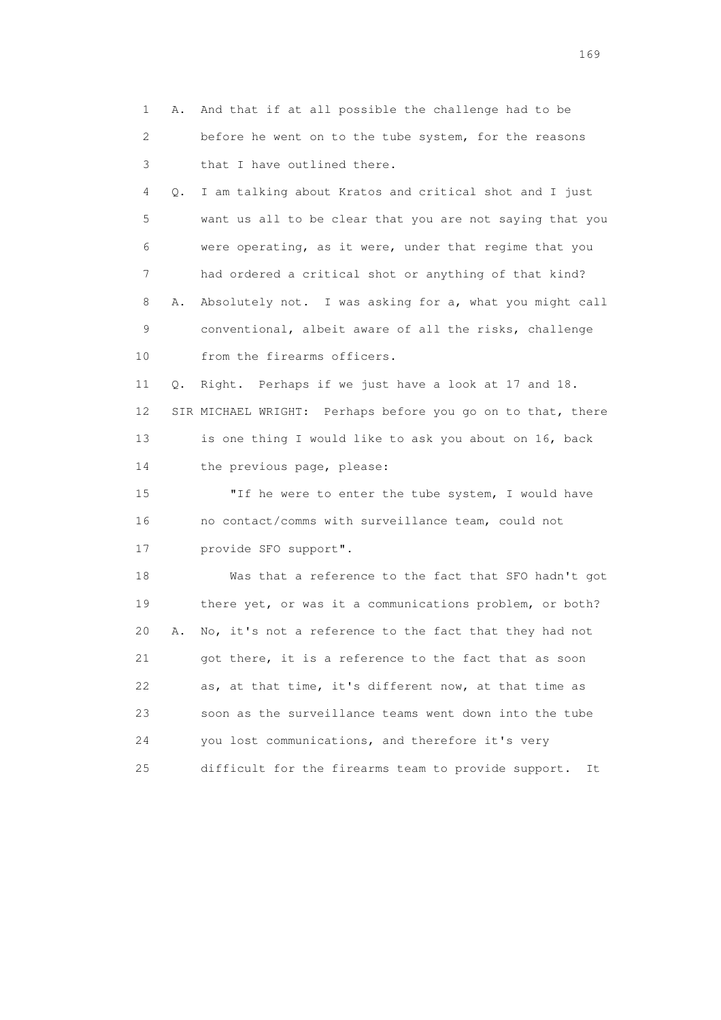1 A. And that if at all possible the challenge had to be 2 before he went on to the tube system, for the reasons 3 that I have outlined there. 4 Q. I am talking about Kratos and critical shot and I just 5 want us all to be clear that you are not saying that you 6 were operating, as it were, under that regime that you 7 had ordered a critical shot or anything of that kind? 8 A. Absolutely not. I was asking for a, what you might call 9 conventional, albeit aware of all the risks, challenge 10 from the firearms officers. 11 Q. Right. Perhaps if we just have a look at 17 and 18. 12 SIR MICHAEL WRIGHT: Perhaps before you go on to that, there 13 is one thing I would like to ask you about on 16, back 14 the previous page, please: 15 "If he were to enter the tube system, I would have 16 no contact/comms with surveillance team, could not 17 provide SFO support". 18 Was that a reference to the fact that SFO hadn't got 19 there yet, or was it a communications problem, or both? 20 A. No, it's not a reference to the fact that they had not 21 got there, it is a reference to the fact that as soon 22 as, at that time, it's different now, at that time as 23 soon as the surveillance teams went down into the tube 24 you lost communications, and therefore it's very 25 difficult for the firearms team to provide support. It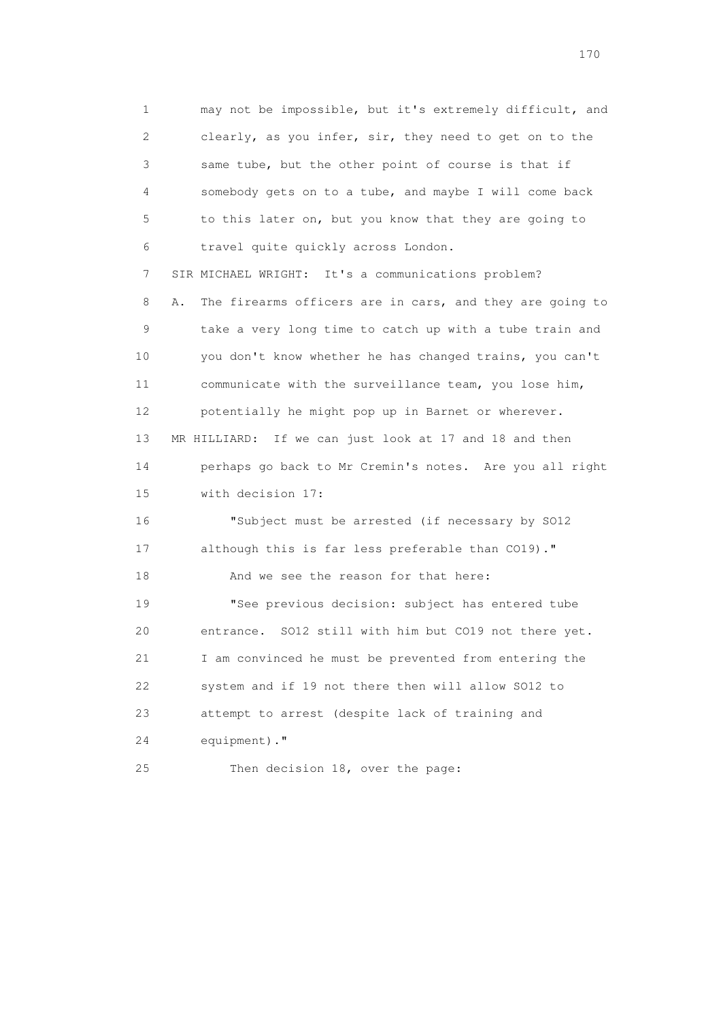1 may not be impossible, but it's extremely difficult, and 2 clearly, as you infer, sir, they need to get on to the 3 same tube, but the other point of course is that if 4 somebody gets on to a tube, and maybe I will come back 5 to this later on, but you know that they are going to 6 travel quite quickly across London. 7 SIR MICHAEL WRIGHT: It's a communications problem? 8 A. The firearms officers are in cars, and they are going to 9 take a very long time to catch up with a tube train and 10 you don't know whether he has changed trains, you can't 11 communicate with the surveillance team, you lose him, 12 potentially he might pop up in Barnet or wherever. 13 MR HILLIARD: If we can just look at 17 and 18 and then

 14 perhaps go back to Mr Cremin's notes. Are you all right 15 with decision 17:

 16 "Subject must be arrested (if necessary by SO12 17 although this is far less preferable than CO19)." 18 And we see the reason for that here:

 19 "See previous decision: subject has entered tube 20 entrance. SO12 still with him but CO19 not there yet. 21 I am convinced he must be prevented from entering the 22 system and if 19 not there then will allow SO12 to 23 attempt to arrest (despite lack of training and 24 equipment)."

25 Then decision 18, over the page: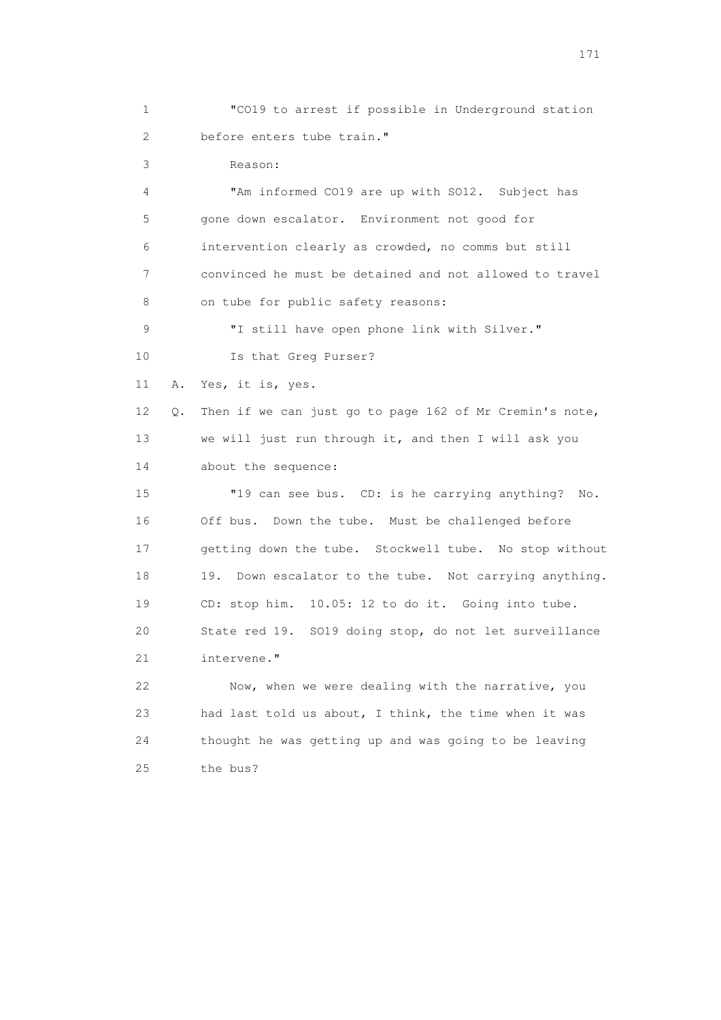1 "CO19 to arrest if possible in Underground station 2 before enters tube train."

3 Reason:

 4 "Am informed CO19 are up with SO12. Subject has 5 gone down escalator. Environment not good for 6 intervention clearly as crowded, no comms but still 7 convinced he must be detained and not allowed to travel 8 on tube for public safety reasons: 9 "I still have open phone link with Silver." 10 Is that Greg Purser?

11 A. Yes, it is, yes.

 12 Q. Then if we can just go to page 162 of Mr Cremin's note, 13 we will just run through it, and then I will ask you 14 about the sequence:

 15 "19 can see bus. CD: is he carrying anything? No. 16 Off bus. Down the tube. Must be challenged before 17 getting down the tube. Stockwell tube. No stop without 18 19. Down escalator to the tube. Not carrying anything. 19 CD: stop him. 10.05: 12 to do it. Going into tube. 20 State red 19. SO19 doing stop, do not let surveillance 21 intervene."

 22 Now, when we were dealing with the narrative, you 23 had last told us about, I think, the time when it was 24 thought he was getting up and was going to be leaving 25 the bus?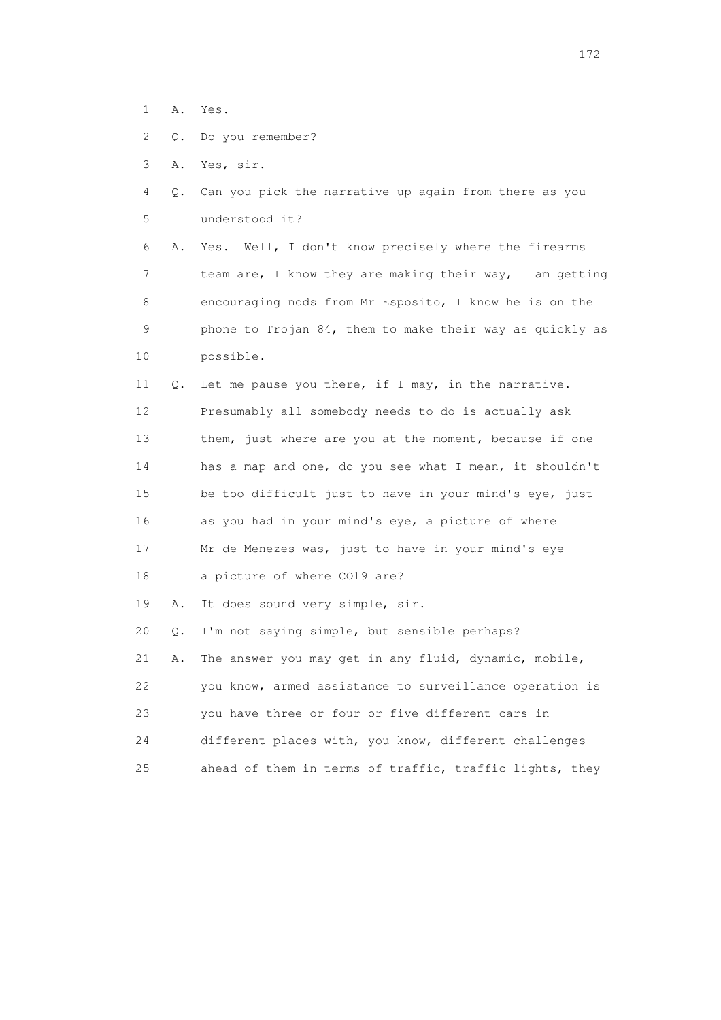- 1 A. Yes.
- 2 Q. Do you remember?
- 3 A. Yes, sir.
- 4 Q. Can you pick the narrative up again from there as you 5 understood it?

 6 A. Yes. Well, I don't know precisely where the firearms 7 team are, I know they are making their way, I am getting 8 encouraging nods from Mr Esposito, I know he is on the 9 phone to Trojan 84, them to make their way as quickly as 10 possible.

 11 Q. Let me pause you there, if I may, in the narrative. 12 Presumably all somebody needs to do is actually ask 13 them, just where are you at the moment, because if one 14 has a map and one, do you see what I mean, it shouldn't 15 be too difficult just to have in your mind's eye, just 16 as you had in your mind's eye, a picture of where 17 Mr de Menezes was, just to have in your mind's eye 18 a picture of where CO19 are?

19 A. It does sound very simple, sir.

 20 Q. I'm not saying simple, but sensible perhaps? 21 A. The answer you may get in any fluid, dynamic, mobile, 22 you know, armed assistance to surveillance operation is 23 you have three or four or five different cars in 24 different places with, you know, different challenges 25 ahead of them in terms of traffic, traffic lights, they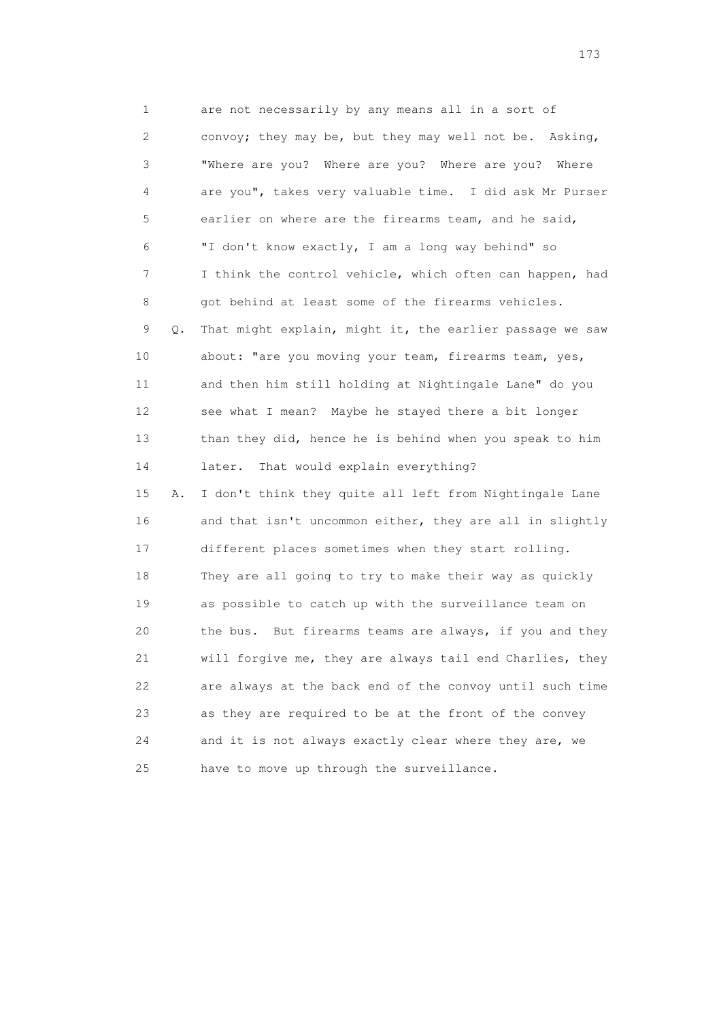1 are not necessarily by any means all in a sort of 2 convoy; they may be, but they may well not be. Asking, 3 "Where are you? Where are you? Where are you? Where 4 are you", takes very valuable time. I did ask Mr Purser 5 earlier on where are the firearms team, and he said, 6 "I don't know exactly, I am a long way behind" so 7 I think the control vehicle, which often can happen, had 8 got behind at least some of the firearms vehicles. 9 Q. That might explain, might it, the earlier passage we saw 10 about: "are you moving your team, firearms team, yes, 11 and then him still holding at Nightingale Lane" do you 12 see what I mean? Maybe he stayed there a bit longer 13 than they did, hence he is behind when you speak to him 14 later. That would explain everything? 15 A. I don't think they quite all left from Nightingale Lane 16 and that isn't uncommon either, they are all in slightly 17 different places sometimes when they start rolling. 18 They are all going to try to make their way as quickly 19 as possible to catch up with the surveillance team on 20 the bus. But firearms teams are always, if you and they 21 will forgive me, they are always tail end Charlies, they

 22 are always at the back end of the convoy until such time 23 as they are required to be at the front of the convey 24 and it is not always exactly clear where they are, we 25 have to move up through the surveillance.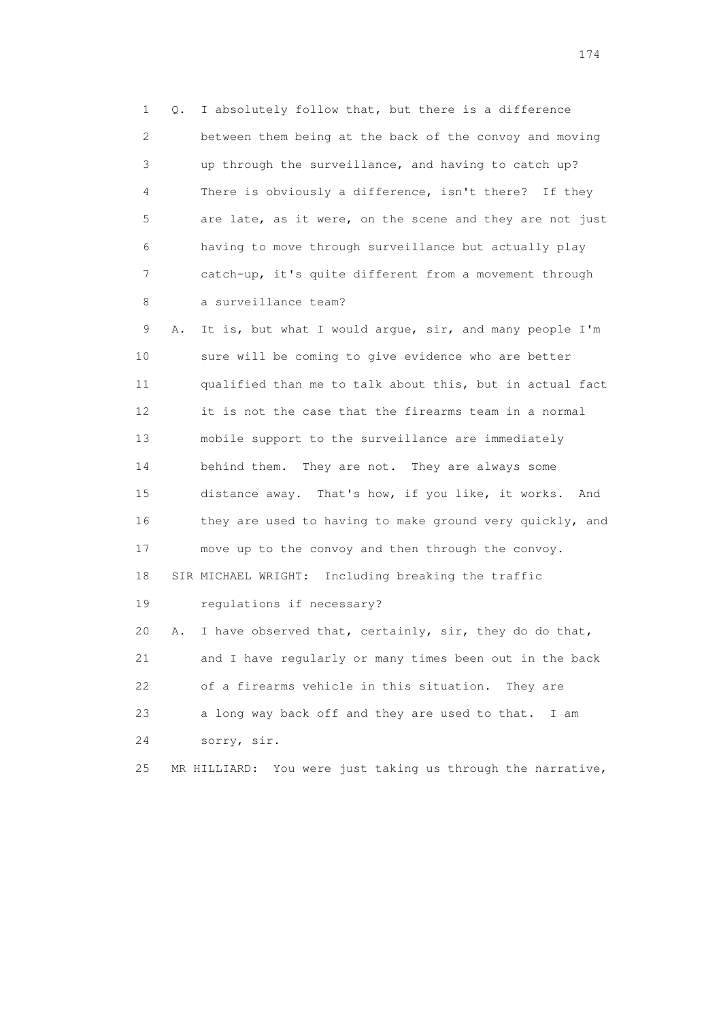1 Q. I absolutely follow that, but there is a difference 2 between them being at the back of the convoy and moving 3 up through the surveillance, and having to catch up? 4 There is obviously a difference, isn't there? If they 5 are late, as it were, on the scene and they are not just 6 having to move through surveillance but actually play 7 catch-up, it's quite different from a movement through 8 a surveillance team?

 9 A. It is, but what I would argue, sir, and many people I'm 10 sure will be coming to give evidence who are better 11 qualified than me to talk about this, but in actual fact 12 it is not the case that the firearms team in a normal 13 mobile support to the surveillance are immediately 14 behind them. They are not. They are always some 15 distance away. That's how, if you like, it works. And 16 they are used to having to make ground very quickly, and 17 move up to the convoy and then through the convoy. 18 SIR MICHAEL WRIGHT: Including breaking the traffic 19 regulations if necessary? 20 A. I have observed that, certainly, sir, they do do that, 21 and I have regularly or many times been out in the back 22 of a firearms vehicle in this situation. They are 23 a long way back off and they are used to that. I am 24 sorry, sir.

25 MR HILLIARD: You were just taking us through the narrative,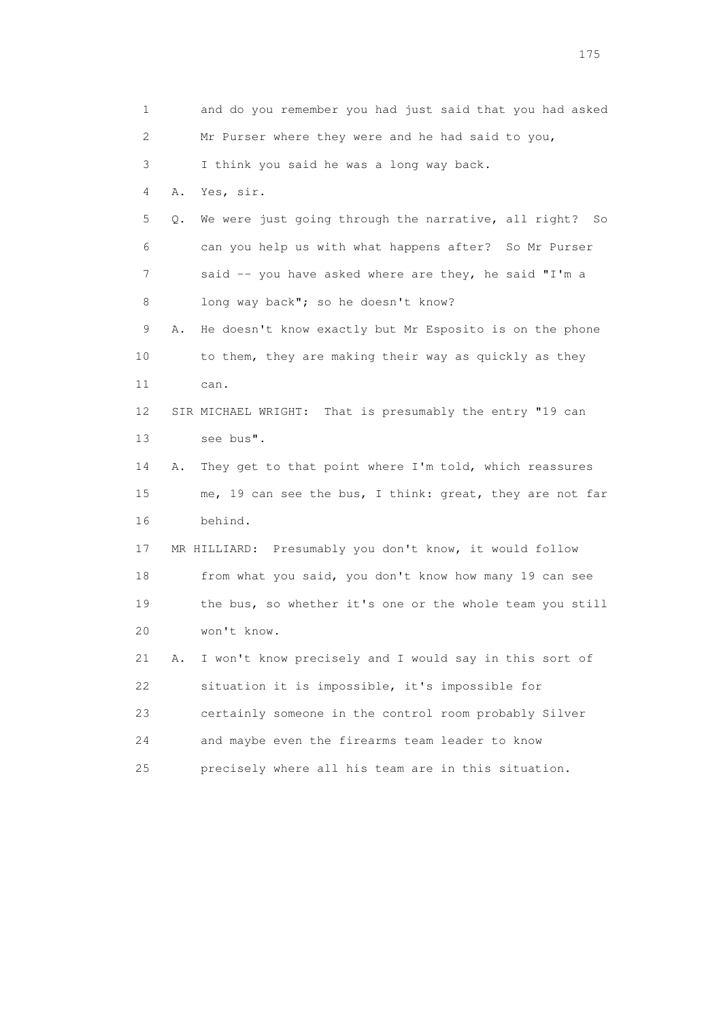1 and do you remember you had just said that you had asked 2 Mr Purser where they were and he had said to you, 3 I think you said he was a long way back. 4 A. Yes, sir. 5 Q. We were just going through the narrative, all right? So 6 can you help us with what happens after? So Mr Purser 7 said -- you have asked where are they, he said "I'm a 8 long way back"; so he doesn't know? 9 A. He doesn't know exactly but Mr Esposito is on the phone 10 to them, they are making their way as quickly as they 11 can. 12 SIR MICHAEL WRIGHT: That is presumably the entry "19 can 13 see bus". 14 A. They get to that point where I'm told, which reassures 15 me, 19 can see the bus, I think: great, they are not far 16 behind. 17 MR HILLIARD: Presumably you don't know, it would follow 18 from what you said, you don't know how many 19 can see 19 the bus, so whether it's one or the whole team you still 20 won't know. 21 A. I won't know precisely and I would say in this sort of 22 situation it is impossible, it's impossible for 23 certainly someone in the control room probably Silver 24 and maybe even the firearms team leader to know 25 precisely where all his team are in this situation.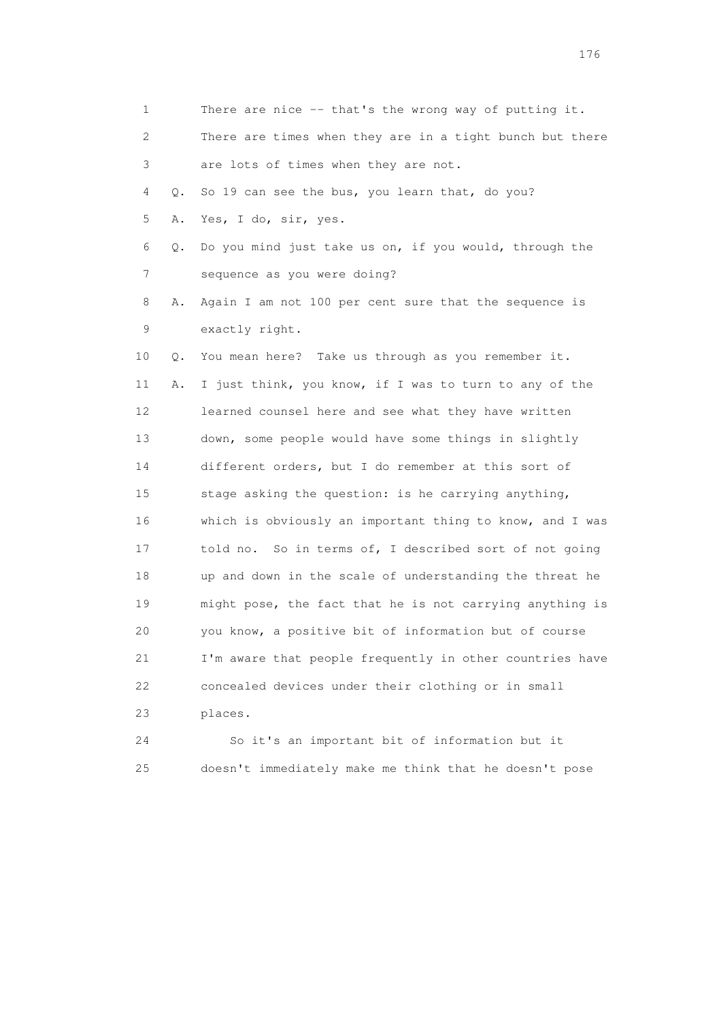| 1  |    | There are nice $-$ - that's the wrong way of putting it. |
|----|----|----------------------------------------------------------|
| 2  |    | There are times when they are in a tight bunch but there |
| 3  |    | are lots of times when they are not.                     |
| 4  | Q. | So 19 can see the bus, you learn that, do you?           |
| 5  | Α. | Yes, I do, sir, yes.                                     |
| 6  | Q. | Do you mind just take us on, if you would, through the   |
| 7  |    | sequence as you were doing?                              |
| 8  | Α. | Again I am not 100 per cent sure that the sequence is    |
| 9  |    | exactly right.                                           |
| 10 | Q. | You mean here? Take us through as you remember it.       |
| 11 | Α. | I just think, you know, if I was to turn to any of the   |
| 12 |    | learned counsel here and see what they have written      |
| 13 |    | down, some people would have some things in slightly     |
| 14 |    | different orders, but I do remember at this sort of      |
| 15 |    | stage asking the question: is he carrying anything,      |
| 16 |    | which is obviously an important thing to know, and I was |
| 17 |    | told no. So in terms of, I described sort of not going   |
| 18 |    | up and down in the scale of understanding the threat he  |
| 19 |    | might pose, the fact that he is not carrying anything is |
| 20 |    | you know, a positive bit of information but of course    |
| 21 |    | I'm aware that people frequently in other countries have |
| 22 |    | concealed devices under their clothing or in small       |
| 23 |    | places.                                                  |
| 24 |    | So it's an important bit of information but it           |

25 doesn't immediately make me think that he doesn't pose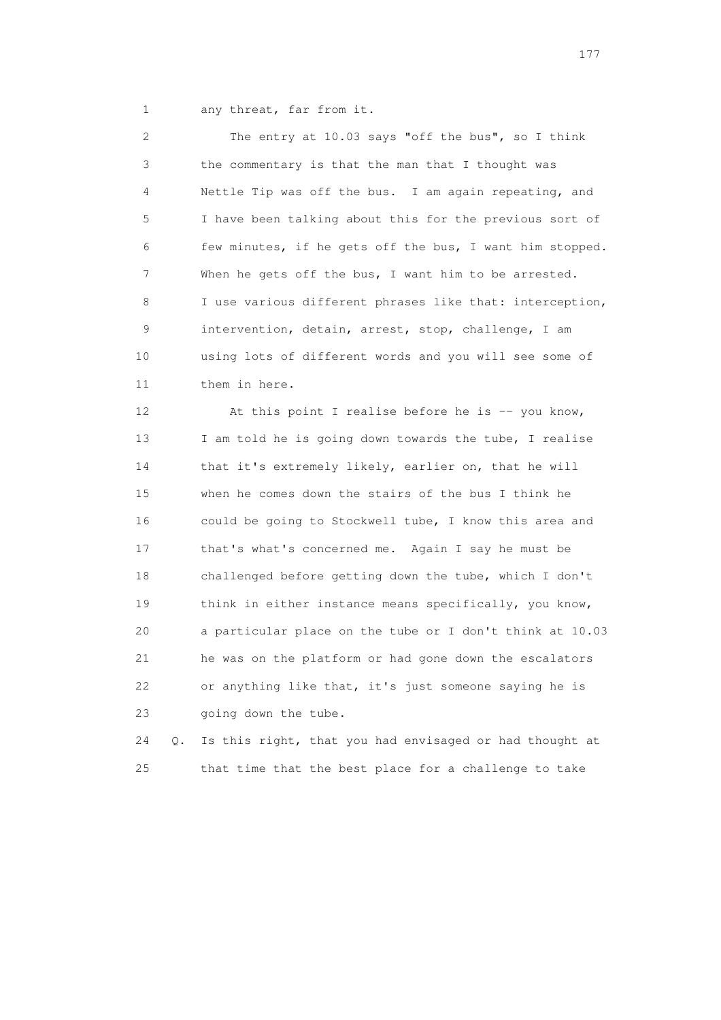1 any threat, far from it.

 2 The entry at 10.03 says "off the bus", so I think 3 the commentary is that the man that I thought was 4 Nettle Tip was off the bus. I am again repeating, and 5 I have been talking about this for the previous sort of 6 few minutes, if he gets off the bus, I want him stopped. 7 When he gets off the bus, I want him to be arrested. 8 I use various different phrases like that: interception, 9 intervention, detain, arrest, stop, challenge, I am 10 using lots of different words and you will see some of 11 them in here.

12 At this point I realise before he is -- you know, 13 I am told he is going down towards the tube, I realise 14 that it's extremely likely, earlier on, that he will 15 when he comes down the stairs of the bus I think he 16 could be going to Stockwell tube, I know this area and 17 that's what's concerned me. Again I say he must be 18 challenged before getting down the tube, which I don't 19 think in either instance means specifically, you know, 20 a particular place on the tube or I don't think at 10.03 21 he was on the platform or had gone down the escalators 22 or anything like that, it's just someone saying he is 23 going down the tube.

 24 Q. Is this right, that you had envisaged or had thought at 25 that time that the best place for a challenge to take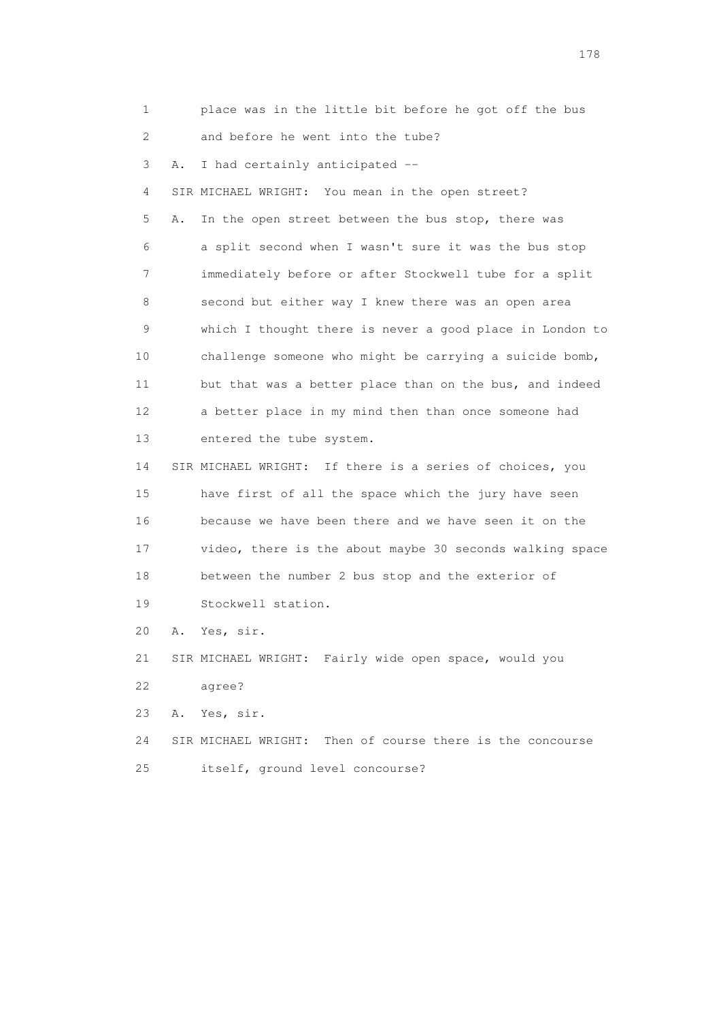1 place was in the little bit before he got off the bus 2 and before he went into the tube?

3 A. I had certainly anticipated --

 4 SIR MICHAEL WRIGHT: You mean in the open street? 5 A. In the open street between the bus stop, there was 6 a split second when I wasn't sure it was the bus stop 7 immediately before or after Stockwell tube for a split 8 second but either way I knew there was an open area 9 which I thought there is never a good place in London to 10 challenge someone who might be carrying a suicide bomb, 11 but that was a better place than on the bus, and indeed 12 a better place in my mind then than once someone had 13 entered the tube system.

 14 SIR MICHAEL WRIGHT: If there is a series of choices, you 15 have first of all the space which the jury have seen 16 because we have been there and we have seen it on the 17 video, there is the about maybe 30 seconds walking space 18 between the number 2 bus stop and the exterior of 19 Stockwell station.

20 A. Yes, sir.

 21 SIR MICHAEL WRIGHT: Fairly wide open space, would you 22 agree?

23 A. Yes, sir.

 24 SIR MICHAEL WRIGHT: Then of course there is the concourse 25 itself, ground level concourse?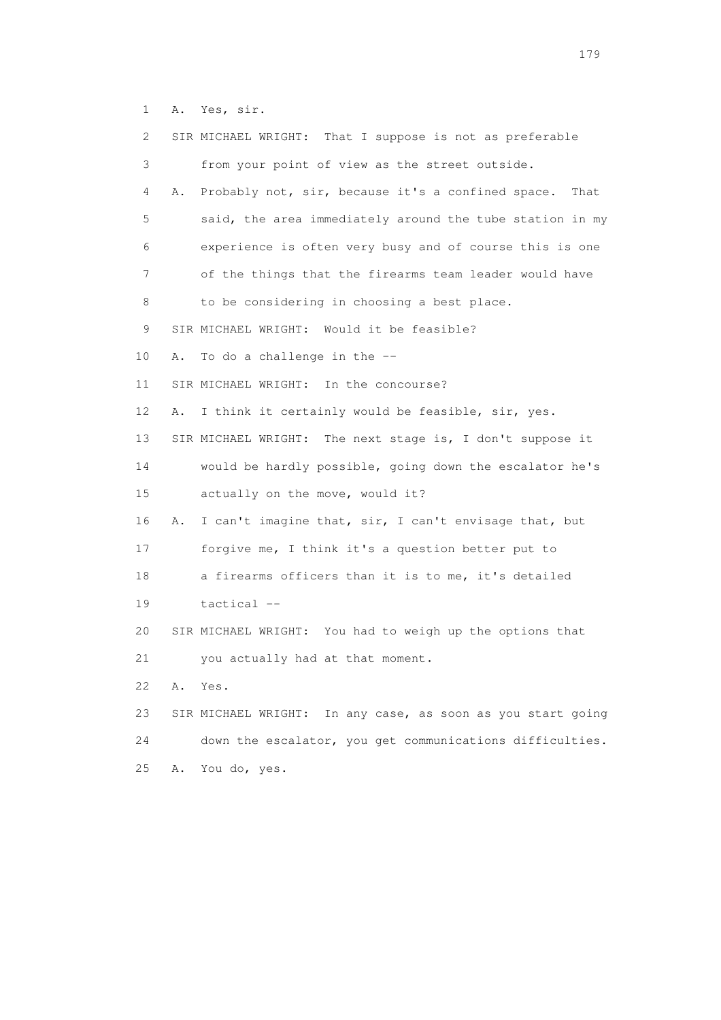1 A. Yes, sir.

| 2  |    | SIR MICHAEL WRIGHT: That I suppose is not as preferable     |
|----|----|-------------------------------------------------------------|
| 3  |    | from your point of view as the street outside.              |
| 4  | Α. | Probably not, sir, because it's a confined space.<br>That   |
| 5  |    | said, the area immediately around the tube station in my    |
| 6  |    | experience is often very busy and of course this is one     |
| 7  |    | of the things that the firearms team leader would have      |
| 8  |    | to be considering in choosing a best place.                 |
| 9  |    | SIR MICHAEL WRIGHT: Would it be feasible?                   |
| 10 | Α. | To do a challenge in the --                                 |
| 11 |    | SIR MICHAEL WRIGHT: In the concourse?                       |
| 12 | Α. | I think it certainly would be feasible, sir, yes.           |
| 13 |    | SIR MICHAEL WRIGHT: The next stage is, I don't suppose it   |
| 14 |    | would be hardly possible, going down the escalator he's     |
| 15 |    | actually on the move, would it?                             |
| 16 | Α. | I can't imagine that, sir, I can't envisage that, but       |
| 17 |    | forgive me, I think it's a question better put to           |
| 18 |    | a firearms officers than it is to me, it's detailed         |
| 19 |    | tactical --                                                 |
| 20 |    | SIR MICHAEL WRIGHT: You had to weigh up the options that    |
| 21 |    | you actually had at that moment.                            |
| 22 | Α. | Yes.                                                        |
| 23 |    | SIR MICHAEL WRIGHT: In any case, as soon as you start going |
| 24 |    | down the escalator, you get communications difficulties.    |
| 25 | Α. | You do, yes.                                                |
|    |    |                                                             |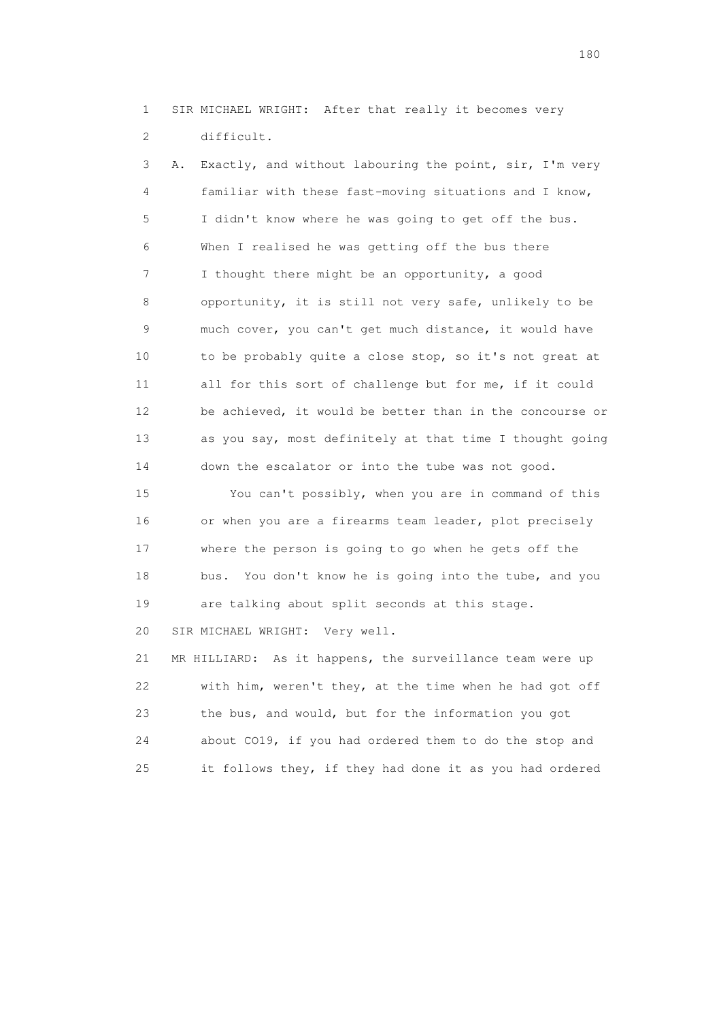1 SIR MICHAEL WRIGHT: After that really it becomes very 2 difficult.

 3 A. Exactly, and without labouring the point, sir, I'm very 4 familiar with these fast-moving situations and I know, 5 I didn't know where he was going to get off the bus. 6 When I realised he was getting off the bus there 7 I thought there might be an opportunity, a good 8 opportunity, it is still not very safe, unlikely to be 9 much cover, you can't get much distance, it would have 10 to be probably quite a close stop, so it's not great at 11 all for this sort of challenge but for me, if it could 12 be achieved, it would be better than in the concourse or 13 as you say, most definitely at that time I thought going 14 down the escalator or into the tube was not good.

 15 You can't possibly, when you are in command of this 16 or when you are a firearms team leader, plot precisely 17 where the person is going to go when he gets off the 18 bus. You don't know he is going into the tube, and you 19 are talking about split seconds at this stage.

20 SIR MICHAEL WRIGHT: Very well.

 21 MR HILLIARD: As it happens, the surveillance team were up 22 with him, weren't they, at the time when he had got off 23 the bus, and would, but for the information you got 24 about CO19, if you had ordered them to do the stop and 25 it follows they, if they had done it as you had ordered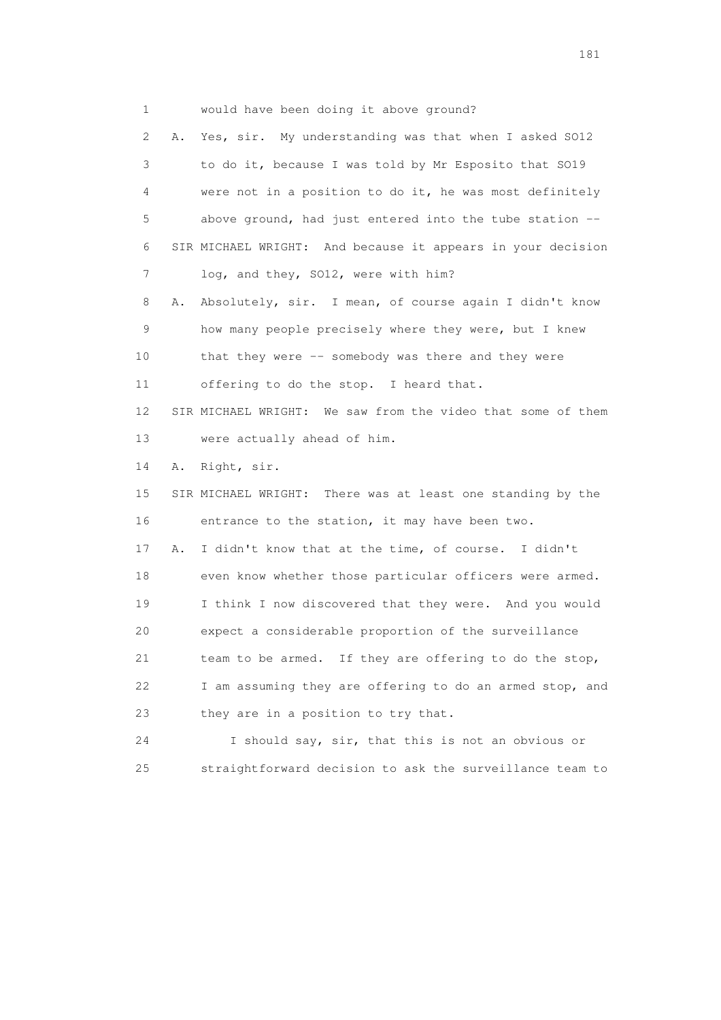1 would have been doing it above ground?

 2 A. Yes, sir. My understanding was that when I asked SO12 3 to do it, because I was told by Mr Esposito that SO19 4 were not in a position to do it, he was most definitely 5 above ground, had just entered into the tube station -- 6 SIR MICHAEL WRIGHT: And because it appears in your decision 7 log, and they, SO12, were with him? 8 A. Absolutely, sir. I mean, of course again I didn't know

 9 how many people precisely where they were, but I knew 10 that they were -- somebody was there and they were 11 offering to do the stop. I heard that.

 12 SIR MICHAEL WRIGHT: We saw from the video that some of them 13 were actually ahead of him.

14 A. Right, sir.

 15 SIR MICHAEL WRIGHT: There was at least one standing by the 16 entrance to the station, it may have been two.

 17 A. I didn't know that at the time, of course. I didn't 18 even know whether those particular officers were armed. 19 I think I now discovered that they were. And you would 20 expect a considerable proportion of the surveillance 21 team to be armed. If they are offering to do the stop, 22 I am assuming they are offering to do an armed stop, and 23 they are in a position to try that.

 24 I should say, sir, that this is not an obvious or 25 straightforward decision to ask the surveillance team to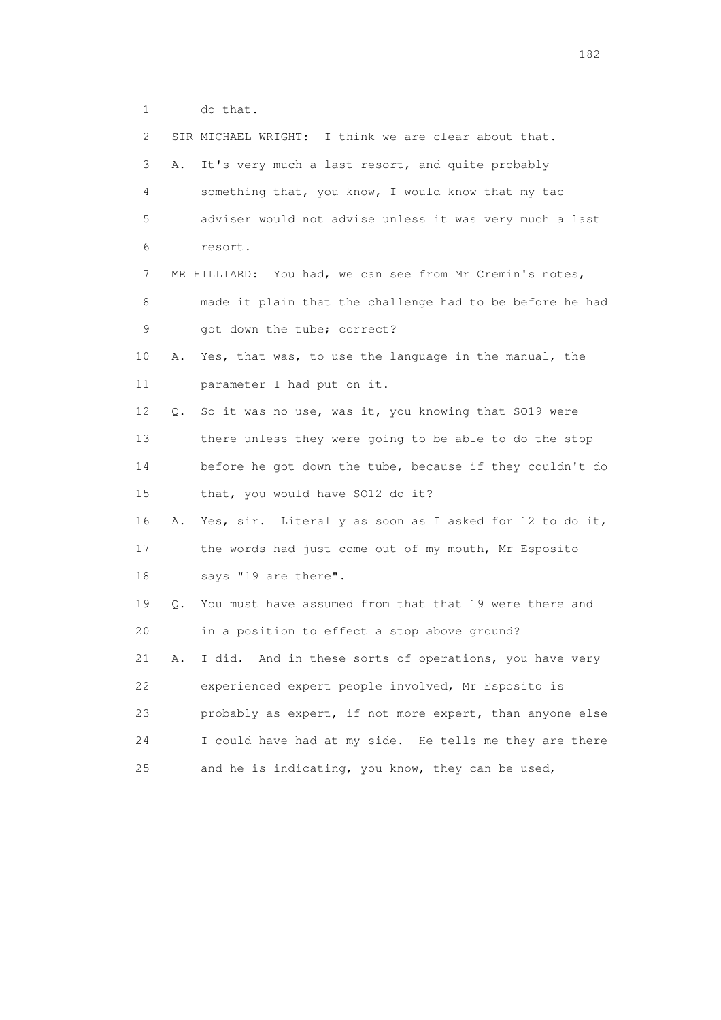1 do that.

| $\mathbf{2}^{\mathsf{I}}$ |    | SIR MICHAEL WRIGHT: I think we are clear about that.     |
|---------------------------|----|----------------------------------------------------------|
| 3                         | Α. | It's very much a last resort, and quite probably         |
| 4                         |    | something that, you know, I would know that my tac       |
| 5                         |    | adviser would not advise unless it was very much a last  |
| 6                         |    | resort.                                                  |
| 7                         |    | MR HILLIARD: You had, we can see from Mr Cremin's notes, |
| 8                         |    | made it plain that the challenge had to be before he had |
| 9                         |    | got down the tube; correct?                              |
| 10                        | Α. | Yes, that was, to use the language in the manual, the    |
| 11                        |    | parameter I had put on it.                               |
| 12                        | Q. | So it was no use, was it, you knowing that SO19 were     |
| 13                        |    | there unless they were going to be able to do the stop   |
| 14                        |    | before he got down the tube, because if they couldn't do |
| 15                        |    | that, you would have SO12 do it?                         |
| 16                        | Α. | Yes, sir. Literally as soon as I asked for 12 to do it,  |
| 17                        |    | the words had just come out of my mouth, Mr Esposito     |
| 18                        |    | says "19 are there".                                     |
| 19                        | Q. | You must have assumed from that that 19 were there and   |
| 20                        |    | in a position to effect a stop above ground?             |
| 21                        | Α. | I did. And in these sorts of operations, you have very   |
| 22                        |    | experienced expert people involved, Mr Esposito is       |
| 23                        |    | probably as expert, if not more expert, than anyone else |
| 24                        |    | I could have had at my side. He tells me they are there  |
| 25                        |    | and he is indicating, you know, they can be used,        |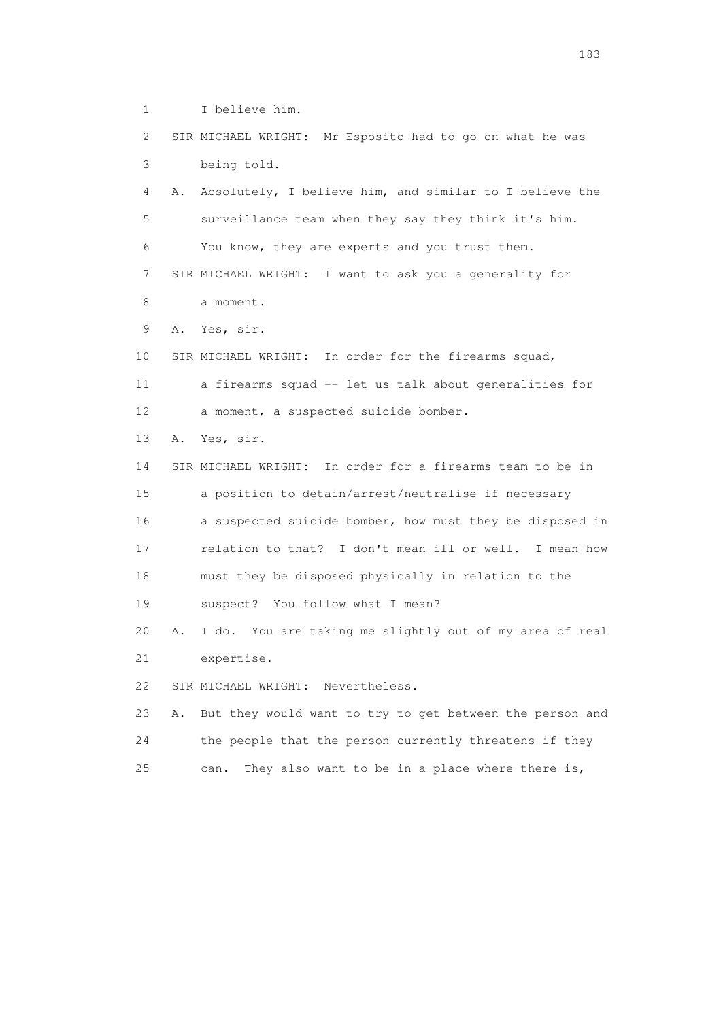1 I believe him.

 2 SIR MICHAEL WRIGHT: Mr Esposito had to go on what he was 3 being told.

 4 A. Absolutely, I believe him, and similar to I believe the 5 surveillance team when they say they think it's him. 6 You know, they are experts and you trust them.

 7 SIR MICHAEL WRIGHT: I want to ask you a generality for 8 a moment.

9 A. Yes, sir.

10 SIR MICHAEL WRIGHT: In order for the firearms squad,

 11 a firearms squad -- let us talk about generalities for 12 a moment, a suspected suicide bomber.

13 A. Yes, sir.

 14 SIR MICHAEL WRIGHT: In order for a firearms team to be in 15 a position to detain/arrest/neutralise if necessary 16 a suspected suicide bomber, how must they be disposed in 17 relation to that? I don't mean ill or well. I mean how 18 must they be disposed physically in relation to the 19 suspect? You follow what I mean?

 20 A. I do. You are taking me slightly out of my area of real 21 expertise.

22 SIR MICHAEL WRIGHT: Nevertheless.

 23 A. But they would want to try to get between the person and 24 the people that the person currently threatens if they 25 can. They also want to be in a place where there is,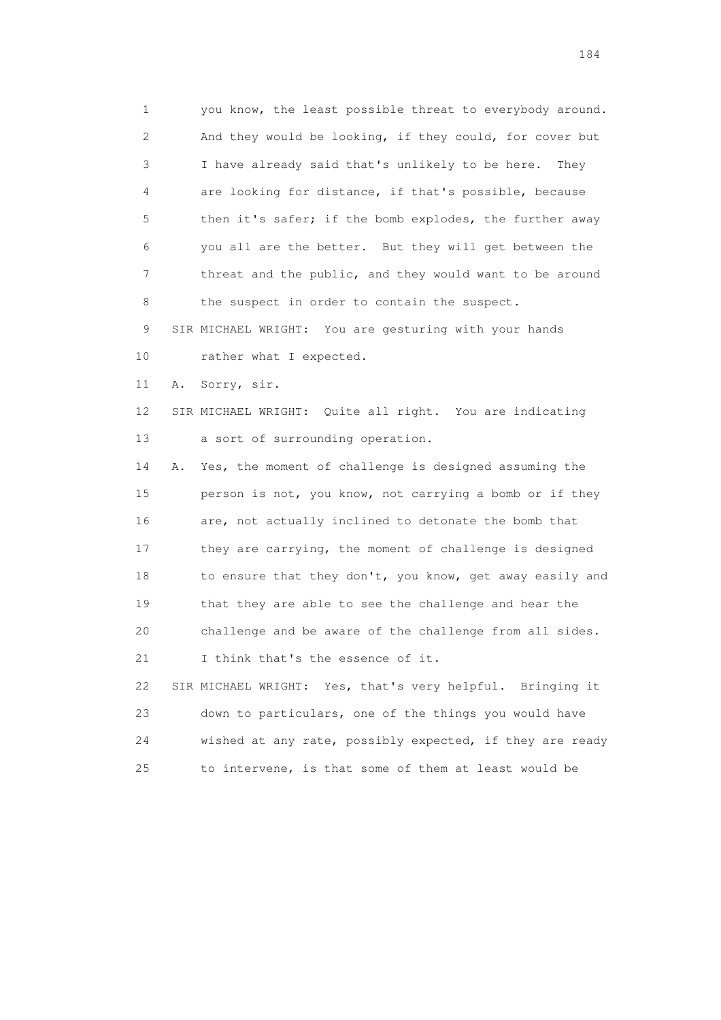1 you know, the least possible threat to everybody around. 2 And they would be looking, if they could, for cover but 3 I have already said that's unlikely to be here. They 4 are looking for distance, if that's possible, because 5 then it's safer; if the bomb explodes, the further away 6 you all are the better. But they will get between the 7 threat and the public, and they would want to be around 8 the suspect in order to contain the suspect.

 9 SIR MICHAEL WRIGHT: You are gesturing with your hands 10 rather what I expected.

11 A. Sorry, sir.

 12 SIR MICHAEL WRIGHT: Quite all right. You are indicating 13 a sort of surrounding operation.

 14 A. Yes, the moment of challenge is designed assuming the 15 person is not, you know, not carrying a bomb or if they 16 are, not actually inclined to detonate the bomb that 17 they are carrying, the moment of challenge is designed 18 to ensure that they don't, you know, get away easily and 19 that they are able to see the challenge and hear the 20 challenge and be aware of the challenge from all sides. 21 I think that's the essence of it.

 22 SIR MICHAEL WRIGHT: Yes, that's very helpful. Bringing it 23 down to particulars, one of the things you would have 24 wished at any rate, possibly expected, if they are ready 25 to intervene, is that some of them at least would be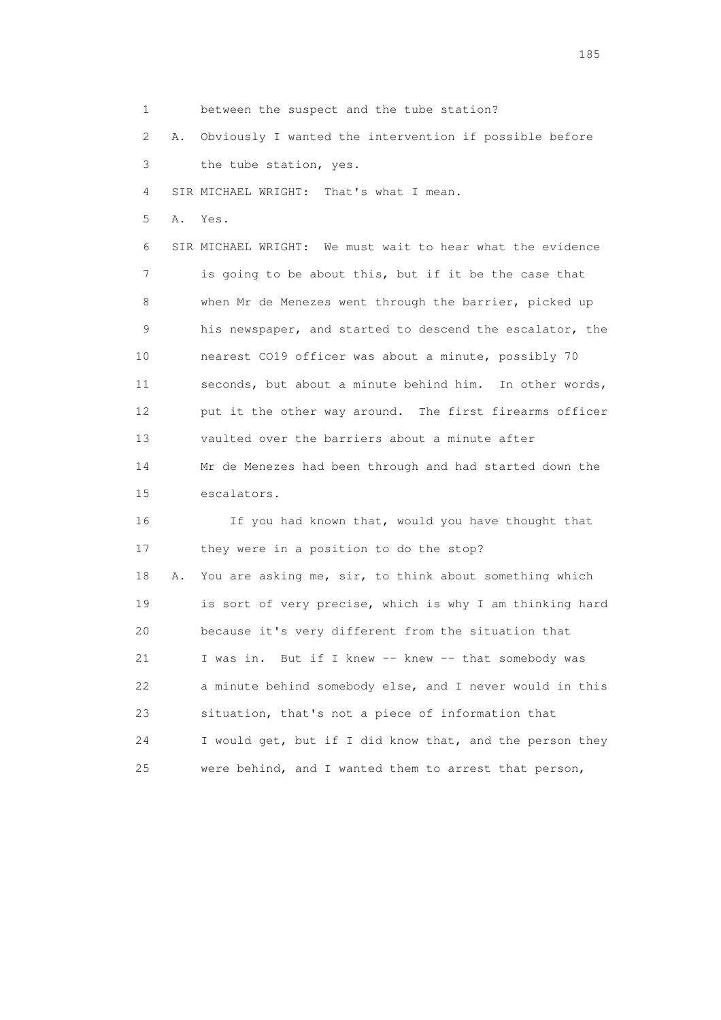1 between the suspect and the tube station?

2 A. Obviously I wanted the intervention if possible before

3 the tube station, yes.

4 SIR MICHAEL WRIGHT: That's what I mean.

5 A. Yes.

 6 SIR MICHAEL WRIGHT: We must wait to hear what the evidence 7 is going to be about this, but if it be the case that 8 when Mr de Menezes went through the barrier, picked up 9 his newspaper, and started to descend the escalator, the 10 nearest CO19 officer was about a minute, possibly 70 11 seconds, but about a minute behind him. In other words, 12 put it the other way around. The first firearms officer 13 vaulted over the barriers about a minute after 14 Mr de Menezes had been through and had started down the 15 escalators.

 16 If you had known that, would you have thought that 17 they were in a position to do the stop? 18 A. You are asking me, sir, to think about something which 19 is sort of very precise, which is why I am thinking hard 20 because it's very different from the situation that 21 I was in. But if I knew -- knew -- that somebody was 22 a minute behind somebody else, and I never would in this 23 situation, that's not a piece of information that 24 I would get, but if I did know that, and the person they 25 were behind, and I wanted them to arrest that person,

<u>185</u>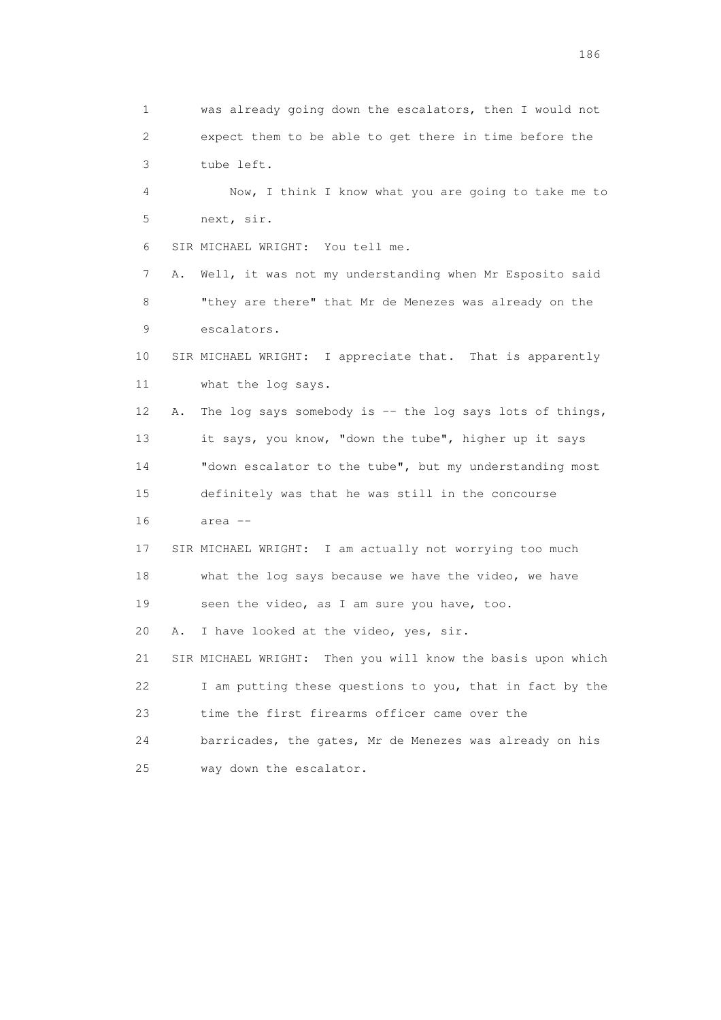1 was already going down the escalators, then I would not 2 expect them to be able to get there in time before the 3 tube left. 4 Now, I think I know what you are going to take me to 5 next, sir. 6 SIR MICHAEL WRIGHT: You tell me. 7 A. Well, it was not my understanding when Mr Esposito said 8 "they are there" that Mr de Menezes was already on the 9 escalators. 10 SIR MICHAEL WRIGHT: I appreciate that. That is apparently 11 what the log says. 12 A. The log says somebody is -- the log says lots of things, 13 it says, you know, "down the tube", higher up it says 14 "down escalator to the tube", but my understanding most 15 definitely was that he was still in the concourse 16 area -- 17 SIR MICHAEL WRIGHT: I am actually not worrying too much 18 what the log says because we have the video, we have 19 seen the video, as I am sure you have, too. 20 A. I have looked at the video, yes, sir. 21 SIR MICHAEL WRIGHT: Then you will know the basis upon which 22 I am putting these questions to you, that in fact by the 23 time the first firearms officer came over the 24 barricades, the gates, Mr de Menezes was already on his 25 way down the escalator.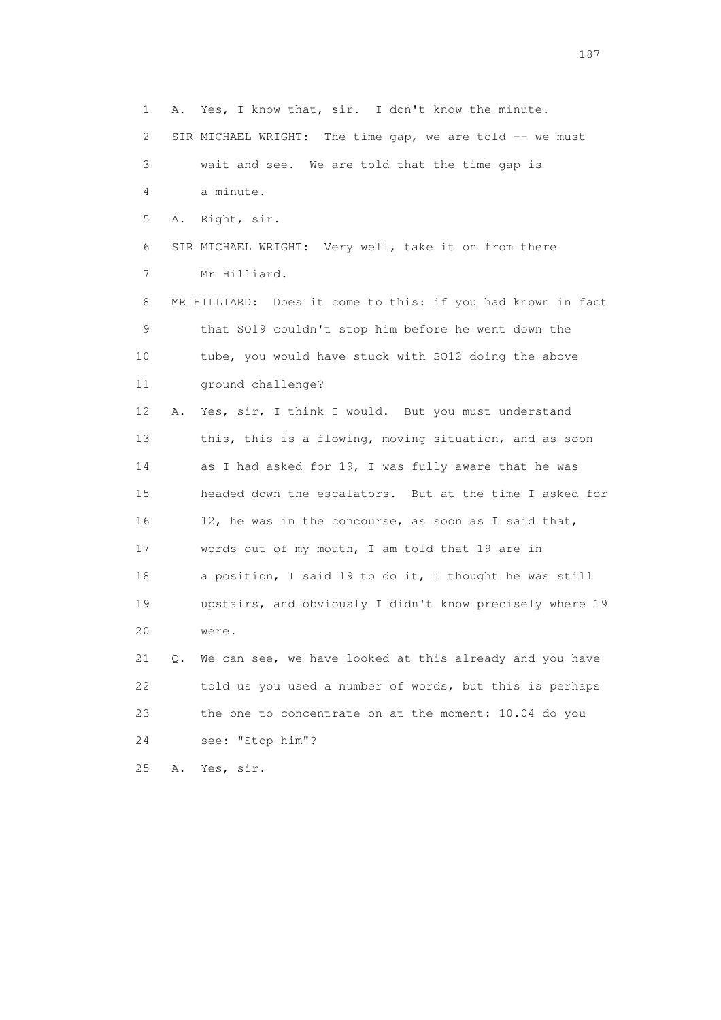1 A. Yes, I know that, sir. I don't know the minute. 2 SIR MICHAEL WRIGHT: The time gap, we are told -- we must 3 wait and see. We are told that the time gap is 4 a minute. 5 A. Right, sir. 6 SIR MICHAEL WRIGHT: Very well, take it on from there 7 Mr Hilliard. 8 MR HILLIARD: Does it come to this: if you had known in fact 9 that SO19 couldn't stop him before he went down the 10 tube, you would have stuck with SO12 doing the above 11 ground challenge? 12 A. Yes, sir, I think I would. But you must understand 13 this, this is a flowing, moving situation, and as soon 14 as I had asked for 19, I was fully aware that he was 15 headed down the escalators. But at the time I asked for 16 12, he was in the concourse, as soon as I said that, 17 words out of my mouth, I am told that 19 are in 18 a position, I said 19 to do it, I thought he was still 19 upstairs, and obviously I didn't know precisely where 19 20 were. 21 Q. We can see, we have looked at this already and you have 22 told us you used a number of words, but this is perhaps 23 the one to concentrate on at the moment: 10.04 do you 24 see: "Stop him"?

25 A. Yes, sir.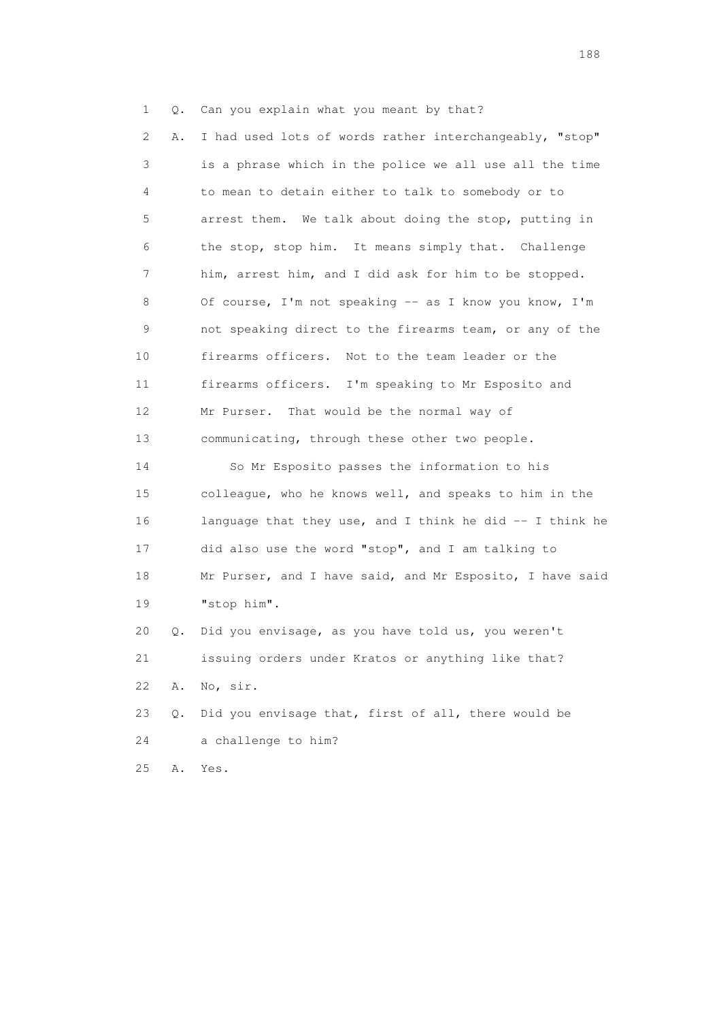1 Q. Can you explain what you meant by that?

 2 A. I had used lots of words rather interchangeably, "stop" 3 is a phrase which in the police we all use all the time 4 to mean to detain either to talk to somebody or to 5 arrest them. We talk about doing the stop, putting in 6 the stop, stop him. It means simply that. Challenge 7 him, arrest him, and I did ask for him to be stopped. 8 Of course, I'm not speaking -- as I know you know, I'm 9 not speaking direct to the firearms team, or any of the 10 firearms officers. Not to the team leader or the 11 firearms officers. I'm speaking to Mr Esposito and 12 Mr Purser. That would be the normal way of 13 communicating, through these other two people. 14 So Mr Esposito passes the information to his

 15 colleague, who he knows well, and speaks to him in the 16 language that they use, and I think he did -- I think he 17 did also use the word "stop", and I am talking to 18 Mr Purser, and I have said, and Mr Esposito, I have said 19 "stop him".

 20 Q. Did you envisage, as you have told us, you weren't 21 issuing orders under Kratos or anything like that? 22 A. No, sir.

 23 Q. Did you envisage that, first of all, there would be 24 a challenge to him?

25 A. Yes.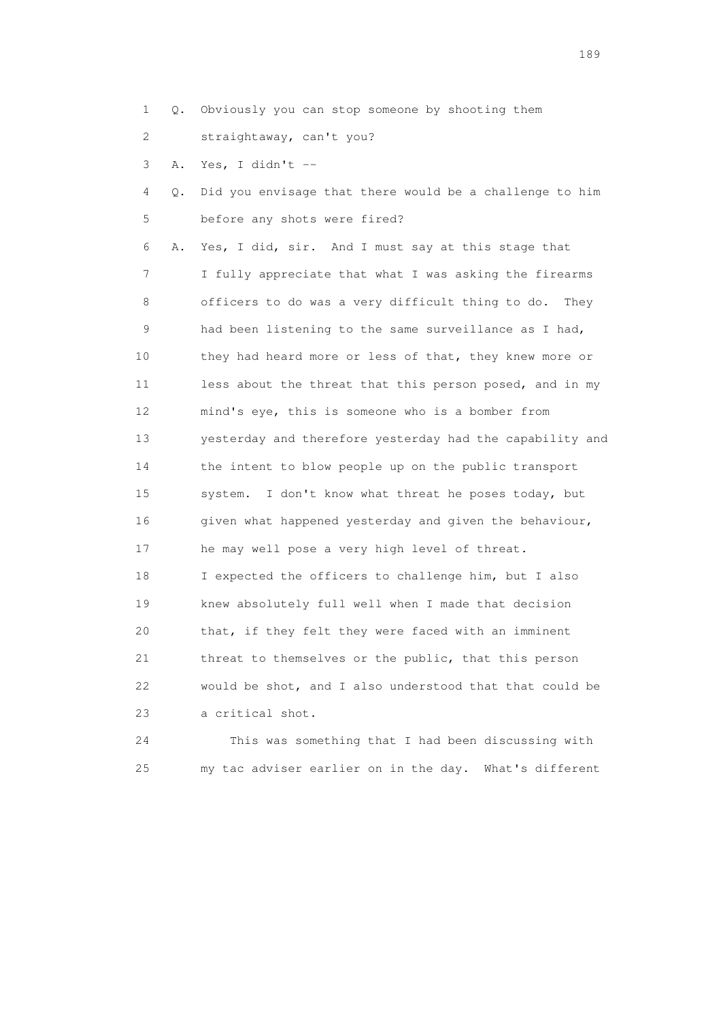- 1 Q. Obviously you can stop someone by shooting them
- 2 straightaway, can't you?
- 3 A. Yes, I didn't --
- 4 Q. Did you envisage that there would be a challenge to him 5 before any shots were fired?

 6 A. Yes, I did, sir. And I must say at this stage that 7 I fully appreciate that what I was asking the firearms 8 officers to do was a very difficult thing to do. They 9 had been listening to the same surveillance as I had, 10 they had heard more or less of that, they knew more or 11 less about the threat that this person posed, and in my 12 mind's eye, this is someone who is a bomber from 13 yesterday and therefore yesterday had the capability and 14 the intent to blow people up on the public transport 15 system. I don't know what threat he poses today, but 16 given what happened yesterday and given the behaviour, 17 he may well pose a very high level of threat. 18 I expected the officers to challenge him, but I also 19 knew absolutely full well when I made that decision 20 that, if they felt they were faced with an imminent 21 threat to themselves or the public, that this person 22 would be shot, and I also understood that that could be 23 a critical shot.

 24 This was something that I had been discussing with 25 my tac adviser earlier on in the day. What's different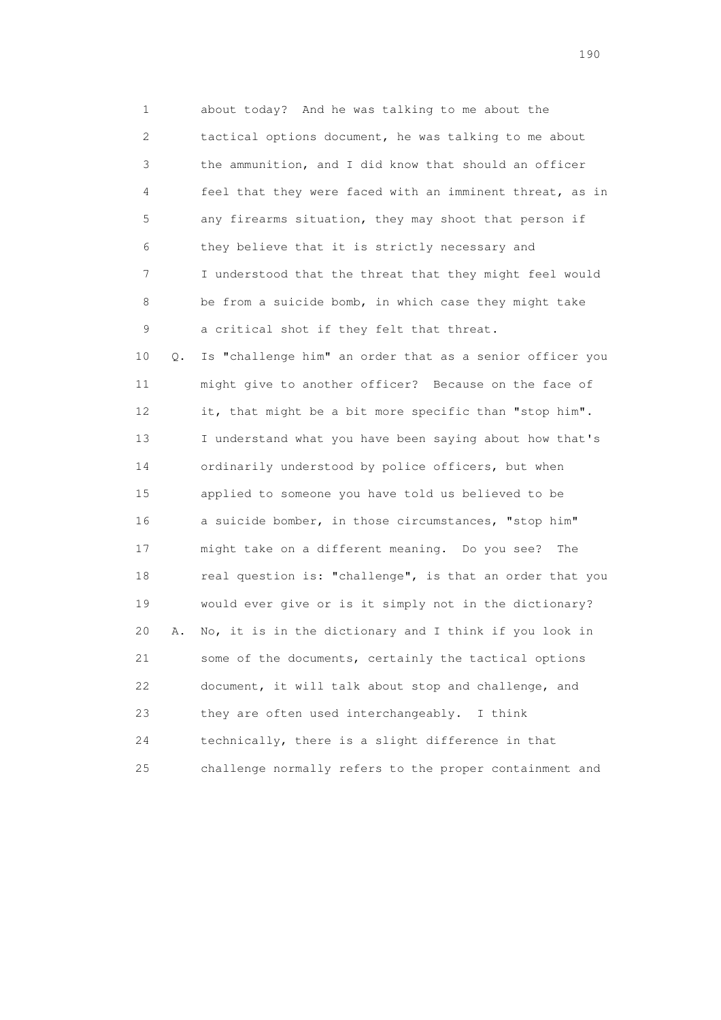1 about today? And he was talking to me about the 2 tactical options document, he was talking to me about 3 the ammunition, and I did know that should an officer 4 feel that they were faced with an imminent threat, as in 5 any firearms situation, they may shoot that person if 6 they believe that it is strictly necessary and 7 I understood that the threat that they might feel would 8 be from a suicide bomb, in which case they might take 9 a critical shot if they felt that threat. 10 Q. Is "challenge him" an order that as a senior officer you 11 might give to another officer? Because on the face of 12 it, that might be a bit more specific than "stop him". 13 I understand what you have been saying about how that's 14 ordinarily understood by police officers, but when

 15 applied to someone you have told us believed to be 16 a suicide bomber, in those circumstances, "stop him" 17 might take on a different meaning. Do you see? The 18 real question is: "challenge", is that an order that you 19 would ever give or is it simply not in the dictionary? 20 A. No, it is in the dictionary and I think if you look in 21 some of the documents, certainly the tactical options 22 document, it will talk about stop and challenge, and 23 they are often used interchangeably. I think 24 technically, there is a slight difference in that 25 challenge normally refers to the proper containment and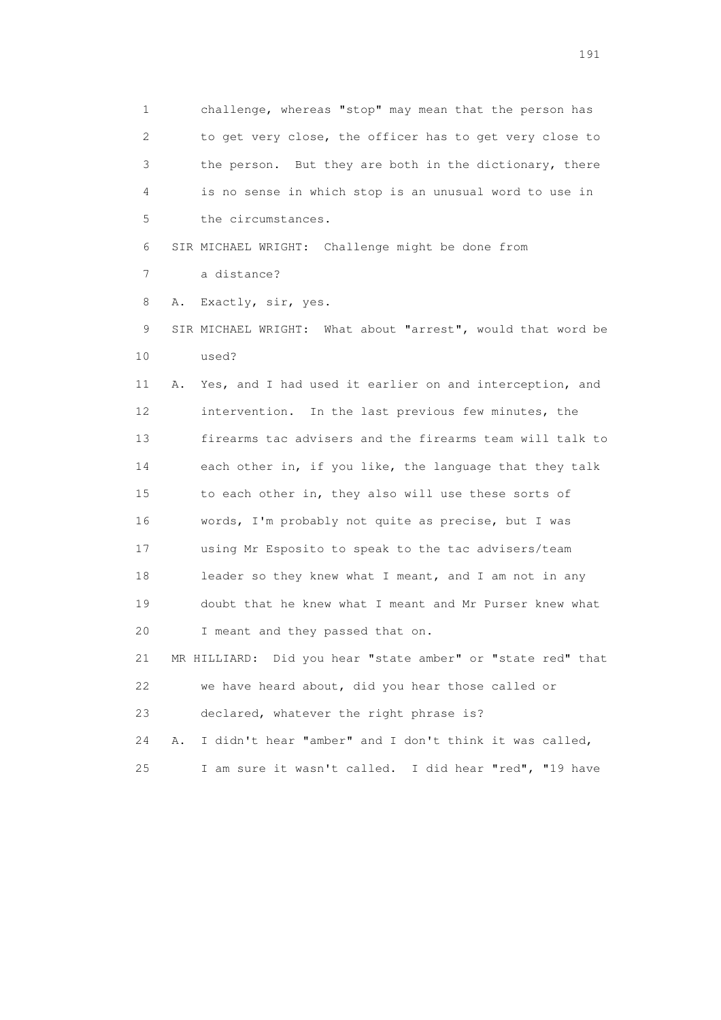1 challenge, whereas "stop" may mean that the person has 2 to get very close, the officer has to get very close to 3 the person. But they are both in the dictionary, there 4 is no sense in which stop is an unusual word to use in 5 the circumstances.

6 SIR MICHAEL WRIGHT: Challenge might be done from

7 a distance?

8 A. Exactly, sir, yes.

 9 SIR MICHAEL WRIGHT: What about "arrest", would that word be 10 used?

 11 A. Yes, and I had used it earlier on and interception, and 12 intervention. In the last previous few minutes, the 13 firearms tac advisers and the firearms team will talk to 14 each other in, if you like, the language that they talk 15 to each other in, they also will use these sorts of 16 words, I'm probably not quite as precise, but I was 17 using Mr Esposito to speak to the tac advisers/team 18 leader so they knew what I meant, and I am not in any 19 doubt that he knew what I meant and Mr Purser knew what 20 I meant and they passed that on.

 21 MR HILLIARD: Did you hear "state amber" or "state red" that 22 we have heard about, did you hear those called or 23 declared, whatever the right phrase is?

 24 A. I didn't hear "amber" and I don't think it was called, 25 I am sure it wasn't called. I did hear "red", "19 have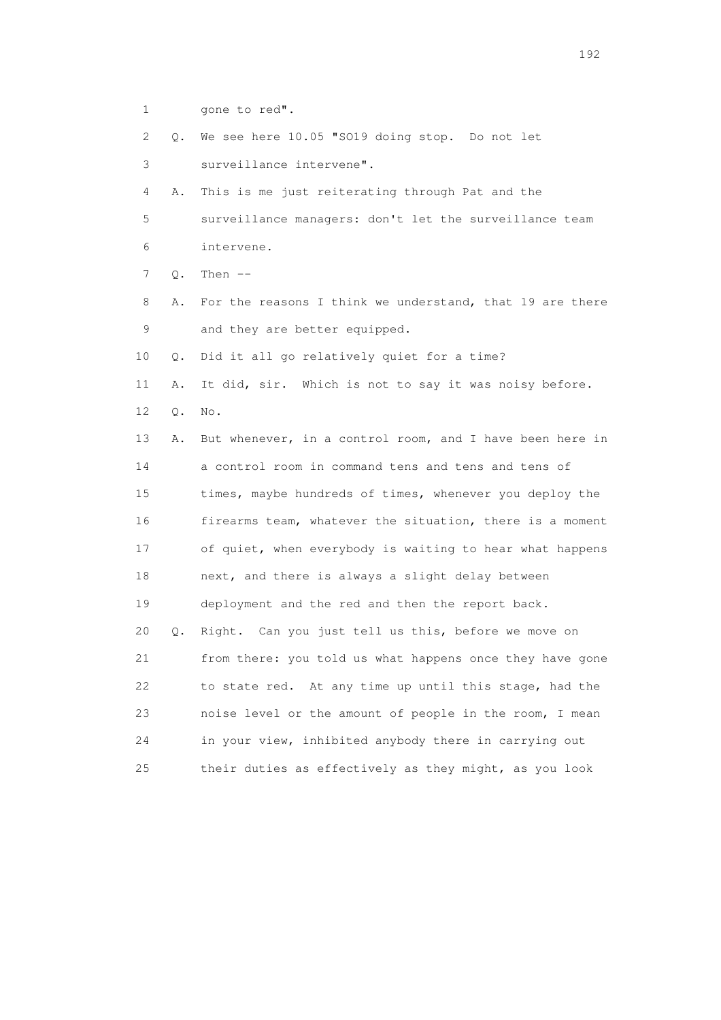1 gone to red".

 2 Q. We see here 10.05 "SO19 doing stop. Do not let 3 surveillance intervene".

4 A. This is me just reiterating through Pat and the

 5 surveillance managers: don't let the surveillance team 6 intervene.

7 Q. Then --

 8 A. For the reasons I think we understand, that 19 are there 9 and they are better equipped.

10 Q. Did it all go relatively quiet for a time?

11 A. It did, sir. Which is not to say it was noisy before.

12 Q. No.

 13 A. But whenever, in a control room, and I have been here in 14 a control room in command tens and tens and tens of 15 times, maybe hundreds of times, whenever you deploy the 16 firearms team, whatever the situation, there is a moment 17 of quiet, when everybody is waiting to hear what happens 18 next, and there is always a slight delay between 19 deployment and the red and then the report back. 20 Q. Right. Can you just tell us this, before we move on 21 from there: you told us what happens once they have gone 22 to state red. At any time up until this stage, had the 23 noise level or the amount of people in the room, I mean 24 in your view, inhibited anybody there in carrying out

25 their duties as effectively as they might, as you look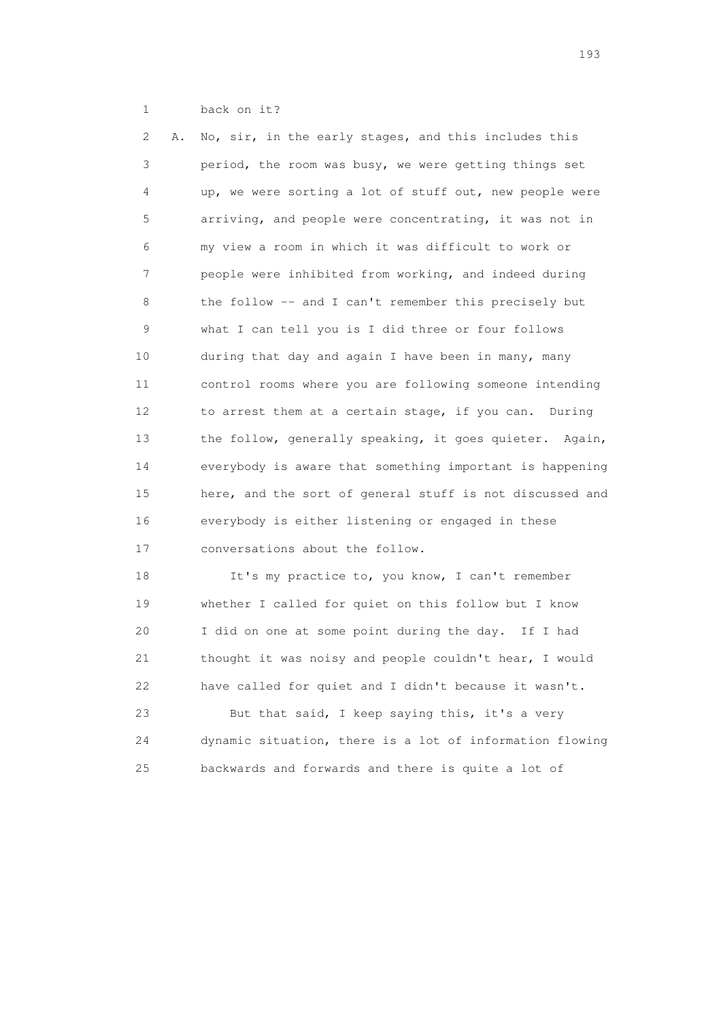1 back on it?

 2 A. No, sir, in the early stages, and this includes this 3 period, the room was busy, we were getting things set 4 up, we were sorting a lot of stuff out, new people were 5 arriving, and people were concentrating, it was not in 6 my view a room in which it was difficult to work or 7 people were inhibited from working, and indeed during 8 the follow -- and I can't remember this precisely but 9 what I can tell you is I did three or four follows 10 during that day and again I have been in many, many 11 control rooms where you are following someone intending 12 to arrest them at a certain stage, if you can. During 13 the follow, generally speaking, it goes quieter. Again, 14 everybody is aware that something important is happening 15 here, and the sort of general stuff is not discussed and 16 everybody is either listening or engaged in these 17 conversations about the follow.

 18 It's my practice to, you know, I can't remember 19 whether I called for quiet on this follow but I know 20 I did on one at some point during the day. If I had 21 thought it was noisy and people couldn't hear, I would 22 have called for quiet and I didn't because it wasn't. 23 But that said, I keep saying this, it's a very

 24 dynamic situation, there is a lot of information flowing 25 backwards and forwards and there is quite a lot of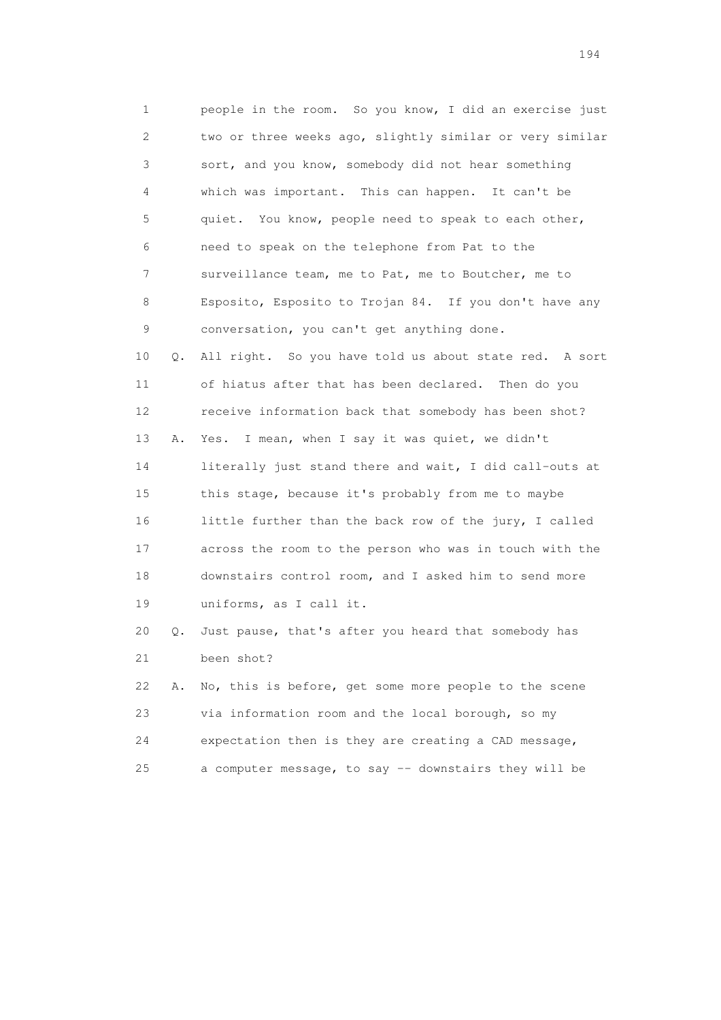1 people in the room. So you know, I did an exercise just 2 two or three weeks ago, slightly similar or very similar 3 sort, and you know, somebody did not hear something 4 which was important. This can happen. It can't be 5 quiet. You know, people need to speak to each other, 6 need to speak on the telephone from Pat to the 7 surveillance team, me to Pat, me to Boutcher, me to 8 Esposito, Esposito to Trojan 84. If you don't have any 9 conversation, you can't get anything done. 10 Q. All right. So you have told us about state red. A sort 11 of hiatus after that has been declared. Then do you 12 receive information back that somebody has been shot? 13 A. Yes. I mean, when I say it was quiet, we didn't 14 literally just stand there and wait, I did call-outs at 15 this stage, because it's probably from me to maybe 16 little further than the back row of the jury, I called 17 across the room to the person who was in touch with the 18 downstairs control room, and I asked him to send more 19 uniforms, as I call it. 20 Q. Just pause, that's after you heard that somebody has 21 been shot? 22 A. No, this is before, get some more people to the scene 23 via information room and the local borough, so my

 24 expectation then is they are creating a CAD message, 25 a computer message, to say -- downstairs they will be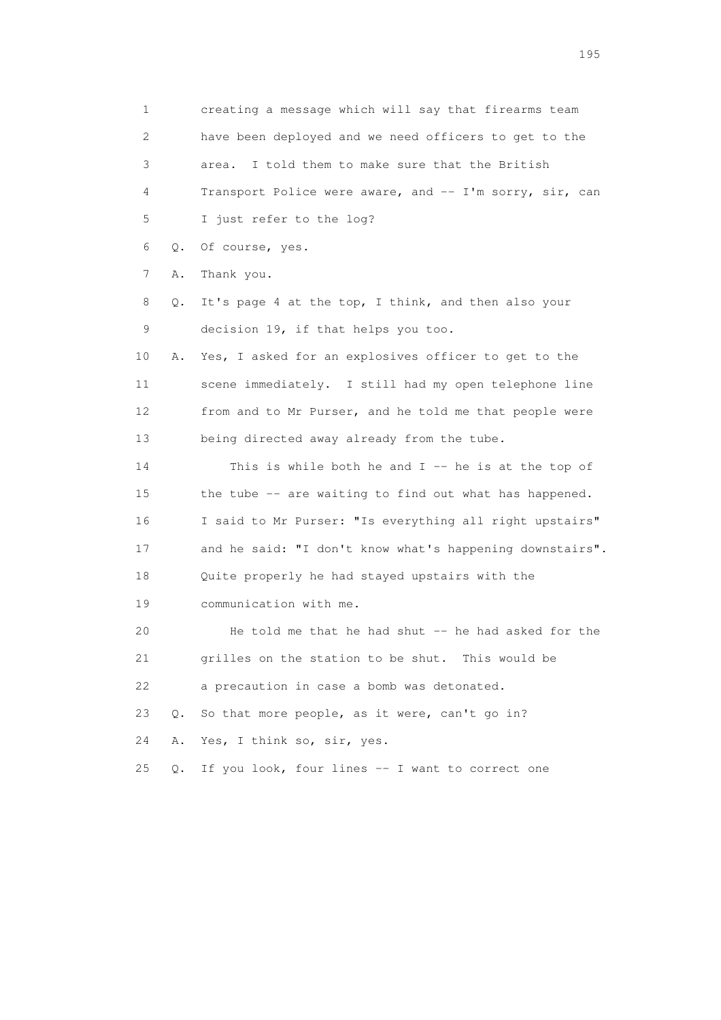1 creating a message which will say that firearms team 2 have been deployed and we need officers to get to the 3 area. I told them to make sure that the British 4 Transport Police were aware, and -- I'm sorry, sir, can 5 I just refer to the log? 6 Q. Of course, yes. 7 A. Thank you. 8 Q. It's page 4 at the top, I think, and then also your 9 decision 19, if that helps you too. 10 A. Yes, I asked for an explosives officer to get to the 11 scene immediately. I still had my open telephone line 12 from and to Mr Purser, and he told me that people were 13 being directed away already from the tube. 14 This is while both he and I -- he is at the top of 15 the tube -- are waiting to find out what has happened. 16 I said to Mr Purser: "Is everything all right upstairs" 17 and he said: "I don't know what's happening downstairs". 18 Quite properly he had stayed upstairs with the 19 communication with me. 20 He told me that he had shut -- he had asked for the 21 grilles on the station to be shut. This would be 22 a precaution in case a bomb was detonated. 23 Q. So that more people, as it were, can't go in? 24 A. Yes, I think so, sir, yes. 25 Q. If you look, four lines -- I want to correct one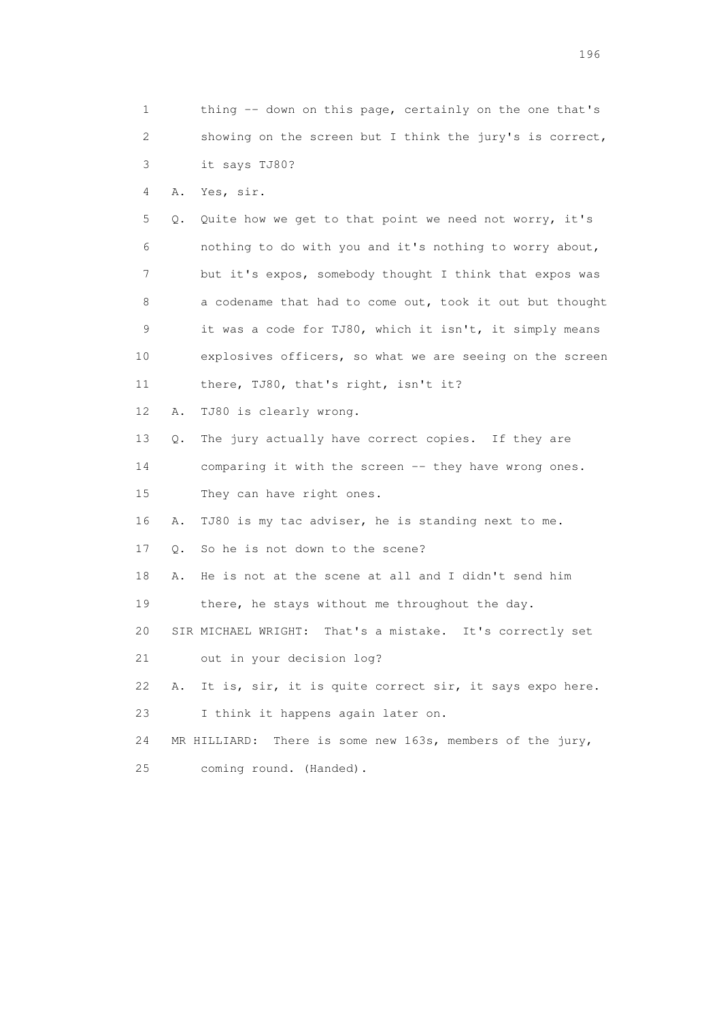1 thing -- down on this page, certainly on the one that's 2 showing on the screen but I think the jury's is correct, 3 it says TJ80? 4 A. Yes, sir. 5 Q. Quite how we get to that point we need not worry, it's 6 nothing to do with you and it's nothing to worry about, 7 but it's expos, somebody thought I think that expos was 8 a codename that had to come out, took it out but thought 9 it was a code for TJ80, which it isn't, it simply means 10 explosives officers, so what we are seeing on the screen 11 there, TJ80, that's right, isn't it? 12 A. TJ80 is clearly wrong. 13 Q. The jury actually have correct copies. If they are 14 comparing it with the screen -- they have wrong ones. 15 They can have right ones. 16 A. TJ80 is my tac adviser, he is standing next to me. 17 Q. So he is not down to the scene? 18 A. He is not at the scene at all and I didn't send him 19 there, he stays without me throughout the day. 20 SIR MICHAEL WRIGHT: That's a mistake. It's correctly set 21 out in your decision log? 22 A. It is, sir, it is quite correct sir, it says expo here. 23 I think it happens again later on. 24 MR HILLIARD: There is some new 163s, members of the jury, 25 coming round. (Handed).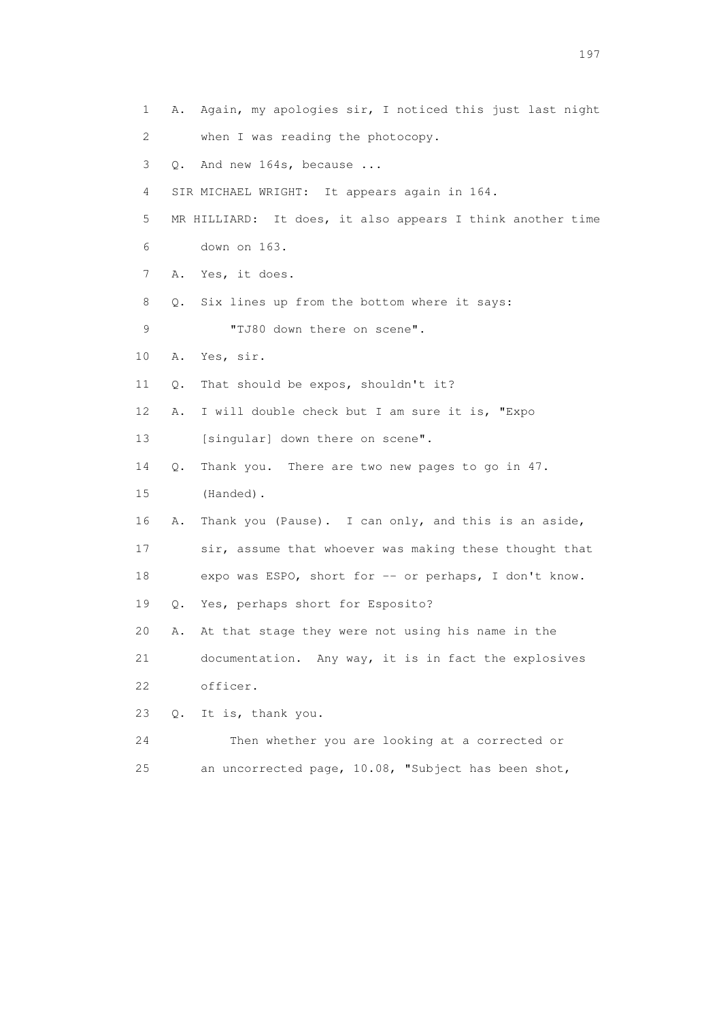1 A. Again, my apologies sir, I noticed this just last night 2 when I was reading the photocopy. 3 Q. And new 164s, because ... 4 SIR MICHAEL WRIGHT: It appears again in 164. 5 MR HILLIARD: It does, it also appears I think another time 6 down on 163. 7 A. Yes, it does. 8 Q. Six lines up from the bottom where it says: 9 **"TJ80 down there on scene".**  10 A. Yes, sir. 11 Q. That should be expos, shouldn't it? 12 A. I will double check but I am sure it is, "Expo 13 [singular] down there on scene". 14 Q. Thank you. There are two new pages to go in 47. 15 (Handed). 16 A. Thank you (Pause). I can only, and this is an aside, 17 sir, assume that whoever was making these thought that 18 expo was ESPO, short for -- or perhaps, I don't know. 19 Q. Yes, perhaps short for Esposito? 20 A. At that stage they were not using his name in the 21 documentation. Any way, it is in fact the explosives 22 officer. 23 Q. It is, thank you. 24 Then whether you are looking at a corrected or 25 an uncorrected page, 10.08, "Subject has been shot,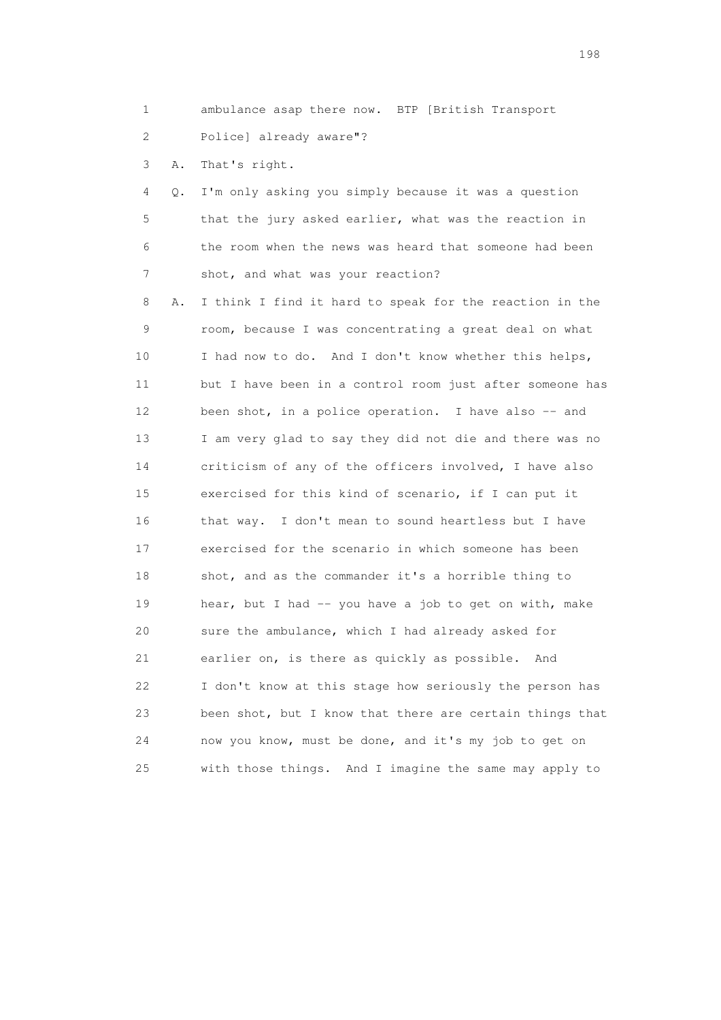1 ambulance asap there now. BTP [British Transport 2 Police] already aware"?

3 A. That's right.

 4 Q. I'm only asking you simply because it was a question 5 that the jury asked earlier, what was the reaction in 6 the room when the news was heard that someone had been 7 shot, and what was your reaction?

 8 A. I think I find it hard to speak for the reaction in the 9 room, because I was concentrating a great deal on what 10 I had now to do. And I don't know whether this helps, 11 but I have been in a control room just after someone has 12 been shot, in a police operation. I have also -- and 13 I am very glad to say they did not die and there was no 14 criticism of any of the officers involved, I have also 15 exercised for this kind of scenario, if I can put it 16 that way. I don't mean to sound heartless but I have 17 exercised for the scenario in which someone has been 18 shot, and as the commander it's a horrible thing to 19 hear, but I had -- you have a job to get on with, make 20 sure the ambulance, which I had already asked for 21 earlier on, is there as quickly as possible. And 22 I don't know at this stage how seriously the person has 23 been shot, but I know that there are certain things that 24 now you know, must be done, and it's my job to get on 25 with those things. And I imagine the same may apply to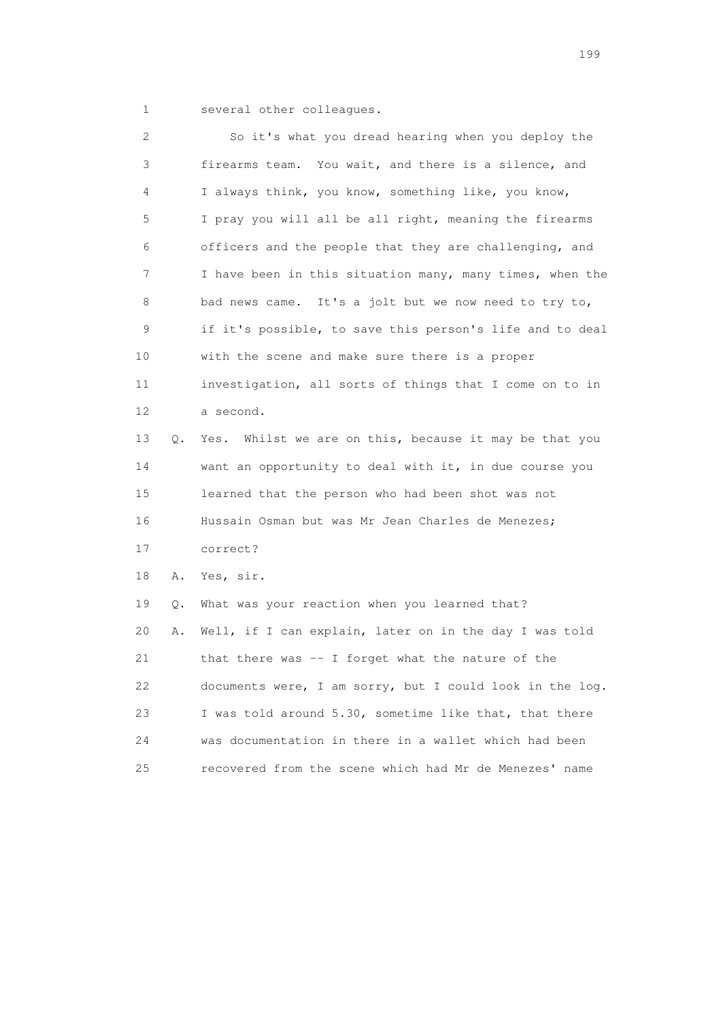1 several other colleagues.

 2 So it's what you dread hearing when you deploy the 3 firearms team. You wait, and there is a silence, and 4 I always think, you know, something like, you know, 5 I pray you will all be all right, meaning the firearms 6 officers and the people that they are challenging, and 7 I have been in this situation many, many times, when the 8 bad news came. It's a jolt but we now need to try to, 9 if it's possible, to save this person's life and to deal 10 with the scene and make sure there is a proper 11 investigation, all sorts of things that I come on to in 12 a second. 13 Q. Yes. Whilst we are on this, because it may be that you 14 want an opportunity to deal with it, in due course you 15 learned that the person who had been shot was not 16 Hussain Osman but was Mr Jean Charles de Menezes; 17 correct? 18 A. Yes, sir. 19 Q. What was your reaction when you learned that? 20 A. Well, if I can explain, later on in the day I was told 21 that there was -- I forget what the nature of the 22 documents were, I am sorry, but I could look in the log. 23 I was told around 5.30, sometime like that, that there 24 was documentation in there in a wallet which had been 25 recovered from the scene which had Mr de Menezes' name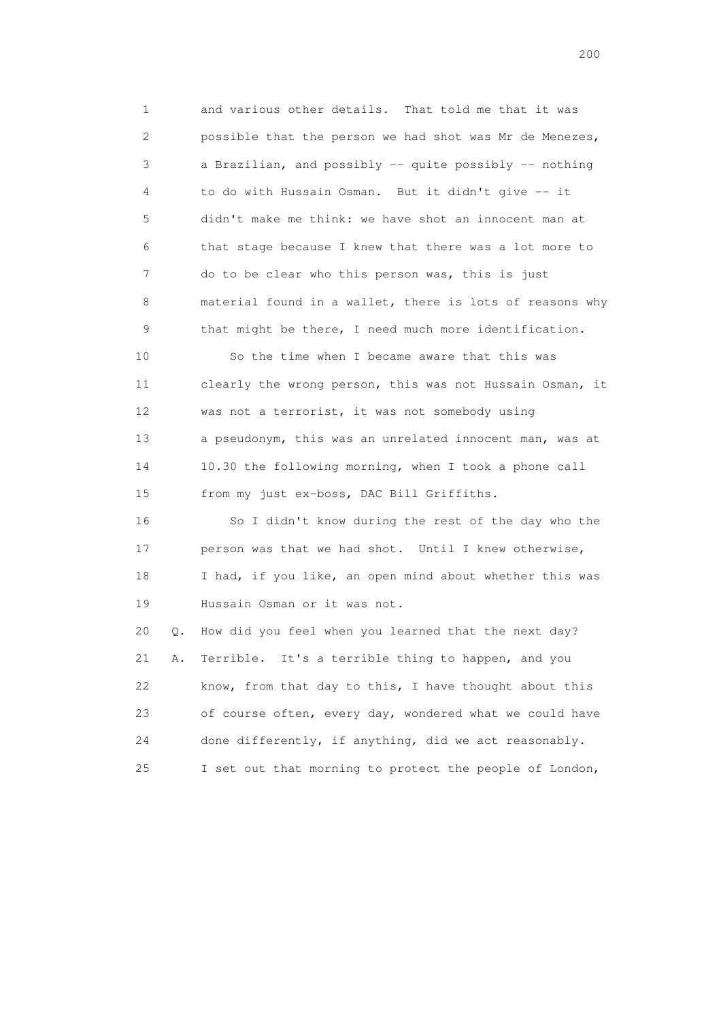1 and various other details. That told me that it was 2 possible that the person we had shot was Mr de Menezes, 3 a Brazilian, and possibly -- quite possibly -- nothing 4 to do with Hussain Osman. But it didn't give -- it 5 didn't make me think: we have shot an innocent man at 6 that stage because I knew that there was a lot more to 7 do to be clear who this person was, this is just 8 material found in a wallet, there is lots of reasons why 9 that might be there, I need much more identification. 10 So the time when I became aware that this was

 11 clearly the wrong person, this was not Hussain Osman, it 12 was not a terrorist, it was not somebody using 13 a pseudonym, this was an unrelated innocent man, was at 14 10.30 the following morning, when I took a phone call 15 from my just ex-boss, DAC Bill Griffiths.

 16 So I didn't know during the rest of the day who the 17 person was that we had shot. Until I knew otherwise, 18 I had, if you like, an open mind about whether this was 19 Hussain Osman or it was not.

 20 Q. How did you feel when you learned that the next day? 21 A. Terrible. It's a terrible thing to happen, and you 22 know, from that day to this, I have thought about this 23 of course often, every day, wondered what we could have 24 done differently, if anything, did we act reasonably. 25 I set out that morning to protect the people of London,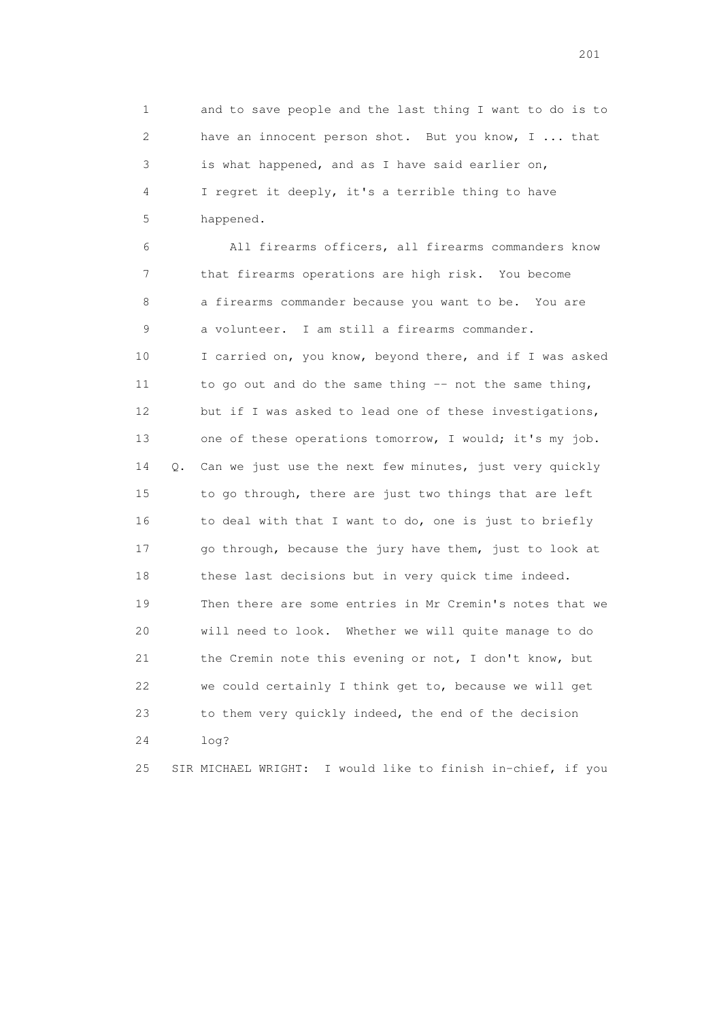1 and to save people and the last thing I want to do is to 2 have an innocent person shot. But you know, I ... that 3 is what happened, and as I have said earlier on, 4 I regret it deeply, it's a terrible thing to have 5 happened.

 6 All firearms officers, all firearms commanders know 7 that firearms operations are high risk. You become 8 a firearms commander because you want to be. You are 9 a volunteer. I am still a firearms commander. 10 I carried on, you know, beyond there, and if I was asked 11 to go out and do the same thing -- not the same thing, 12 but if I was asked to lead one of these investigations, 13 one of these operations tomorrow, I would; it's my job. 14 Q. Can we just use the next few minutes, just very quickly 15 to go through, there are just two things that are left 16 to deal with that I want to do, one is just to briefly 17 go through, because the jury have them, just to look at 18 these last decisions but in very quick time indeed. 19 Then there are some entries in Mr Cremin's notes that we 20 will need to look. Whether we will quite manage to do 21 the Cremin note this evening or not, I don't know, but 22 we could certainly I think get to, because we will get 23 to them very quickly indeed, the end of the decision 24 log?

25 SIR MICHAEL WRIGHT: I would like to finish in-chief, if you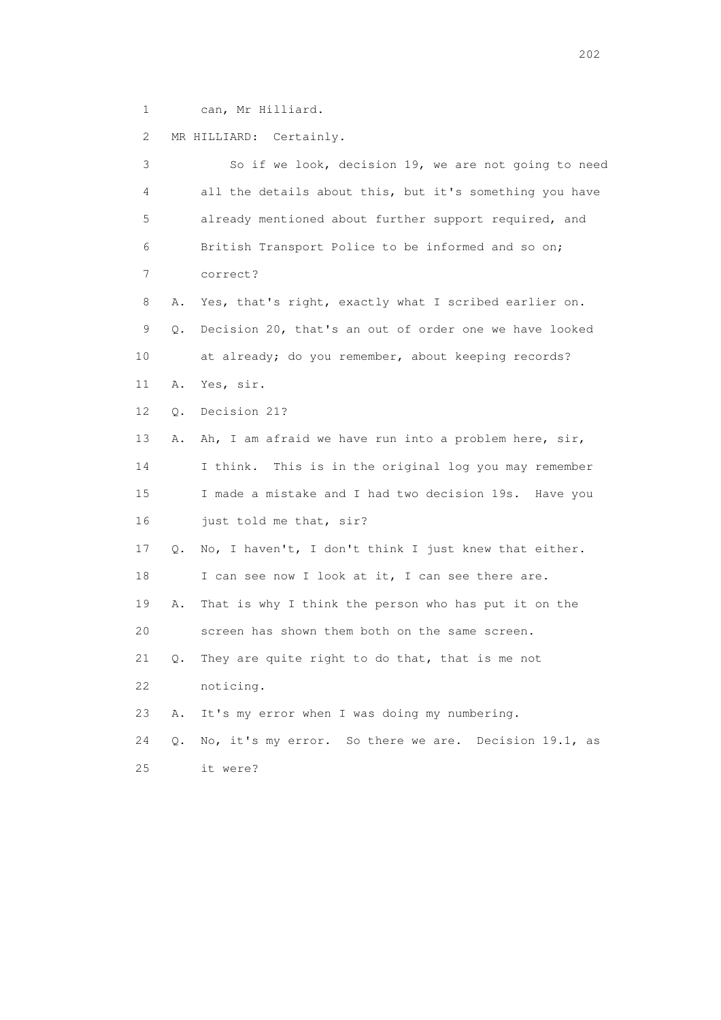1 can, Mr Hilliard.

2 MR HILLIARD: Certainly.

 3 So if we look, decision 19, we are not going to need 4 all the details about this, but it's something you have 5 already mentioned about further support required, and 6 British Transport Police to be informed and so on; 7 correct? 8 A. Yes, that's right, exactly what I scribed earlier on. 9 Q. Decision 20, that's an out of order one we have looked 10 at already; do you remember, about keeping records? 11 A. Yes, sir. 12 Q. Decision 21? 13 A. Ah, I am afraid we have run into a problem here, sir, 14 I think. This is in the original log you may remember 15 I made a mistake and I had two decision 19s. Have you 16 just told me that, sir? 17 Q. No, I haven't, I don't think I just knew that either. 18 I can see now I look at it, I can see there are. 19 A. That is why I think the person who has put it on the 20 screen has shown them both on the same screen. 21 Q. They are quite right to do that, that is me not 22 noticing. 23 A. It's my error when I was doing my numbering. 24 Q. No, it's my error. So there we are. Decision 19.1, as 25 it were?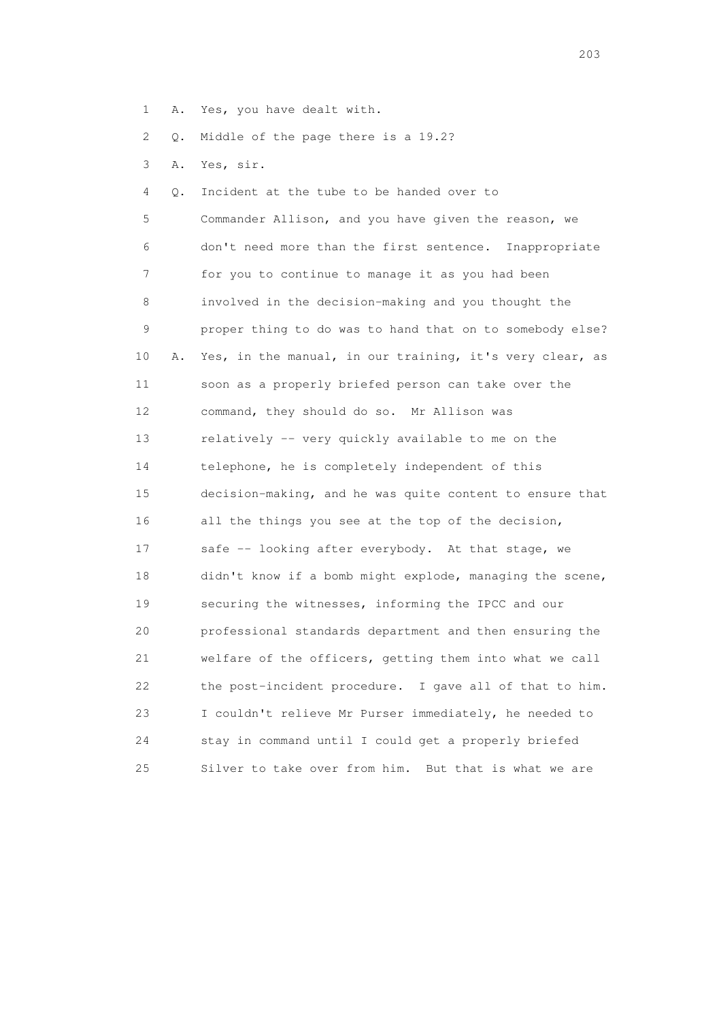1 A. Yes, you have dealt with.

2 Q. Middle of the page there is a 19.2?

3 A. Yes, sir.

 4 Q. Incident at the tube to be handed over to 5 Commander Allison, and you have given the reason, we 6 don't need more than the first sentence. Inappropriate 7 for you to continue to manage it as you had been 8 involved in the decision-making and you thought the 9 proper thing to do was to hand that on to somebody else? 10 A. Yes, in the manual, in our training, it's very clear, as 11 soon as a properly briefed person can take over the 12 command, they should do so. Mr Allison was 13 relatively -- very quickly available to me on the 14 telephone, he is completely independent of this 15 decision-making, and he was quite content to ensure that 16 all the things you see at the top of the decision, 17 safe -- looking after everybody. At that stage, we 18 didn't know if a bomb might explode, managing the scene, 19 securing the witnesses, informing the IPCC and our 20 professional standards department and then ensuring the 21 welfare of the officers, getting them into what we call 22 the post-incident procedure. I gave all of that to him. 23 I couldn't relieve Mr Purser immediately, he needed to 24 stay in command until I could get a properly briefed 25 Silver to take over from him. But that is what we are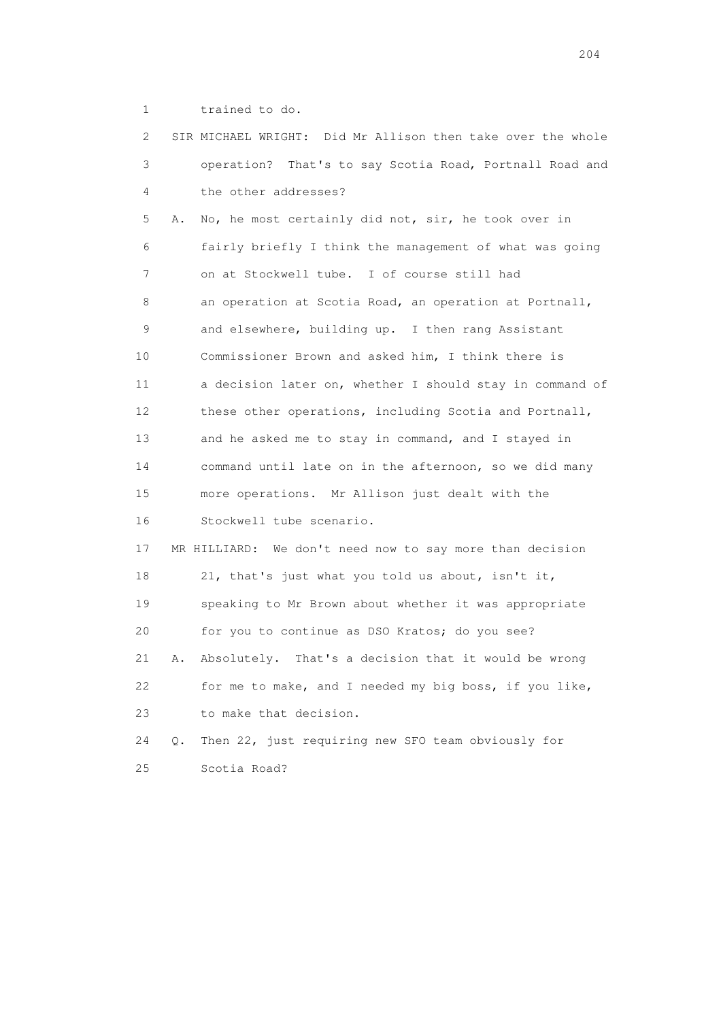1 trained to do.

 2 SIR MICHAEL WRIGHT: Did Mr Allison then take over the whole 3 operation? That's to say Scotia Road, Portnall Road and 4 the other addresses? 5 A. No, he most certainly did not, sir, he took over in 6 fairly briefly I think the management of what was going 7 on at Stockwell tube. I of course still had 8 an operation at Scotia Road, an operation at Portnall, 9 and elsewhere, building up. I then rang Assistant 10 Commissioner Brown and asked him, I think there is 11 a decision later on, whether I should stay in command of 12 these other operations, including Scotia and Portnall, 13 and he asked me to stay in command, and I stayed in 14 command until late on in the afternoon, so we did many 15 more operations. Mr Allison just dealt with the 16 Stockwell tube scenario. 17 MR HILLIARD: We don't need now to say more than decision 18 21, that's just what you told us about, isn't it, 19 speaking to Mr Brown about whether it was appropriate 20 for you to continue as DSO Kratos; do you see? 21 A. Absolutely. That's a decision that it would be wrong 22 for me to make, and I needed my big boss, if you like, 23 to make that decision. 24 Q. Then 22, just requiring new SFO team obviously for 25 Scotia Road?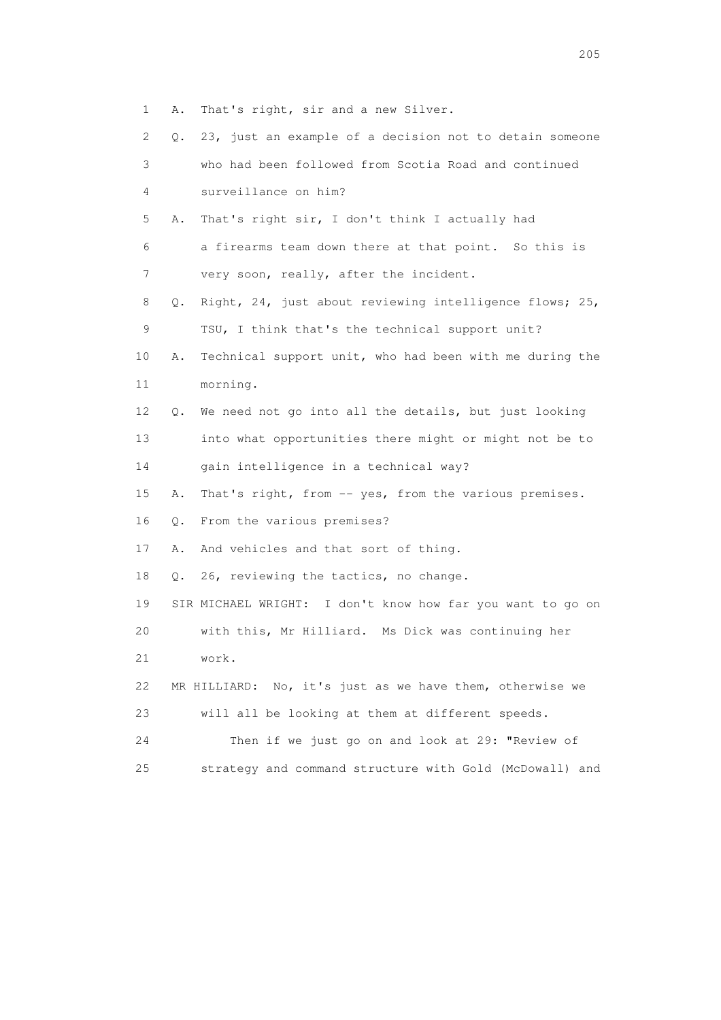1 A. That's right, sir and a new Silver.

| 2  | 0. | 23, just an example of a decision not to detain someone    |
|----|----|------------------------------------------------------------|
| 3  |    | who had been followed from Scotia Road and continued       |
| 4  |    | surveillance on him?                                       |
| 5  | Α. | That's right sir, I don't think I actually had             |
| 6  |    | a firearms team down there at that point. So this is       |
| 7  |    | very soon, really, after the incident.                     |
| 8  | Q. | Right, 24, just about reviewing intelligence flows; 25,    |
| 9  |    | TSU, I think that's the technical support unit?            |
| 10 | Α. | Technical support unit, who had been with me during the    |
| 11 |    | morning.                                                   |
| 12 | Q. | We need not go into all the details, but just looking      |
| 13 |    | into what opportunities there might or might not be to     |
| 14 |    | gain intelligence in a technical way?                      |
| 15 | Α. | That's right, from -- yes, from the various premises.      |
| 16 | Q. | From the various premises?                                 |
| 17 | Α. | And vehicles and that sort of thing.                       |
| 18 | Q. | 26, reviewing the tactics, no change.                      |
| 19 |    | SIR MICHAEL WRIGHT: I don't know how far you want to go on |
| 20 |    | with this, Mr Hilliard. Ms Dick was continuing her         |
| 21 |    | work.                                                      |
| 22 |    | MR HILLIARD: No, it's just as we have them, otherwise we   |
| 23 |    | will all be looking at them at different speeds.           |
| 24 |    | Then if we just go on and look at 29: "Review of           |
| 25 |    | strategy and command structure with Gold (McDowall) and    |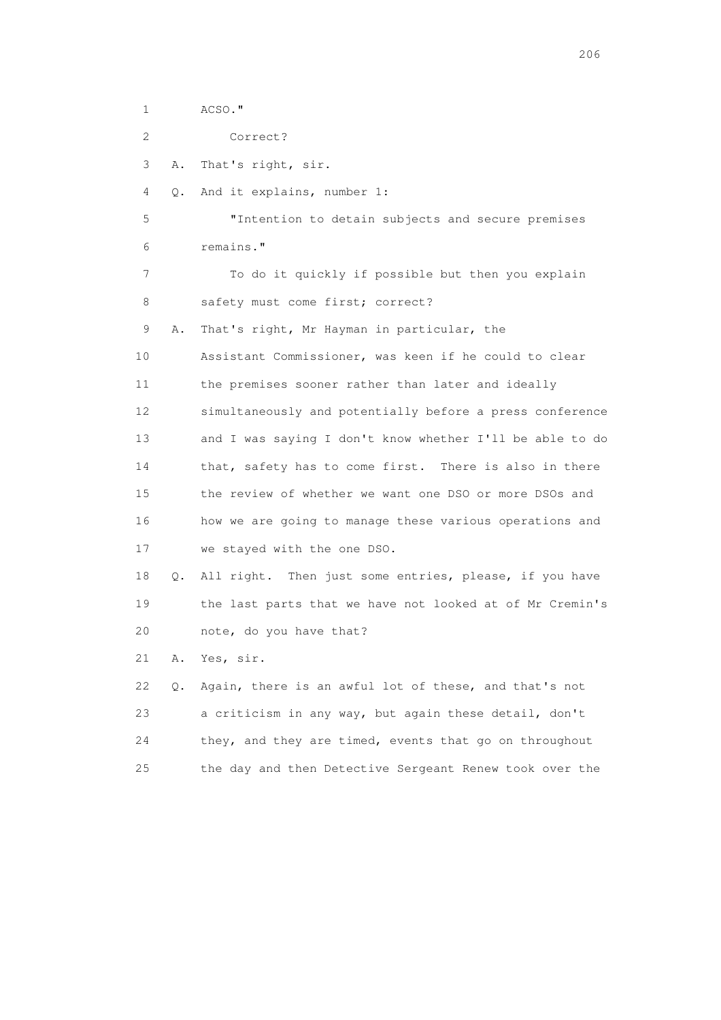1 ACSO." 2 Correct? 3 A. That's right, sir. 4 Q. And it explains, number 1: 5 "Intention to detain subjects and secure premises 6 remains." 7 To do it quickly if possible but then you explain 8 safety must come first; correct? 9 A. That's right, Mr Hayman in particular, the 10 Assistant Commissioner, was keen if he could to clear 11 the premises sooner rather than later and ideally 12 simultaneously and potentially before a press conference 13 and I was saying I don't know whether I'll be able to do 14 that, safety has to come first. There is also in there 15 the review of whether we want one DSO or more DSOs and 16 how we are going to manage these various operations and 17 we stayed with the one DSO. 18 Q. All right. Then just some entries, please, if you have 19 the last parts that we have not looked at of Mr Cremin's 20 note, do you have that? 21 A. Yes, sir. 22 Q. Again, there is an awful lot of these, and that's not 23 a criticism in any way, but again these detail, don't 24 they, and they are timed, events that go on throughout

25 the day and then Detective Sergeant Renew took over the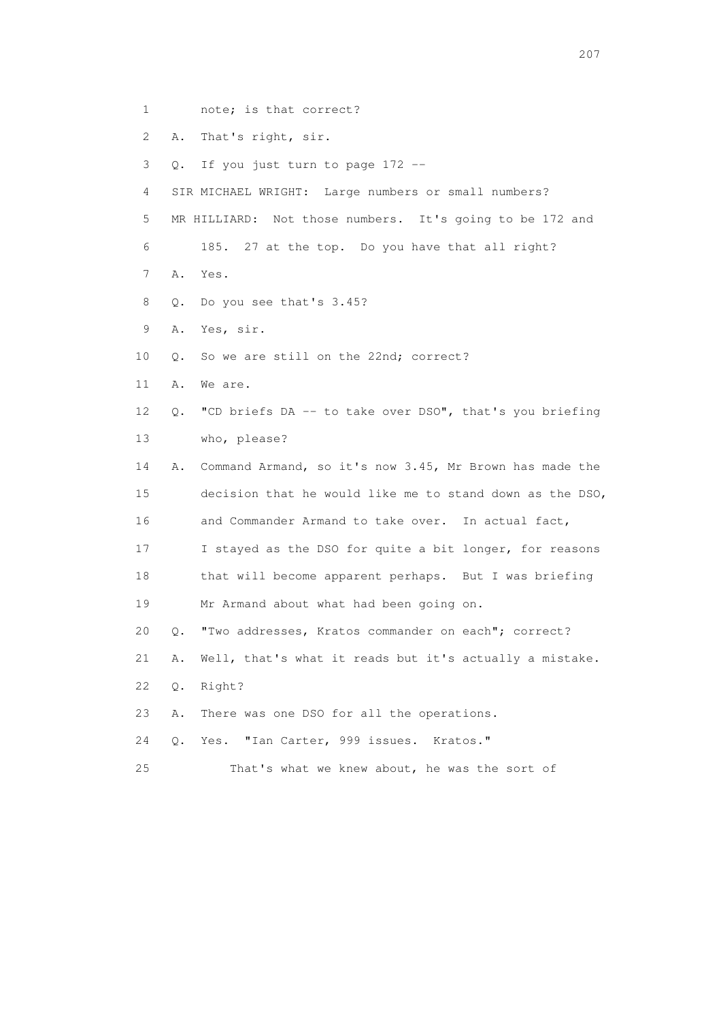- 1 note; is that correct?
- 2 A. That's right, sir.
- 3 Q. If you just turn to page 172 --
- 4 SIR MICHAEL WRIGHT: Large numbers or small numbers?
- 5 MR HILLIARD: Not those numbers. It's going to be 172 and
- 6 185. 27 at the top. Do you have that all right?
- 7 A. Yes.
- 8 Q. Do you see that's 3.45?
- 9 A. Yes, sir.
- 10 Q. So we are still on the 22nd; correct?
- 11 A. We are.
- 12 Q. "CD briefs DA -- to take over DSO", that's you briefing 13 who, please?
- 14 A. Command Armand, so it's now 3.45, Mr Brown has made the 15 decision that he would like me to stand down as the DSO, 16 and Commander Armand to take over. In actual fact, 17 I stayed as the DSO for quite a bit longer, for reasons 18 that will become apparent perhaps. But I was briefing 19 Mr Armand about what had been going on.
- 20 Q. "Two addresses, Kratos commander on each"; correct?
- 21 A. Well, that's what it reads but it's actually a mistake.
- 22 Q. Right?
- 23 A. There was one DSO for all the operations.
- 24 Q. Yes. "Ian Carter, 999 issues. Kratos."
- 25 That's what we knew about, he was the sort of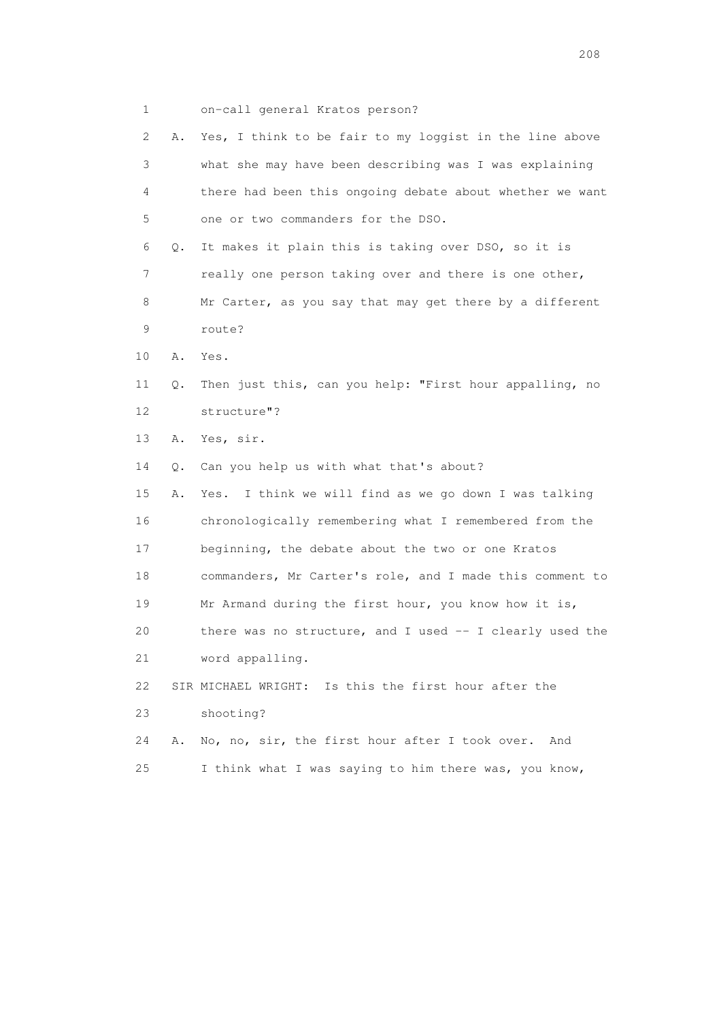1 on-call general Kratos person?

| 2  | Α. | Yes, I think to be fair to my loggist in the line above  |
|----|----|----------------------------------------------------------|
| 3  |    | what she may have been describing was I was explaining   |
| 4  |    | there had been this ongoing debate about whether we want |
| 5  |    | one or two commanders for the DSO.                       |
| 6  | Q. | It makes it plain this is taking over DSO, so it is      |
| 7  |    | really one person taking over and there is one other,    |
| 8  |    | Mr Carter, as you say that may get there by a different  |
| 9  |    | route?                                                   |
| 10 | Α. | Yes.                                                     |
| 11 | Q. | Then just this, can you help: "First hour appalling, no  |
| 12 |    | structure"?                                              |
| 13 | Α. | Yes, sir.                                                |
| 14 | Q. | Can you help us with what that's about?                  |
| 15 | Α. | I think we will find as we go down I was talking<br>Yes. |
| 16 |    | chronologically remembering what I remembered from the   |
| 17 |    | beginning, the debate about the two or one Kratos        |
| 18 |    | commanders, Mr Carter's role, and I made this comment to |
| 19 |    | Mr Armand during the first hour, you know how it is,     |
| 20 |    | there was no structure, and I used -- I clearly used the |
| 21 |    | word appalling.                                          |
| 22 |    | SIR MICHAEL WRIGHT: Is this the first hour after the     |
| 23 |    | shooting?                                                |
| 24 | Α. | No, no, sir, the first hour after I took over.<br>And    |
| 25 |    | I think what I was saying to him there was, you know,    |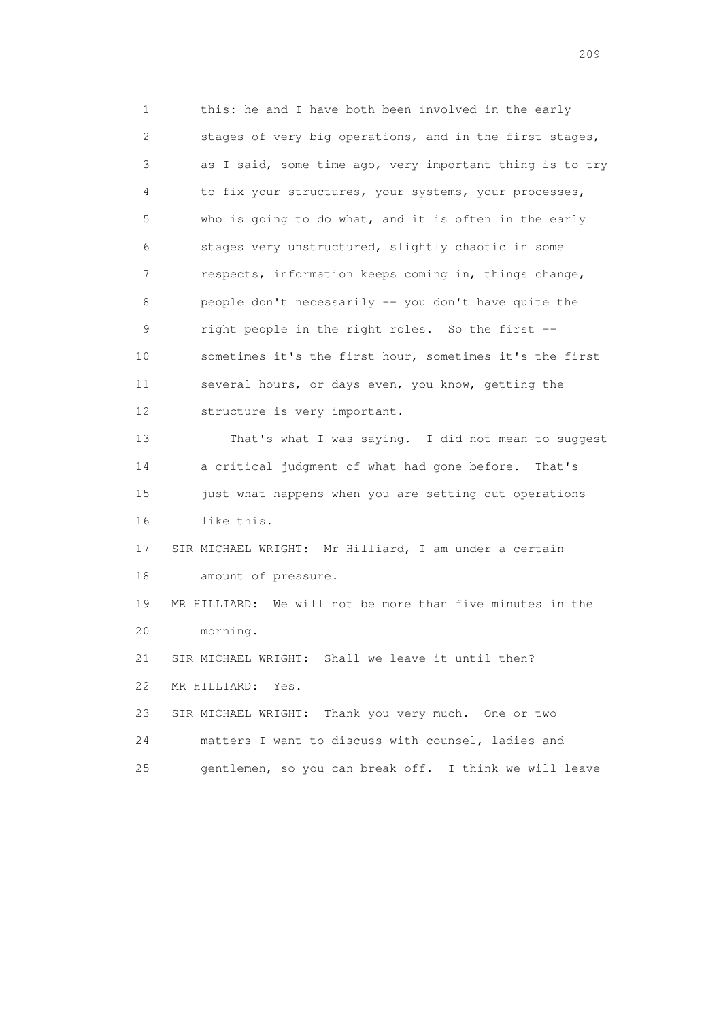1 this: he and I have both been involved in the early 2 stages of very big operations, and in the first stages, 3 as I said, some time ago, very important thing is to try 4 to fix your structures, your systems, your processes, 5 who is going to do what, and it is often in the early 6 stages very unstructured, slightly chaotic in some 7 respects, information keeps coming in, things change, 8 people don't necessarily -- you don't have quite the 9 right people in the right roles. So the first -- 10 sometimes it's the first hour, sometimes it's the first 11 several hours, or days even, you know, getting the 12 structure is very important. 13 That's what I was saying. I did not mean to suggest 14 a critical judgment of what had gone before. That's 15 just what happens when you are setting out operations 16 like this. 17 SIR MICHAEL WRIGHT: Mr Hilliard, I am under a certain 18 amount of pressure. 19 MR HILLIARD: We will not be more than five minutes in the 20 morning. 21 SIR MICHAEL WRIGHT: Shall we leave it until then? 22 MR HILLIARD: Yes. 23 SIR MICHAEL WRIGHT: Thank you very much. One or two 24 matters I want to discuss with counsel, ladies and 25 gentlemen, so you can break off. I think we will leave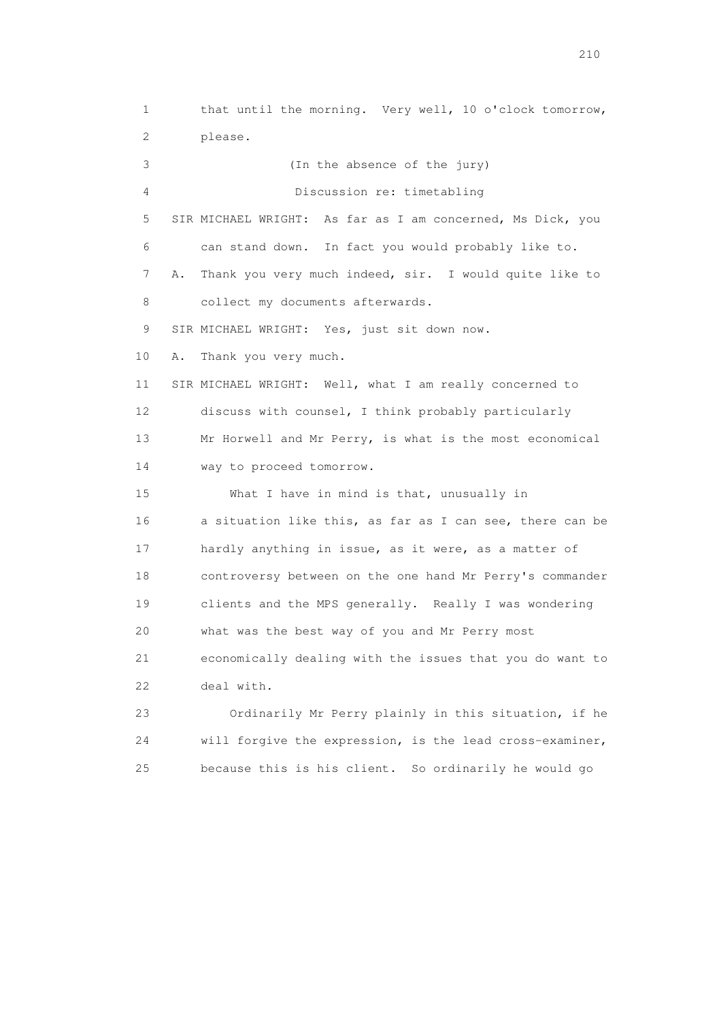1 that until the morning. Very well, 10 o'clock tomorrow, 2 please. 3 (In the absence of the jury) 4 Discussion re: timetabling 5 SIR MICHAEL WRIGHT: As far as I am concerned, Ms Dick, you 6 can stand down. In fact you would probably like to. 7 A. Thank you very much indeed, sir. I would quite like to 8 collect my documents afterwards. 9 SIR MICHAEL WRIGHT: Yes, just sit down now. 10 A. Thank you very much. 11 SIR MICHAEL WRIGHT: Well, what I am really concerned to 12 discuss with counsel, I think probably particularly 13 Mr Horwell and Mr Perry, is what is the most economical 14 way to proceed tomorrow. 15 What I have in mind is that, unusually in 16 a situation like this, as far as I can see, there can be 17 hardly anything in issue, as it were, as a matter of 18 controversy between on the one hand Mr Perry's commander 19 clients and the MPS generally. Really I was wondering 20 what was the best way of you and Mr Perry most 21 economically dealing with the issues that you do want to 22 deal with. 23 Ordinarily Mr Perry plainly in this situation, if he 24 will forgive the expression, is the lead cross-examiner,

25 because this is his client. So ordinarily he would go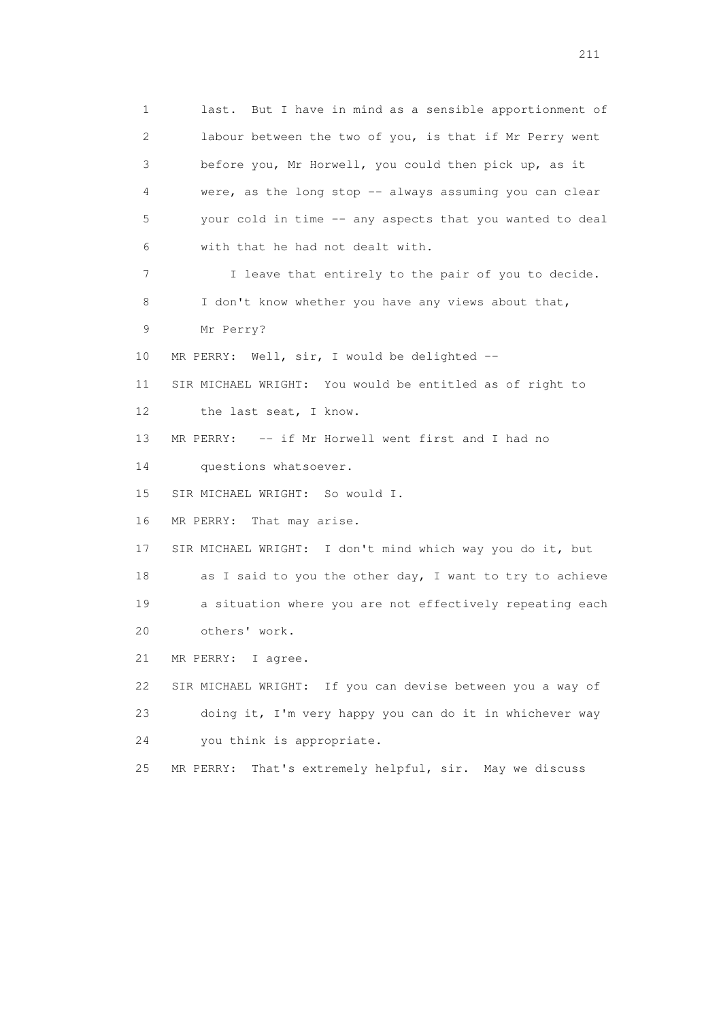1 last. But I have in mind as a sensible apportionment of 2 labour between the two of you, is that if Mr Perry went 3 before you, Mr Horwell, you could then pick up, as it 4 were, as the long stop -- always assuming you can clear 5 your cold in time -- any aspects that you wanted to deal 6 with that he had not dealt with. 7 I leave that entirely to the pair of you to decide. 8 I don't know whether you have any views about that, 9 Mr Perry? 10 MR PERRY: Well, sir, I would be delighted -- 11 SIR MICHAEL WRIGHT: You would be entitled as of right to 12 the last seat, I know. 13 MR PERRY: -- if Mr Horwell went first and I had no 14 questions whatsoever. 15 SIR MICHAEL WRIGHT: So would I. 16 MR PERRY: That may arise. 17 SIR MICHAEL WRIGHT: I don't mind which way you do it, but 18 as I said to you the other day, I want to try to achieve 19 a situation where you are not effectively repeating each 20 others' work. 21 MR PERRY: I agree. 22 SIR MICHAEL WRIGHT: If you can devise between you a way of 23 doing it, I'm very happy you can do it in whichever way 24 you think is appropriate. 25 MR PERRY: That's extremely helpful, sir. May we discuss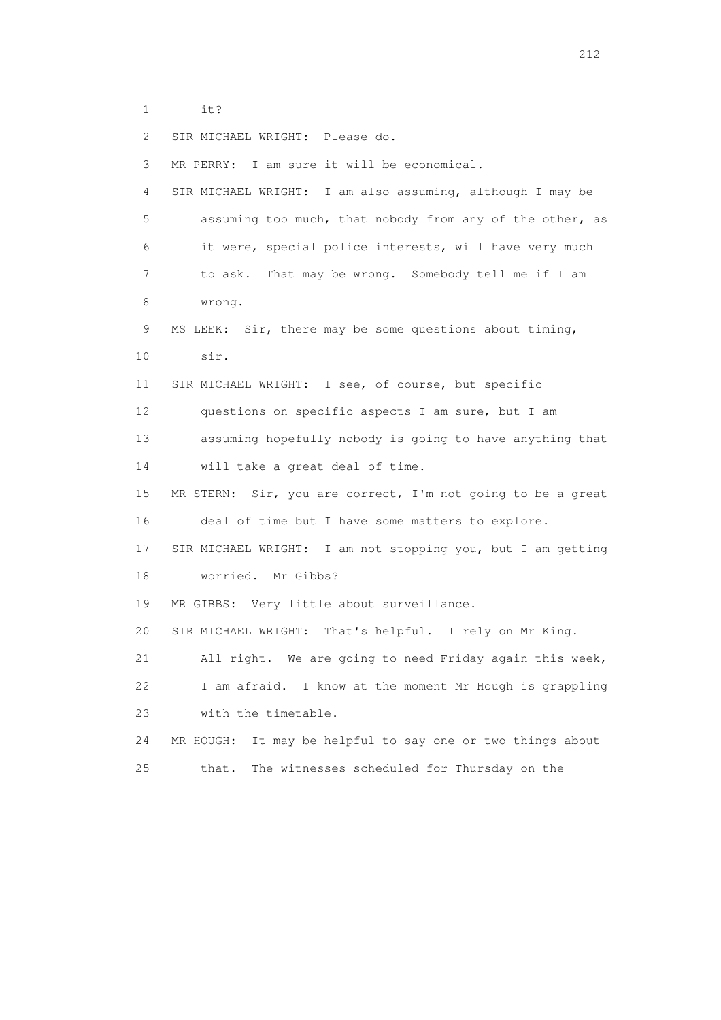1 it?

2 SIR MICHAEL WRIGHT: Please do.

 3 MR PERRY: I am sure it will be economical. 4 SIR MICHAEL WRIGHT: I am also assuming, although I may be 5 assuming too much, that nobody from any of the other, as 6 it were, special police interests, will have very much 7 to ask. That may be wrong. Somebody tell me if I am 8 wrong. 9 MS LEEK: Sir, there may be some questions about timing, 10 sir. 11 SIR MICHAEL WRIGHT: I see, of course, but specific 12 questions on specific aspects I am sure, but I am 13 assuming hopefully nobody is going to have anything that 14 will take a great deal of time. 15 MR STERN: Sir, you are correct, I'm not going to be a great 16 deal of time but I have some matters to explore. 17 SIR MICHAEL WRIGHT: I am not stopping you, but I am getting 18 worried. Mr Gibbs? 19 MR GIBBS: Very little about surveillance. 20 SIR MICHAEL WRIGHT: That's helpful. I rely on Mr King. 21 All right. We are going to need Friday again this week, 22 I am afraid. I know at the moment Mr Hough is grappling 23 with the timetable. 24 MR HOUGH: It may be helpful to say one or two things about 25 that. The witnesses scheduled for Thursday on the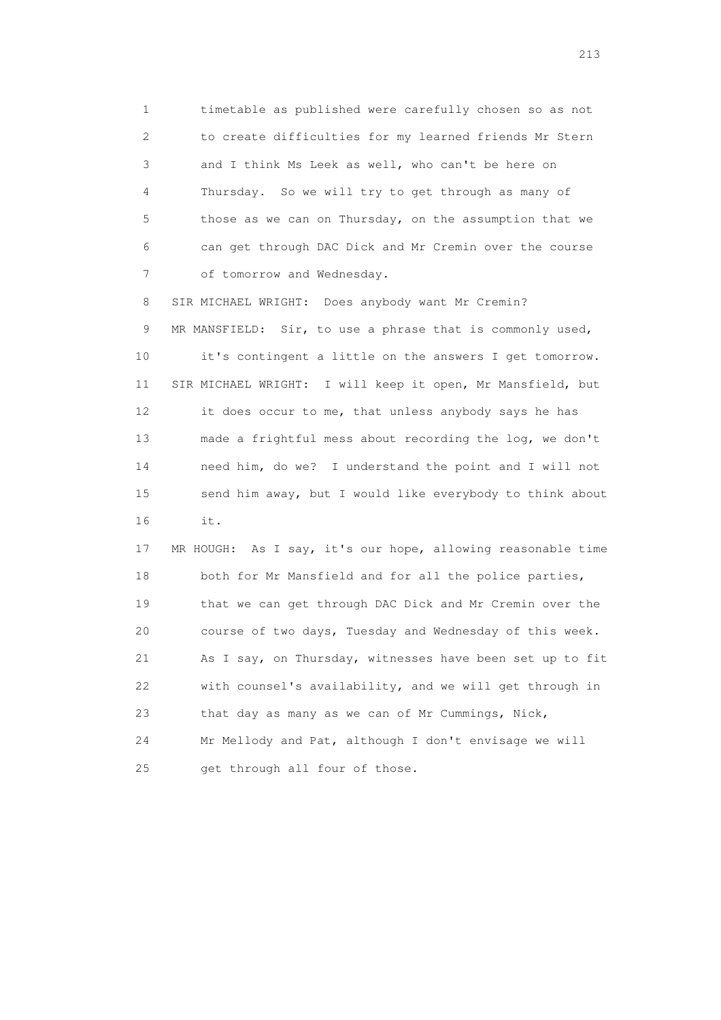1 timetable as published were carefully chosen so as not 2 to create difficulties for my learned friends Mr Stern 3 and I think Ms Leek as well, who can't be here on 4 Thursday. So we will try to get through as many of 5 those as we can on Thursday, on the assumption that we 6 can get through DAC Dick and Mr Cremin over the course 7 of tomorrow and Wednesday.

 8 SIR MICHAEL WRIGHT: Does anybody want Mr Cremin? 9 MR MANSFIELD: Sir, to use a phrase that is commonly used, 10 it's contingent a little on the answers I get tomorrow. 11 SIR MICHAEL WRIGHT: I will keep it open, Mr Mansfield, but 12 it does occur to me, that unless anybody says he has 13 made a frightful mess about recording the log, we don't 14 need him, do we? I understand the point and I will not 15 send him away, but I would like everybody to think about 16 it.

 17 MR HOUGH: As I say, it's our hope, allowing reasonable time 18 both for Mr Mansfield and for all the police parties, 19 that we can get through DAC Dick and Mr Cremin over the 20 course of two days, Tuesday and Wednesday of this week. 21 As I say, on Thursday, witnesses have been set up to fit 22 with counsel's availability, and we will get through in 23 that day as many as we can of Mr Cummings, Nick, 24 Mr Mellody and Pat, although I don't envisage we will 25 get through all four of those.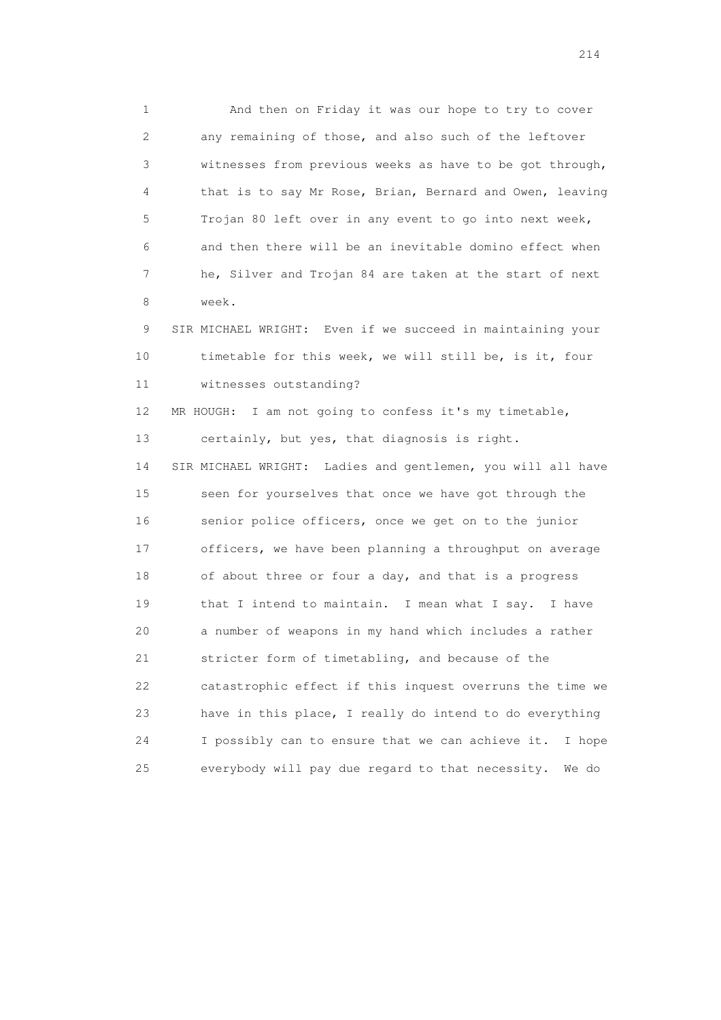1 And then on Friday it was our hope to try to cover 2 any remaining of those, and also such of the leftover 3 witnesses from previous weeks as have to be got through, 4 that is to say Mr Rose, Brian, Bernard and Owen, leaving 5 Trojan 80 left over in any event to go into next week, 6 and then there will be an inevitable domino effect when 7 he, Silver and Trojan 84 are taken at the start of next 8 week.

 9 SIR MICHAEL WRIGHT: Even if we succeed in maintaining your 10 timetable for this week, we will still be, is it, four 11 witnesses outstanding?

 12 MR HOUGH: I am not going to confess it's my timetable, 13 certainly, but yes, that diagnosis is right. 14 SIR MICHAEL WRIGHT: Ladies and gentlemen, you will all have 15 seen for yourselves that once we have got through the 16 senior police officers, once we get on to the junior 17 officers, we have been planning a throughput on average 18 of about three or four a day, and that is a progress 19 that I intend to maintain. I mean what I say. I have 20 a number of weapons in my hand which includes a rather 21 stricter form of timetabling, and because of the 22 catastrophic effect if this inquest overruns the time we 23 have in this place, I really do intend to do everything 24 I possibly can to ensure that we can achieve it. I hope 25 everybody will pay due regard to that necessity. We do